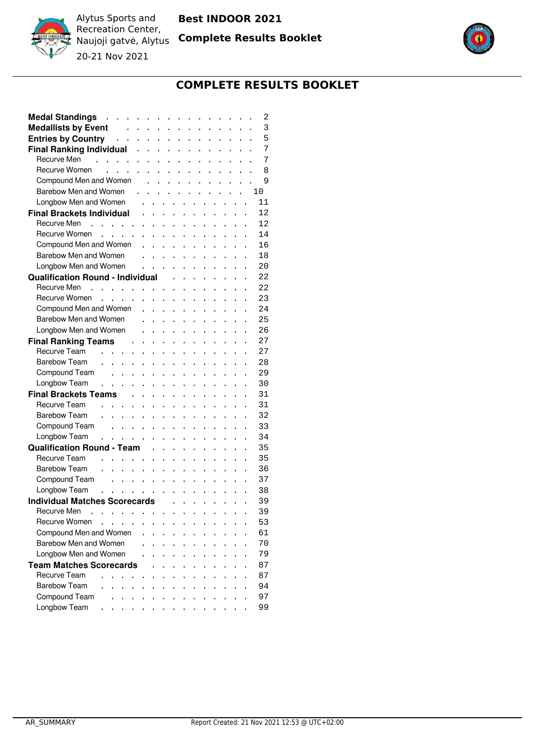

**Complete Results Booklet**



Alytus Sports and Recreation Center, Naujoji gatvė, Alytus 20-21 Nov 2021



# **COMPLETE RESULTS BOOKLET**

| <b>Medal Standings</b><br>$\mathbf{r}$ . The set of the set of the set of the set of the set of the set of the set of the set of the set of the set of the set of the set of the set of the set of the set of the set of the set of the set of the set of t<br>$\mathbf{r}$<br>$\ddot{\phantom{a}}$<br>$\ddot{\phantom{a}}$              |                      | 2  |
|------------------------------------------------------------------------------------------------------------------------------------------------------------------------------------------------------------------------------------------------------------------------------------------------------------------------------------------|----------------------|----|
| <b>Medallists by Event</b><br>$\sim$ $\sim$<br>$\mathbf{1}$ $\mathbf{1}$ $\mathbf{1}$ $\mathbf{1}$ $\mathbf{1}$ $\mathbf{1}$<br>$\mathbf{1}$ $\mathbf{1}$ $\mathbf{1}$<br>$\ddot{\phantom{0}}$<br>$\ddot{\phantom{a}}$                                                                                                                   | $\ddot{\phantom{a}}$ | 3  |
| and the contract of the contract of the<br><b>Entries by Country</b><br>$\mathbf{1}$ $\mathbf{1}$ $\mathbf{1}$                                                                                                                                                                                                                           |                      | 5  |
| <b>Final Ranking Individual</b><br>$\mathbf{r}$ and $\mathbf{r}$ and $\mathbf{r}$ and $\mathbf{r}$<br>$\mathbf{L}^{\text{max}}$                                                                                                                                                                                                          | $\ddot{\phantom{a}}$ | 7  |
| Recurve Men                                                                                                                                                                                                                                                                                                                              |                      | 7  |
| Recurve Women<br>$\mathbf{r}$ , and the set of the set of the set of the set of the set of the set of the set of the set of the set of the set of the set of the set of the set of the set of the set of the set of the set of the set of the set                                                                                        |                      | 8  |
| Compound Men and Women<br>$\mathbf{r}$ . The state of the state $\mathbf{r}$                                                                                                                                                                                                                                                             |                      | 9  |
| Barebow Men and Women<br>$\ddot{\phantom{a}}$                                                                                                                                                                                                                                                                                            |                      | 10 |
| Longbow Men and Women<br>$\mathbf{r}$ . The state of the state $\mathbf{r}$<br>$\ddot{\phantom{a}}$                                                                                                                                                                                                                                      | $\ddot{\phantom{a}}$ | 11 |
| <b>Final Brackets Individual</b><br>$\mathbf{L}$<br>$\mathbf{L}$<br>$\mathbf{L}$<br>$\ddot{\phantom{0}}$<br>$\ddot{\phantom{0}}$<br>$\ddot{\phantom{0}}$<br>$\ddot{\phantom{a}}$<br>$\mathbf{r}$<br>$\ddot{\phantom{a}}$                                                                                                                 |                      | 12 |
| Recurve Men<br>$\mathcal{A}^{\mathcal{A}}$ , $\mathcal{A}^{\mathcal{A}}$ , $\mathcal{A}^{\mathcal{A}}$ , $\mathcal{A}^{\mathcal{A}}$<br>$\mathbf{1}$ $\mathbf{1}$ $\mathbf{1}$ $\mathbf{1}$<br>$\mathbf{L}^{\text{max}}$<br>$\ddot{\phantom{0}}$<br>$\ddot{\phantom{0}}$<br>$\mathbf{L}$<br>$\ddot{\phantom{a}}$<br>$\ddot{\phantom{0}}$ |                      | 12 |
| Recurve Women<br>$\mathbf{1}$ $\mathbf{1}$ $\mathbf{1}$ $\mathbf{1}$ $\mathbf{1}$ $\mathbf{1}$<br>$\mathbf{1}$ $\mathbf{1}$ $\mathbf{1}$ $\mathbf{1}$<br>$\mathbf{1}$ and $\mathbf{1}$ and $\mathbf{1}$<br>$\ddot{\phantom{a}}$<br>$\ddot{\phantom{a}}$<br>$\ddot{\phantom{0}}$                                                          |                      | 14 |
| Compound Men and Women<br>$\mathbf{r}$<br>$\mathbf{L}$<br>$\mathbf{r}$<br>$\ddot{\phantom{a}}$<br>$\sim$<br>$\ddot{\phantom{a}}$<br>$\ddot{\phantom{a}}$<br>$\ddot{\phantom{a}}$<br>$\ddot{\phantom{a}}$<br>$\ddot{\phantom{a}}$                                                                                                         |                      | 16 |
| Barebow Men and Women<br>$\ddot{\phantom{a}}$<br>$\sim$ $\sim$<br>$\ddot{\phantom{0}}$<br>$\mathbf{L} = \mathbf{L}$<br>$\ddot{\phantom{0}}$<br>$\ddot{\phantom{0}}$<br>$\ddot{\phantom{a}}$<br>$\ddot{\phantom{a}}$<br>$\ddot{\phantom{a}}$                                                                                              |                      | 18 |
| Longbow Men and Women<br>$\mathbf{L}^{\text{max}}$<br>$\ddot{\phantom{0}}$<br>$\ddot{\phantom{0}}$<br>$\ddot{\phantom{a}}$<br>$\ddot{\phantom{0}}$<br>$\ddot{\phantom{a}}$<br>$\cdots$                                                                                                                                                   |                      | 20 |
| <b>Qualification Round - Individual</b><br>$\sim$ $\sim$<br>$\ddot{\phantom{a}}$<br>$\ddot{\phantom{0}}$<br>$\ddot{\phantom{0}}$<br>$\ddot{\phantom{a}}$<br>$\ddot{\phantom{a}}$<br>$\ddot{\phantom{a}}$                                                                                                                                 |                      | 22 |
| Recurve Men<br>$\mathcal{A}$ , and $\mathcal{A}$ , and $\mathcal{A}$ , and $\mathcal{A}$<br>$\mathbf{L}^{\text{max}}$<br>$\ddot{\phantom{0}}$<br>$\ddot{\phantom{0}}$<br>$\ddot{\phantom{a}}$                                                                                                                                            |                      | 22 |
| Recurve Women<br>$\mathbf{1}$ and $\mathbf{1}$ and $\mathbf{1}$ and $\mathbf{1}$<br>$\mathbf{1}$ . The set of $\mathbf{1}$<br>$\ddot{\phantom{0}}$<br>$\ddot{\phantom{0}}$<br>$\ddot{\phantom{a}}$<br>$\ddot{\phantom{a}}$<br>$\ddot{\phantom{0}}$                                                                                       |                      | 23 |
| Compound Men and Women<br>$\mathbf{L}$<br>$\ddot{\phantom{0}}$<br>$\ddot{\phantom{0}}$<br>$\mathbf{L} = \mathbf{L}$<br>$\ddot{\phantom{0}}$<br>$\ddot{\phantom{0}}$<br>$\ddot{\phantom{a}}$<br>$\ddot{\phantom{a}}$<br>$\ddot{\phantom{0}}$                                                                                              |                      | 24 |
| Barebow Men and Women<br>$\ddot{\phantom{a}}$<br>$\ddot{\phantom{0}}$<br>$\ddotsc$<br>$\ddot{\phantom{0}}$<br>$\ddot{\phantom{0}}$<br>$\ddot{\phantom{a}}$<br>$\ddot{\phantom{a}}$<br>$\ddot{\phantom{0}}$                                                                                                                               | $\ddot{\phantom{0}}$ | 25 |
| Longbow Men and Women<br>$\ddot{\phantom{a}}$<br>$\ddotsc$<br>$\ddot{\phantom{a}}$<br>$\ddot{\phantom{a}}$<br>. .<br>$\ddot{\phantom{0}}$<br>$\ddot{\phantom{0}}$                                                                                                                                                                        |                      | 26 |
| <b>Final Ranking Teams</b><br>$\ddot{\phantom{0}}$<br>$\ddot{\phantom{0}}$<br>$\ddot{\phantom{0}}$<br>$\ddot{\phantom{0}}$<br>$\ddot{\phantom{0}}$<br>$\ddot{\phantom{0}}$<br>$\ddot{\phantom{0}}$                                                                                                                                       |                      | 27 |
| Recurve Team<br>$\sim$<br>$\ddot{\phantom{0}}$<br>$\ddot{\phantom{a}}$<br>$\ddot{\phantom{a}}$<br>$\ddot{\phantom{0}}$<br>$\ddot{\phantom{0}}$<br>$\ddot{\phantom{0}}$<br>$\ddot{\phantom{0}}$                                                                                                                                           |                      | 27 |
| <b>Barebow Team</b><br>$\ddot{\phantom{0}}$<br>$\ddot{\phantom{a}}$<br>$\ddot{\phantom{a}}$<br>$\ddot{\phantom{a}}$<br>$\ddot{\phantom{0}}$<br>$\ddot{\phantom{0}}$                                                                                                                                                                      |                      | 28 |
| Compound Team<br>$\mathbf{L}^{\text{max}}$<br>$\ddot{\phantom{0}}$<br>$\ddot{\phantom{0}}$<br>$\ddot{\phantom{0}}$<br>$\ddot{\phantom{a}}$                                                                                                                                                                                               |                      | 29 |
| Longbow Team<br>$\ddot{\phantom{0}}$<br>$\ddot{\phantom{a}}$<br>$\ddot{\phantom{a}}$<br>$\ddot{\phantom{0}}$                                                                                                                                                                                                                             |                      | 30 |
| $\sim$ $\sim$<br>$\ddot{\phantom{0}}$<br><b>Final Brackets Teams</b><br>$\ddot{\phantom{0}}$<br>$\ddot{\phantom{a}}$<br>$\ddot{\phantom{a}}$<br>$\ddot{\phantom{0}}$<br>$\ddot{\phantom{0}}$                                                                                                                                             |                      | 31 |
| Recurve Team<br>$\ddot{\phantom{0}}$<br>$\ddot{\phantom{a}}$                                                                                                                                                                                                                                                                             |                      | 31 |
| $\ddot{\phantom{0}}$<br><b>Barebow Team</b>                                                                                                                                                                                                                                                                                              |                      | 32 |
| $\ddot{\phantom{a}}$<br>$\ddot{\phantom{a}}$<br>Compound Team<br>$\ddot{\phantom{a}}$<br>$\mathcal{L}^{\text{max}}$                                                                                                                                                                                                                      |                      | 33 |
| $\ddot{\phantom{0}}$<br>$\ddot{\phantom{a}}$<br>$\ddot{\phantom{a}}$<br>Longbow Team                                                                                                                                                                                                                                                     |                      | 34 |
| $\cdots$<br>$\ddot{\phantom{0}}$                                                                                                                                                                                                                                                                                                         |                      | 35 |
| <b>Qualification Round - Team</b><br>$\ddot{\phantom{a}}$<br>Recurve Team                                                                                                                                                                                                                                                                |                      | 35 |
| $\ddot{\phantom{a}}$<br>$\ddot{\phantom{0}}$<br>$\sim$ .                                                                                                                                                                                                                                                                                 |                      |    |
| <b>Barebow Team</b><br>$\ddot{\phantom{0}}$                                                                                                                                                                                                                                                                                              |                      | 36 |
| Compound Team<br>$\cdots$<br>$\ddot{\phantom{a}}$                                                                                                                                                                                                                                                                                        |                      | 37 |
| Longbow Team<br>$\mathbf{1}$ , $\mathbf{1}$ , $\mathbf{1}$ , $\mathbf{1}$<br>$\ddot{\phantom{0}}$<br>$\ddot{\phantom{0}}$                                                                                                                                                                                                                |                      | 38 |
| <b>Individual Matches Scorecards</b><br>$\ddot{\phantom{0}}$<br>$\ddot{\phantom{a}}$<br>$\ddot{\phantom{a}}$<br>$\ddot{\phantom{a}}$<br>$\ddot{\phantom{a}}$<br>$\ddot{\phantom{a}}$                                                                                                                                                     |                      | 39 |
| Recurve Men<br>$\ddot{\phantom{0}}$<br>$\mathcal{A}$ , and $\mathcal{A}$ , and $\mathcal{A}$ , and $\mathcal{A}$<br>$\ddot{\phantom{0}}$                                                                                                                                                                                                 |                      | 39 |
| Recurve Women<br>$\mathbf{r}$                                                                                                                                                                                                                                                                                                            |                      | 53 |
| Compound Men and Women                                                                                                                                                                                                                                                                                                                   |                      | 61 |
| Barebow Men and Women                                                                                                                                                                                                                                                                                                                    |                      | 70 |
| Longbow Men and Women                                                                                                                                                                                                                                                                                                                    |                      | 79 |
| <b>Team Matches Scorecards</b>                                                                                                                                                                                                                                                                                                           |                      | 87 |
| Recurve Team<br>$\ddot{\phantom{a}}$<br>$\ddot{\phantom{a}}$                                                                                                                                                                                                                                                                             |                      | 87 |
| <b>Barebow Team</b>                                                                                                                                                                                                                                                                                                                      |                      | 94 |
| Compound Team                                                                                                                                                                                                                                                                                                                            |                      | 97 |
| Longbow Team                                                                                                                                                                                                                                                                                                                             |                      | 99 |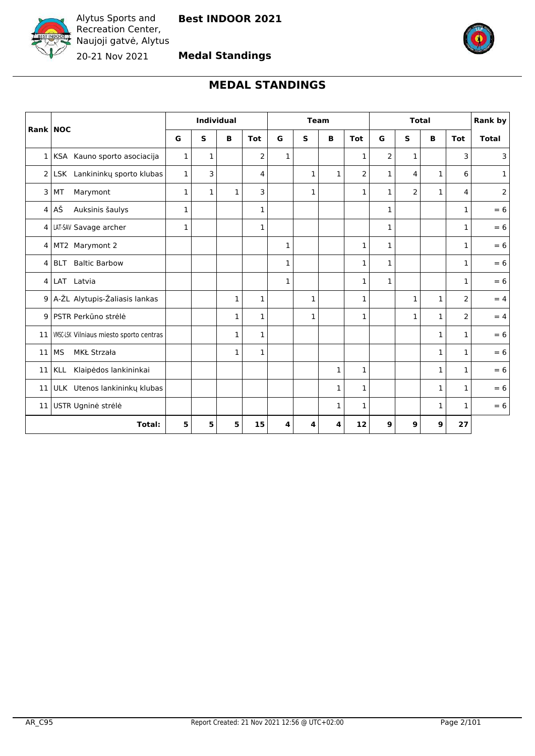<span id="page-1-0"></span>

**Medal Standings**



# **MEDAL STANDINGS**

| Rank NOC       |                                         |              | Individual   |              |              | <b>Team</b>  |              | <b>Total</b> |                |              |                | Rank by      |                |                |
|----------------|-----------------------------------------|--------------|--------------|--------------|--------------|--------------|--------------|--------------|----------------|--------------|----------------|--------------|----------------|----------------|
|                |                                         | G            | S            | в            | <b>Tot</b>   | G            | S            | B            | <b>Tot</b>     | G            | S              | B            | <b>Tot</b>     | <b>Total</b>   |
| $\mathbf{1}$   | KSA Kauno sporto asociacija             | 1            | 1            |              | 2            | 1            |              |              | 1              | 2            | 1              |              | 3              | 3              |
| $\overline{2}$ | LSK Lankininkų sporto klubas            | $\mathbf{1}$ | 3            |              | 4            |              | $\mathbf{1}$ | $\mathbf{1}$ | $\overline{2}$ | $\mathbf{1}$ | 4              | $\mathbf{1}$ | 6              | $\mathbf{1}$   |
| 3              | MT<br>Marymont                          | $\mathbf{1}$ | $\mathbf{1}$ | $\mathbf{1}$ | 3            |              | $\mathbf{1}$ |              | $\mathbf{1}$   | $\mathbf{1}$ | $\overline{2}$ | $\mathbf{1}$ | 4              | $\overline{2}$ |
| $\overline{4}$ | AŠ<br>Auksinis šaulys                   | $\mathbf 1$  |              |              | $\mathbf{1}$ |              |              |              |                | $\mathbf{1}$ |                |              | $\mathbf{1}$   | $= 6$          |
|                | 4   LAT-SAV Savage archer               | $\mathbf{1}$ |              |              | 1            |              |              |              |                | $\mathbf{1}$ |                |              | 1              | $= 6$          |
| 4              | MT2 Marymont 2                          |              |              |              |              | $\mathbf{1}$ |              |              | $\mathbf 1$    | $\mathbf{1}$ |                |              | $\mathbf{1}$   | $= 6$          |
| 4              | <b>Baltic Barbow</b><br><b>BLT</b>      |              |              |              |              | $\mathbf{1}$ |              |              | $\mathbf 1$    | $\mathbf{1}$ |                |              | $\mathbf{1}$   | $= 6$          |
| 4              | LAT Latvia                              |              |              |              |              | $\mathbf{1}$ |              |              | $\mathbf{1}$   | $\mathbf{1}$ |                |              | $\mathbf{1}$   | $= 6$          |
| 9 <sup>1</sup> | A-ŽL Alytupis-Žaliasis lankas           |              |              | 1            | 1            |              | $\mathbf{1}$ |              | $\mathbf 1$    |              | 1              | 1            | 2              | $= 4$          |
| 9              | PSTR Perkūno strėlė                     |              |              | 1            | $\mathbf{1}$ |              | $\mathbf{1}$ |              | $\mathbf 1$    |              | 1              | 1            | $\overline{2}$ | $= 4$          |
| 11             | VMSC-LSK Vilniaus miesto sporto centras |              |              | 1            | 1            |              |              |              |                |              |                | 1            | $\mathbf{1}$   | $= 6$          |
| 11             | <b>MS</b><br>MKŁ Strzała                |              |              | 1            | $\mathbf 1$  |              |              |              |                |              |                | 1            | $\mathbf{1}$   | $= 6$          |
| 11             | Klaipėdos lankininkai<br><b>KLL</b>     |              |              |              |              |              |              | $\mathbf 1$  | $\mathbf 1$    |              |                | $\mathbf{1}$ | $\mathbf{1}$   | $= 6$          |
| 11             | ULK Utenos lankininkų klubas            |              |              |              |              |              |              | 1            | $\mathbf 1$    |              |                | 1            | $\mathbf{1}$   | $= 6$          |
| 11             | USTR Ugninė strėlė                      |              |              |              |              |              |              | 1            | $\mathbf 1$    |              |                | 1            | $\mathbf{1}$   | $= 6$          |
|                | <b>Total:</b>                           | 5            | 5            | 5            | 15           | 4            | 4            | 4            | 12             | 9            | 9              | 9            | 27             |                |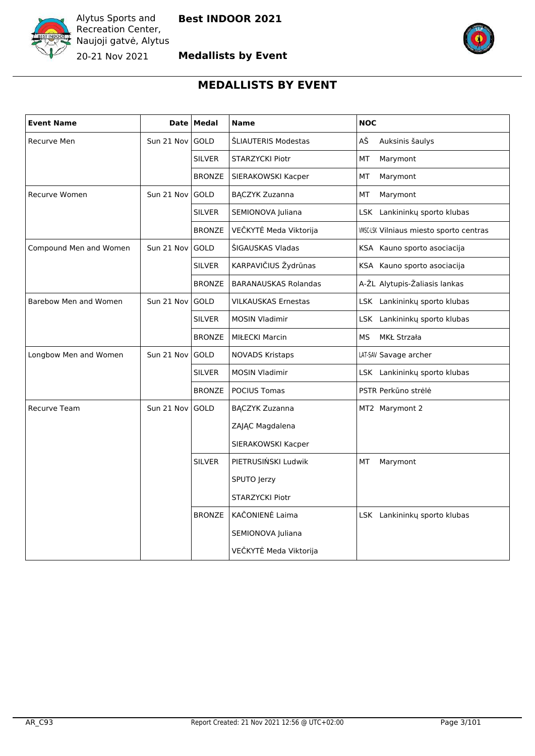



# **MEDALLISTS BY EVENT**

<span id="page-2-0"></span>

| <b>Event Name</b>      |                 | Date   Medal  | <b>Name</b>                 | <b>NOC</b>                                     |
|------------------------|-----------------|---------------|-----------------------------|------------------------------------------------|
| Recurve Men            | Sun 21 Nov GOLD |               | ŠLIAUTERIS Modestas         | AŠ<br>Auksinis šaulys                          |
|                        |                 | <b>SILVER</b> | STARZYCKI Piotr             | MT<br>Marymont                                 |
|                        |                 | <b>BRONZE</b> | SIERAKOWSKI Kacper          | МT<br>Marymont                                 |
| Recurve Women          | Sun 21 Nov GOLD |               | <b>BĄCZYK Zuzanna</b>       | МT<br>Marymont                                 |
|                        |                 | <b>SILVER</b> | SEMIONOVA Juliana           | LSK Lankininkų sporto klubas                   |
|                        |                 | <b>BRONZE</b> | VEČKYTĖ Meda Viktorija      | <b>WISC-LSK Vilniaus miesto sporto centras</b> |
| Compound Men and Women | Sun 21 Nov      | GOLD          | ŠIGAUSKAS Vladas            | KSA Kauno sporto asociacija                    |
|                        |                 | <b>SILVER</b> | KARPAVIČIUS Žydrūnas        | KSA Kauno sporto asociacija                    |
|                        |                 | <b>BRONZE</b> | <b>BARANAUSKAS Rolandas</b> | A-ŽL Alytupis-Žaliasis lankas                  |
| Barebow Men and Women  | Sun 21 Nov GOLD |               | <b>VILKAUSKAS Ernestas</b>  | LSK Lankininkų sporto klubas                   |
|                        |                 | <b>SILVER</b> | <b>MOSIN Vladimir</b>       | LSK Lankininkų sporto klubas                   |
|                        |                 | <b>BRONZE</b> | <b>MIŁECKI Marcin</b>       | MS<br>MKŁ Strzała                              |
| Longbow Men and Women  | Sun 21 Nov      | <b>GOLD</b>   | <b>NOVADS Kristaps</b>      | LAT-SAV Savage archer                          |
|                        |                 | <b>SILVER</b> | <b>MOSIN Vladimir</b>       | LSK Lankininkų sporto klubas                   |
|                        |                 | <b>BRONZE</b> | POCIUS Tomas                | PSTR Perkūno strėlė                            |
| Recurve Team           | Sun 21 Nov GOLD |               | <b>BĄCZYK Zuzanna</b>       | MT2 Marymont 2                                 |
|                        |                 |               | ZAJĄC Magdalena             |                                                |
|                        |                 |               | SIERAKOWSKI Kacper          |                                                |
|                        |                 | <b>SILVER</b> | PIETRUSIŃSKI Ludwik         | МT<br>Marymont                                 |
|                        |                 |               | SPUTO Jerzy                 |                                                |
|                        |                 |               | <b>STARZYCKI Piotr</b>      |                                                |
|                        |                 | <b>BRONZE</b> | KAČONIENĖ Laima             | LSK Lankininkų sporto klubas                   |
|                        |                 |               | SEMIONOVA Juliana           |                                                |
|                        |                 |               | VEČKYTĖ Meda Viktorija      |                                                |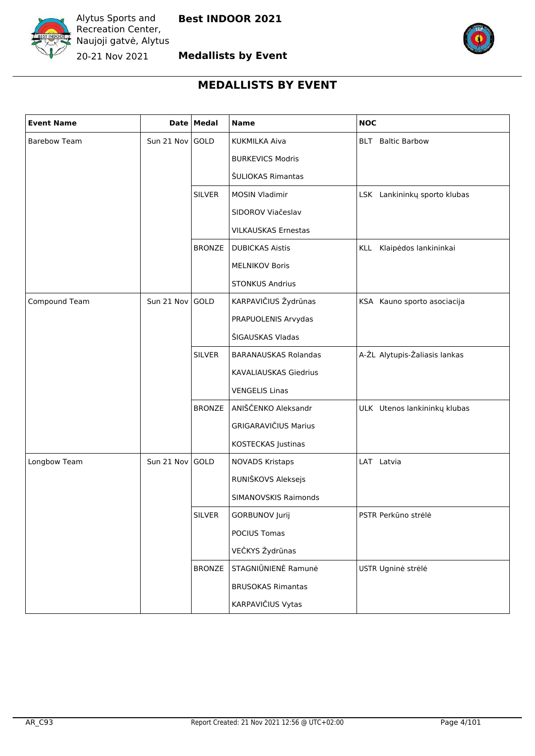



# **MEDALLISTS BY EVENT**

| <b>Event Name</b>   |            | Date Medal    | <b>Name</b>                  | <b>NOC</b>                    |
|---------------------|------------|---------------|------------------------------|-------------------------------|
| <b>Barebow Team</b> | Sun 21 Nov | GOLD          | <b>KUKMILKA Aiva</b>         | <b>BLT</b> Baltic Barbow      |
|                     |            |               | <b>BURKEVICS Modris</b>      |                               |
|                     |            |               | ŠULIOKAS Rimantas            |                               |
|                     |            | <b>SILVER</b> | <b>MOSIN Vladimir</b>        | LSK Lankininkų sporto klubas  |
|                     |            |               | SIDOROV Viačeslav            |                               |
|                     |            |               | <b>VILKAUSKAS Ernestas</b>   |                               |
|                     |            | <b>BRONZE</b> | <b>DUBICKAS Aistis</b>       | KLL<br>Klaipėdos lankininkai  |
|                     |            |               | <b>MELNIKOV Boris</b>        |                               |
|                     |            |               | <b>STONKUS Andrius</b>       |                               |
| Compound Team       | Sun 21 Nov | GOLD          | KARPAVIČIUS Žydrūnas         | KSA Kauno sporto asociacija   |
|                     |            |               | PRAPUOLENIS Arvydas          |                               |
|                     |            |               | ŠIGAUSKAS Vladas             |                               |
|                     |            | <b>SILVER</b> | <b>BARANAUSKAS Rolandas</b>  | A-ŽL Alytupis-Žaliasis lankas |
|                     |            |               | <b>KAVALIAUSKAS Giedrius</b> |                               |
|                     |            |               | <b>VENGELIS Linas</b>        |                               |
|                     |            | <b>BRONZE</b> | ANIŠČENKO Aleksandr          | ULK Utenos lankininkų klubas  |
|                     |            |               | <b>GRIGARAVIČIUS Marius</b>  |                               |
|                     |            |               | KOSTECKAS Justinas           |                               |
| Longbow Team        | Sun 21 Nov | GOLD          | <b>NOVADS Kristaps</b>       | LAT Latvia                    |
|                     |            |               | RUNIŠKOVS Aleksejs           |                               |
|                     |            |               | SIMANOVSKIS Raimonds         |                               |
|                     |            | <b>SILVER</b> | GORBUNOV Jurij               | PSTR Perkūno strėlė           |
|                     |            |               | POCIUS Tomas                 |                               |
|                     |            |               | VEČKYS Žydrūnas              |                               |
|                     |            | <b>BRONZE</b> | STAGNIŪNIENĖ Ramunė          | USTR Ugninė strėlė            |
|                     |            |               | <b>BRUSOKAS Rimantas</b>     |                               |
|                     |            |               | KARPAVIČIUS Vytas            |                               |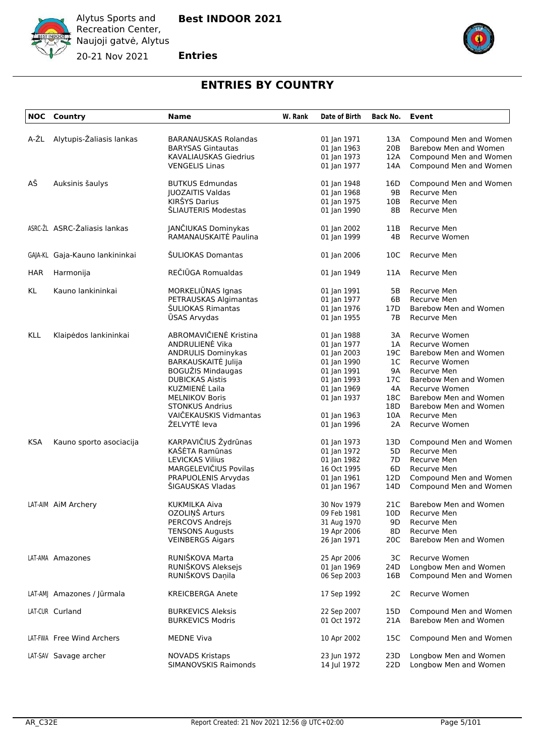

**Entries**

20-21 Nov 2021



# **ENTRIES BY COUNTRY**

<span id="page-4-0"></span>

|            | <b>NOC</b> Country             | <b>Name</b>                                         | W. Rank | Date of Birth              | <b>Back No.</b> | Event                                           |
|------------|--------------------------------|-----------------------------------------------------|---------|----------------------------|-----------------|-------------------------------------------------|
| A-ŽL       | Alytupis-Žaliasis lankas       | <b>BARANAUSKAS Rolandas</b>                         |         | 01 Jan 1971                | 13A             | Compound Men and Women                          |
|            |                                | <b>BARYSAS Gintautas</b>                            |         | 01 Jan 1963                | 20B             | Barebow Men and Women                           |
|            |                                | <b>KAVALIAUSKAS Giedrius</b>                        |         | 01 Jan 1973                | 12A             | Compound Men and Women                          |
|            |                                | <b>VENGELIS Linas</b>                               |         | 01 Jan 1977                | 14A             | Compound Men and Women                          |
|            |                                |                                                     |         |                            |                 |                                                 |
| AŠ         | Auksinis šaulys                | <b>BUTKUS Edmundas</b>                              |         | 01 Jan 1948                | 16D             | Compound Men and Women                          |
|            |                                | <b>JUOZAITIS Valdas</b>                             |         | 01 Jan 1968                | 9B              | Recurve Men                                     |
|            |                                | KIRŠYS Darius                                       |         | 01 Jan 1975                | 10B             | Recurve Men                                     |
|            |                                | ŠLIAUTERIS Modestas                                 |         | 01 Jan 1990                | 8Β              | Recurve Men                                     |
|            | ASRC-ŽL ASRC-Žaliasis lankas   | JANČIUKAS Dominykas                                 |         | 01 Jan 2002                | 11B             | Recurve Men                                     |
|            |                                | RAMANAUSKAITĖ Paulina                               |         | 01 Jan 1999                | 4B              | Recurve Women                                   |
|            | GAJA-KL Gaja-Kauno lankininkai | ŠULIOKAS Domantas                                   |         | 01 Jan 2006                | 10C             | Recurve Men                                     |
| <b>HAR</b> | Harmonija                      | REČIŪGA Romualdas                                   |         | 01 Jan 1949                | 11A             | Recurve Men                                     |
| KL         | Kauno lankininkai              | MORKELIUNAS Ignas                                   |         | 01 Jan 1991                | 5В              | Recurve Men                                     |
|            |                                | PETRAUSKAS Algimantas                               |         | 01 Jan 1977                | 6B              | <b>Recurve Men</b>                              |
|            |                                | ŠULIOKAS Rimantas                                   |         | 01 Jan 1976                | 17D             | Barebow Men and Women                           |
|            |                                | <b>ŪSAS Arvydas</b>                                 |         | 01 Jan 1955                | 7В              | Recurve Men                                     |
|            |                                |                                                     |         |                            |                 |                                                 |
| <b>KLL</b> | Klaipėdos lankininkai          | ABROMAVIČIENĖ Kristina<br>ANDRULIENĖ Vika           |         | 01 Jan 1988                | 3A              | Recurve Women<br>Recurve Women                  |
|            |                                |                                                     |         | 01 Jan 1977                | 1A              |                                                 |
|            |                                | <b>ANDRULIS Dominykas</b>                           |         | 01 Jan 2003                | 19C             | Barebow Men and Women                           |
|            |                                | BARKAUSKAITĖ Julija                                 |         | 01 Jan 1990                | 1C              | Recurve Women                                   |
|            |                                | BOGUŽIS Mindaugas                                   |         | 01 Jan 1991                | 9A              | Recurve Men                                     |
|            |                                | <b>DUBICKAS Aistis</b>                              |         | 01 Jan 1993                | 17C             | Barebow Men and Women                           |
|            |                                | KUZMIENĖ Laila                                      |         | 01 Jan 1969                | 4A              | Recurve Women                                   |
|            |                                | <b>MELNIKOV Boris</b>                               |         | 01 Jan 1937                | 18C             | Barebow Men and Women                           |
|            |                                | <b>STONKUS Andrius</b>                              |         |                            | 18D             | Barebow Men and Women                           |
|            |                                | VAIČEKAUSKIS Vidmantas                              |         | 01 Jan 1963                | 10A             | Recurve Men                                     |
|            |                                | ŽELVYTĖ leva                                        |         | 01 Jan 1996                | 2A              | <b>Recurve Women</b>                            |
| <b>KSA</b> | Kauno sporto asociacija        | KARPAVIČIUS Žydrūnas                                |         | 01 Jan 1973                | 13D             | Compound Men and Women                          |
|            |                                | KAŠĖTA Ramūnas                                      |         | 01 Jan 1972                | 5D              | Recurve Men                                     |
|            |                                | <b>LEVICKAS Vilius</b>                              |         | 01 Jan 1982                | 7D              | Recurve Men                                     |
|            |                                | MARGELEVIČIUS Povilas                               |         | 16 Oct 1995                | 6D              | Recurve Men                                     |
|            |                                | PRAPUOLENIS Arvydas                                 |         | 01 Jan 1961                | 12D             | Compound Men and Women                          |
|            |                                | ŠIGAUSKAS Vladas                                    |         | 01 Jan 1967                | 14D             | Compound Men and Women                          |
|            | LAT-AIM AIM Archery            | KUKMILKA Aiva                                       |         | 30 Nov 1979                | 21C             | Barebow Men and Women                           |
|            |                                | OZOLIŅŠ Arturs                                      |         | 09 Feb 1981                |                 | 10D Recurve Men                                 |
|            |                                | PERCOVS Andrejs                                     |         | 31 Aug 1970                | 9D.             | Recurve Men                                     |
|            |                                | <b>TENSONS Augusts</b>                              |         | 19 Apr 2006                | 8D.             | Recurve Men                                     |
|            |                                | <b>VEINBERGS Aigars</b>                             |         | 26 Jan 1971                | 20C             | Barebow Men and Women                           |
|            | LAT-AMA Amazones               | RUNIŠKOVA Marta                                     |         | 25 Apr 2006                | ЗС              | Recurve Women                                   |
|            |                                | RUNIŠKOVS Aleksejs                                  |         | 01 Jan 1969                | 24D             | Longbow Men and Women                           |
|            |                                | RUNIŠKOVS Daņila                                    |         | 06 Sep 2003                | 16B             | Compound Men and Women                          |
|            | LAT-AM  Amazones / Jūrmala     | <b>KREICBERGA Anete</b>                             |         | 17 Sep 1992                | 2C              | <b>Recurve Women</b>                            |
|            |                                |                                                     |         |                            |                 |                                                 |
|            | LAT-CUR Curland                | <b>BURKEVICS Aleksis</b><br><b>BURKEVICS Modris</b> |         | 22 Sep 2007<br>01 Oct 1972 | 15D<br>21A      | Compound Men and Women<br>Barebow Men and Women |
|            |                                |                                                     |         |                            |                 |                                                 |
|            | LAT-FWA Free Wind Archers      | <b>MEDNE Viva</b>                                   |         | 10 Apr 2002                | 15C             | Compound Men and Women                          |
|            | LAT-SAV Savage archer          | <b>NOVADS Kristaps</b>                              |         | 23 Jun 1972                | 23D             | Longbow Men and Women                           |
|            |                                | SIMANOVSKIS Raimonds                                |         | 14 Jul 1972                | 22D             | Longbow Men and Women                           |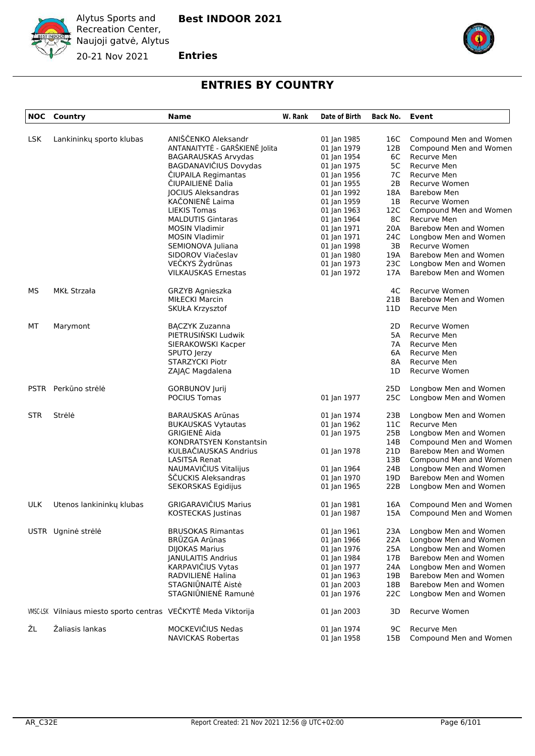

**Entries**

20-21 Nov 2021



# **ENTRIES BY COUNTRY**

|            | <b>NOC</b> Country                                             | <b>Name</b>                    | W. Rank | Date of Birth | Back No.        | <b>Event</b>               |
|------------|----------------------------------------------------------------|--------------------------------|---------|---------------|-----------------|----------------------------|
| <b>LSK</b> | Lankininkų sporto klubas                                       | ANIŠČENKO Aleksandr            |         | 01 Jan 1985   | 16C             | Compound Men and Women     |
|            |                                                                | ANTANAITYTĖ - GARŠKIENĖ Jolita |         | 01 Jan 1979   | 12B             | Compound Men and Women     |
|            |                                                                | BAGARAUSKAS Arvydas            |         | 01 Jan 1954   | 6C              | Recurve Men                |
|            |                                                                | BAGDANAVIČIUS Dovydas          |         | 01 Jan 1975   | 5C              | Recurve Men                |
|            |                                                                | ČIUPAILA Regimantas            |         | 01 Jan 1956   | 7C              | Recurve Men                |
|            |                                                                | ČIUPAILIENĖ Dalia              |         | 01 Jan 1955   | 2B              | Recurve Women              |
|            |                                                                | <b>JOCIUS Aleksandras</b>      |         | 01 Jan 1992   | 18A             | <b>Barebow Men</b>         |
|            |                                                                | KAČONIENĖ Laima                |         | 01 Jan 1959   | 1Β              | <b>Recurve Women</b>       |
|            |                                                                | <b>LIEKIS Tomas</b>            |         | 01 Jan 1963   | 12C             | Compound Men and Women     |
|            |                                                                | <b>MALDUTIS Gintaras</b>       |         | 01 Jan 1964   | 8C              | Recurve Men                |
|            |                                                                | <b>MOSIN Vladimir</b>          |         | 01 Jan 1971   | 20A             | Barebow Men and Women      |
|            |                                                                | <b>MOSIN Vladimir</b>          |         | 01 Jan 1971   | 24C             | Longbow Men and Women      |
|            |                                                                | SEMIONOVA Juliana              |         | 01 Jan 1998   | 3B              | Recurve Women              |
|            |                                                                | SIDOROV Viačeslav              |         | 01 Jan 1980   | 19A             | Barebow Men and Women      |
|            |                                                                | VEČKYS Žydrūnas                |         | 01 Jan 1973   | 23C             | Longbow Men and Women      |
|            |                                                                | <b>VILKAUSKAS Ernestas</b>     |         | 01 Jan 1972   | 17A             | Barebow Men and Women      |
| <b>MS</b>  | MKŁ Strzała                                                    | GRZYB Agnieszka                |         |               | 4C              | <b>Recurve Women</b>       |
|            |                                                                | MIŁECKI Marcin                 |         |               | 21B             | Barebow Men and Women      |
|            |                                                                | SKUŁA Krzysztof                |         |               | 11D             | Recurve Men                |
| МT         | Marymont                                                       | <b>BACZYK Zuzanna</b>          |         |               | 2D              | Recurve Women              |
|            |                                                                | PIETRUSIŃSKI Ludwik            |         |               | 5A              | Recurve Men                |
|            |                                                                | SIERAKOWSKI Kacper             |         |               | 7Α              | Recurve Men                |
|            |                                                                | SPUTO Jerzy                    |         |               | 6A              | Recurve Men                |
|            |                                                                | <b>STARZYCKI Piotr</b>         |         |               | 8A              | Recurve Men                |
|            |                                                                | ZAJĄC Magdalena                |         |               | 1D              | Recurve Women              |
|            | PSTR Perkūno strėlė                                            | <b>GORBUNOV Jurij</b>          |         |               | 25D             | Longbow Men and Women      |
|            |                                                                | POCIUS Tomas                   |         | 01 Jan 1977   | 25C             | Longbow Men and Women      |
| <b>STR</b> | Strėlė                                                         | BARAUSKAS Arūnas               |         | 01 Jan 1974   | 23B             | Longbow Men and Women      |
|            |                                                                | <b>BUKAUSKAS Vytautas</b>      |         | 01 Jan 1962   | 11C             | Recurve Men                |
|            |                                                                | <b>GRIGIENE Aida</b>           |         | 01 Jan 1975   | 25B             | Longbow Men and Women      |
|            |                                                                | KONDRATSYEN Konstantsin        |         |               | 14B             | Compound Men and Women     |
|            |                                                                | KULBAČIAUSKAS Andrius          |         | 01 Jan 1978   | 21D             | Barebow Men and Women      |
|            |                                                                | LASITSA Renat                  |         |               | 13B             | Compound Men and Women     |
|            |                                                                | NAUMAVIČIUS Vitalijus          |         | 01 Jan 1964   | 24B             | Longbow Men and Women      |
|            |                                                                | ŠČUCKIS Aleksandras            |         | 01 Jan 1970   | 19 <sub>D</sub> | Barebow Men and Women      |
|            |                                                                | SEKORSKAS Egidijus             |         | 01 Jan 1965   | 22B             | Longbow Men and Women      |
| <b>ULK</b> | Utenos lankininkų klubas                                       | <b>GRIGARAVIČIUS Marius</b>    |         | 01 Jan 1981   | 16A             | Compound Men and Women     |
|            |                                                                | KOSTECKAS Justinas             |         | 01 Jan 1987   |                 | 15A Compound Men and Women |
|            | USTR Ugninė strėlė                                             | <b>BRUSOKAS Rimantas</b>       |         | 01 Jan 1961   | 23A             | Longbow Men and Women      |
|            |                                                                | <b>BRŪZGA Arūnas</b>           |         | 01 Jan 1966   | 22A             | Longbow Men and Women      |
|            |                                                                | <b>DIJOKAS Marius</b>          |         | 01 Jan 1976   | 25A             | Longbow Men and Women      |
|            |                                                                | JANULAITIS Andrius             |         | 01 Jan 1984   | 17B             | Barebow Men and Women      |
|            |                                                                | KARPAVIČIUS Vytas              |         | 01 Jan 1977   | 24A             | Longbow Men and Women      |
|            |                                                                | RADVILIENĖ Halina              |         | 01 Jan 1963   | 19B             | Barebow Men and Women      |
|            |                                                                | STAGNIŪNAITĖ Aistė             |         | 01 Jan 2003   | 18B             | Barebow Men and Women      |
|            |                                                                | STAGNIŪNIENĖ Ramunė            |         | 01 Jan 1976   | 22C             | Longbow Men and Women      |
|            | WISC-LSK Vilniaus miesto sporto centras VEČKYTĖ Meda Viktorija |                                |         | 01 Jan 2003   | 3D              | Recurve Women              |
| ŽL         | Žaliasis lankas                                                | MOCKEVIČIUS Nedas              |         | 01 Jan 1974   | 9C              | Recurve Men                |
|            |                                                                | NAVICKAS Robertas              |         | 01 Jan 1958   | 15B             | Compound Men and Women     |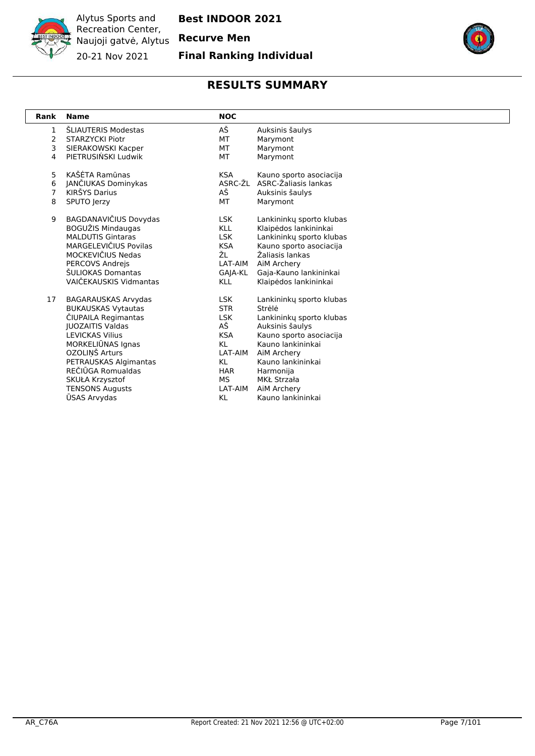

**Best INDOOR 2021**

**Final Ranking Individual**



<span id="page-6-0"></span>

| Rank           | <b>Name</b>                | <b>NOC</b> |                          |
|----------------|----------------------------|------------|--------------------------|
| $\mathbf{1}$   | ŠLIAUTERIS Modestas        | АŠ         | Auksinis šaulys          |
| $\overline{2}$ | <b>STARZYCKI Piotr</b>     | MT.        | Marymont                 |
| 3              | SIERAKOWSKI Kacper         | МT         | Marymont                 |
| 4              | PIETRUSIŃSKI Ludwik        | МT         | Marymont                 |
| 5              | KAŠĖTA Ramūnas             | <b>KSA</b> | Kauno sporto asociacija  |
| 6              | JANČIUKAS Dominykas        | ASRC-ŽL    | ASRC-Žaliasis lankas     |
| $\overline{7}$ | KIRŠYS Darius              | AŠ         | Auksinis šaulys          |
| 8              | SPUTO Jerzy                | MT.        | Marymont                 |
| 9              | BAGDANAVIČIUS Dovydas      | LSK.       | Lankininky sporto klubas |
|                | BOGUŽIS Mindaugas          | <b>KLL</b> | Klaipėdos lankininkai    |
|                | <b>MALDUTIS Gintaras</b>   | <b>LSK</b> | Lankininkų sporto klubas |
|                | MARGELEVIČIUS Povilas      | <b>KSA</b> | Kauno sporto asociacija  |
|                | MOCKEVIČIUS Nedas          | ŽL         | Žaliasis lankas          |
|                | <b>PERCOVS Andreis</b>     | LAT-AIM    | AiM Archery              |
|                | ŠULIOKAS Domantas          | GAJA-KL    | Gaja-Kauno lankininkai   |
|                | VAIČEKAUSKIS Vidmantas     | KLL        | Klaipėdos lankininkai    |
| 17             | <b>BAGARAUSKAS Arvydas</b> | LSK.       | Lankininky sporto klubas |
|                | <b>BUKAUSKAS Vytautas</b>  | <b>STR</b> | Strėlė                   |
|                | ČIUPAILA Regimantas        | <b>LSK</b> | Lankininky sporto klubas |
|                | <b>IUOZAITIS Valdas</b>    | AŠ         | Auksinis šaulys          |
|                | <b>LEVICKAS Vilius</b>     | <b>KSA</b> | Kauno sporto asociacija  |
|                | MORKELIŪNAS Ignas          | KL.        | Kauno lankininkai        |
|                | OZOLIŅŠ Arturs             | LAT-AIM    | AiM Archery              |
|                | PETRAUSKAS Algimantas      | KL         | Kauno lankininkai        |
|                | REČIŪGA Romualdas          | HAR        | Harmonija                |
|                | SKUŁA Krzysztof            | MS.        | MKŁ Strzała              |
|                | <b>TENSONS Augusts</b>     | LAT-AIM    | AiM Archery              |
|                | <b>USAS Arvydas</b>        | KL         | Kauno lankininkai        |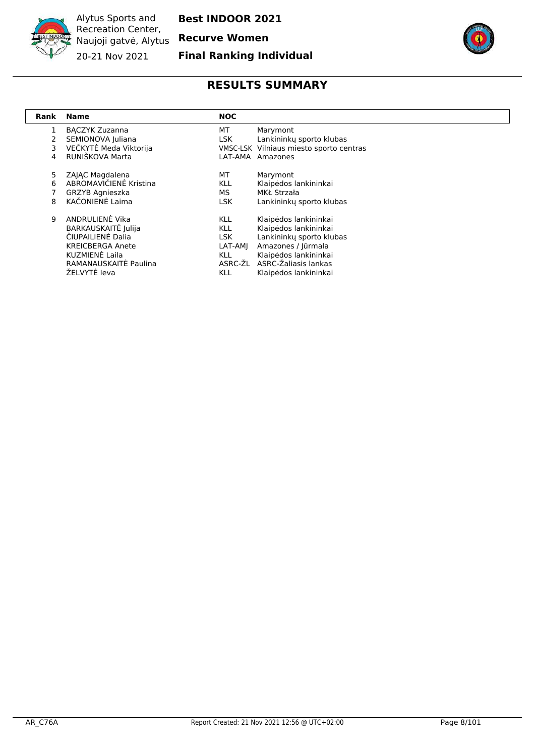

**Best INDOOR 2021**

#### **Final Ranking Individual**



<span id="page-7-0"></span>

| Rank | <b>Name</b>             | <b>NOC</b> |                                         |
|------|-------------------------|------------|-----------------------------------------|
| 1    | <b>BACZYK Zuzanna</b>   | MT         | Marymont                                |
| 2    | SEMIONOVA Juliana       | LSK.       | Lankininky sporto klubas                |
| 3    | VEČKYTĖ Meda Viktorija  |            | VMSC-LSK Vilniaus miesto sporto centras |
| 4    | RUNIŠKOVA Marta         | LAT-AMA    | Amazones                                |
| 5.   | ZAIAC Magdalena         | МT         | Marymont                                |
| 6    | ABROMAVIČIENĖ Kristina  | <b>KLL</b> | Klaipėdos lankininkai                   |
|      | <b>GRZYB Agnieszka</b>  | MS.        | MKŁ Strzała                             |
| 8    | KAČONIENĖ Laima         | LSK.       | Lankininku sporto klubas                |
| 9    | ANDRULIENĖ Vika         | <b>KLL</b> | Klaipėdos lankininkai                   |
|      | BARKAUSKAITĖ Julija     | KLL        | Klaipėdos lankininkai                   |
|      | ČIUPAILIENĖ Dalia       | LSK.       | Lankininku sporto klubas                |
|      | <b>KREICBERGA Anete</b> | LAT-AMI    | Amazones / Jūrmala                      |
|      | KUZMIENĖ Laila          | KLL        | Klaipėdos lankininkai                   |
|      | RAMANAUSKAITĖ Paulina   | ASRC-ŽL    | ASRC-Žaliasis lankas                    |
|      | ŽELVYTĖ Jeva            | <b>KLL</b> | Klaipėdos lankininkai                   |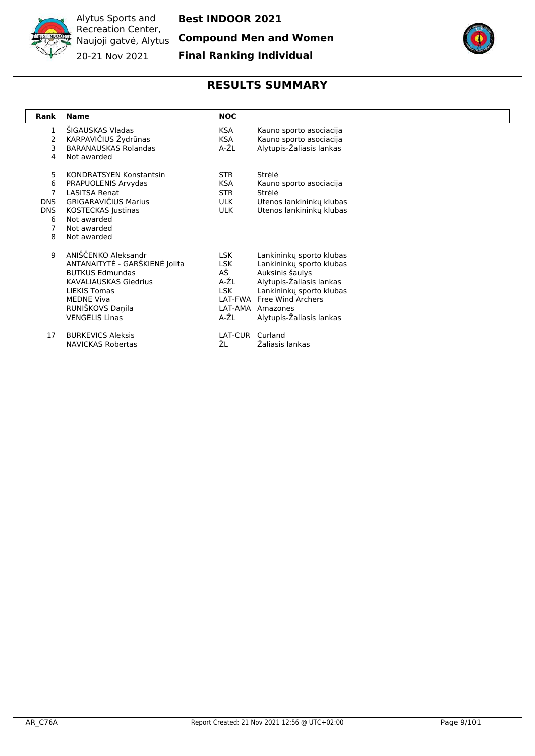

**Best INDOOR 2021**

**Compound Men and Women**

**Final Ranking Individual**



<span id="page-8-0"></span>

| Rank                                             | <b>Name</b>                                                                                                                                                                                              | <b>NOC</b>                                                   |                                                                                                                                                                                                      |
|--------------------------------------------------|----------------------------------------------------------------------------------------------------------------------------------------------------------------------------------------------------------|--------------------------------------------------------------|------------------------------------------------------------------------------------------------------------------------------------------------------------------------------------------------------|
| 1<br>$\overline{2}$<br>3<br>4                    | ŠIGAUSKAS Vladas<br>KARPAVIČIUS Žydrūnas<br><b>BARANAUSKAS Rolandas</b><br>Not awarded                                                                                                                   | KSA.<br><b>KSA</b><br>A-ŽL                                   | Kauno sporto asociacija<br>Kauno sporto asociacija<br>Alytupis-Žaliasis lankas                                                                                                                       |
| 5<br>6<br>7<br><b>DNS</b><br>DNS.<br>6<br>7<br>8 | <b>KONDRATSYEN Konstantsin</b><br>PRAPUOLENIS Arvydas<br><b>LASITSA Renat</b><br><b>GRIGARAVIČIUS Marius</b><br>KOSTECKAS Justinas<br>Not awarded<br>Not awarded<br>Not awarded                          | STR.<br><b>KSA</b><br><b>STR</b><br><b>ULK</b><br><b>ULK</b> | Strėlė<br>Kauno sporto asociacija<br>Strėlė<br>Utenos lankininky klubas<br>Utenos lankininkų klubas                                                                                                  |
| 9                                                | ANIŠČENKO Aleksandr<br>ANTANAITYTĖ - GARŠKIENĖ Jolita<br><b>BUTKUS Edmundas</b><br><b>KAVALIAUSKAS Giedrius</b><br><b>LIEKIS Tomas</b><br><b>MEDNE Viva</b><br>RUNIŠKOVS Daņila<br><b>VENGELIS Linas</b> | LSK.<br><b>LSK</b><br>AŠ<br>A-ŽL<br>LSK.<br>LAT-AMA<br>A-ŽL  | Lankininky sporto klubas<br>Lankininkų sporto klubas<br>Auksinis šaulys<br>Alytupis-Žaliasis lankas<br>Lankininkų sporto klubas<br>LAT-FWA Free Wind Archers<br>Amazones<br>Alytupis-Zaliasis lankas |
| 17                                               | <b>BURKEVICS Aleksis</b><br><b>NAVICKAS Robertas</b>                                                                                                                                                     | LAT-CUR<br>ŽL                                                | Curland<br>Žaliasis lankas                                                                                                                                                                           |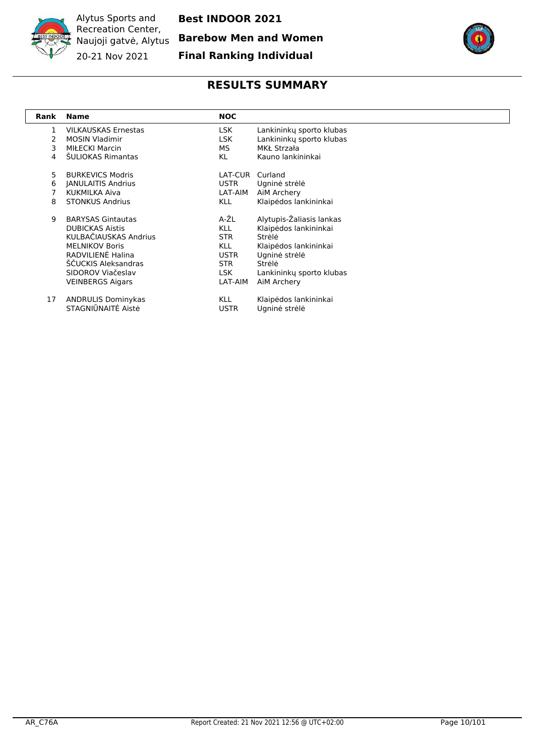

Alytus Sports and Recreation Center, Naujoji gatvė, Alytus **Barebow Men and Women** 20-21 Nov 2021

**Best INDOOR 2021**

**Final Ranking Individual**



<span id="page-9-0"></span>

| Rank | <b>Name</b>                | <b>NOC</b>  |                          |
|------|----------------------------|-------------|--------------------------|
| 1    | <b>VILKAUSKAS Ernestas</b> | LSK         | Lankininky sporto klubas |
|      | <b>MOSIN Vladimir</b>      | LSK         | Lankininku sporto klubas |
| 3    | <b>MIŁECKI Marcin</b>      | MS.         | MKŁ Strzała              |
| 4    | <b>SULIOKAS Rimantas</b>   | KL          | Kauno lankininkai        |
| 5.   | <b>BURKEVICS Modris</b>    | LAT-CUR     | Curland                  |
| 6    | <b>JANULAITIS Andrius</b>  | <b>USTR</b> | Ugninė strėlė            |
|      | KUKMILKA Aiva              | LAT-AIM     | AiM Archery              |
| 8    | <b>STONKUS Andrius</b>     | KLL         | Klaipėdos lankininkai    |
| 9    | <b>BARYSAS Gintautas</b>   | A-ŽL        | Alytupis-Žaliasis lankas |
|      | <b>DUBICKAS Aistis</b>     | <b>KLL</b>  | Klaipėdos lankininkai    |
|      | KULBAČIAUSKAS Andrius      | STR.        | Strėlė                   |
|      | <b>MELNIKOV Boris</b>      | KLL         | Klaipėdos lankininkai    |
|      | RADVILIENĖ Halina          | <b>USTR</b> | Ugninė strėlė            |
|      | ŠČUCKIS Aleksandras        | STR.        | Strėlė                   |
|      | SIDOROV Viačeslav          | <b>LSK</b>  | Lankininky sporto klubas |
|      | <b>VEINBERGS Aigars</b>    | LAT-AIM     | AiM Archery              |
| 17   | <b>ANDRULIS Dominykas</b>  | <b>KLL</b>  | Klaipėdos lankininkai    |
|      | STAGNIŪNAITĖ Aistė         | <b>USTR</b> | Ugninė strėlė            |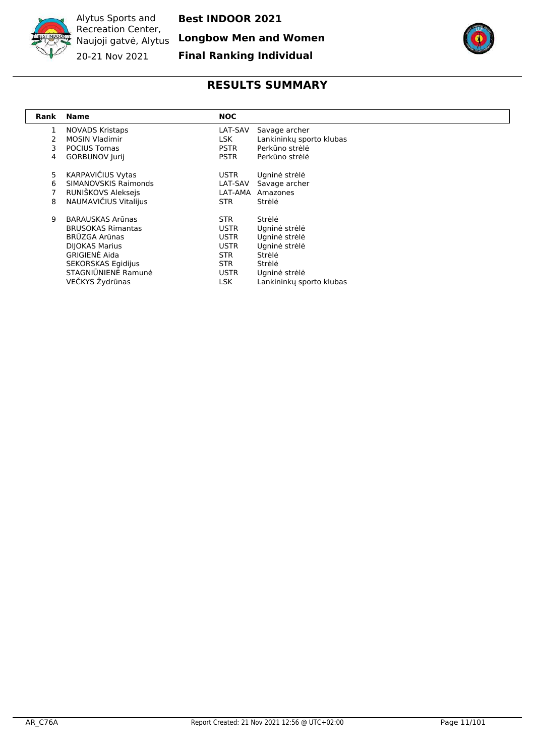

**Longbow Men and Women**



**Final Ranking Individual**

<span id="page-10-0"></span>

| Rank | <b>Name</b>                 | <b>NOC</b>  |                          |
|------|-----------------------------|-------------|--------------------------|
| 1    | <b>NOVADS Kristaps</b>      | LAT-SAV     | Savage archer            |
| 2    | <b>MOSIN Vladimir</b>       | LSK         | Lankininky sporto klubas |
| 3    | <b>POCIUS Tomas</b>         | <b>PSTR</b> | Perkūno strėlė           |
| 4    | <b>GORBUNOV Jurij</b>       | <b>PSTR</b> | Perkūno strėlė           |
| 5    | KARPAVIČIUS Vytas           | <b>USTR</b> | Ugninė strėlė            |
| 6    | <b>SIMANOVSKIS Raimonds</b> | LAT-SAV     | Savage archer            |
| 7    | RUNIŠKOVS Aleksejs          | LAT-AMA     | Amazones                 |
| 8    | NAUMAVIČIUS Vitalijus       | STR.        | Strėlė                   |
| 9    | <b>BARAUSKAS Arūnas</b>     | STR.        | Strėlė                   |
|      | <b>BRUSOKAS Rimantas</b>    | <b>USTR</b> | Ugninė strėlė            |
|      | <b>BRŪZGA Arūnas</b>        | <b>USTR</b> | Ugninė strėlė            |
|      | <b>DIJOKAS Marius</b>       | <b>USTR</b> | Ugninė strėlė            |
|      | <b>GRIGIENĖ Aida</b>        | STR.        | Strėlė                   |
|      | SEKORSKAS Egidijus          | STR.        | Strėlė                   |
|      | STAGNIŪNIENĖ Ramunė         | <b>USTR</b> | Ugninė strėlė            |
|      | VEČKYS Žydrūnas             | LSK.        | Lankininkų sporto klubas |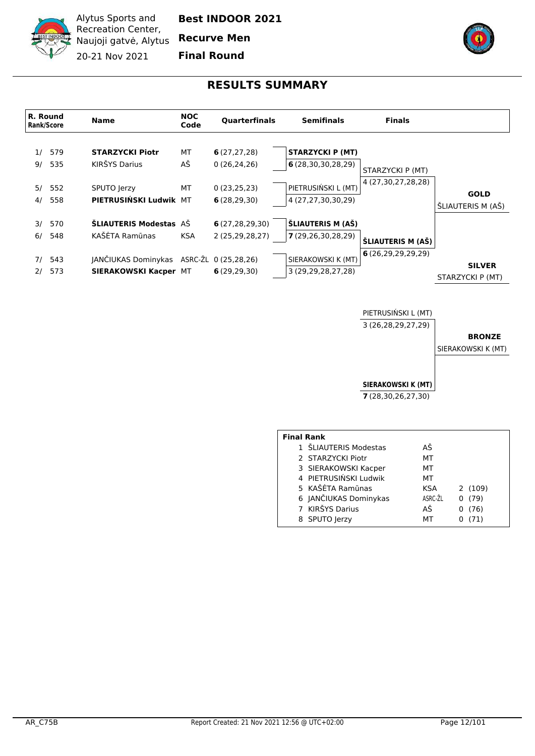

**Best INDOOR 2021**

**Recurve Men**

**Final Round**

#### **RESULTS SUMMARY**

<span id="page-11-0"></span>

PIETRUSIŃSKI L (MT) 3 (26,28,29,27,29)

#### **BRONZE**

SIERAKOWSKI K (MT)

**SIERAKOWSKI K (MT)**

**7** (28,30,26,27,30)

| <b>Final Rank</b> |                       |         |        |
|-------------------|-----------------------|---------|--------|
|                   | 1 ŠLIAUTERIS Modestas | АŠ      |        |
|                   | 2 STARZYCKI Piotr     | мт      |        |
|                   | 3 SIERAKOWSKI Kacper  | мт      |        |
|                   | 4 PIETRUSIŃSKI Ludwik | MТ      |        |
|                   | 5 KAŠĖTA Ramūnas      | KSA     | 2(109) |
|                   | 6 JANČIUKAS Dominykas | ASRC-ŽL | 0(79)  |
|                   | 7 KIRŠYS Darius       | AŠ      | (76)   |
|                   | 8 SPUTO Jerzy         | мт      | (71)   |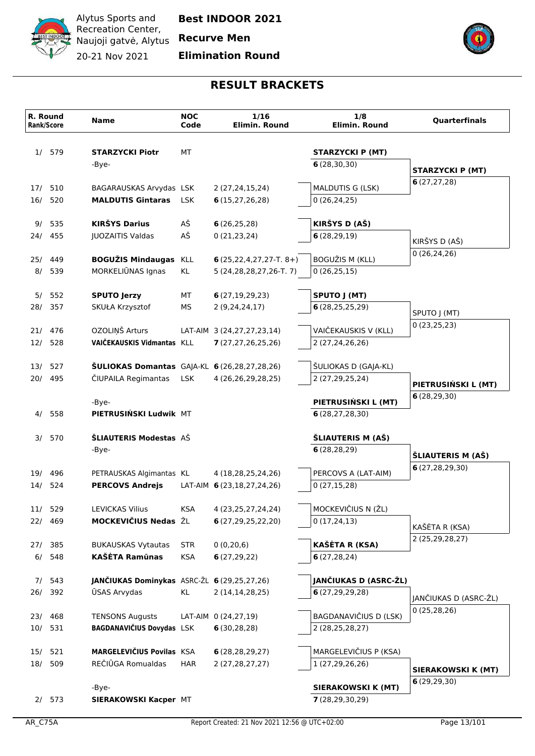

# **Elimination Round**



|     | R. Round<br><b>Rank/Score</b> | <b>Name</b>                                                         | <b>NOC</b><br>Code | 1/16<br>Elimin. Round                                  | 1/8<br>Elimin. Round                           | <b>Quarterfinals</b>              |
|-----|-------------------------------|---------------------------------------------------------------------|--------------------|--------------------------------------------------------|------------------------------------------------|-----------------------------------|
| 1/  | 579                           | <b>STARZYCKI Piotr</b>                                              | МT                 |                                                        | <b>STARZYCKI P (MT)</b>                        |                                   |
|     |                               | -Bye-                                                               |                    |                                                        | 6(28, 30, 30)                                  |                                   |
|     |                               |                                                                     |                    |                                                        |                                                | <b>STARZYCKI P (MT)</b>           |
|     | 17/ 510                       | BAGARAUSKAS Arvydas LSK                                             |                    | 2 (27,24,15,24)                                        | MALDUTIS G (LSK)                               | 6(27, 27, 28)                     |
| 16/ | 520                           | <b>MALDUTIS Gintaras</b>                                            | <b>LSK</b>         | 6(15, 27, 26, 28)                                      | 0(26, 24, 25)                                  |                                   |
|     |                               |                                                                     |                    |                                                        |                                                |                                   |
| 9/  | 535                           | <b>KIRŠYS Darius</b>                                                | AŠ                 | 6(26, 25, 28)                                          | KIRŠYS D (AŠ)                                  |                                   |
|     | 24/ 455                       | JUOZAITIS Valdas                                                    | AŠ                 | 0(21, 23, 24)                                          | 6(28, 29, 19)                                  | KIRŠYS D (AŠ)                     |
|     |                               |                                                                     |                    |                                                        |                                                | 0(26, 24, 26)                     |
| 8/  | 25/ 449<br>539                | <b>BOGUŽIS Mindaugas KLL</b><br>MORKELIŪNAS Ignas                   | KL                 | $6(25,22,4,27,27-T.8+)$<br>5 (24, 28, 28, 27, 26-T. 7) | BOGUŽIS M (KLL)<br>0(26, 25, 15)               |                                   |
|     |                               |                                                                     |                    |                                                        |                                                |                                   |
|     | 5/ 552                        | <b>SPUTO Jerzy</b>                                                  | МT                 | 6(27, 19, 29, 23)                                      | SPUTO J (MT)                                   |                                   |
|     | 28/ 357                       | SKUŁA Krzysztof                                                     | МS                 | 2(9, 24, 24, 17)                                       | 6(28, 25, 25, 29)                              |                                   |
|     |                               |                                                                     |                    |                                                        |                                                | SPUTO J (MT)<br>0(23,25,23)       |
|     | 21/ 476                       | OZOLIŅŠ Arturs                                                      |                    | LAT-AIM 3 (24,27,27,23,14)                             | VAIČEKAUSKIS V (KLL)                           |                                   |
|     | 12/ 528                       | VAIČEKAUSKIS Vidmantas KLL                                          |                    | 7(27, 27, 26, 25, 26)                                  | 2 (27,24,26,26)                                |                                   |
|     |                               |                                                                     |                    |                                                        |                                                |                                   |
| 20/ | 13/ 527<br>495                | ŠULIOKAS Domantas GAJA-KL 6 (26,28,27,28,26)<br>ČIUPAILA Regimantas | <b>LSK</b>         | 4 (26,26,29,28,25)                                     | ŠULIOKAS D (GAJA-KL)<br>2 (27,29,25,24)        |                                   |
|     |                               |                                                                     |                    |                                                        |                                                | PIETRUSIŃSKI L (MT)               |
|     |                               | -Bye-                                                               |                    |                                                        | PIETRUSIŃSKI L (MT)                            | 6(28, 29, 30)                     |
|     | 4/ 558                        | PIETRUSIŃSKI Ludwik MT                                              |                    |                                                        | 6(28, 27, 28, 30)                              |                                   |
|     |                               |                                                                     |                    |                                                        |                                                |                                   |
| 3/  | 570                           | ŠLIAUTERIS Modestas AŠ                                              |                    |                                                        | ŠLIAUTERIS M (AŠ)                              |                                   |
|     |                               | -Bye-                                                               |                    |                                                        | 6(28, 28, 29)                                  | ŠLIAUTERIS M (AŠ)                 |
|     |                               |                                                                     |                    |                                                        |                                                | 6(27, 28, 29, 30)                 |
| 14/ | 19/ 496<br>524                | PETRAUSKAS Algimantas KL<br><b>PERCOVS Andrejs</b>                  |                    | 4 (18,28,25,24,26)<br>LAT-AIM 6 (23,18,27,24,26)       | PERCOVS A (LAT-AIM)<br>0(27, 15, 28)           |                                   |
|     |                               |                                                                     |                    |                                                        |                                                |                                   |
|     | 11/ 529                       | <b>LEVICKAS Vilius</b>                                              | <b>KSA</b>         | 4 (23, 25, 27, 24, 24)                                 | MOCKEVIČIUS N (ŽL)                             |                                   |
|     | 22/ 469                       | MOCKEVIČIUS Nedas ŽL                                                |                    | 6(27, 29, 25, 22, 20)                                  | 0(17, 24, 13)                                  |                                   |
|     |                               |                                                                     |                    |                                                        |                                                | KAŠĖTA R (KSA)<br>2 (25,29,28,27) |
|     | 27/ 385                       | <b>BUKAUSKAS Vytautas</b>                                           | <b>STR</b>         | 0(0, 20, 6)                                            | <b>KAŠĖTA R (KSA)</b>                          |                                   |
| 6/  | 548                           | <b>KAŠĖTA Ramūnas</b>                                               | <b>KSA</b>         | 6(27, 29, 22)                                          | 6(27, 28, 24)                                  |                                   |
|     |                               |                                                                     |                    |                                                        |                                                |                                   |
|     | 7/543<br>26/ 392              | JANČIUKAS Dominykas ASRC-ŽL 6 (29,25,27,26)<br><b>ŪSAS Arvydas</b>  | KL                 | 2 (14,14,28,25)                                        | JANČIUKAS D (ASRC-ŽL)<br>6(27, 29, 29, 28)     |                                   |
|     |                               |                                                                     |                    |                                                        |                                                | JANČIUKAS D (ASRC-ŽL)             |
|     | 23/ 468                       | <b>TENSONS Augusts</b>                                              |                    | LAT-AIM 0 (24,27,19)                                   | BAGDANAVIČIUS D (LSK)                          | 0(25, 28, 26)                     |
|     | 10/ 531                       | BAGDANAVIČIUS Dovydas LSK                                           |                    | 6(30, 28, 28)                                          | 2 (28,25,28,27)                                |                                   |
|     |                               |                                                                     |                    |                                                        |                                                |                                   |
| 15/ | 521                           | MARGELEVIČIUS Povilas KSA                                           |                    | 6(28, 28, 29, 27)                                      | MARGELEVIČIUS P (KSA)                          |                                   |
| 18/ | 509                           | REČIŪGA Romualdas                                                   | <b>HAR</b>         | 2 (27, 28, 27, 27)                                     | 1 (27,29,26,26)                                | SIERAKOWSKI K (MT)                |
|     |                               |                                                                     |                    |                                                        |                                                | 6(29, 29, 30)                     |
|     | 2/573                         | -Bye-<br>SIERAKOWSKI Kacper MT                                      |                    |                                                        | <b>SIERAKOWSKI K (MT)</b><br>7(28, 29, 30, 29) |                                   |
|     |                               |                                                                     |                    |                                                        |                                                |                                   |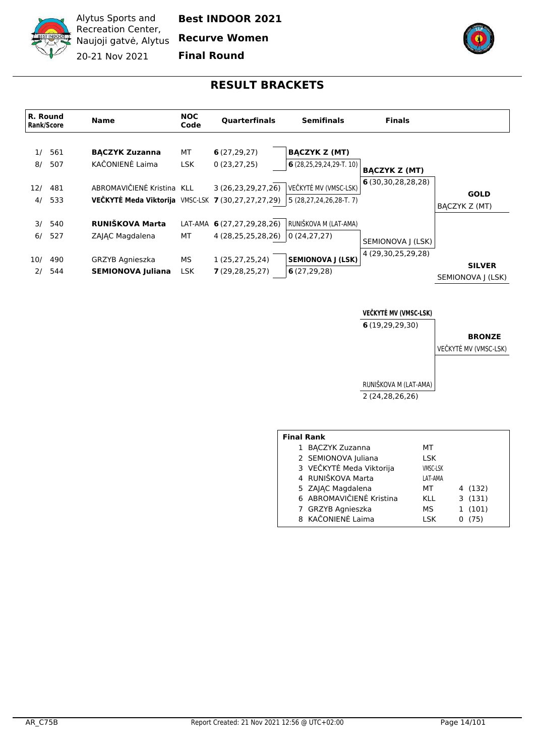

**Best INDOOR 2021**

**Recurve Women**

**Final Round**



#### **RESULT BRACKETS**

<span id="page-13-0"></span>

**VEČKYTĖ MV (VMSC-LSK)**

**6** (19,29,29,30)

#### **BRONZE**

VEČKYTĖ MV (VMSC-LSK)

RUNIŠKOVA M (LAT-AMA) 2 (24,28,26,26)

| <b>Final Rank</b>        |                 |  |         |  |  |  |  |  |  |
|--------------------------|-----------------|--|---------|--|--|--|--|--|--|
| 1 BACZYK Zuzanna         | МT              |  |         |  |  |  |  |  |  |
| 2 SEMIONOVA Juliana      | LSK             |  |         |  |  |  |  |  |  |
| 3 VEČKYTĖ Meda Viktorija | <b>VMSC-LSK</b> |  |         |  |  |  |  |  |  |
| 4 RUNIŠKOVA Marta        | LAT-AMA         |  |         |  |  |  |  |  |  |
| 5 ZAJĄC Magdalena        | МT              |  | 4 (132) |  |  |  |  |  |  |
| 6 ABROMAVIČIENĖ Kristina | KLL             |  | 3(131)  |  |  |  |  |  |  |
| 7 GRZYB Agnieszka        | МS              |  | 1(101)  |  |  |  |  |  |  |
| 8 KAČONIENĖ Laima        | I SK            |  | (75)    |  |  |  |  |  |  |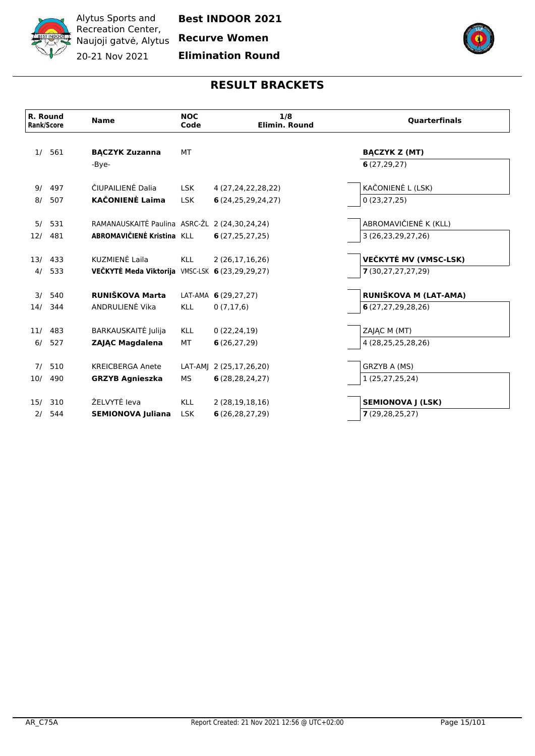

**Recurve Women**

**Elimination Round**



|     | R. Round<br><b>Rank/Score</b> | <b>Name</b>                                     | <b>NOC</b><br>Code | 1/8<br>Elimin. Round    | <b>Quarterfinals</b>     |
|-----|-------------------------------|-------------------------------------------------|--------------------|-------------------------|--------------------------|
| 1/  | 561                           | <b>BĄCZYK Zuzanna</b>                           | <b>MT</b>          |                         | <b>BACZYK Z (MT)</b>     |
|     |                               | -Bye-                                           |                    |                         | 6(27, 29, 27)            |
| 9/  | 497                           | ČIUPAILIENĖ Dalia                               | <b>LSK</b>         | 4 (27, 24, 22, 28, 22)  | KAČONIENĖ L (LSK)        |
| 8/  | 507                           | <b>KAČONIENĖ Laima</b>                          | <b>LSK</b>         | 6(24, 25, 29, 24, 27)   | 0(23, 27, 25)            |
| 5/  | 531                           | RAMANAUSKAITĖ Paulina ASRC-ŽL 2 (24,30,24,24)   |                    |                         | ABROMAVIČIENĖ K (KLL)    |
| 12/ | 481                           | ABROMAVIČIENĖ Kristina KLL                      |                    | 6(27, 25, 27, 25)       | 3 (26,23,29,27,26)       |
|     | 13/ 433                       | KUZMIENĖ Laila                                  | <b>KLL</b>         | 2(26,17,16,26)          | VEČKYTĖ MV (VMSC-LSK)    |
| 4/  | 533                           | VEČKYTĖ Meda Viktorija VMSC-LSK 6 (23,29,29,27) |                    |                         | 7(30,27,27,27,29)        |
| 3/  | 540                           | RUNIŠKOVA Marta                                 |                    | LAT-AMA 6 (29,27,27)    | RUNIŠKOVA M (LAT-AMA)    |
| 14/ | 344                           | ANDRULIENĖ Vika                                 | <b>KLL</b>         | 0(7,17,6)               | 6(27, 27, 29, 28, 26)    |
| 11/ | 483                           | BARKAUSKAITĖ Julija                             | <b>KLL</b>         | 0(22, 24, 19)           | ZAIAC M (MT)             |
| 6/  | 527                           | <b>ZAJAC Magdalena</b>                          | МT                 | 6(26, 27, 29)           | 4 (28,25,25,28,26)       |
| 7/  | 510                           | <b>KREICBERGA Anete</b>                         |                    | LAT-AMJ 2 (25,17,26,20) | GRZYB A (MS)             |
| 10/ | 490                           | <b>GRZYB Agnieszka</b>                          | МS                 | 6(28, 28, 24, 27)       | 1 (25,27,25,24)          |
| 15/ | 310                           | ŽELVYTĖ leva                                    | <b>KLL</b>         | 2(28,19,18,16)          | <b>SEMIONOVA J (LSK)</b> |
| 2/  | 544                           | <b>SEMIONOVA Juliana</b>                        | <b>LSK</b>         | 6(26, 28, 27, 29)       | 7(29, 28, 25, 27)        |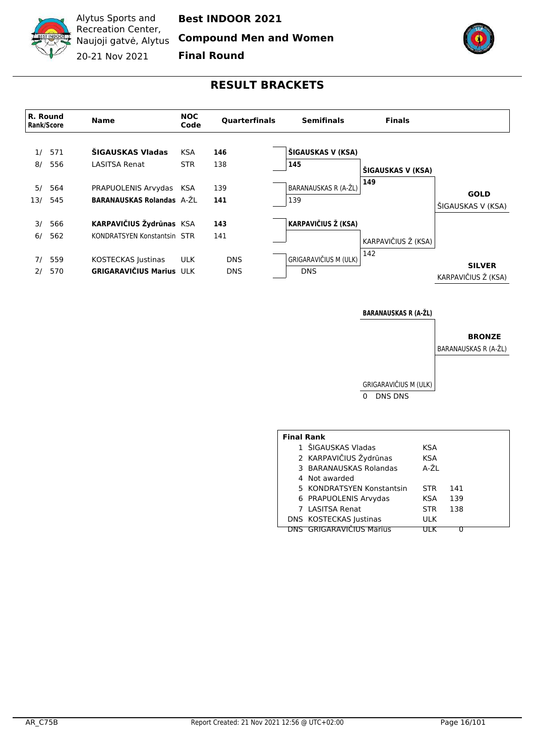

**Compound Men and Women**

**Final Round**



### **RESULT BRACKETS**

<span id="page-15-0"></span>

**BARANAUSKAS R (A-ŽL)**

# **BRONZE**

BARANAUSKAS R (A-ŽL)

GRIGARAVIČIUS M (ULK) 0 DNS DNS

| <b>Final Rank</b>         |            |     |  |  |  |  |  |  |
|---------------------------|------------|-----|--|--|--|--|--|--|
| 1 ŠIGAUSKAS Vladas        | KSA        |     |  |  |  |  |  |  |
| 2 KARPAVIČIUS Žydrūnas    | KSA        |     |  |  |  |  |  |  |
| 3 BARANAUSKAS Rolandas    | A-ŽL       |     |  |  |  |  |  |  |
| 4 Not awarded             |            |     |  |  |  |  |  |  |
| 5 KONDRATSYEN Konstantsin | <b>STR</b> | 141 |  |  |  |  |  |  |
| 6 PRAPUOLENIS Arvydas     | KSA        | 139 |  |  |  |  |  |  |
| 7 LASITSA Renat           | <b>STR</b> | 138 |  |  |  |  |  |  |
| DNS KOSTECKAS Justinas    | <b>ULK</b> |     |  |  |  |  |  |  |
| DNS GRIGARAVIČIUS Marius  |            |     |  |  |  |  |  |  |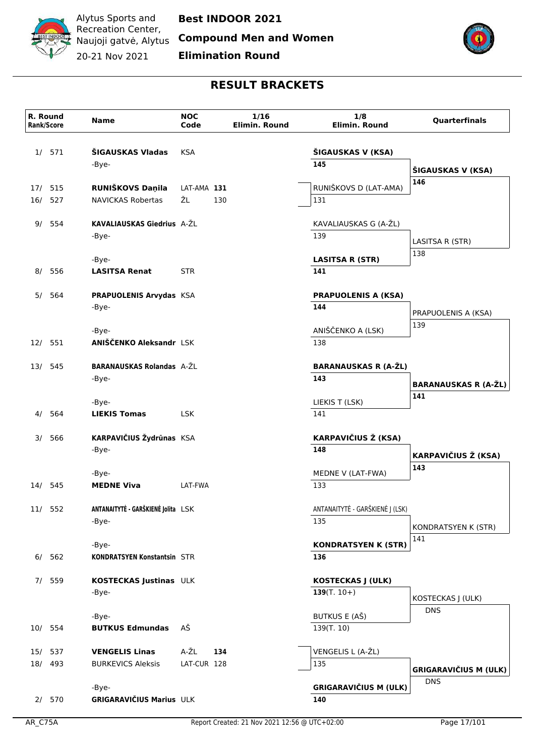

**Compound Men and Women**

**Elimination Round**



| ŠIGAUSKAS Vladas<br>571<br><b>KSA</b><br>ŠIGAUSKAS V (KSA)<br>1/<br>145<br>-Bye-<br>ŠIGAUSKAS V (KSA)<br>146<br>RUNIŠKOVS D (LAT-AMA)<br>RUNIŠKOVS Daņila<br>17/ 515<br>LAT-AMA 131<br>ŽL<br>527<br><b>NAVICKAS Robertas</b><br>130<br>131<br>16/<br>KAVALIAUSKAS Giedrius A-ŽL<br>554<br>KAVALIAUSKAS G (A-ŽL)<br>9/<br>139<br>-Bye-<br>LASITSA R (STR)<br>138<br>-Bye-<br><b>LASITSA R (STR)</b><br>556<br><b>LASITSA Renat</b><br><b>STR</b><br>141<br>8/<br>564<br>PRAPUOLENIS Arvydas KSA<br><b>PRAPUOLENIS A (KSA)</b><br>5/<br>144<br>-Bye-<br>PRAPUOLENIS A (KSA)<br>139<br>ANIŠČENKO A (LSK)<br>-Bye-<br>ANIŠČENKO Aleksandr LSK<br>138<br>12/ 551<br><b>BARANAUSKAS Rolandas A-ŽL</b><br><b>BARANAUSKAS R (A-ŽL)</b><br>545<br>13/<br>143<br>-Bye-<br>141<br>LIEKIS T (LSK)<br>-Bye-<br>141<br>564<br><b>LIEKIS Tomas</b><br><b>LSK</b><br>4/<br><b>KARPAVIČIUS Ž (KSA)</b><br>KARPAVIČIUS Žydrūnas KSA<br>566<br>3/<br>148<br>-Bye-<br><b>KARPAVIČIUS Ž (KSA)</b><br>143<br>MEDNE V (LAT-FWA)<br>-Bye-<br>14/ 545<br>LAT-FWA<br>133<br><b>MEDNE Viva</b><br>ANTANAITYTĖ - GARŠKIENĖ Jolita LSK<br>ANTANAITYTĖ - GARŠKIENĖ J (LSK)<br>11/ 552<br>135<br>-Bye-<br>KONDRATSYEN K (STR)<br>141<br><b>KONDRATSYEN K (STR)</b><br>-Bye-<br>6/ 562<br>136<br><b>KONDRATSYEN Konstantsin STR</b><br>7/ 559<br>KOSTECKAS Justinas ULK<br><b>KOSTECKAS J (ULK)</b><br>139 $(T. 10+)$<br>-Bye-<br>KOSTECKAS J (ULK)<br><b>DNS</b><br><b>BUTKUS E (AŠ)</b><br>-Bye-<br>AŠ<br>139(T. 10)<br>10/ 554<br><b>BUTKUS Edmundas</b><br>A-ŽL<br>VENGELIS L (A-ŽL)<br>134<br>15/ 537<br><b>VENGELIS Linas</b><br>18/ 493<br>LAT-CUR 128<br><b>BURKEVICS Aleksis</b><br>135<br><b>DNS</b><br><b>GRIGARAVIČIUS M (ULK)</b><br>-Bye-<br>GRIGARAVIČIUS Marius ULK<br>2/570<br>140 | R. Round<br><b>Rank/Score</b> | <b>Name</b> | <b>NOC</b><br>Code | 1/16<br>Elimin. Round | 1/8<br><b>Elimin. Round</b> | Quarterfinals                |
|---------------------------------------------------------------------------------------------------------------------------------------------------------------------------------------------------------------------------------------------------------------------------------------------------------------------------------------------------------------------------------------------------------------------------------------------------------------------------------------------------------------------------------------------------------------------------------------------------------------------------------------------------------------------------------------------------------------------------------------------------------------------------------------------------------------------------------------------------------------------------------------------------------------------------------------------------------------------------------------------------------------------------------------------------------------------------------------------------------------------------------------------------------------------------------------------------------------------------------------------------------------------------------------------------------------------------------------------------------------------------------------------------------------------------------------------------------------------------------------------------------------------------------------------------------------------------------------------------------------------------------------------------------------------------------------------------------------------------------------------------------------------|-------------------------------|-------------|--------------------|-----------------------|-----------------------------|------------------------------|
|                                                                                                                                                                                                                                                                                                                                                                                                                                                                                                                                                                                                                                                                                                                                                                                                                                                                                                                                                                                                                                                                                                                                                                                                                                                                                                                                                                                                                                                                                                                                                                                                                                                                                                                                                                     |                               |             |                    |                       |                             |                              |
|                                                                                                                                                                                                                                                                                                                                                                                                                                                                                                                                                                                                                                                                                                                                                                                                                                                                                                                                                                                                                                                                                                                                                                                                                                                                                                                                                                                                                                                                                                                                                                                                                                                                                                                                                                     |                               |             |                    |                       |                             |                              |
|                                                                                                                                                                                                                                                                                                                                                                                                                                                                                                                                                                                                                                                                                                                                                                                                                                                                                                                                                                                                                                                                                                                                                                                                                                                                                                                                                                                                                                                                                                                                                                                                                                                                                                                                                                     |                               |             |                    |                       |                             |                              |
|                                                                                                                                                                                                                                                                                                                                                                                                                                                                                                                                                                                                                                                                                                                                                                                                                                                                                                                                                                                                                                                                                                                                                                                                                                                                                                                                                                                                                                                                                                                                                                                                                                                                                                                                                                     |                               |             |                    |                       |                             |                              |
|                                                                                                                                                                                                                                                                                                                                                                                                                                                                                                                                                                                                                                                                                                                                                                                                                                                                                                                                                                                                                                                                                                                                                                                                                                                                                                                                                                                                                                                                                                                                                                                                                                                                                                                                                                     |                               |             |                    |                       |                             |                              |
|                                                                                                                                                                                                                                                                                                                                                                                                                                                                                                                                                                                                                                                                                                                                                                                                                                                                                                                                                                                                                                                                                                                                                                                                                                                                                                                                                                                                                                                                                                                                                                                                                                                                                                                                                                     |                               |             |                    |                       |                             |                              |
|                                                                                                                                                                                                                                                                                                                                                                                                                                                                                                                                                                                                                                                                                                                                                                                                                                                                                                                                                                                                                                                                                                                                                                                                                                                                                                                                                                                                                                                                                                                                                                                                                                                                                                                                                                     |                               |             |                    |                       |                             |                              |
|                                                                                                                                                                                                                                                                                                                                                                                                                                                                                                                                                                                                                                                                                                                                                                                                                                                                                                                                                                                                                                                                                                                                                                                                                                                                                                                                                                                                                                                                                                                                                                                                                                                                                                                                                                     |                               |             |                    |                       |                             |                              |
|                                                                                                                                                                                                                                                                                                                                                                                                                                                                                                                                                                                                                                                                                                                                                                                                                                                                                                                                                                                                                                                                                                                                                                                                                                                                                                                                                                                                                                                                                                                                                                                                                                                                                                                                                                     |                               |             |                    |                       |                             |                              |
|                                                                                                                                                                                                                                                                                                                                                                                                                                                                                                                                                                                                                                                                                                                                                                                                                                                                                                                                                                                                                                                                                                                                                                                                                                                                                                                                                                                                                                                                                                                                                                                                                                                                                                                                                                     |                               |             |                    |                       |                             |                              |
|                                                                                                                                                                                                                                                                                                                                                                                                                                                                                                                                                                                                                                                                                                                                                                                                                                                                                                                                                                                                                                                                                                                                                                                                                                                                                                                                                                                                                                                                                                                                                                                                                                                                                                                                                                     |                               |             |                    |                       |                             |                              |
|                                                                                                                                                                                                                                                                                                                                                                                                                                                                                                                                                                                                                                                                                                                                                                                                                                                                                                                                                                                                                                                                                                                                                                                                                                                                                                                                                                                                                                                                                                                                                                                                                                                                                                                                                                     |                               |             |                    |                       |                             |                              |
|                                                                                                                                                                                                                                                                                                                                                                                                                                                                                                                                                                                                                                                                                                                                                                                                                                                                                                                                                                                                                                                                                                                                                                                                                                                                                                                                                                                                                                                                                                                                                                                                                                                                                                                                                                     |                               |             |                    |                       |                             |                              |
|                                                                                                                                                                                                                                                                                                                                                                                                                                                                                                                                                                                                                                                                                                                                                                                                                                                                                                                                                                                                                                                                                                                                                                                                                                                                                                                                                                                                                                                                                                                                                                                                                                                                                                                                                                     |                               |             |                    |                       |                             |                              |
|                                                                                                                                                                                                                                                                                                                                                                                                                                                                                                                                                                                                                                                                                                                                                                                                                                                                                                                                                                                                                                                                                                                                                                                                                                                                                                                                                                                                                                                                                                                                                                                                                                                                                                                                                                     |                               |             |                    |                       |                             | <b>BARANAUSKAS R (A-ŽL)</b>  |
|                                                                                                                                                                                                                                                                                                                                                                                                                                                                                                                                                                                                                                                                                                                                                                                                                                                                                                                                                                                                                                                                                                                                                                                                                                                                                                                                                                                                                                                                                                                                                                                                                                                                                                                                                                     |                               |             |                    |                       |                             |                              |
|                                                                                                                                                                                                                                                                                                                                                                                                                                                                                                                                                                                                                                                                                                                                                                                                                                                                                                                                                                                                                                                                                                                                                                                                                                                                                                                                                                                                                                                                                                                                                                                                                                                                                                                                                                     |                               |             |                    |                       |                             |                              |
|                                                                                                                                                                                                                                                                                                                                                                                                                                                                                                                                                                                                                                                                                                                                                                                                                                                                                                                                                                                                                                                                                                                                                                                                                                                                                                                                                                                                                                                                                                                                                                                                                                                                                                                                                                     |                               |             |                    |                       |                             |                              |
|                                                                                                                                                                                                                                                                                                                                                                                                                                                                                                                                                                                                                                                                                                                                                                                                                                                                                                                                                                                                                                                                                                                                                                                                                                                                                                                                                                                                                                                                                                                                                                                                                                                                                                                                                                     |                               |             |                    |                       |                             |                              |
|                                                                                                                                                                                                                                                                                                                                                                                                                                                                                                                                                                                                                                                                                                                                                                                                                                                                                                                                                                                                                                                                                                                                                                                                                                                                                                                                                                                                                                                                                                                                                                                                                                                                                                                                                                     |                               |             |                    |                       |                             |                              |
|                                                                                                                                                                                                                                                                                                                                                                                                                                                                                                                                                                                                                                                                                                                                                                                                                                                                                                                                                                                                                                                                                                                                                                                                                                                                                                                                                                                                                                                                                                                                                                                                                                                                                                                                                                     |                               |             |                    |                       |                             |                              |
|                                                                                                                                                                                                                                                                                                                                                                                                                                                                                                                                                                                                                                                                                                                                                                                                                                                                                                                                                                                                                                                                                                                                                                                                                                                                                                                                                                                                                                                                                                                                                                                                                                                                                                                                                                     |                               |             |                    |                       |                             |                              |
|                                                                                                                                                                                                                                                                                                                                                                                                                                                                                                                                                                                                                                                                                                                                                                                                                                                                                                                                                                                                                                                                                                                                                                                                                                                                                                                                                                                                                                                                                                                                                                                                                                                                                                                                                                     |                               |             |                    |                       |                             |                              |
|                                                                                                                                                                                                                                                                                                                                                                                                                                                                                                                                                                                                                                                                                                                                                                                                                                                                                                                                                                                                                                                                                                                                                                                                                                                                                                                                                                                                                                                                                                                                                                                                                                                                                                                                                                     |                               |             |                    |                       |                             |                              |
|                                                                                                                                                                                                                                                                                                                                                                                                                                                                                                                                                                                                                                                                                                                                                                                                                                                                                                                                                                                                                                                                                                                                                                                                                                                                                                                                                                                                                                                                                                                                                                                                                                                                                                                                                                     |                               |             |                    |                       |                             |                              |
|                                                                                                                                                                                                                                                                                                                                                                                                                                                                                                                                                                                                                                                                                                                                                                                                                                                                                                                                                                                                                                                                                                                                                                                                                                                                                                                                                                                                                                                                                                                                                                                                                                                                                                                                                                     |                               |             |                    |                       |                             |                              |
|                                                                                                                                                                                                                                                                                                                                                                                                                                                                                                                                                                                                                                                                                                                                                                                                                                                                                                                                                                                                                                                                                                                                                                                                                                                                                                                                                                                                                                                                                                                                                                                                                                                                                                                                                                     |                               |             |                    |                       |                             |                              |
|                                                                                                                                                                                                                                                                                                                                                                                                                                                                                                                                                                                                                                                                                                                                                                                                                                                                                                                                                                                                                                                                                                                                                                                                                                                                                                                                                                                                                                                                                                                                                                                                                                                                                                                                                                     |                               |             |                    |                       |                             |                              |
|                                                                                                                                                                                                                                                                                                                                                                                                                                                                                                                                                                                                                                                                                                                                                                                                                                                                                                                                                                                                                                                                                                                                                                                                                                                                                                                                                                                                                                                                                                                                                                                                                                                                                                                                                                     |                               |             |                    |                       |                             |                              |
|                                                                                                                                                                                                                                                                                                                                                                                                                                                                                                                                                                                                                                                                                                                                                                                                                                                                                                                                                                                                                                                                                                                                                                                                                                                                                                                                                                                                                                                                                                                                                                                                                                                                                                                                                                     |                               |             |                    |                       |                             |                              |
|                                                                                                                                                                                                                                                                                                                                                                                                                                                                                                                                                                                                                                                                                                                                                                                                                                                                                                                                                                                                                                                                                                                                                                                                                                                                                                                                                                                                                                                                                                                                                                                                                                                                                                                                                                     |                               |             |                    |                       |                             |                              |
|                                                                                                                                                                                                                                                                                                                                                                                                                                                                                                                                                                                                                                                                                                                                                                                                                                                                                                                                                                                                                                                                                                                                                                                                                                                                                                                                                                                                                                                                                                                                                                                                                                                                                                                                                                     |                               |             |                    |                       |                             |                              |
|                                                                                                                                                                                                                                                                                                                                                                                                                                                                                                                                                                                                                                                                                                                                                                                                                                                                                                                                                                                                                                                                                                                                                                                                                                                                                                                                                                                                                                                                                                                                                                                                                                                                                                                                                                     |                               |             |                    |                       |                             |                              |
|                                                                                                                                                                                                                                                                                                                                                                                                                                                                                                                                                                                                                                                                                                                                                                                                                                                                                                                                                                                                                                                                                                                                                                                                                                                                                                                                                                                                                                                                                                                                                                                                                                                                                                                                                                     |                               |             |                    |                       |                             | <b>GRIGARAVIČIUS M (ULK)</b> |
|                                                                                                                                                                                                                                                                                                                                                                                                                                                                                                                                                                                                                                                                                                                                                                                                                                                                                                                                                                                                                                                                                                                                                                                                                                                                                                                                                                                                                                                                                                                                                                                                                                                                                                                                                                     |                               |             |                    |                       |                             |                              |
|                                                                                                                                                                                                                                                                                                                                                                                                                                                                                                                                                                                                                                                                                                                                                                                                                                                                                                                                                                                                                                                                                                                                                                                                                                                                                                                                                                                                                                                                                                                                                                                                                                                                                                                                                                     |                               |             |                    |                       |                             |                              |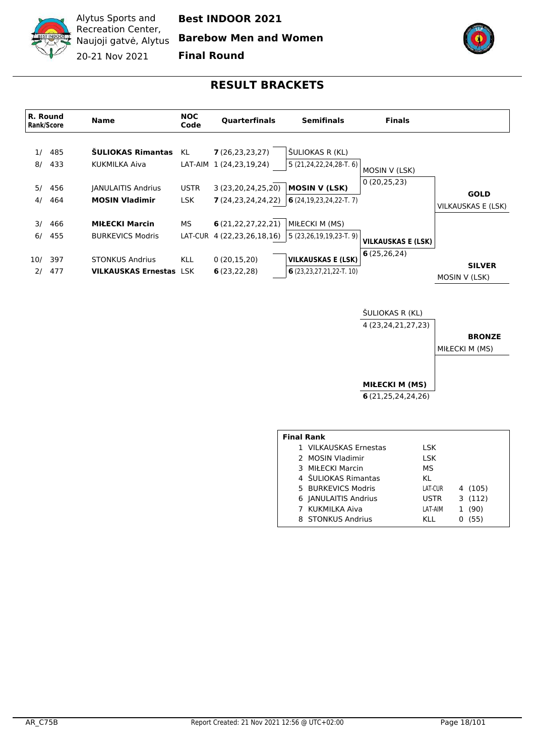

**Best INDOOR 2021**

**Barebow Men and Women**

**Final Round**

# **RESULT BRACKETS**

<span id="page-17-0"></span>

ŠULIOKAS R (KL) 4 (23,24,21,27,23)

**BRONZE**

MIŁECKI M (MS)

**MIŁECKI M (MS) 6** (21,25,24,24,26)

| <b>Final Rank</b> |                       |             |         |  |  |  |  |  |  |  |
|-------------------|-----------------------|-------------|---------|--|--|--|--|--|--|--|
|                   | 1 VILKAUSKAS Ernestas | LSK.        |         |  |  |  |  |  |  |  |
|                   | 2 MOSIN Vladimir      | LSK         |         |  |  |  |  |  |  |  |
|                   | 3 MIŁECKI Marcin      | МS          |         |  |  |  |  |  |  |  |
|                   | 4 SULIOKAS Rimantas   | KL          |         |  |  |  |  |  |  |  |
|                   | 5 BURKEVICS Modris    | LAT-CUR     | 4 (105) |  |  |  |  |  |  |  |
|                   | 6   ANULAITIS Andrius | <b>USTR</b> | 3(112)  |  |  |  |  |  |  |  |
|                   | 7 KUKMILKA Aiva       | LAT-AIM     | (90)    |  |  |  |  |  |  |  |
|                   | 8 STONKUS Andrius     | KL L        | (55)    |  |  |  |  |  |  |  |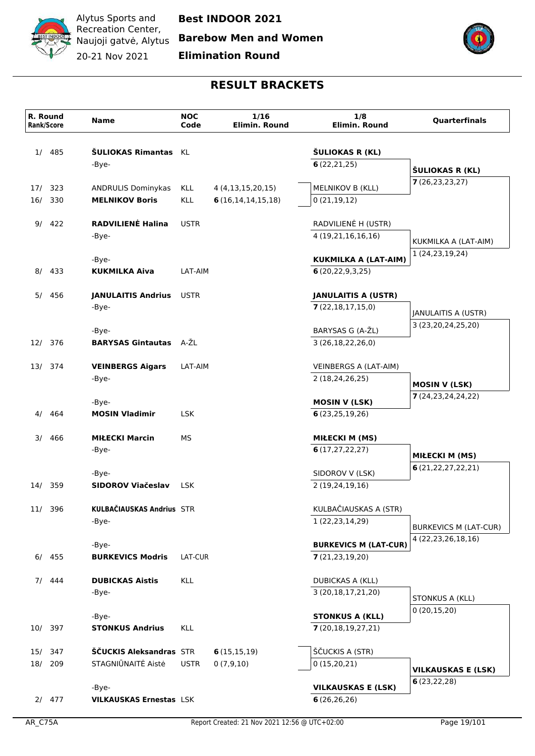

**Barebow Men and Women**

**Elimination Round**



|     | R. Round<br>Rank/Score | <b>Name</b>                             | <b>NOC</b><br>Code | 1/16<br>Elimin. Round | 1/8<br>Elimin. Round                        | <b>Quarterfinals</b>                 |
|-----|------------------------|-----------------------------------------|--------------------|-----------------------|---------------------------------------------|--------------------------------------|
| 1/  | 485                    | ŠULIOKAS Rimantas KL<br>-Bye-           |                    |                       | ŠULIOKAS R (KL)<br>6(22,21,25)              |                                      |
|     |                        |                                         |                    |                       |                                             | ŠULIOKAS R (KL)<br>7(26, 23, 23, 27) |
|     | 17/ 323                | <b>ANDRULIS Dominykas</b>               | <b>KLL</b>         | 4 (4,13,15,20,15)     | MELNIKOV B (KLL)                            |                                      |
| 16/ | 330                    | <b>MELNIKOV Boris</b>                   | <b>KLL</b>         | 6(16, 14, 14, 15, 18) | 0(21, 19, 12)                               |                                      |
| 9/  | 422                    | RADVILIENĖ Halina                       | <b>USTR</b>        |                       | RADVILIENĖ H (USTR)                         |                                      |
|     |                        | -Bye-                                   |                    |                       | 4 (19,21,16,16,16)                          | KUKMILKA A (LAT-AIM)                 |
|     |                        |                                         |                    |                       |                                             | 1 (24,23,19,24)                      |
|     | 8/ 433                 | -Bye-<br><b>KUKMILKA Aiva</b>           | LAT-AIM            |                       | KUKMILKA A (LAT-AIM)<br>6(20, 22, 9, 3, 25) |                                      |
|     |                        |                                         |                    |                       |                                             |                                      |
|     | 5/ 456                 | <b>JANULAITIS Andrius</b>               | <b>USTR</b>        |                       | <b>JANULAITIS A (USTR)</b>                  |                                      |
|     |                        | -Bye-                                   |                    |                       | 7(22,18,17,15,0)                            | JANULAITIS A (USTR)                  |
|     |                        |                                         |                    |                       | BARYSAS G (A-ŽL)                            | 3 (23,20,24,25,20)                   |
|     | 12/ 376                | -Bye-<br><b>BARYSAS Gintautas</b> A-ZL  |                    |                       | 3 (26,18,22,26,0)                           |                                      |
|     |                        |                                         |                    |                       |                                             |                                      |
|     | 13/ 374                | <b>VEINBERGS Aigars</b>                 | LAT-AIM            |                       | VEINBERGS A (LAT-AIM)                       |                                      |
|     |                        | -Bye-                                   |                    |                       | 2 (18,24,26,25)                             | <b>MOSIN V (LSK)</b>                 |
|     |                        | -Bye-                                   |                    |                       | <b>MOSIN V (LSK)</b>                        | 7(24,23,24,24,22)                    |
| 4/  | 464                    | <b>MOSIN Vladimir</b>                   | <b>LSK</b>         |                       | 6(23, 25, 19, 26)                           |                                      |
|     |                        |                                         |                    |                       |                                             |                                      |
| 3/  | 466                    | <b>MIŁECKI Marcin</b>                   | МS                 |                       | <b>MIŁECKI M (MS)</b>                       |                                      |
|     |                        | -Bye-                                   |                    |                       | 6(17, 27, 22, 27)                           | <b>MIŁECKI M (MS)</b>                |
|     |                        | -Bye-                                   |                    |                       | SIDOROV V (LSK)                             | 6(21,22,27,22,21)                    |
|     | 14/ 359                | SIDOROV Viačeslav                       | <b>LSK</b>         |                       | 2 (19,24,19,16)                             |                                      |
|     |                        | KULBAČIAUSKAS Andrius STR               |                    |                       |                                             |                                      |
|     | 11/ 396                | -Bye-                                   |                    |                       | KULBAČIAUSKAS A (STR)<br>1 (22, 23, 14, 29) |                                      |
|     |                        |                                         |                    |                       |                                             | <b>BURKEVICS M (LAT-CUR)</b>         |
|     |                        | -Bye-                                   |                    |                       | <b>BURKEVICS M (LAT-CUR)</b>                | 4 (22,23,26,18,16)                   |
|     | $6/$ 455               | <b>BURKEVICS Modris</b>                 | LAT-CUR            |                       | 7(21, 23, 19, 20)                           |                                      |
|     | $7/$ 444               | <b>DUBICKAS Aistis</b>                  | <b>KLL</b>         |                       | <b>DUBICKAS A (KLL)</b>                     |                                      |
|     |                        | -Bye-                                   |                    |                       | 3 (20,18,17,21,20)                          |                                      |
|     |                        |                                         |                    |                       |                                             | STONKUS A (KLL)<br>0(20,15,20)       |
|     |                        | -Bye-                                   |                    |                       | <b>STONKUS A (KLL)</b>                      |                                      |
|     | 10/ 397                | <b>STONKUS Andrius</b>                  | <b>KLL</b>         |                       | 7(20,18,19,27,21)                           |                                      |
|     | 15/ 347                | ŠČUCKIS Aleksandras STR                 |                    | 6(15,15,19)           | ŠČUCKIS A (STR)                             |                                      |
|     | 18/ 209                | STAGNIŪNAITĖ Aistė                      | <b>USTR</b>        | 0(7,9,10)             | 0(15,20,21)                                 | <b>VILKAUSKAS E (LSK)</b>            |
|     |                        |                                         |                    |                       |                                             | 6(23,22,28)                          |
|     | 2/477                  | -Bye-<br><b>VILKAUSKAS Ernestas LSK</b> |                    |                       | <b>VILKAUSKAS E (LSK)</b><br>6(26, 26, 26)  |                                      |
|     |                        |                                         |                    |                       |                                             |                                      |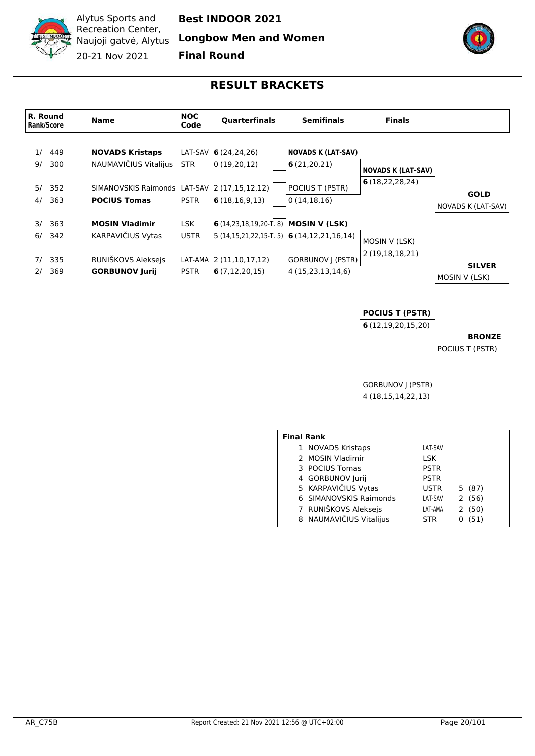

**Best INDOOR 2021**

**Longbow Men and Women**

**Final Round**



#### **RESULT BRACKETS**

<span id="page-19-0"></span>

#### **POCIUS T (PSTR)**

**6** (12,19,20,15,20)

**BRONZE**

POCIUS T (PSTR)



| <b>Final Rank</b> |                         |             |           |
|-------------------|-------------------------|-------------|-----------|
|                   | 1 NOVADS Kristaps       | LAT-SAV     |           |
|                   | 2 MOSIN Vladimir        | LSK         |           |
|                   | 3 POCIUS Tomas          | <b>PSTR</b> |           |
|                   | 4 GORBUNOV Jurij        | <b>PSTR</b> |           |
|                   | 5 KARPAVIČIUS Vytas     | <b>USTR</b> | 5(87)     |
|                   | 6 SIMANOVSKIS Raimonds  | LAT-SAV     | 2(56)     |
|                   | 7 RUNIŠKOVS Aleksejs    | LAT-AMA     | 2(50)     |
|                   | 8 NAUMAVIČIUS Vitalijus | <b>STR</b>  | (51)<br>0 |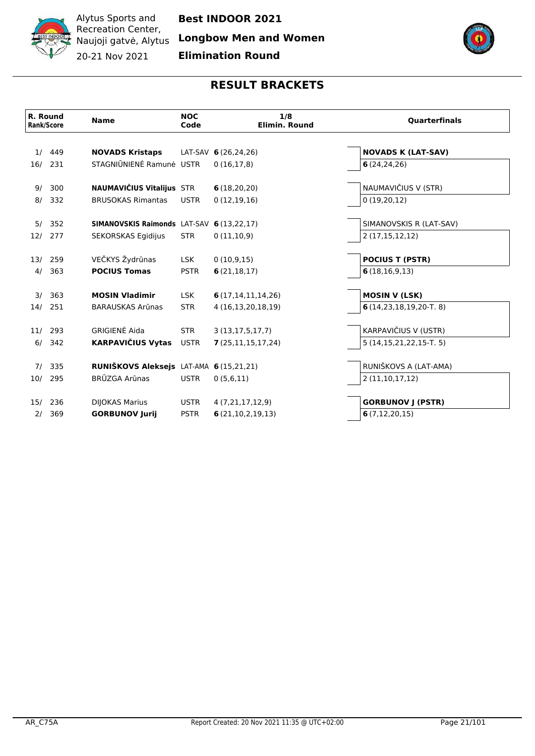

**Longbow Men and Women**

**Elimination Round**



|     | R. Round<br><b>Rank/Score</b> | <b>Name</b>                               | <b>NOC</b><br>Code | 1/8<br>Elimin. Round  | <b>Quarterfinals</b>           |
|-----|-------------------------------|-------------------------------------------|--------------------|-----------------------|--------------------------------|
| 1/  | 449                           | <b>NOVADS Kristaps</b>                    |                    | LAT-SAV 6(26,24,26)   | <b>NOVADS K (LAT-SAV)</b>      |
| 16/ | 231                           | STAGNIŪNIENĖ Ramunė USTR                  |                    | 0(16,17,8)            | 6(24, 24, 26)                  |
| 9/  | 300                           | <b>NAUMAVIČIUS Vitalijus STR</b>          |                    | 6(18,20,20)           | NAUMAVIČIUS V (STR)            |
| 8/  | 332                           | <b>BRUSOKAS Rimantas</b>                  | <b>USTR</b>        | 0(12,19,16)           | 0(19,20,12)                    |
|     | 5/352                         | SIMANOVSKIS Raimonds LAT-SAV 6 (13,22,17) |                    |                       | SIMANOVSKIS R (LAT-SAV)        |
| 12/ | 277                           | SEKORSKAS Egidijus                        | <b>STR</b>         | 0(11,10,9)            | 2(17, 15, 12, 12)              |
|     | 13/ 259                       | VEČKYS Žydrūnas                           | <b>LSK</b>         | 0(10,9,15)            | <b>POCIUS T (PSTR)</b>         |
| 4/  | 363                           | <b>POCIUS Tomas</b>                       | <b>PSTR</b>        | 6(21, 18, 17)         | 6(18,16,9,13)                  |
|     | 3/363                         | <b>MOSIN Vladimir</b>                     | <b>LSK</b>         | 6(17, 14, 11, 14, 26) | <b>MOSIN V (LSK)</b>           |
| 14/ | 251                           | <b>BARAUSKAS Arūnas</b>                   | <b>STR</b>         | 4 (16,13,20,18,19)    | $6(14,23,18,19,20-T.8)$        |
|     | 11/ 293                       | GRIGIENĖ Aida                             | <b>STR</b>         | 3(13, 17, 5, 17, 7)   | KARPAVIČIUS V (USTR)           |
| 6/  | 342                           | <b>KARPAVIČIUS Vytas</b>                  | <b>USTR</b>        | 7(25,11,15,17,24)     | $5(14, 15, 21, 22, 15 - T, 5)$ |
|     | 7/335                         | RUNIŠKOVS Aleksejs LAT-AMA 6 (15,21,21)   |                    |                       | RUNIŠKOVS A (LAT-AMA)          |
| 10/ | 295                           | BRŪZGA Arūnas                             | <b>USTR</b>        | 0(5,6,11)             | 2(11,10,17,12)                 |
| 15/ | 236                           | <b>DIJOKAS Marius</b>                     | <b>USTR</b>        | 4 (7,21,17,12,9)      | <b>GORBUNOV J (PSTR)</b>       |
| 2/  | 369                           | <b>GORBUNOV Jurij</b>                     | <b>PSTR</b>        | 6(21,10,2,19,13)      | 6(7, 12, 20, 15)               |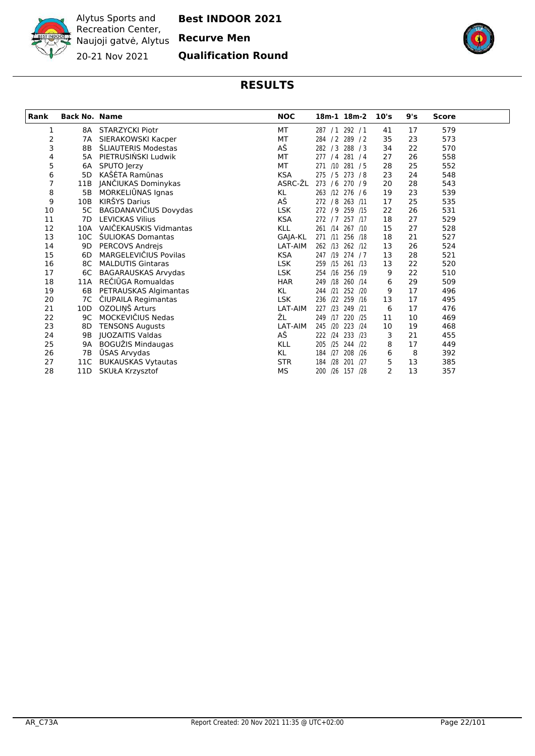

Alytus Sports and Recreation Center, Naujoji gatvė, Alytus **Recurve Men**

**Best INDOOR 2021**

20-21 Nov 2021 **Qualification Round**



<span id="page-21-0"></span>

| <b>Rank</b> | <b>Back No. Name</b> |                           | <b>NOC</b> | 18m-1 18m-2           | 10's | 9's | <b>Score</b> |  |
|-------------|----------------------|---------------------------|------------|-----------------------|------|-----|--------------|--|
| 1           |                      | 8A STARZYCKI Piotr        | МT         | 287 / 1 292 / 1       | 41   | 17  | 579          |  |
| 2           |                      | 7A SIERAKOWSKI Kacper     | MT         | 284 / 2 289 / 2       | 35   | 23  | 573          |  |
| 3           | 8B                   | ŠLIAUTERIS Modestas       | АŠ         | 282 / 3 288 / 3       | 34   | 22  | 570          |  |
| 4           | 5A                   | PIETRUSIŃSKI Ludwik       | MT         | 281/4<br>277/4        | 27   | 26  | 558          |  |
| 5           | 6А                   | SPUTO Jerzy               | MT         | 271 /10 281 / 5       | 28   | 25  | 552          |  |
| 6           | 5D                   | KAŠĖTA Ramūnas            | <b>KSA</b> | 275 / 5 273 / 8       | 23   | 24  | 548          |  |
| 7           | 11B                  | JANČIUKAS Dominykas       | ASRC-ŽL    | 273 / 6 270 / 9       | 20   | 28  | 543          |  |
| 8           | 5В                   | MORKELIUNAS Ignas         | KL         | 263 /12<br>276 / 6    | 19   | 23  | 539          |  |
| 9           | 10B                  | KIRŠYS Darius             | АŠ         | 272 / 8<br>263 /11    | 17   | 25  | 535          |  |
| 10          | 5C                   | BAGDANAVIČIUS Dovydas     | LSK        | 272 / 9 259 /15       | 22   | 26  | 531          |  |
| 11          | 7D                   | <b>LEVICKAS Vilius</b>    | <b>KSA</b> | 272/7<br>257 /17      | 18   | 27  | 529          |  |
| 12          | 10A                  | VAIČEKAUSKIS Vidmantas    | <b>KLL</b> | 261 /14 267 /10       | 15   | 27  | 528          |  |
| 13          | 10C                  | ŠULIOKAS Domantas         | GAJA-KL    | 256 /18<br>271 /11    | 18   | 21  | 527          |  |
| 14          | 9D                   | PERCOVS Andrejs           | LAT-AIM    | 262 /13 262 /12       | 13   | 26  | 524          |  |
| 15          | 6D                   | MARGELEVIČIUS Povilas     | <b>KSA</b> | 247 /19<br>274 / 7    | 13   | 28  | 521          |  |
| 16          | 8C                   | <b>MALDUTIS Gintaras</b>  | <b>LSK</b> | 261 /13<br>/15<br>259 | 13   | 22  | 520          |  |
| 17          | 6C                   | BAGARAUSKAS Arvydas       | <b>LSK</b> | 256 /19<br>254 /16    | 9    | 22  | 510          |  |
| 18          | 11A                  | REČIŪGA Romualdas         | <b>HAR</b> | /18 260 /14<br>249    | 6    | 29  | 509          |  |
| 19          | 6B                   | PETRAUSKAS Algimantas     | KL         | /21 252 /20<br>244    | 9    | 17  | 496          |  |
| 20          | 7C                   | ČIUPAILA Regimantas       | <b>LSK</b> | /22 259 /16<br>236    | 13   | 17  | 495          |  |
| 21          | 10D                  | OZOLIŅŠ Arturs            | LAT-AIM    | 227 /23 249 /21       | 6    | 17  | 476          |  |
| 22          | 9C                   | MOCKEVIČIUS Nedas         | ŽL         | 249 /17 220 /25       | 11   | 10  | 469          |  |
| 23          | 8D                   | <b>TENSONS Augusts</b>    | LAT-AIM    | 245<br>120<br>223 /24 | 10   | 19  | 468          |  |
| 24          | 9 <sub>B</sub>       | JUOZAITIS Valdas          | АŠ         | /24 233 /23<br>222    | 3    | 21  | 455          |  |
| 25          | 9Α                   | BOGUŽIS Mindaugas         | KLL        | 205<br>/25 244 /22    | 8    | 17  | 449          |  |
| 26          | 7Β                   | ŪSAS Arvydas              | KL         | 184<br>/27 208 /26    | 6    | 8   | 392          |  |
| 27          | 11C                  | <b>BUKAUSKAS Vytautas</b> | <b>STR</b> | 201 /27<br>184<br>/28 | 5    | 13  | 385          |  |
| 28          | 11D                  | SKUŁA Krzysztof           | <b>MS</b>  | 200<br>/26 157 /28    | 2    | 13  | 357          |  |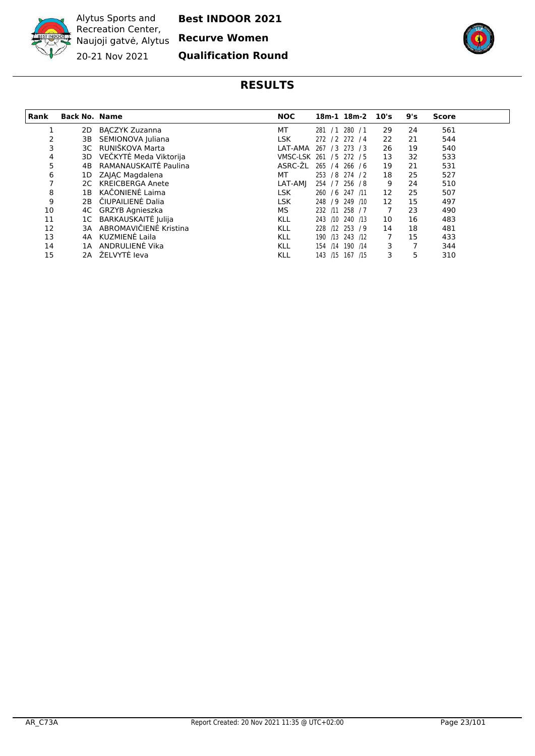

**Best INDOOR 2021**

**Recurve Women**

**Qualification Round**



<span id="page-22-0"></span>

| Rank | <b>Back No. Name</b> |                        | <b>NOC</b>      |            | 18m-1 18m-2      | 10's | 9's | <b>Score</b> |
|------|----------------------|------------------------|-----------------|------------|------------------|------|-----|--------------|
|      | 2D                   | <b>BACZYK Zuzanna</b>  | МT              |            | 281 / 1 280 / 1  | 29   | 24  | 561          |
| 2    | 3В                   | SEMIONOVA Juliana      | LSK             |            | 272 / 2 272 / 4  | 22   | 21  | 544          |
| 3    | 3C.                  | RUNIŠKOVA Marta        | LAT-AMA         |            | 267 / 3 273 / 3  | 26   | 19  | 540          |
| 4    | 3D.                  | VEČKYTĖ Meda Viktorija | <b>VMSC-LSK</b> |            | 261 / 5 272 / 5  | 13   | 32  | 533          |
| 5    | 4B                   | RAMANAUSKAITĖ Paulina  | ASRC-ŽL         |            | 265 / 4 266 / 6  | 19   | 21  | 531          |
| 6    | 1D                   | ZAJAC Magdalena        | МT              |            | 253 / 8 274 / 2  | 18   | 25  | 527          |
|      | 2C                   | KREICBERGA Anete       | LAT-AMI         |            | 254 / 7 256 / 8  | 9    | 24  | 510          |
| 8    | 1В                   | KAČONIENĖ Laima        | <b>LSK</b>      |            | 260 / 6 247 /11  | 12   | 25  | 507          |
| 9    | 2B                   | ČIUPAILIENĖ Dalia      | <b>LSK</b>      |            | 248 / 9 249 / 10 | 12   | 15  | 497          |
| 10   |                      | 4C GRZYB Agnieszka     | МS              |            | 232 /11 258 / 7  | 7    | 23  | 490          |
| 11   | 1C                   | BARKAUSKAITĖ Julija    | <b>KLL</b>      |            | 243 /10 240 /13  | 10   | 16  | 483          |
| 12   | 3A                   | ABROMAVIČIENĖ Kristina | <b>KLL</b>      |            | 228 /12 253 / 9  | 14   | 18  | 481          |
| 13   | 4A                   | KUZMIENĖ Laila         | <b>KLL</b>      |            | 190 /13 243 /12  | 7    | 15  | 433          |
| 14   | 1A                   | ANDRULIENĖ Vika        | <b>KLL</b>      | /14<br>154 | 190 /14          | 3    |     | 344          |
| 15   | 2A                   | ŽELVYTĖ Ieva           | <b>KLL</b>      |            | 143 /15 167 /15  | 3    | 5   | 310          |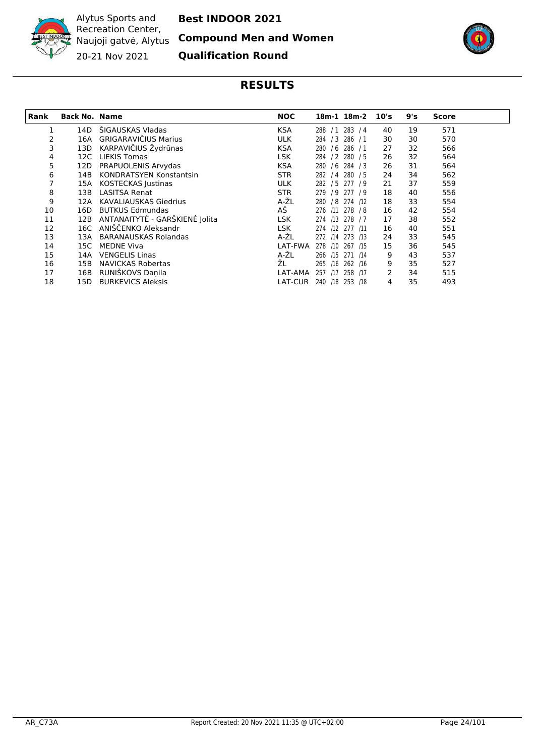

**Best INDOOR 2021**

**Compound Men and Women**

**Qualification Round**



<span id="page-23-0"></span>

| <b>Rank</b> | <b>Back No. Name</b> |                                | <b>NOC</b>     |            | 18m-1 18m-2 10's |    | 9's | <b>Score</b> |  |
|-------------|----------------------|--------------------------------|----------------|------------|------------------|----|-----|--------------|--|
|             | 14D                  | ŠIGAUSKAS Vladas               | <b>KSA</b>     | 288        | $/1$ 283 $/4$    | 40 | 19  | 571          |  |
|             | 16A                  | <b>GRIGARAVIČIUS Marius</b>    | <b>ULK</b>     | /3<br>284  | 286/1            | 30 | 30  | 570          |  |
| 3           | 13D                  | KARPAVIČIUS Žydrūnas           | <b>KSA</b>     | 280<br>/6  | 286/1            | 27 | 32  | 566          |  |
| 4           | 12C                  | <b>LIEKIS Tomas</b>            | <b>LSK</b>     | 284        | /2 280 /5        | 26 | 32  | 564          |  |
| 5           | 12D                  | PRAPUOLENIS Arvydas            | <b>KSA</b>     | 280<br>/6  | 284/3            | 26 | 31  | 564          |  |
| 6           | 14B                  | <b>KONDRATSYEN Konstantsin</b> | <b>STR</b>     | 282        | /4 280 /5        | 24 | 34  | 562          |  |
|             | 15A                  | KOSTECKAS Justinas             | <b>ULK</b>     |            | 282 / 5 277 / 9  | 21 | 37  | 559          |  |
| 8           | 13B                  | <b>LASITSA Renat</b>           | <b>STR</b>     |            | 279 / 9 277 / 9  | 18 | 40  | 556          |  |
| 9           | 12A                  | <b>KAVALIAUSKAS Giedrius</b>   | A-ŽL           | 280        | /8 274 /12       | 18 | 33  | 554          |  |
| 10          | 16D                  | <b>BUTKUS Edmundas</b>         | АŠ             |            | 276 /11 278 /8   | 16 | 42  | 554          |  |
| 11          | 12B                  | ANTANAITYTĖ - GARŠKIENĖ Jolita | <b>LSK</b>     | 274 /13    | 278 / 7          | 17 | 38  | 552          |  |
| 12          | 16C                  | ANIŠČENKO Aleksandr            | <b>LSK</b>     | 274        | /12 277 /11      | 16 | 40  | 551          |  |
| 13          | 13A                  | <b>BARANAUSKAS Rolandas</b>    | A-ŽL           | 272<br>/14 | 273 /13          | 24 | 33  | 545          |  |
| 14          | 15C.                 | <b>MEDNE Viva</b>              | LAT-FWA        | 278<br>/10 | 267 /15          | 15 | 36  | 545          |  |
| 15          | 14A                  | <b>VENGELIS Linas</b>          | A-ŽL           | 266<br>/15 | 271 /14          | 9  | 43  | 537          |  |
| 16          | 15B                  | <b>NAVICKAS Robertas</b>       | ŽL             | 265<br>/16 | 262 /16          | 9  | 35  | 527          |  |
| 17          | 16B                  | RUNIŠKOVS Daņila               | LAT-AMA        | 257<br>/17 | 258 /17          | 2  | 34  | 515          |  |
| 18          | 15D                  | <b>BURKEVICS Aleksis</b>       | <b>LAT-CUR</b> | 240<br>/18 | 253 /18          | 4  | 35  | 493          |  |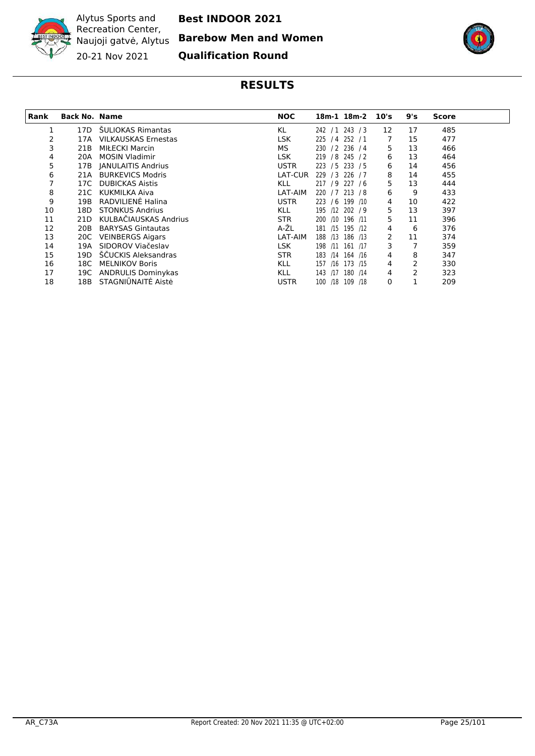

**Best INDOOR 2021**

**Barebow Men and Women**

**Qualification Round**



<span id="page-24-0"></span>

| Rank | <b>Back No. Name</b> |                            | <b>NOC</b>     | 18m-1 18m-2 10's      |    | 9's | <b>Score</b> |
|------|----------------------|----------------------------|----------------|-----------------------|----|-----|--------------|
|      | 17D                  | <b>SULIOKAS Rimantas</b>   | KL             | 242 / 1 243 / 3       | 12 | 17  | 485          |
| 2    | 17A                  | <b>VILKAUSKAS Ernestas</b> | <b>LSK</b>     | 225 / 4 252 / 1       | 7  | 15  | 477          |
| 3    | 21B                  | <b>MIŁECKI Marcin</b>      | MS.            | 230 / 2 236 / 4       | 5. | 13  | 466          |
| 4    | 20A                  | <b>MOSIN Vladimir</b>      | LSK            | 219 / 8 245 / 2       | 6  | 13  | 464          |
| 5    | 17B                  | <b>JANULAITIS Andrius</b>  | <b>USTR</b>    | /5 233 /5<br>223      | 6  | 14  | 456          |
| 6    | 21A                  | <b>BURKEVICS Modris</b>    | <b>LAT-CUR</b> | 226 / 7<br>229<br>/3  | 8  | 14  | 455          |
|      | 17C                  | <b>DUBICKAS Aistis</b>     | <b>KLL</b>     | 217 / 9 227 / 6       | 5  | 13  | 444          |
| 8    | 21C                  | KUKMILKA Aiva              | LAT-AIM        | 220 / 7 213 / 8       | 6  | 9   | 433          |
| 9    | 19B                  | RADVILIENĖ Halina          | <b>USTR</b>    | 223 / 6 199 /10       | 4  | 10  | 422          |
| 10   | 18D.                 | <b>STONKUS Andrius</b>     | <b>KLL</b>     | 195 /12 202 / 9       | 5  | 13  | 397          |
| 11   | 21D                  | KULBAČIAUSKAS Andrius      | <b>STR</b>     | /10 196 /11<br>200    | 5  | 11  | 396          |
| 12   | 20B                  | <b>BARYSAS Gintautas</b>   | A-ŽL           | 195 /12<br>181<br>/15 | 4  | 6   | 376          |
| 13   | 20C                  | <b>VEINBERGS Aigars</b>    | LAT-AIM        | 186 /13<br>188<br>/13 | 2  | 11  | 374          |
| 14   | 19A                  | SIDOROV Viačeslav          | <b>LSK</b>     | 198<br>161 /17<br>/11 | 3  | 7   | 359          |
| 15   | 19D                  | ŠČUCKIS Aleksandras        | <b>STR</b>     | 164 /16<br>183<br>/14 | 4  | 8   | 347          |
| 16   | 18C .                | <b>MELNIKOV Boris</b>      | <b>KLL</b>     | 157<br>173 /15<br>/16 | 4  | 2   | 330          |
| 17   | 19C                  | <b>ANDRULIS Dominykas</b>  | <b>KLL</b>     | 143<br>180 /14<br>/17 | 4  | 2   | 323          |
| 18   | 18B                  | STAGNIŪNAITĖ Aistė         | <b>USTR</b>    | 100 /18 109 /18       | 0  |     | 209          |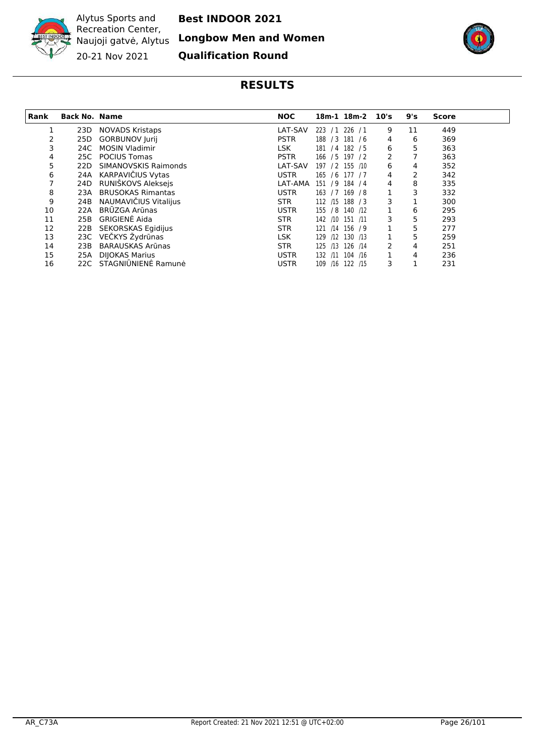

**Best INDOOR 2021**

**Longbow Men and Women**

**Qualification Round**



<span id="page-25-0"></span>

| Rank | <b>Back No. Name</b> |                          | <b>NOC</b>  | 18m-1 18m-2 10's       |   | 9's | <b>Score</b> |
|------|----------------------|--------------------------|-------------|------------------------|---|-----|--------------|
|      | 23D                  | <b>NOVADS Kristaps</b>   | LAT-SAV     | 223 / 1 226 / 1        | 9 | 11  | 449          |
|      | 25D                  | <b>GORBUNOV Jurij</b>    | <b>PSTR</b> | /3 181 /6<br>188       | 4 | 6   | 369          |
| 3    | 24C -                | <b>MOSIN Vladimir</b>    | LSK         | 181 / 4 182 / 5        | 6 | 5   | 363          |
| 4    | 25C -                | <b>POCIUS Tomas</b>      | <b>PSTR</b> | 166 / 5 197 / 2        | 2 | 7   | 363          |
| 5    | 22D                  | SIMANOVSKIS Raimonds     | LAT-SAV     | 197 / 2 155 /10        | 6 | 4   | 352          |
| 6    | 24A                  | KARPAVIČIUS Vytas        | <b>USTR</b> | 165 / 6 177 / 7        | 4 | 2   | 342          |
|      | 24D                  | RUNIŠKOVS Aleksejs       | LAT-AMA     | 151 / 9 184 / 4        | 4 | 8   | 335          |
| 8    | 23A                  | <b>BRUSOKAS Rimantas</b> | <b>USTR</b> | 163 / 7 169 / 8        |   | 3   | 332          |
| 9    | 24B                  | NAUMAVIČIUS Vitalijus    | <b>STR</b>  | 112 /15 188 / 3        | 3 |     | 300          |
| 10   | 22A                  | <b>BRŪZGA Arūnas</b>     | <b>USTR</b> | 155 / 8 140 /12        |   | 6   | 295          |
| 11   | 25B                  | GRIGIENĖ Aida            | <b>STR</b>  | 142 /10 151 /11        | 3 | 5   | 293          |
| 12   | 22B                  | SEKORSKAS Egidijus       | <b>STR</b>  | 156 / 9<br>121<br>/14  |   | 5   | 277          |
| 13   |                      | 23C VEČKYS Žydrūnas      | <b>LSK</b>  | $/12$ 130 $/13$<br>129 |   | 5   | 259          |
| 14   | 23B                  | <b>BARAUSKAS Arūnas</b>  | <b>STR</b>  | 126 /14<br>125<br>/13  | 2 | 4   | 251          |
| 15   | 25A                  | <b>DIJOKAS Marius</b>    | <b>USTR</b> | 104 /16<br>132 /11     |   | 4   | 236          |
| 16   |                      | 22C STAGNIŪNIENĖ Ramunė  | <b>USTR</b> | 109 /16 122 /15        | 3 |     | 231          |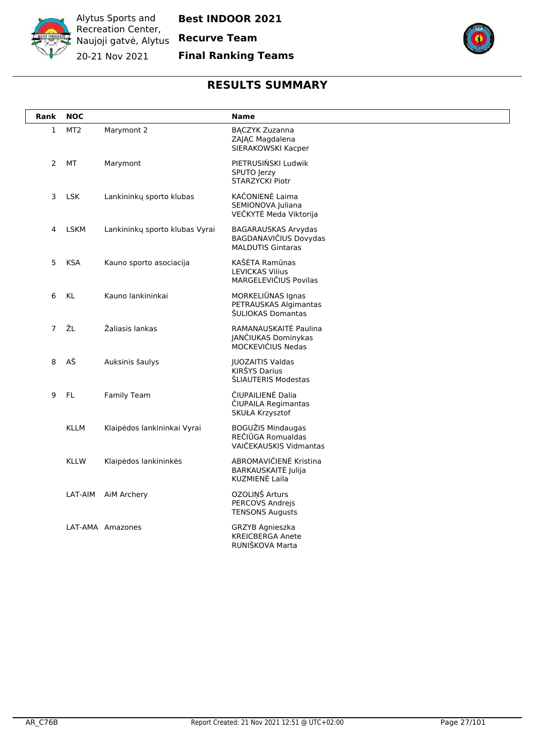

### **Final Ranking Teams**



<span id="page-26-0"></span>

| Rank           | <b>NOC</b>      |                                | <b>Name</b>                                                              |
|----------------|-----------------|--------------------------------|--------------------------------------------------------------------------|
| $\mathbf{1}$   | MT <sub>2</sub> | Marymont 2                     | <b>BĄCZYK Zuzanna</b><br>ZAJĄC Magdalena<br>SIERAKOWSKI Kacper           |
| $\overline{2}$ | <b>MT</b>       | Marymont                       | PIETRUSIŃSKI Ludwik<br>SPUTO Jerzy<br><b>STARZYCKI Piotr</b>             |
| 3              | <b>LSK</b>      | Lankininkų sporto klubas       | KAČONIENĖ Laima<br>SEMIONOVA Juliana<br>VEČKYTĖ Meda Viktorija           |
| 4              | <b>LSKM</b>     | Lankininkų sporto klubas Vyrai | BAGARAUSKAS Arvydas<br>BAGDANAVIČIUS Dovydas<br><b>MALDUTIS Gintaras</b> |
| 5              | <b>KSA</b>      | Kauno sporto asociacija        | KAŠĖTA Ramūnas<br><b>LEVICKAS Vilius</b><br>MARGELEVIČIUS Povilas        |
| 6              | KL              | Kauno lankininkai              | MORKELIŪNAS Ignas<br>PETRAUSKAS Algimantas<br>ŠULIOKAS Domantas          |
| $\overline{7}$ | ŽL              | Žaliasis lankas                | RAMANAUSKAITĖ Paulina<br>JANČIUKAS Dominykas<br>MOCKEVIČIUS Nedas        |
| 8              | AŠ              | Auksinis šaulys                | <b>JUOZAITIS Valdas</b><br>KIRŠYS Darius<br>ŠLIAUTERIS Modestas          |
| 9              | FL.             | <b>Family Team</b>             | ČIUPAILIENĖ Dalia<br>ČIUPAILA Regimantas<br>SKUŁA Krzysztof              |
|                | <b>KLLM</b>     | Klaipėdos lankininkai Vyrai    | <b>BOGUŽIS Mindaugas</b><br>REČIŪGA Romualdas<br>VAIČEKAUSKIS Vidmantas  |
|                | <b>KLLW</b>     | Klaipėdos lankininkės          | ABROMAVIČIENĖ Kristina<br>BARKAUSKAITĖ Julija<br>KUZMIENĖ Laila          |
|                | LAT-AIM         | AiM Archery                    | OZOLINŠ Arturs<br>PERCOVS Andrejs<br><b>TENSONS Augusts</b>              |
|                |                 | LAT-AMA Amazones               | <b>GRZYB Agnieszka</b><br><b>KREICBERGA Anete</b><br>RUNIŠKOVA Marta     |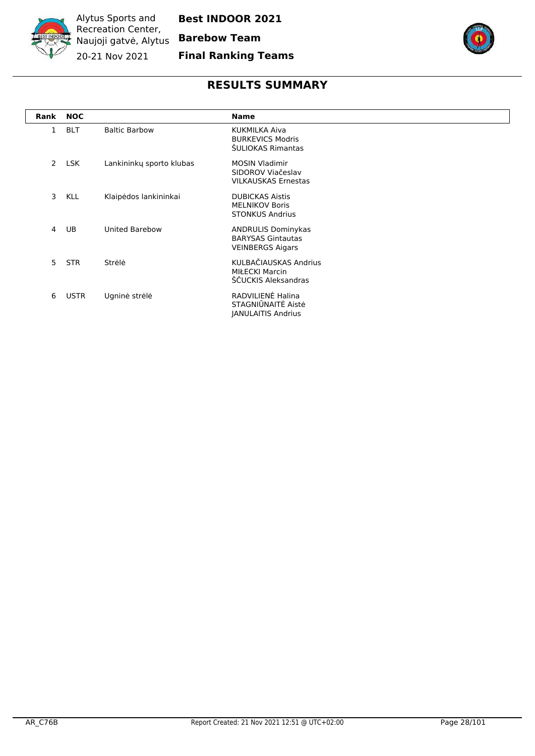

### **Final Ranking Teams**



<span id="page-27-0"></span>

| Rank           | <b>NOC</b>  |                          | <b>Name</b>                                                                      |
|----------------|-------------|--------------------------|----------------------------------------------------------------------------------|
| 1              | <b>BLT</b>  | <b>Baltic Barbow</b>     | KUKMILKA Aiva<br><b>BURKEVICS Modris</b><br>ŠULIOKAS Rimantas                    |
| $\overline{2}$ | LSK         | Lankininky sporto klubas | <b>MOSIN Vladimir</b><br>SIDOROV Viačeslav<br><b>VILKAUSKAS Ernestas</b>         |
| 3              | <b>KLL</b>  | Klaipėdos lankininkai    | <b>DUBICKAS Aistis</b><br><b>MELNIKOV Boris</b><br><b>STONKUS Andrius</b>        |
| 4              | UB          | <b>United Barebow</b>    | <b>ANDRULIS Dominykas</b><br><b>BARYSAS Gintautas</b><br><b>VEINBERGS Aigars</b> |
| 5              | <b>STR</b>  | Strėlė                   | KULBAČIAUSKAS Andrius<br><b>MIŁECKI Marcin</b><br>ŠČUCKIS Aleksandras            |
| 6              | <b>USTR</b> | Ugninė strėlė            | RADVILIENĖ Halina<br>STAGNIŪNAITĖ Aistė<br><b>JANULAITIS Andrius</b>             |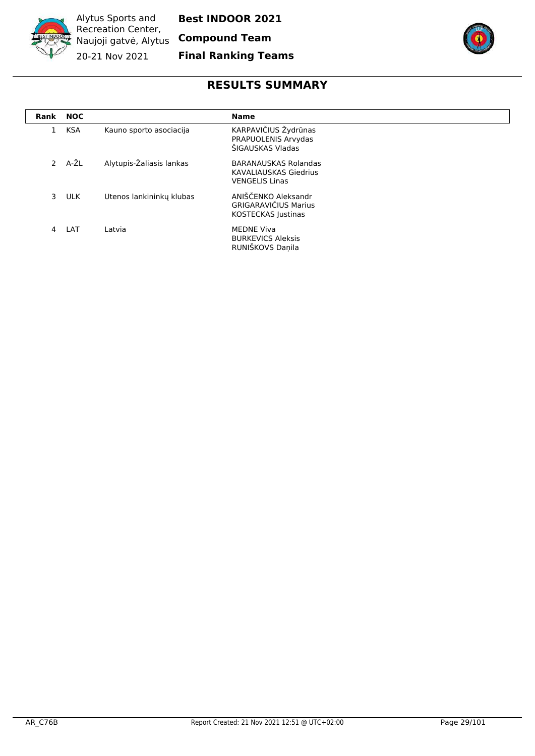

**Best INDOOR 2021**

**Final Ranking Teams**



<span id="page-28-0"></span>

| Rank          | <b>NOC</b> |                          | <b>Name</b>                                                                          |
|---------------|------------|--------------------------|--------------------------------------------------------------------------------------|
| 1             | <b>KSA</b> | Kauno sporto asociacija  | KARPAVIČIUS Žydrūnas<br>PRAPUOLENIS Arvydas<br>ŠIGAUSKAS Vladas                      |
| $\mathcal{P}$ | A-ŽL       | Alytupis-Žaliasis lankas | <b>BARANAUSKAS Rolandas</b><br><b>KAVALIAUSKAS Giedrius</b><br><b>VENGELIS Linas</b> |
| 3             | <b>ULK</b> | Utenos lankininku klubas | ANIŠČENKO Aleksandr<br><b>GRIGARAVIČIUS Marius</b><br><b>KOSTECKAS Justinas</b>      |
| 4             | LAT        | Latvia                   | <b>MEDNE Viva</b><br><b>BURKEVICS Aleksis</b><br>RUNIŠKOVS Daņila                    |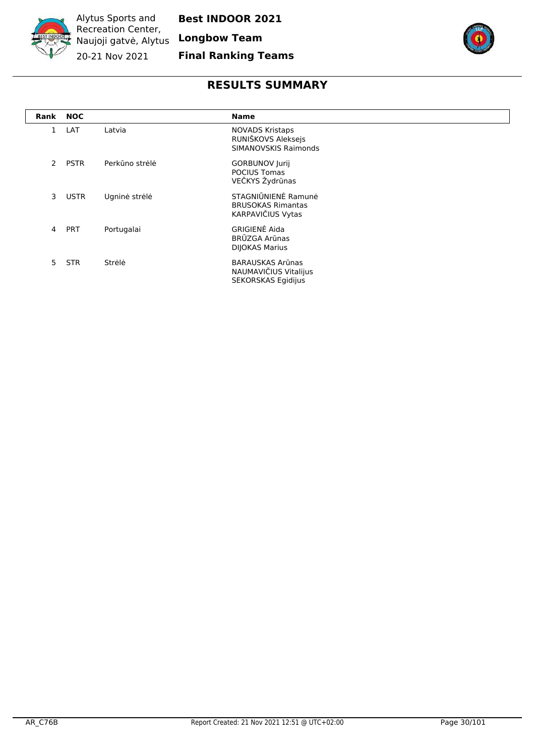

**Final Ranking Teams**



<span id="page-29-0"></span>

| Rank          | <b>NOC</b>  |                | <b>Name</b>                                                                 |
|---------------|-------------|----------------|-----------------------------------------------------------------------------|
|               | LAT         | Latvia         | <b>NOVADS Kristaps</b><br>RUNIŠKOVS Aleksejs<br><b>SIMANOVSKIS Raimonds</b> |
| $\mathcal{P}$ | <b>PSTR</b> | Perkūno strėlė | <b>GORBUNOV Jurij</b><br><b>POCIUS Tomas</b><br>VEČKYS Žydrūnas             |
| 3             | <b>USTR</b> | Ugninė strėlė  | STAGNIŪNIENĖ Ramunė<br><b>BRUSOKAS Rimantas</b><br>KARPAVIČIUS Vytas        |
| 4             | <b>PRT</b>  | Portugalai     | <b>GRIGIENĖ Aida</b><br>BRŪZGA Arūnas<br><b>DIJOKAS Marius</b>              |
| 5.            | <b>STR</b>  | Strėlė         | BARAUSKAS Arūnas<br>NAUMAVIČIUS Vitalijus<br><b>SEKORSKAS Egidijus</b>      |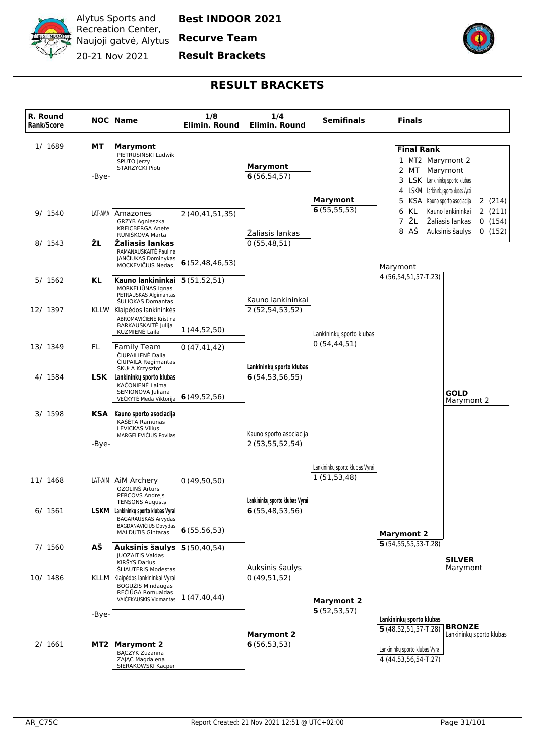

**Recurve Team**

**Result Brackets**



<span id="page-30-0"></span>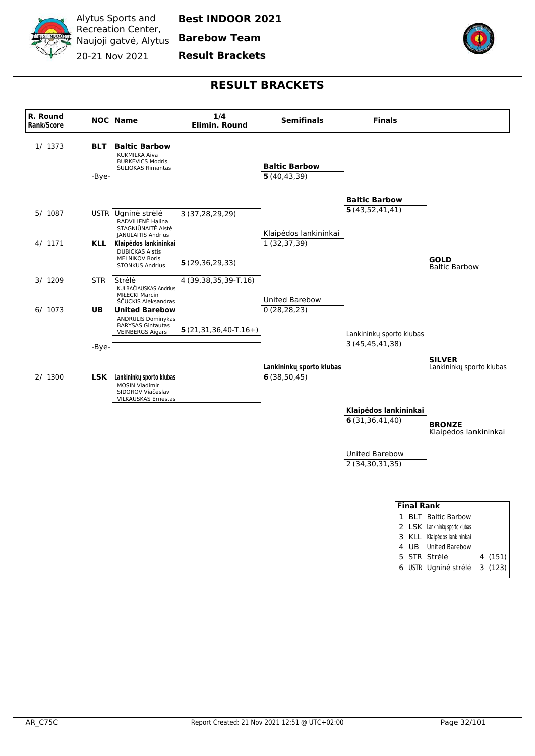

**Barebow Team**

#### **Result Brackets**



<span id="page-31-0"></span>

| <b>Final Rank</b> |  |                                |  |         |  |  |  |
|-------------------|--|--------------------------------|--|---------|--|--|--|
|                   |  | <b>BLT</b> Baltic Barbow       |  |         |  |  |  |
|                   |  | 2 LSK Lankininkų sporto klubas |  |         |  |  |  |
|                   |  | 3 KLL Klaipėdos lankininkai    |  |         |  |  |  |
|                   |  | 4 UB United Barebow            |  |         |  |  |  |
|                   |  | 5 STR Strele                   |  | 4 (151) |  |  |  |
|                   |  | 6 USTR Ugninė strėlė 3 (123)   |  |         |  |  |  |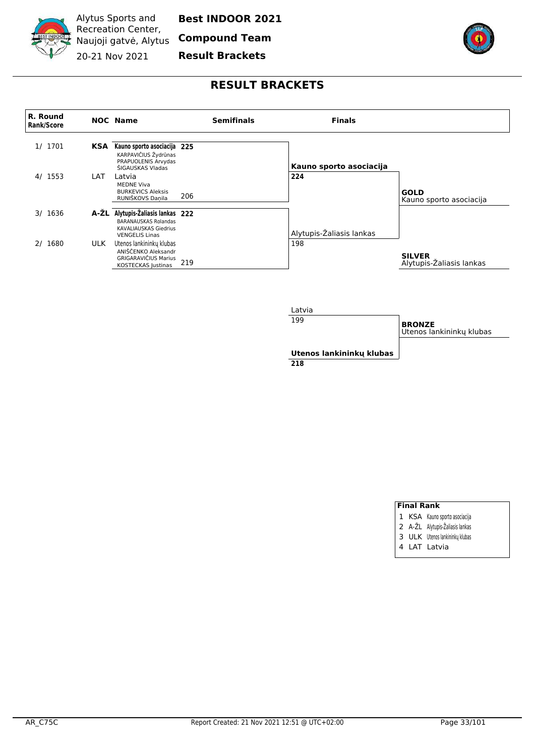

**Best INDOOR 2021**

**Compound Team**

**Result Brackets**



#### **RESULT BRACKETS**

<span id="page-32-0"></span>



| 199                             | <b>BRONZE</b><br>Utenos lankininku klubas |
|---------------------------------|-------------------------------------------|
| Utenos lankininku klubas<br>218 |                                           |

#### **Final Rank**

- 1 KSA Kauno sporto asociacija
- 2 A-ŽL Alytupis-Žaliasis lankas
- 3 ULK Utenos lankininkų klubas
- 4 LAT Latvia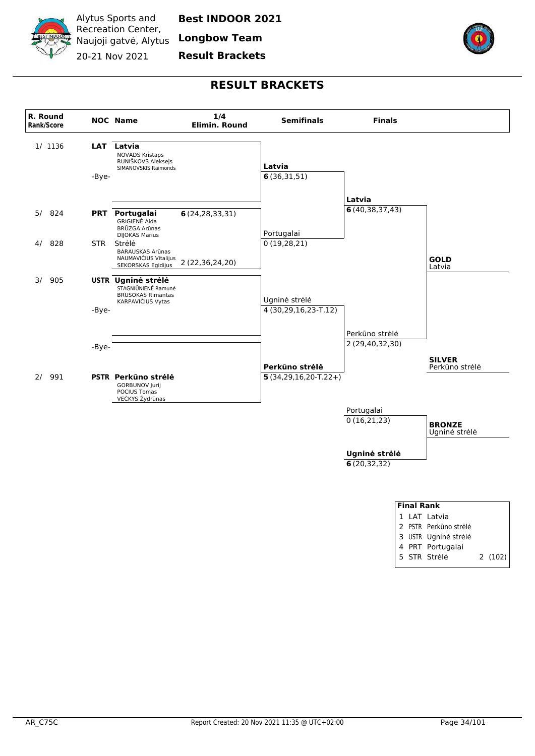

**Longbow Team**

#### **Result Brackets**



<span id="page-33-0"></span>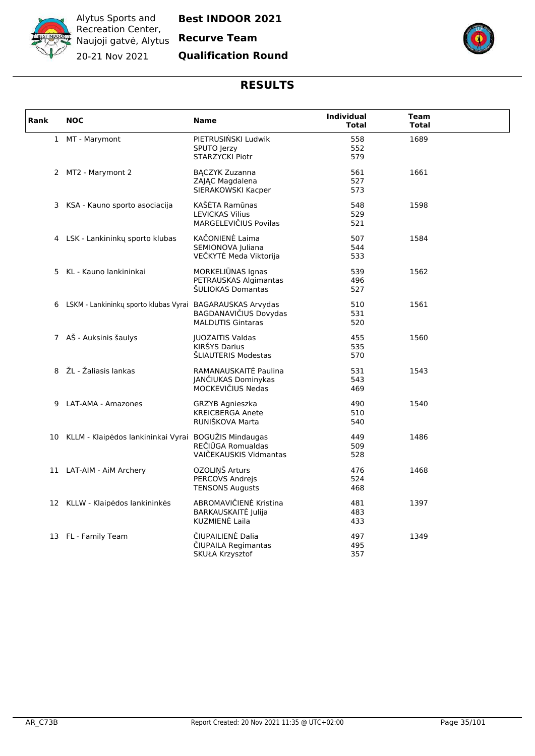

### **Qualification Round**



<span id="page-34-0"></span>

| Rank | <b>NOC</b>                                                  | <b>Name</b>                                                          | <b>Individual</b><br><b>Total</b> | Team<br><b>Total</b> |  |
|------|-------------------------------------------------------------|----------------------------------------------------------------------|-----------------------------------|----------------------|--|
|      | 1 MT - Marymont                                             | PIETRUSIŃSKI Ludwik<br>SPUTO Jerzy<br>STARZYCKI Piotr                | 558<br>552<br>579                 | 1689                 |  |
|      | 2 MT2 - Marymont 2                                          | <b>BĄCZYK Zuzanna</b><br>ZAJĄC Magdalena<br>SIERAKOWSKI Kacper       | 561<br>527<br>573                 | 1661                 |  |
|      | 3 KSA - Kauno sporto asociacija                             | KAŠĖTA Ramūnas<br><b>LEVICKAS Vilius</b><br>MARGELEVIČIUS Povilas    | 548<br>529<br>521                 | 1598                 |  |
|      | 4 LSK - Lankininkų sporto klubas                            | KAČONIENĖ Laima<br>SEMIONOVA Juliana<br>VEČKYTĖ Meda Viktorija       | 507<br>544<br>533                 | 1584                 |  |
|      | 5 KL - Kauno lankininkai                                    | MORKELIŪNAS Ignas<br>PETRAUSKAS Algimantas<br>ŠULIOKAS Domantas      | 539<br>496<br>527                 | 1562                 |  |
|      | 6 LSKM - Lankininkų sporto klubas Vyrai BAGARAUSKAS Arvydas | BAGDANAVIČIUS Dovydas<br><b>MALDUTIS Gintaras</b>                    | 510<br>531<br>520                 | 1561                 |  |
|      | 7 AŠ - Auksinis šaulys                                      | <b>JUOZAITIS Valdas</b><br>KIRŠYS Darius<br>ŠLIAUTERIS Modestas      | 455<br>535<br>570                 | 1560                 |  |
|      | 8 ŽL - Žaliasis lankas                                      | RAMANAUSKAITĖ Paulina<br>JANČIUKAS Dominykas<br>MOCKEVIČIUS Nedas    | 531<br>543<br>469                 | 1543                 |  |
| 9    | LAT-AMA - Amazones                                          | <b>GRZYB Agnieszka</b><br><b>KREICBERGA Anete</b><br>RUNIŠKOVA Marta | 490<br>510<br>540                 | 1540                 |  |
| 10   | KLLM - Klaipėdos lankininkai Vyrai BOGUŽIS Mindaugas        | REČIŪGA Romualdas<br>VAIČEKAUSKIS Vidmantas                          | 449<br>509<br>528                 | 1486                 |  |
|      | 11 LAT-AIM - AiM Archery                                    | OZOLIŅŠ Arturs<br><b>PERCOVS Andreis</b><br><b>TENSONS Augusts</b>   | 476<br>524<br>468                 | 1468                 |  |
|      | 12 KLLW - Klaipėdos lankininkės                             | ABROMAVIČIENĖ Kristina<br>BARKAUSKAITĖ Julija<br>KUZMIENĖ Laila      | 481<br>483<br>433                 | 1397                 |  |
|      | 13 FL - Family Team                                         | ČIUPAILIENĖ Dalia<br>CIUPAILA Regimantas<br>SKUŁA Krzysztof          | 497<br>495<br>357                 | 1349                 |  |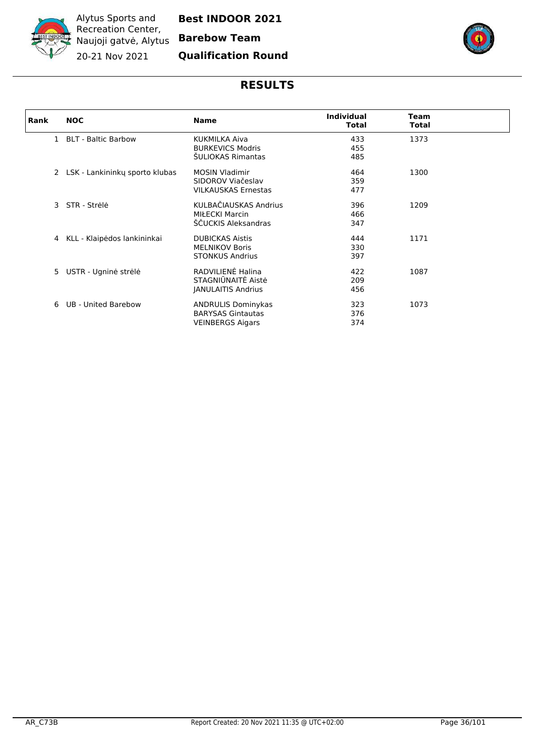

**Best INDOOR 2021**

# **Qualification Round**



<span id="page-35-0"></span>

| Rank | <b>NOC</b>                       | <b>Name</b>                | <b>Individual</b><br><b>Total</b> | <b>Team</b><br><b>Total</b> |  |
|------|----------------------------------|----------------------------|-----------------------------------|-----------------------------|--|
|      | 1 BLT - Baltic Barbow            | KUKMILKA Aiva              |                                   | 1373                        |  |
|      |                                  | <b>BURKEVICS Modris</b>    | 433<br>455                        |                             |  |
|      |                                  | <b>SULIOKAS Rimantas</b>   |                                   |                             |  |
|      |                                  |                            | 485                               |                             |  |
|      | 2 LSK - Lankininky sporto klubas | <b>MOSIN Vladimir</b>      | 464                               | 1300                        |  |
|      |                                  | SIDOROV Viačeslav          | 359                               |                             |  |
|      |                                  | <b>VILKAUSKAS Ernestas</b> | 477                               |                             |  |
|      |                                  |                            |                                   |                             |  |
|      | 3 STR - Strėlė                   | KULBAČIAUSKAS Andrius      | 396                               | 1209                        |  |
|      |                                  | <b>MIŁECKI Marcin</b>      | 466                               |                             |  |
|      |                                  | ŠČUCKIS Aleksandras        | 347                               |                             |  |
| 4    | KLL - Klaipėdos lankininkai      | <b>DUBICKAS Aistis</b>     | 444                               | 1171                        |  |
|      |                                  | <b>MELNIKOV Boris</b>      | 330                               |                             |  |
|      |                                  | <b>STONKUS Andrius</b>     | 397                               |                             |  |
|      |                                  |                            |                                   |                             |  |
| 5    | USTR - Ugninė strėlė             | RADVILIENĖ Halina          | 422                               | 1087                        |  |
|      |                                  | STAGNIŪNAITĖ Aistė         | 209                               |                             |  |
|      |                                  | <b>JANULAITIS Andrius</b>  | 456                               |                             |  |
|      |                                  |                            |                                   |                             |  |
| 6    | UB - United Barebow              | <b>ANDRULIS Dominykas</b>  | 323                               | 1073                        |  |
|      |                                  | <b>BARYSAS Gintautas</b>   | 376                               |                             |  |
|      |                                  | <b>VEINBERGS Aigars</b>    | 374                               |                             |  |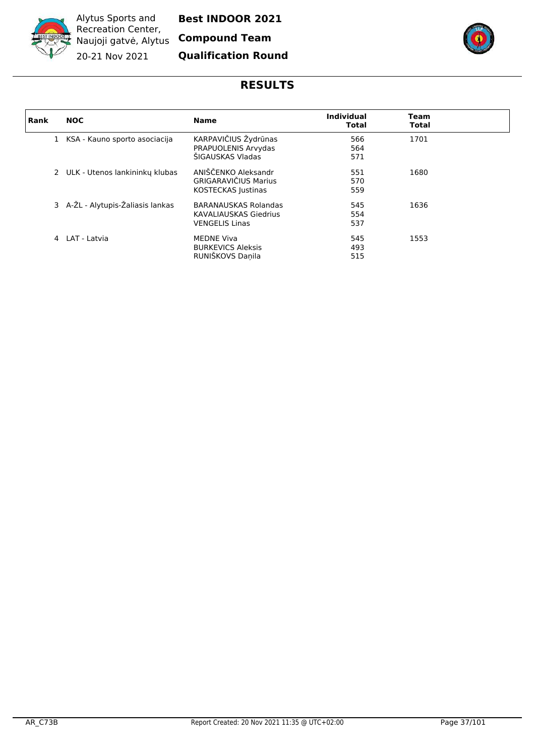

Alytus Sports and Recreation Center, Naujoji gatvė, Alytus 20-21 Nov 2021

**Best INDOOR 2021**

**Compound Team**

**Qualification Round**



# **RESULTS**

| Rank | <b>NOC</b>                        | <b>Name</b>                                                                          | <b>Individual</b><br><b>Total</b> | Team<br><b>Total</b> |  |
|------|-----------------------------------|--------------------------------------------------------------------------------------|-----------------------------------|----------------------|--|
|      | 1 KSA - Kauno sporto asociacija   | KARPAVIČIUS Žydrūnas<br>PRAPUOLENIS Arvydas<br>ŠIGAUSKAS Vladas                      | 566<br>564<br>571                 | 1701                 |  |
|      | 2 ULK - Utenos lankininku klubas  | ANIŠČENKO Aleksandr<br><b>GRIGARAVIČIUS Marius</b><br>KOSTECKAS Justinas             | 551<br>570<br>559                 | 1680                 |  |
|      | 3 A-ŽL - Alytupis-Žaliasis lankas | <b>BARANAUSKAS Rolandas</b><br><b>KAVALIAUSKAS Giedrius</b><br><b>VENGELIS Linas</b> | 545<br>554<br>537                 | 1636                 |  |
| 4    | LAT - Latvia                      | <b>MEDNE Viva</b><br><b>BURKEVICS Aleksis</b><br>RUNIŠKOVS Daņila                    | 545<br>493<br>515                 | 1553                 |  |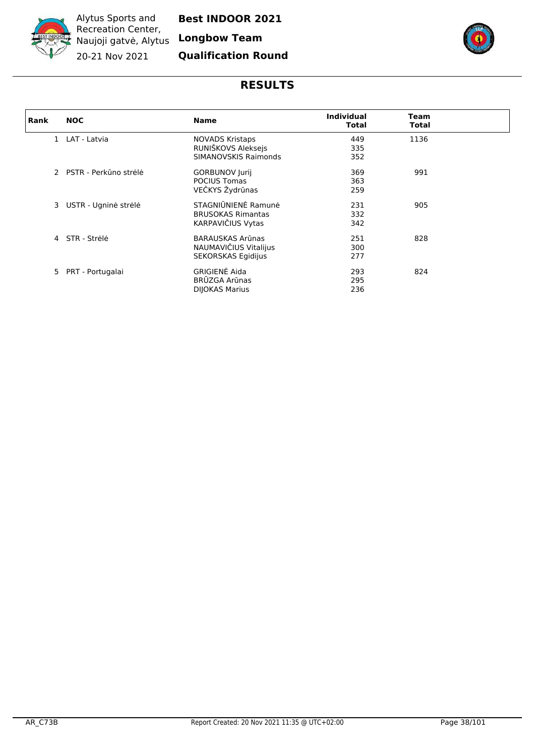

**Longbow Team**

## **Qualification Round**



## **RESULTS**

| Rank | <b>NOC</b>              | <b>Name</b>               | <b>Individual</b><br><b>Total</b> | Team<br>Total |
|------|-------------------------|---------------------------|-----------------------------------|---------------|
|      | 1 LAT - Latvia          | <b>NOVADS Kristaps</b>    | 449                               | 1136          |
|      |                         | RUNIŠKOVS Aleksejs        | 335                               |               |
|      |                         | SIMANOVSKIS Raimonds      | 352                               |               |
|      | 2 PSTR - Perkūno strėlė | <b>GORBUNOV Jurij</b>     | 369                               | 991           |
|      |                         | <b>POCIUS Tomas</b>       | 363                               |               |
|      |                         | VEČKYS Žydrūnas           | 259                               |               |
|      |                         |                           |                                   |               |
| 3    | USTR - Ugninė strėlė    | STAGNIŪNIENĖ Ramunė       | 231                               | 905           |
|      |                         | <b>BRUSOKAS Rimantas</b>  | 332                               |               |
|      |                         | KARPAVIČIUS Vytas         | 342                               |               |
| 4    | STR - Strėlė            | <b>BARAUSKAS Arūnas</b>   | 251                               | 828           |
|      |                         |                           |                                   |               |
|      |                         | NAUMAVIČIUS Vitalijus     | 300                               |               |
|      |                         | <b>SEKORSKAS Egidijus</b> | 277                               |               |
|      | 5 PRT - Portugalai      | <b>GRIGIENĖ Aida</b>      | 293                               | 824           |
|      |                         | BRŪZGA Arūnas             | 295                               |               |
|      |                         | <b>DIJOKAS Marius</b>     | 236                               |               |
|      |                         |                           |                                   |               |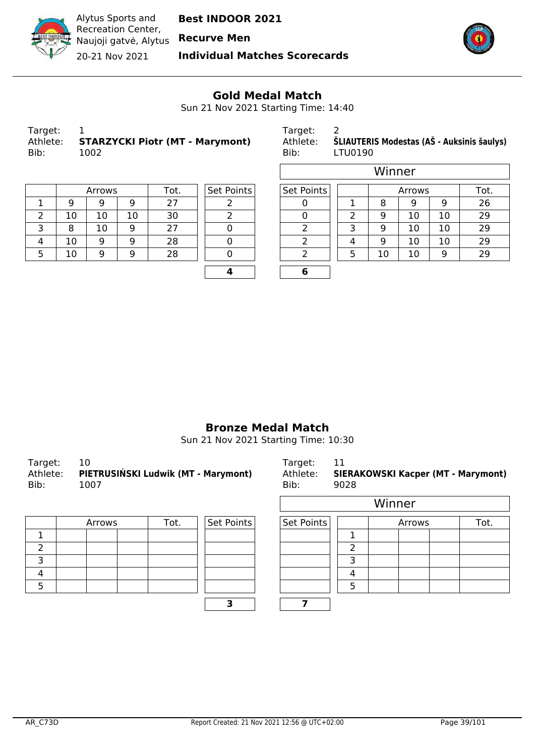



**Individual Matches Scorecards**



 $\overline{\phantom{a}}$ 

#### **Gold Medal Match**

Sun 21 Nov 2021 Starting Time: 14:40

| Target:  |                                        |
|----------|----------------------------------------|
| Athlete: | <b>STARZYCKI Piotr (MT - Marymont)</b> |
| Bib:     | 1002                                   |

Target: 2

 $\Box$ 

Athlete: **ŠLIAUTERIS Modestas (AŠ - Auksinis šaulys)**<br>Bib: LTU0190 LTU0190

|   |    | Arrows |    | Tot. | Set Po |
|---|----|--------|----|------|--------|
|   | q  |        |    | 27   |        |
| 2 | 10 | 10     | 10 | 30   |        |
| 3 | 8  | 10     | 9  | 27   |        |
|   | 10 |        |    | 28   |        |
|   | 10 |        |    | 28   |        |
|   |    |        |    |      |        |

| Set Points |  |
|------------|--|
| 2          |  |
| 2          |  |
| D          |  |
| N          |  |
| 0          |  |
|            |  |

|   |    |        |    |      |            |                   |   | Winner |        |    |      |
|---|----|--------|----|------|------------|-------------------|---|--------|--------|----|------|
|   |    | Arrows |    | Tot. | Set Points | <b>Set Points</b> |   |        | Arrows |    | Tot. |
|   | 9  | 9      | 9  | 27   |            |                   |   | 8      | 9      | 9  | 26   |
| 2 | 10 | 10     | 10 | 30   |            |                   | っ | 9      | 10     | 10 | 29   |
| 3 | 8  | 10     | 9  | 27   |            | h                 | っ | 9      | 10     | 10 | 29   |
| 4 | 10 | 9      | 9  | 28   |            | ∍                 | 4 | 9      | 10     | 10 | 29   |
| 5 | 10 | 9      | 9  | 28   |            | ∍                 | 5 | 10     | 10     | 9  | 29   |
|   |    |        |    |      |            |                   |   |        |        |    |      |

#### **Bronze Medal Match**

Sun 21 Nov 2021 Starting Time: 10:30

| Target:<br>Athlete:<br>Bib: | 10<br>PIETRUSIŃSKI Ludwik (MT - Marymont)<br>1007 | Target: 11<br>Athlete:<br>Bib: | <b>SIERAKOWSKI Kacper (MT - Marymont)</b><br>9028 |
|-----------------------------|---------------------------------------------------|--------------------------------|---------------------------------------------------|
|                             |                                                   |                                | - - - -                                           |

| Arrows | Set Points<br>Tot. |  |  |  |  |
|--------|--------------------|--|--|--|--|
|        |                    |  |  |  |  |
|        |                    |  |  |  |  |
|        |                    |  |  |  |  |
|        |                    |  |  |  |  |
|        |                    |  |  |  |  |
|        |                    |  |  |  |  |

|        |      |            | Winner     |  |        |      |  |  |  |  |  |
|--------|------|------------|------------|--|--------|------|--|--|--|--|--|
| Arrows | Tot. | Set Points | Set Points |  | Arrows | Tot. |  |  |  |  |  |
|        |      |            |            |  |        |      |  |  |  |  |  |
|        |      |            |            |  |        |      |  |  |  |  |  |
|        |      |            |            |  |        |      |  |  |  |  |  |
|        |      |            |            |  |        |      |  |  |  |  |  |
|        |      |            |            |  |        |      |  |  |  |  |  |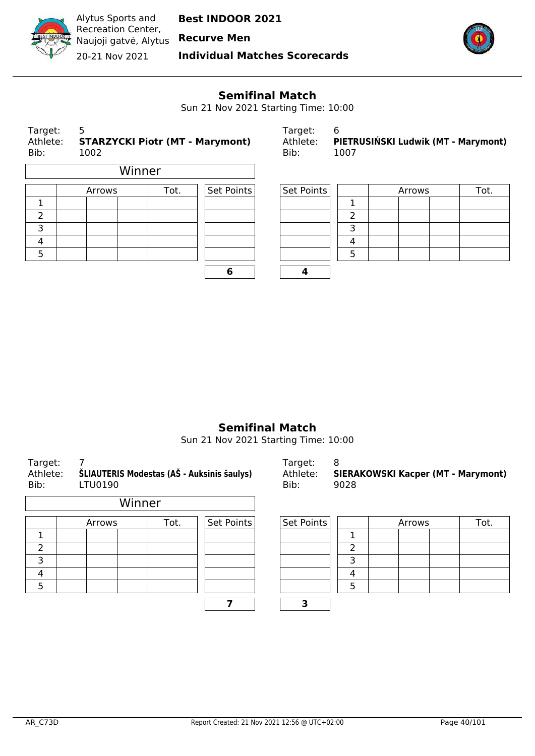

**Individual Matches Scorecards**



#### **Semifinal Match**

Sun 21 Nov 2021 Starting Time: 10:00

| Target:<br>Athlete:<br>Bib: | 5<br>Target:<br>Athlete:<br><b>STARZYCKI Piotr (MT - Marymont)</b><br>Bib:<br>1002 |        | 6<br>PIETRUSIŃSKI Ludwik (MT - Marymont)<br>1007 |            |            |   |        |  |      |
|-----------------------------|------------------------------------------------------------------------------------|--------|--------------------------------------------------|------------|------------|---|--------|--|------|
|                             |                                                                                    | Winner |                                                  |            |            |   |        |  |      |
|                             | Arrows                                                                             |        | Tot.                                             | Set Points | Set Points |   | Arrows |  | Tot. |
| 1                           |                                                                                    |        |                                                  |            |            |   |        |  |      |
| 2                           |                                                                                    |        |                                                  |            |            | ำ |        |  |      |
| 3                           |                                                                                    |        |                                                  |            |            | 3 |        |  |      |
| 4                           |                                                                                    |        |                                                  |            |            | 4 |        |  |      |
| 5                           |                                                                                    |        |                                                  |            |            | 5 |        |  |      |
|                             |                                                                                    |        |                                                  |            |            |   |        |  |      |

| Target:  |                                     |
|----------|-------------------------------------|
| Athlete: | PIETRUSIŃSKI Ludwik (MT - Marymont) |
| Bib:     | 1007                                |

| Arrows | Tot. | Set Points | Set Points |  | Arrows | Tot. |
|--------|------|------------|------------|--|--------|------|
|        |      |            |            |  |        |      |
|        |      |            |            |  |        |      |
|        |      |            |            |  |        |      |
|        |      |            |            |  |        |      |
|        |      |            |            |  |        |      |
|        |      |            |            |  |        |      |

#### **Semifinal Match**

Sun 21 Nov 2021 Starting Time: 10:00

| .<br>Athlete:<br>Bib: | ŠLIAUTERIS Modestas (AŠ - Auksinis šaulys)<br>LTU0190 |        | .<br>Athlete:<br>Bib: | <b>SIERAKOWSKI Kacper (MT - Marymo</b><br>9028 |   |        |      |
|-----------------------|-------------------------------------------------------|--------|-----------------------|------------------------------------------------|---|--------|------|
|                       |                                                       | Winner |                       |                                                |   |        |      |
|                       | Arrows                                                | Tot.   | Set Points            | Set Points                                     |   | Arrows | Tot. |
|                       |                                                       |        |                       |                                                |   |        |      |
| $\overline{2}$        |                                                       |        |                       |                                                | っ |        |      |
| 3                     |                                                       |        |                       |                                                | 3 |        |      |
| 4                     |                                                       |        |                       |                                                | 4 |        |      |
| 5                     |                                                       |        |                       |                                                | 5 |        |      |

Target: 7 Target: 8 **WSKI Kacper (MT - Marymont)** 

| Points | Set Points |  | Arrows | Tot. |
|--------|------------|--|--------|------|
|        |            |  |        |      |
|        |            |  |        |      |
|        |            |  |        |      |
|        |            |  |        |      |
|        |            |  |        |      |
|        |            |  |        |      |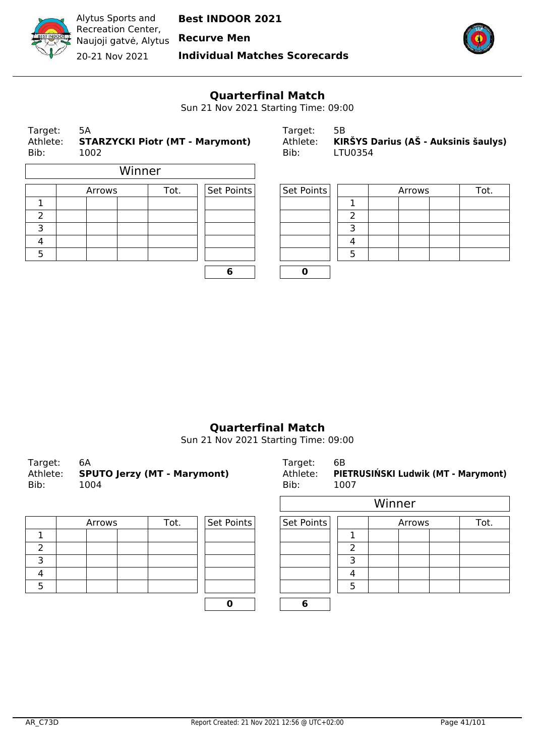

**Individual Matches Scorecards**



## **Quarterfinal Match**

Sun 21 Nov 2021 Starting Time: 09:00

| Target:<br>Athlete:<br>Bib: | 5А<br><b>STARZYCKI Piotr (MT - Marymont)</b><br>1002 |        |      | Target:<br>Athlete:<br>Bib: | 5B<br>LTU0354 |   | KIRŠYS Darius (AŠ - Auksinis šaulys) |      |
|-----------------------------|------------------------------------------------------|--------|------|-----------------------------|---------------|---|--------------------------------------|------|
|                             |                                                      | Winner |      |                             |               |   |                                      |      |
|                             | Arrows                                               |        | Tot. | Set Points                  | Set Points    |   | Arrows                               | Tot. |
|                             |                                                      |        |      |                             |               |   |                                      |      |
| $\overline{2}$              |                                                      |        |      |                             |               | っ |                                      |      |
| 3                           |                                                      |        |      |                             |               | З |                                      |      |
| 4                           |                                                      |        |      |                             |               | 4 |                                      |      |
| 5                           |                                                      |        |      |                             |               | 5 |                                      |      |

| b |  |
|---|--|

| Target:  | 5B                                   |
|----------|--------------------------------------|
| Athlete: | KIRŠYS Darius (AŠ - Auksinis šaulys) |
| Bib:     | LTU0354                              |

| Arrows | Tot. | Set Points | Set Points |  | Arrows | Tot. |
|--------|------|------------|------------|--|--------|------|
|        |      |            |            |  |        |      |
|        |      |            |            |  |        |      |
|        |      |            |            |  |        |      |
|        |      |            |            |  |        |      |
|        |      |            |            |  |        |      |
|        |      | w          |            |  |        |      |

#### **Quarterfinal Match**

Sun 21 Nov 2021 Starting Time: 09:00

| Target:<br>Bib: | 6A<br>Athlete: SPUTO Jerzy (MT - Marymont)<br>1004 | Target:<br>Athlete:<br>Bib: | 6В<br>PIETRUSIŃSKI Ludwik (MT - Marymont)<br>1007 |
|-----------------|----------------------------------------------------|-----------------------------|---------------------------------------------------|
|                 |                                                    |                             | Winner                                            |

| Arrows | Tot. | Set Points | Set Points |  |
|--------|------|------------|------------|--|
|        |      |            |            |  |
|        |      |            |            |  |
|        |      |            |            |  |
|        |      |            |            |  |
|        |      |            |            |  |
|        |      |            |            |  |

| Auliele.<br>Bib: | <b>PIETNOSINSKI LUUWIK (MT - MATYMONT)</b><br>1007 |
|------------------|----------------------------------------------------|
|                  | Winner                                             |
|                  |                                                    |

|        |      |            |            | . |        |      |
|--------|------|------------|------------|---|--------|------|
| Arrows | Tot. | Set Points | Set Points |   | Arrows | Tot. |
|        |      |            |            |   |        |      |
|        |      |            |            |   |        |      |
|        |      |            |            |   |        |      |
|        |      |            |            |   |        |      |
|        |      |            |            |   |        |      |
|        |      |            |            |   |        |      |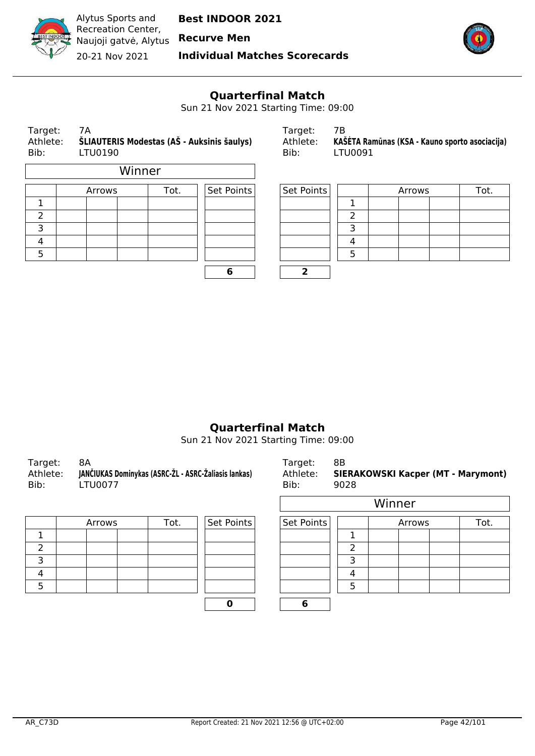

**Individual Matches Scorecards**



## **Quarterfinal Match**

Sun 21 Nov 2021 Starting Time: 09:00

| Target:<br>Athlete:<br>Bib: | 7Α<br>ŠLIAUTERIS Modestas (AŠ - Auksinis šaulys)<br>LTU0190 |        |      | Target:<br>Athlete:<br>Bib: | 7В<br>LTU0091 |    | KAŠĖTA Ramūnas (KSA - Kauno sporto asociacija) |      |
|-----------------------------|-------------------------------------------------------------|--------|------|-----------------------------|---------------|----|------------------------------------------------|------|
|                             |                                                             | Winner |      |                             |               |    |                                                |      |
|                             | Arrows                                                      |        | Tot. | Set Points                  | Set Points    |    | Arrows                                         | Tot. |
| 1                           |                                                             |        |      |                             |               |    |                                                |      |
| 2                           |                                                             |        |      |                             |               | ົາ |                                                |      |
| 3                           |                                                             |        |      |                             |               | З  |                                                |      |
| 4                           |                                                             |        |      |                             |               | 4  |                                                |      |
| 5                           |                                                             |        |      |                             |               | 5  |                                                |      |

| 6 | 7 |
|---|---|

| Target:  |                                                |
|----------|------------------------------------------------|
| Athlete: | KAŠĖTA Ramūnas (KSA - Kauno sporto asociacija) |
| Bib:     | LTU0091                                        |

| Arrows | Tot. | Set Points | Set Points |  | Arrows | Tot. |
|--------|------|------------|------------|--|--------|------|
|        |      |            |            |  |        |      |
|        |      |            |            |  |        |      |
|        |      |            |            |  |        |      |
|        |      |            |            |  |        |      |
|        |      |            |            |  |        |      |
|        |      | о          |            |  |        |      |

#### **Quarterfinal Match**

Sun 21 Nov 2021 Starting Time: 09:00

| Target:  | 8A                                                   | Target:  | 8B                                        |
|----------|------------------------------------------------------|----------|-------------------------------------------|
| Athlete: | JANČIUKAS Dominykas (ASRC-ŽL - ASRC-Žaliasis lankas) | Athlete: | <b>SIERAKOWSKI Kacper (MT - Marymont)</b> |
| Bib:     | LTU0077                                              | Bib:     | 9028                                      |
|          |                                                      |          | <i>Minner</i>                             |

| Arrows | Tot. | Set Points | Set Points |  |
|--------|------|------------|------------|--|
|        |      |            |            |  |
|        |      |            |            |  |
|        |      |            |            |  |
|        |      |            |            |  |
|        |      |            |            |  |
|        |      |            |            |  |

| FU0077 |      |            | Bib:       | 9028 |        |        |      |
|--------|------|------------|------------|------|--------|--------|------|
|        |      |            |            |      | Winner |        |      |
| Arrows | Tot. | Set Points | Set Points |      |        | Arrows | Tot. |
|        |      |            |            |      |        |        |      |
|        |      |            |            |      |        |        |      |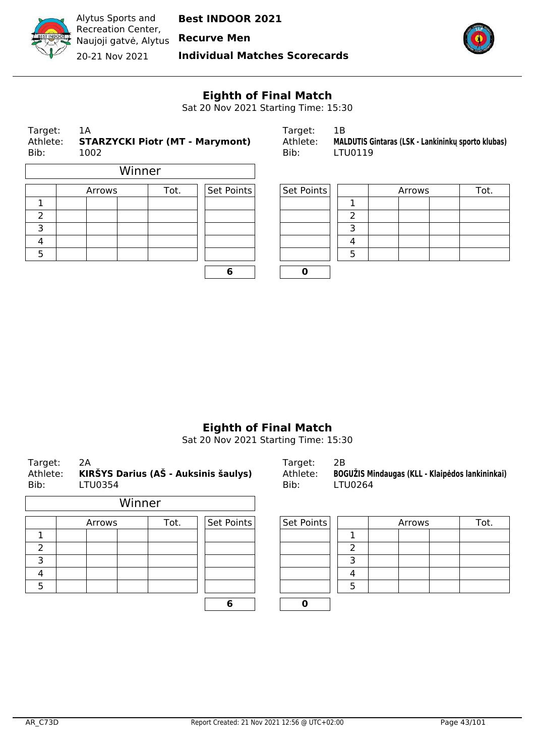

**Recurve Men**

**Individual Matches Scorecards**



# **Eighth of Final Match**

Sat 20 Nov 2021 Starting Time: 15:30

| Target:<br>Athlete:<br>Bib: |  | 1A<br>1002 |        | <b>STARZYCKI Piotr (MT - Marymont)</b> | Target:<br>Athlete:<br>Bib: | 1B<br>LTU0119 |  | MALDUTIS Gintaras (LSK - Lankininku sporto klubas) |      |
|-----------------------------|--|------------|--------|----------------------------------------|-----------------------------|---------------|--|----------------------------------------------------|------|
|                             |  |            | Winner |                                        |                             |               |  |                                                    |      |
|                             |  | Arrows     |        | Set Points<br>Tot.                     |                             | Set Points    |  | Arrows                                             | Tot. |
|                             |  |            |        |                                        |                             |               |  |                                                    |      |
| 2                           |  |            |        |                                        |                             |               |  |                                                    |      |
| 3                           |  |            |        |                                        |                             | ∍             |  |                                                    |      |

| 6 | n |
|---|---|
|   |   |

| Target.  |                                                    |
|----------|----------------------------------------------------|
| Athlete: | MALDUTIS Gintaras (LSK - Lankininku sporto klubas) |
| Bib:     | LTU0119                                            |

|   | Arrows | Tot. | Set Points | Set Points |   | Arrows |  | Tot. |
|---|--------|------|------------|------------|---|--------|--|------|
| ┻ |        |      |            |            |   |        |  |      |
| ∠ |        |      |            |            |   |        |  |      |
| 3 |        |      |            |            |   |        |  |      |
| 4 |        |      |            |            | 4 |        |  |      |
| 5 |        |      |            |            |   |        |  |      |
|   |        |      |            |            |   |        |  |      |

#### **Eighth of Final Match**

Sat 20 Nov 2021 Starting Time: 15:30

| 2A<br>Target:<br>Athlete:<br>KIRŠYS Darius (AŠ - Auksinis šaulys)<br>Bib:<br>LTU0354 |  |        |        |      |            |  | Target:<br>Athlete:<br>Bib: | 2B<br>LTU0264 |        | BOGUŽIS Mindaugas (KLL - Klaipėdos lankininkai) |
|--------------------------------------------------------------------------------------|--|--------|--------|------|------------|--|-----------------------------|---------------|--------|-------------------------------------------------|
|                                                                                      |  |        | Winner |      |            |  |                             |               |        |                                                 |
|                                                                                      |  | Arrows |        | Tot. | Set Points |  | Set Points                  |               | Arrows | Tot.                                            |
|                                                                                      |  |        |        |      |            |  |                             |               |        |                                                 |
| $\overline{\phantom{a}}$                                                             |  |        |        |      |            |  |                             | າ             |        |                                                 |
| 3                                                                                    |  |        |        |      |            |  |                             | 3             |        |                                                 |
| 4                                                                                    |  |        |        |      |            |  |                             | Δ             |        |                                                 |
|                                                                                      |  |        |        |      |            |  |                             |               |        |                                                 |

**6 0**

5 | | | | | | | | | | | 5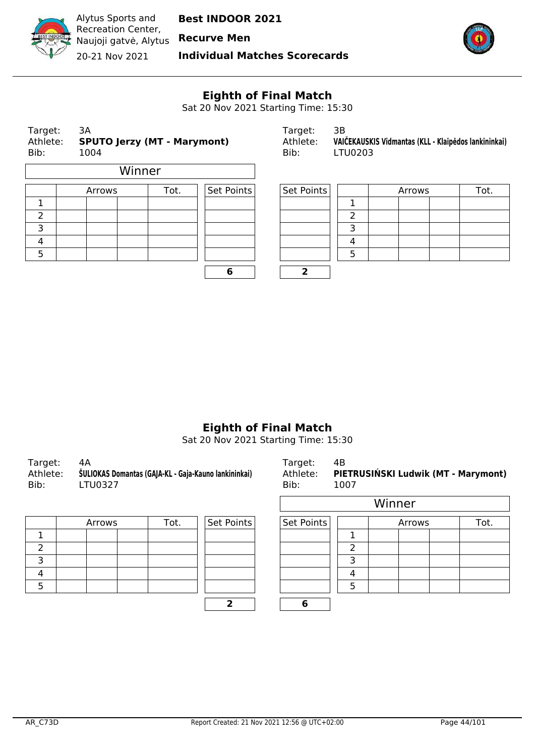

**Individual Matches Scorecards**



# **Eighth of Final Match**

Sat 20 Nov 2021 Starting Time: 15:30

| Target:<br>Athlete:<br>Bib: | 3A<br>1004 |        | <b>SPUTO Jerzy (MT - Marymont)</b> |            | Target:<br>Athlete:<br>Bib: |  | VAIČEKAUSK<br>LTU0203 |  |  | 3B |  |  |
|-----------------------------|------------|--------|------------------------------------|------------|-----------------------------|--|-----------------------|--|--|----|--|--|
|                             |            |        | Winner                             |            |                             |  |                       |  |  |    |  |  |
|                             |            | Arrows | Tot.                               | Set Points | Set Points                  |  |                       |  |  |    |  |  |
| 1                           |            |        |                                    |            |                             |  | 1                     |  |  |    |  |  |
| $\overline{2}$              |            |        |                                    |            |                             |  | $\overline{2}$        |  |  |    |  |  |
| 3                           |            |        |                                    |            |                             |  | 3                     |  |  |    |  |  |
| 4                           |            |        |                                    |            |                             |  | 4                     |  |  |    |  |  |
| 5                           |            |        |                                    |            |                             |  | 5                     |  |  |    |  |  |
|                             |            |        |                                    | 6          | 2                           |  |                       |  |  |    |  |  |

| Target: | - 3A                                        | Target:  |                                                      |
|---------|---------------------------------------------|----------|------------------------------------------------------|
|         | Athlete: <b>SPUTO Jerzy (MT - Marymont)</b> | Athlete: | VAIČEKAUSKIS Vidmantas (KLL - Klaipėdos lankininkai) |
| Bib:    | 1004                                        | Bib:     | LTU0203                                              |

| Arrows | Tot. | Set Points | Set Points |  | Arrows | Tot. |
|--------|------|------------|------------|--|--------|------|
|        |      |            |            |  |        |      |
|        |      |            |            |  |        |      |
|        |      |            |            |  |        |      |
|        |      |            |            |  |        |      |
|        |      |            |            |  |        |      |
|        |      |            |            |  |        |      |

## **Eighth of Final Match**

Sat 20 Nov 2021 Starting Time: 15:30

| Target:<br>Athlete:<br>Bib: | 4Α<br>ŠULIOKAS Domantas (GAJA-KL - Gaja-Kauno lankininkai)<br>LTU0327 | Target:<br>Bib: | - 4B<br>Athlete: PIETRUSIŃSKI Ludwik (MT - Marymont)<br>1007 |
|-----------------------------|-----------------------------------------------------------------------|-----------------|--------------------------------------------------------------|
|-----------------------------|-----------------------------------------------------------------------|-----------------|--------------------------------------------------------------|

| Arrows | Tot. | Set Points | Set Points |  |
|--------|------|------------|------------|--|
|        |      |            |            |  |
|        |      |            |            |  |
|        |      |            |            |  |
|        |      |            |            |  |
|        |      |            |            |  |
|        |      |            |            |  |

| <b>FU0327</b> |      |            | Bib:       | 1007 |        |        |      |
|---------------|------|------------|------------|------|--------|--------|------|
|               |      |            |            |      | Winner |        |      |
| Arrows        | Tot. | Set Points | Set Points |      |        | Arrows | Tot. |
|               |      |            |            |      |        |        |      |
|               |      |            |            |      |        |        |      |
|               |      |            |            |      |        |        |      |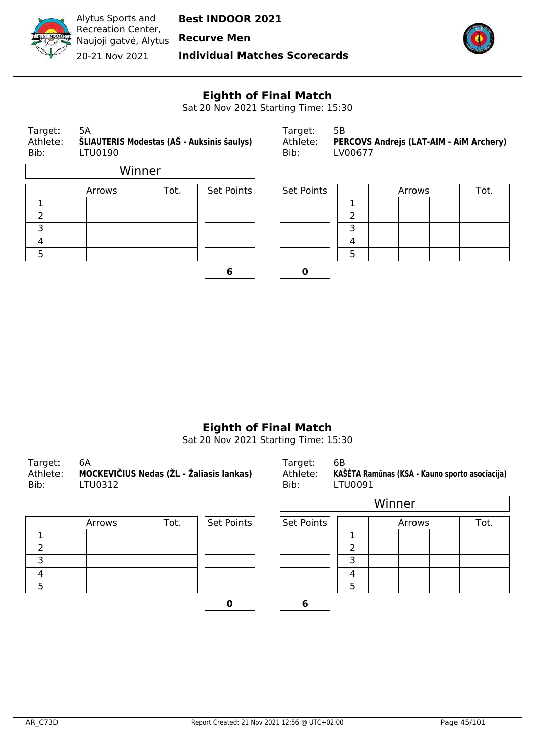

**Recurve Men**

**Individual Matches Scorecards**



# **Eighth of Final Match**

Sat 20 Nov 2021 Starting Time: 15:30

| 5Α<br>Target:<br>ŠLIAUTERIS Modestas (AŠ - Auksinis šaulys)<br>Athlete:<br>Bib:<br>LTU0190 |        |        |            | Target:<br>Athlete:<br>Bib: | 5B<br>PERCOVS Andrejs (LAT-AIM - AiM Archery)<br>LV00677 |        |  |      |  |
|--------------------------------------------------------------------------------------------|--------|--------|------------|-----------------------------|----------------------------------------------------------|--------|--|------|--|
|                                                                                            |        | Winner |            |                             |                                                          |        |  |      |  |
|                                                                                            | Arrows | Tot.   | Set Points | Set Points                  |                                                          | Arrows |  | Tot. |  |
|                                                                                            |        |        |            |                             |                                                          |        |  |      |  |
| 2                                                                                          |        |        |            |                             |                                                          |        |  |      |  |
| 3                                                                                          |        |        |            |                             |                                                          |        |  |      |  |
|                                                                                            |        |        |            |                             |                                                          |        |  |      |  |

| 6 | 0 |
|---|---|
|   |   |
|   |   |
|   |   |
|   |   |

| Target:  | 56.                                            |
|----------|------------------------------------------------|
| Athlete: | <b>PERCOVS Andrejs (LAT-AIM - AIM Archery)</b> |
| Bib:     | LV00677                                        |

|        | Arrows | Tot. | Set Points | Set Points |  | Arrows | Tot. |
|--------|--------|------|------------|------------|--|--------|------|
|        |        |      |            |            |  |        |      |
| ے      |        |      |            |            |  |        |      |
| ∍<br>⊃ |        |      |            |            |  |        |      |
| 4      |        |      |            |            |  |        |      |
|        |        |      |            |            |  |        |      |
|        |        |      |            |            |  |        |      |

## **Eighth of Final Match**

Sat 20 Nov 2021 Starting Time: 15:30

| Target:  | 6A                                       | Target:  | 6B                                             |
|----------|------------------------------------------|----------|------------------------------------------------|
| Athlete: | MOCKEVIČIUS Nedas (ŽL - Žaliasis lankas) | Athlete: | KAŠĖTA Ramūnas (KSA - Kauno sporto asociacija) |
| Bib:     | LTU0312                                  | Bib:     | LTU0091                                        |
|          |                                          |          |                                                |

| Arrows | Tot. | Set Points | Set Points |  |
|--------|------|------------|------------|--|
|        |      |            |            |  |
|        |      |            |            |  |
|        |      |            |            |  |
|        |      |            |            |  |
|        |      |            |            |  |
|        |      |            |            |  |

| .      |      |                              | - - - -    | - - - - - - - - |        |      |  |  |
|--------|------|------------------------------|------------|-----------------|--------|------|--|--|
|        |      |                              | Winner     |                 |        |      |  |  |
| Arrows | Tot. | $\sqrt{\mathsf{Set}}$ Points | Set Points |                 | Arrows | Tot. |  |  |
|        |      |                              |            |                 |        |      |  |  |
|        |      |                              |            | ∍               |        |      |  |  |
|        |      |                              |            | 3               |        |      |  |  |
|        |      |                              |            |                 |        |      |  |  |
|        |      |                              |            | 5               |        |      |  |  |
|        |      |                              |            |                 |        |      |  |  |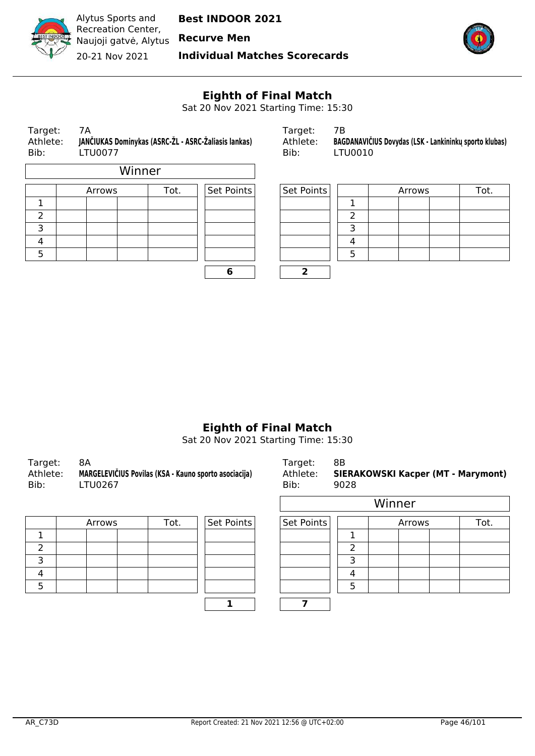

**Recurve Men**

**Individual Matches Scorecards**



# **Eighth of Final Match**

Sat 20 Nov 2021 Starting Time: 15:30

| Target:<br>Athlete:<br>Bib: | 7Α<br>JANČIUKAS Dominykas (ASRC-ŽL - ASRC-Žaliasis lankas)<br><b>LTU0077</b> |        |            | Target:<br>Athlete:<br>Bib: | 7В<br><b>BAGDANAVIČ</b><br>LTU0010 |
|-----------------------------|------------------------------------------------------------------------------|--------|------------|-----------------------------|------------------------------------|
|                             |                                                                              | Winner |            |                             |                                    |
|                             | Arrows                                                                       | Tot.   | Set Points | Set Points                  |                                    |
|                             |                                                                              |        |            |                             |                                    |
| $\mathcal{P}$               |                                                                              |        |            |                             | 2                                  |
| $\overline{\phantom{0}}$    |                                                                              |        |            |                             | ∍                                  |

| 6 | 2 |
|---|---|
|   |   |
|   |   |
|   |   |
|   |   |

| Target:  |                                                      | Tardet:  |                                                        |
|----------|------------------------------------------------------|----------|--------------------------------------------------------|
| Athlete: | JANČIUKAS Dominykas (ASRC-ŽL - ASRC-Žaliasis lankas) | Athlete: | BAGDANAVIČIUS Dovydas (LSK - Lankininkų sporto klubas) |
| Bib:     | LTU0077                                              | Bib:     | LTU0010                                                |

|   | Arrows | Tot. | Set Points | Set Points |  | Arrows | Tot. |
|---|--------|------|------------|------------|--|--------|------|
|   |        |      |            |            |  |        |      |
| ے |        |      |            |            |  |        |      |
| ∍ |        |      |            |            |  |        |      |
| 4 |        |      |            |            |  |        |      |
|   |        |      |            |            |  |        |      |
|   |        |      | o          |            |  |        |      |

## **Eighth of Final Match**

Sat 20 Nov 2021 Starting Time: 15:30

| Target:<br>Athlete:<br>Bib: | - 8A<br>MARGELEVIČIUS Povilas (KSA - Kauno sporto asociacija)<br>LTU0267 | Target: 8B<br>Bib: | Athlete: SIERAKOWSKI Kacper (MT - Marymont)<br>9028 |
|-----------------------------|--------------------------------------------------------------------------|--------------------|-----------------------------------------------------|
|-----------------------------|--------------------------------------------------------------------------|--------------------|-----------------------------------------------------|

| Arrows | Tot. | Set Points | Set Points |  |
|--------|------|------------|------------|--|
|        |      |            |            |  |
|        |      |            |            |  |
|        |      |            |            |  |
|        |      |            |            |  |
|        |      |            |            |  |
|        |      |            |            |  |

| <b>TU0267</b> |      | .          | Bib:       | 9028 |        |        | . . | - -  |
|---------------|------|------------|------------|------|--------|--------|-----|------|
|               |      |            |            |      | Winner |        |     |      |
| Arrows        | Tot. | Set Points | Set Points |      |        | Arrows |     | Tot. |
|               |      |            |            |      |        |        |     |      |
|               |      |            |            |      |        |        |     |      |
|               |      |            |            |      |        |        |     |      |
|               |      |            |            |      |        |        |     |      |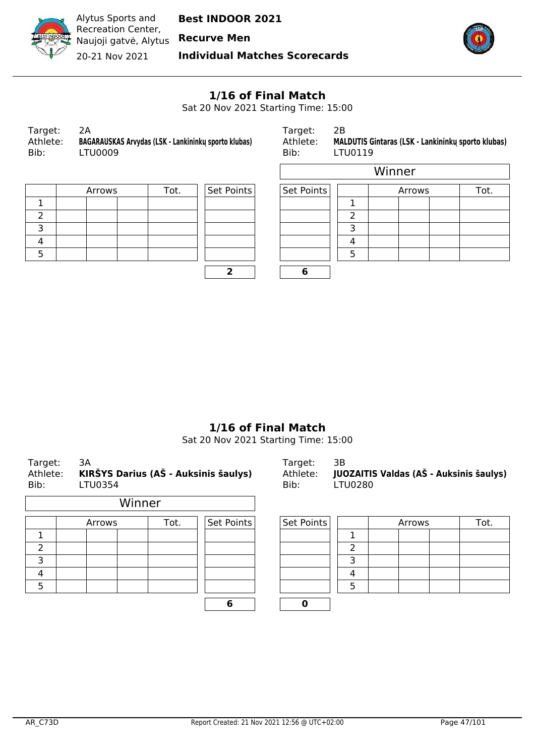

Alytus Sports and Recreation Center, Naujoji gatvė, Alytus 20-21 Nov 2021

**Best INDOOR 2021**

**Recurve Men**

**Individual Matches Scorecards**



#### **1/16 of Final Match**

Sat 20 Nov 2021 Starting Time: 15:00

| Target:  | 2A                                                   |
|----------|------------------------------------------------------|
| Athlete: | BAGARAUSKAS Arvydas (LSK - Lankininku sporto klubas) |
| Bib:     | LTU0009                                              |

Target: 2B Athlete: **MALDUTIS Gintaras (LSK - Lankininkų sporto klubas)**<br>Bib: LTU0119 LTU0119

|  | Arrows | Tot. | Set Points | Set Points |  |
|--|--------|------|------------|------------|--|
|  |        |      |            |            |  |
|  |        |      |            |            |  |
|  |        |      |            |            |  |
|  |        |      |            |            |  |
|  |        |      |            |            |  |

| Set Points | Set Po |
|------------|--------|
|            |        |
|            |        |
|            |        |
|            |        |
|            |        |
|            |        |
| 2          |        |

|        |      |            |            |   | Winner |      |
|--------|------|------------|------------|---|--------|------|
| Arrows | Tot. | Set Points | Set Points |   | Arrows | Tot. |
|        |      |            |            |   |        |      |
|        |      |            |            |   |        |      |
|        |      |            |            |   |        |      |
|        |      |            |            |   |        |      |
|        |      |            |            | Б |        |      |
|        |      |            | 6          |   |        |      |

## **1/16 of Final Match**

Sat 20 Nov 2021 Starting Time: 15:00

| Target:<br>Athlete:<br>Bib: | 3A<br>LTU0354 | KIRŠYS Darius (AŠ - Auksinis šaulys) |            | Target:<br>Athlete:<br>Bib: | 3B<br>LTU0280 | JUOZAITIS Valdas (AŠ - Auksinis šaulys) |      |
|-----------------------------|---------------|--------------------------------------|------------|-----------------------------|---------------|-----------------------------------------|------|
|                             |               | Winner                               |            |                             |               |                                         |      |
|                             | Arrows        | Tot.                                 | Set Points | Set Points                  |               | Arrows                                  | Tot. |
| 1                           |               |                                      |            |                             | 1             |                                         |      |
| $\overline{2}$              |               |                                      |            |                             | 2             |                                         |      |
| 3                           |               |                                      |            |                             | 3             |                                         |      |
| 4                           |               |                                      |            |                             | 4             |                                         |      |
| 5                           |               |                                      |            |                             | 5             |                                         |      |

**6 0**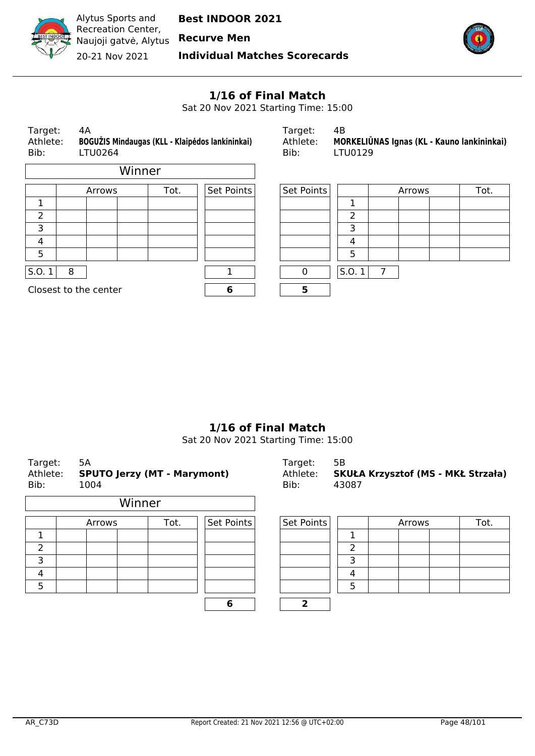

**Individual Matches Scorecards**



# **1/16 of Final Match**

Sat 20 Nov 2021 Starting Time: 15:00

| 4A<br>Target:<br>BOGUŽIS Mindaugas (KLL - Klaipėdos lankininkai)<br>Athlete:<br>Bib:<br>LTU0264 |                       |        | Target:<br>Athlete:<br>Bib: | 4B<br>MORKELIŪNAS Ignas (KL - Kauno lankininkai)<br>LTU0129 |       |   |        |      |
|-------------------------------------------------------------------------------------------------|-----------------------|--------|-----------------------------|-------------------------------------------------------------|-------|---|--------|------|
|                                                                                                 |                       | Winner |                             |                                                             |       |   |        |      |
|                                                                                                 | Arrows                | Tot.   | Set Points                  | Set Points                                                  |       |   | Arrows | Tot. |
| 1                                                                                               |                       |        |                             |                                                             | 1     |   |        |      |
| $\overline{2}$                                                                                  |                       |        |                             |                                                             | 2     |   |        |      |
| 3                                                                                               |                       |        |                             |                                                             | 3     |   |        |      |
| 4                                                                                               |                       |        |                             |                                                             | 4     |   |        |      |
| 5                                                                                               |                       |        |                             |                                                             | 5     |   |        |      |
| S.0.1                                                                                           | 8                     |        |                             | 0                                                           | S.0.1 | 7 |        |      |
|                                                                                                 | Closest to the center |        | 6                           | 5                                                           |       |   |        |      |
|                                                                                                 |                       |        |                             |                                                             |       |   |        |      |

#### **1/16 of Final Match**

Sat 20 Nov 2021 Starting Time: 15:00

| Target:<br>Athlete:<br>Bib: | 5A<br><b>SPUTO Jerzy (MT - Marymont)</b><br>1004 |        |      | Target:<br>Athlete:<br>Bib: | 5B<br>43087 |   | SKUŁA Krzysztof (MS - MKŁ Strzała) |      |
|-----------------------------|--------------------------------------------------|--------|------|-----------------------------|-------------|---|------------------------------------|------|
|                             |                                                  | Winner |      |                             |             |   |                                    |      |
|                             | Arrows                                           |        | Tot. | Set Points                  | Set Points  |   | Arrows                             | Tot. |
| 1                           |                                                  |        |      |                             |             |   |                                    |      |
| 2                           |                                                  |        |      |                             |             | 2 |                                    |      |
| 3                           |                                                  |        |      |                             |             | 3 |                                    |      |
| $\overline{4}$              |                                                  |        |      |                             |             | 4 |                                    |      |
| 5                           |                                                  |        |      |                             |             | 5 |                                    |      |
|                             |                                                  |        |      | 6                           | 2           |   |                                    |      |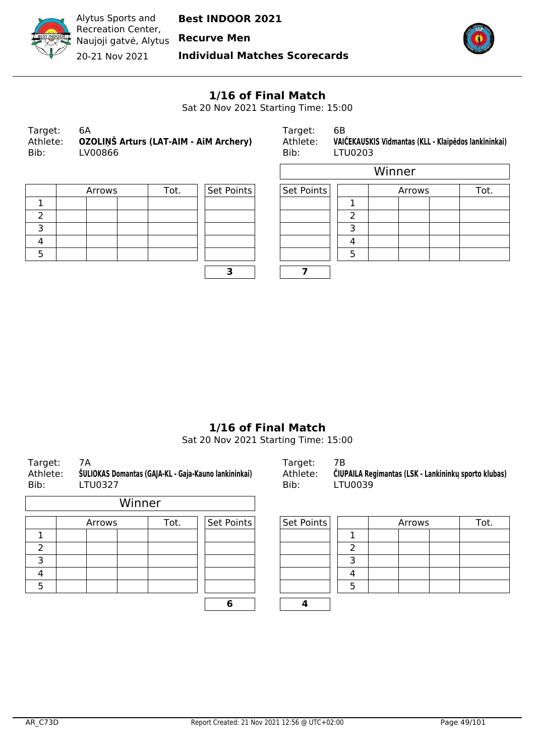

**Recurve Men**

**Individual Matches Scorecards**



#### **1/16 of Final Match**

Sat 20 Nov 2021 Starting Time: 15:00

| Target:<br>Bib: | 6А<br>Athlete: OZOLINŠ Arturs (LAT-AIM - AIM Archery)<br>LV00866 |
|-----------------|------------------------------------------------------------------|
|                 |                                                                  |
|                 |                                                                  |

Target: 6B Athlete: **VAIČEKAUSKIS Vidmantas (KLL - Klaipėdos lankininkai)**<br>Bib: LTU0203 LTU0203

| Arrows | Tot. | Set Points | Set Points |  |
|--------|------|------------|------------|--|
|        |      |            |            |  |
|        |      |            |            |  |
|        |      |            |            |  |
|        |      |            |            |  |
|        |      |            |            |  |
|        |      |            |            |  |

|        |      |            |            |   | Winner |      |
|--------|------|------------|------------|---|--------|------|
| Arrows | Tot. | Set Points | Set Points |   | Arrows | Tot. |
|        |      |            |            |   |        |      |
|        |      |            |            | ∍ |        |      |
|        |      |            |            |   |        |      |
|        |      |            |            |   |        |      |
|        |      |            |            | 5 |        |      |
|        |      |            |            |   |        |      |

#### **1/16 of Final Match**

Sat 20 Nov 2021 Starting Time: 15:00

| Target:<br>Athlete:<br>Bib: | 7A<br>ŠULIOKAS Domantas (GAJA-KL - Gaja-Kauno lankininkai)<br>LTU0327 |        |        |      |            | Target:<br>Athlete:<br>Bib: | 7B | <b>ČIUPAILA Re</b><br>LTU0039 |  |
|-----------------------------|-----------------------------------------------------------------------|--------|--------|------|------------|-----------------------------|----|-------------------------------|--|
|                             |                                                                       |        | Winner |      |            |                             |    |                               |  |
|                             |                                                                       | Arrows |        | Tot. | Set Points | Set Points                  |    |                               |  |
| 1                           |                                                                       |        |        |      |            |                             |    |                               |  |
| 2                           |                                                                       |        |        |      |            |                             |    | 2                             |  |
| 3                           |                                                                       |        |        |      |            |                             |    | 3                             |  |
| 4                           |                                                                       |        |        |      |            |                             |    | 4                             |  |
| 5                           |                                                                       |        |        |      |            |                             |    | 5                             |  |

Arrows Tot. Set Points Set Points Arrows Tot.

| 6 |  |  |  |  |
|---|--|--|--|--|
|   |  |  |  |  |
|   |  |  |  |  |
|   |  |  |  |  |
|   |  |  |  |  |
|   |  |  |  |  |

Athlete: **ŠULIOKAS Domantas (GAJA-KL - Gaja-Kauno lankininkai)** Athlete: **ČIUPAILA Regimantas (LSK - Lankininkų sporto klubas)**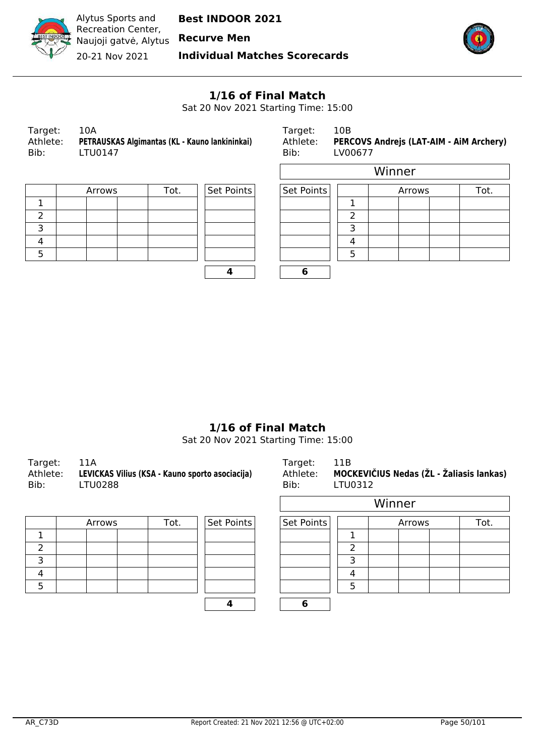

Alytus Sports and Recreation Center, Naujoji gatvė, Alytus **Recurve Men** 20-21 Nov 2021

**Best INDOOR 2021**

**Individual Matches Scorecards**



 $\overline{\phantom{0}}$ 

#### **1/16 of Final Match**

Sat 20 Nov 2021 Starting Time: 15:00

| Target:  | 10A                                            | Tarı |
|----------|------------------------------------------------|------|
| Athlete: | PETRAUSKAS Algimantas (KL - Kauno lankininkai) | Ath  |
| Bib:     | LTU0147                                        | Bib: |
|          |                                                |      |

Target: 10B<br>Athlete: **PER(** Athlete: **PERCOVS Andrejs (LAT-AIM - AiM Archery)**<br>Bib: LV00677 LV00677

| Arrows | Tot. | Set Points | Set Points |  |
|--------|------|------------|------------|--|
|        |      |            |            |  |
|        |      |            |            |  |
|        |      |            |            |  |
|        |      |            |            |  |
|        |      |            |            |  |
|        |      |            |            |  |

| Set Points | Set Po |
|------------|--------|
|            |        |
|            |        |
|            |        |
|            |        |
|            |        |
|            |        |

|        |      |            |            |   | Winner |      |
|--------|------|------------|------------|---|--------|------|
| Arrows | Tot. | Set Points | Set Points |   | Arrows | Tot. |
|        |      |            |            |   |        |      |
|        |      |            |            | ົ |        |      |
|        |      |            |            | ∍ |        |      |
|        |      |            |            | Δ |        |      |
|        |      |            |            | 5 |        |      |
|        |      |            | 6          |   |        |      |

#### **1/16 of Final Match**

Sat 20 Nov 2021 Starting Time: 15:00

| Target:<br>Athlete:<br>Bib: | 11A<br>LEVICKAS Vilius (KSA - Kauno sporto asociacija)<br>LTU0288 | Target:<br>Bib: | -11B<br>Athlete: MOCKEVIČIUS Nedas (ŽL - Žaliasis lankas)<br>LTU0312 |
|-----------------------------|-------------------------------------------------------------------|-----------------|----------------------------------------------------------------------|
|                             |                                                                   |                 | $\mathbf{A}$                                                         |

|  | Arrows |  | Set Points<br>Tot. |  | Set Points |  |
|--|--------|--|--------------------|--|------------|--|
|  |        |  |                    |  |            |  |
|  |        |  |                    |  |            |  |
|  |        |  |                    |  |            |  |
|  |        |  |                    |  |            |  |
|  |        |  |                    |  |            |  |
|  |        |  |                    |  |            |  |

| <b>UUZ88</b> |      |            | BID:       | LIUU312 |        |      |  |  |
|--------------|------|------------|------------|---------|--------|------|--|--|
|              |      |            | Winner     |         |        |      |  |  |
| Arrows       | Tot. | Set Points | Set Points |         | Arrows | Tot. |  |  |
|              |      |            |            |         |        |      |  |  |
|              |      |            |            | 2       |        |      |  |  |
|              |      |            |            | 3       |        |      |  |  |
|              |      |            |            | Λ       |        |      |  |  |
|              |      |            |            | 5       |        |      |  |  |
|              |      |            | 6          |         |        |      |  |  |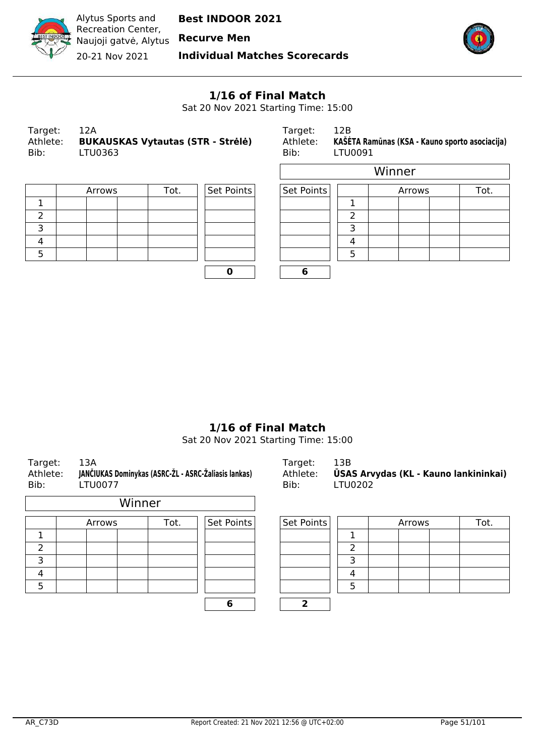

**Recurve Men**

**Individual Matches Scorecards**



 $\overline{\phantom{a}}$ 

#### **1/16 of Final Match**

Sat 20 Nov 2021 Starting Time: 15:00

 $\Gamma$ 

| Target:  | 12A                                      |
|----------|------------------------------------------|
| Athlete: | <b>BUKAUSKAS Vytautas (STR - Strėlė)</b> |
| Bib:     | LTU0363                                  |
|          |                                          |

Target: 12B Athlete: **KAŠĖTA Ramūnas (KSA - Kauno sporto asociacija)** <br>Bib: LTU0091 LTU0091

| Arrows | Tot. | Set Points | Set Points |  |
|--------|------|------------|------------|--|
|        |      |            |            |  |
|        |      |            |            |  |
|        |      |            |            |  |
|        |      |            |            |  |
|        |      |            |            |  |
|        |      |            |            |  |

|        |      |            |            | Winner |        |      |  |  |  |  |
|--------|------|------------|------------|--------|--------|------|--|--|--|--|
| Arrows | Tot. | Set Points | Set Points |        | Arrows | Tot. |  |  |  |  |
|        |      |            |            |        |        |      |  |  |  |  |
|        |      |            |            |        |        |      |  |  |  |  |
|        |      |            |            | っ      |        |      |  |  |  |  |
|        |      |            |            |        |        |      |  |  |  |  |
|        |      |            |            | 5      |        |      |  |  |  |  |
|        |      |            | О          |        |        |      |  |  |  |  |

#### **1/16 of Final Match**

Sat 20 Nov 2021 Starting Time: 15:00

| Target:<br>Athlete:<br>Bib: | 13A<br>JANČIUKAS Dominykas (ASRC-ŽL - ASRC-Žaliasis lankas)<br>LTU0077 |        |            | Target:<br>Athlete:<br>Bib: | 13B<br><b>ŪSAS Arvydas (KL - Kauno lankininkai)</b><br>LTU0202 |        |      |  |  |  |
|-----------------------------|------------------------------------------------------------------------|--------|------------|-----------------------------|----------------------------------------------------------------|--------|------|--|--|--|
|                             |                                                                        | Winner |            |                             |                                                                |        |      |  |  |  |
|                             | Arrows                                                                 | Tot.   | Set Points | Set Points                  |                                                                | Arrows | Tot. |  |  |  |
|                             |                                                                        |        |            |                             |                                                                |        |      |  |  |  |
| 2                           |                                                                        |        |            |                             | 2                                                              |        |      |  |  |  |
| 3                           |                                                                        |        |            |                             | 3                                                              |        |      |  |  |  |
| 4                           |                                                                        |        |            |                             | 4                                                              |        |      |  |  |  |
| 5                           |                                                                        |        |            |                             | 5                                                              |        |      |  |  |  |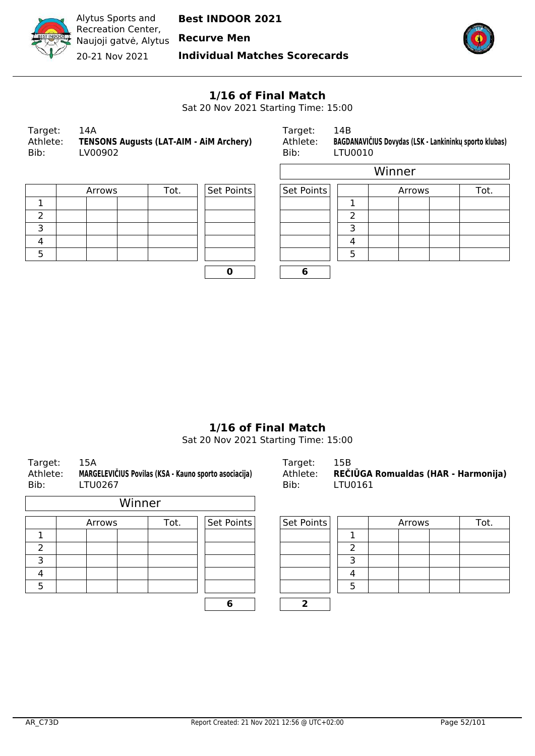

Alytus Sports and Recreation Center, Naujoji gatvė, Alytus 20-21 Nov 2021

**Best INDOOR 2021**

**Recurve Men**

**Individual Matches Scorecards**



l,

#### **1/16 of Final Match**

Sat 20 Nov 2021 Starting Time: 15:00

 $\Gamma$ 

| Target:  | 14A                                            |
|----------|------------------------------------------------|
| Athlete: | <b>TENSONS Augusts (LAT-AIM - AIM Archery)</b> |
| Bib:     | LV00902                                        |

Target: 14B Athlete: **BAGDANAVIČIUS Dovydas (LSK - Lankininkų sporto klubas)**<br>Bib: LTU0010 LTU0010

| Arrows | Tot. | Set Points | Set Points |  |
|--------|------|------------|------------|--|
|        |      |            |            |  |
|        |      |            |            |  |
|        |      |            |            |  |
|        |      |            |            |  |
|        |      |            |            |  |
|        |      |            |            |  |

|        |      |            |            | Winner |        |      |  |  |  |  |
|--------|------|------------|------------|--------|--------|------|--|--|--|--|
| Arrows | Tot. | Set Points | Set Points |        | Arrows | Tot. |  |  |  |  |
|        |      |            |            |        |        |      |  |  |  |  |
|        |      |            |            | ำ      |        |      |  |  |  |  |
|        |      |            |            | っ      |        |      |  |  |  |  |
|        |      |            |            | 4      |        |      |  |  |  |  |
|        |      |            |            |        |        |      |  |  |  |  |
|        |      |            | 6          |        |        |      |  |  |  |  |

#### **1/16 of Final Match**

Sat 20 Nov 2021 Starting Time: 15:00

| Athlete:<br>Bib: | MARGELEVIČIUS Povilas (KSA - Kauno sporto asociacija)<br>LTU0267 |        |            | Athlete:<br>Bib: | REČIŪGA Romualdas (HAR - Harmon<br>LTU0161 |        |      |  |  |
|------------------|------------------------------------------------------------------|--------|------------|------------------|--------------------------------------------|--------|------|--|--|
|                  |                                                                  | Winner |            |                  |                                            |        |      |  |  |
|                  | Arrows                                                           | Tot.   | Set Points | Set Points       |                                            | Arrows | Tot. |  |  |
|                  |                                                                  |        |            |                  |                                            |        |      |  |  |
| 2                |                                                                  |        |            |                  | າ                                          |        |      |  |  |
| 3                |                                                                  |        |            |                  | 3                                          |        |      |  |  |
| 4                |                                                                  |        |            |                  | 4                                          |        |      |  |  |
| 5                |                                                                  |        |            |                  | 5                                          |        |      |  |  |
|                  |                                                                  |        | 6          |                  |                                            |        |      |  |  |

Target: 15A Target: 15B **aldas (HAR - Harmonija)**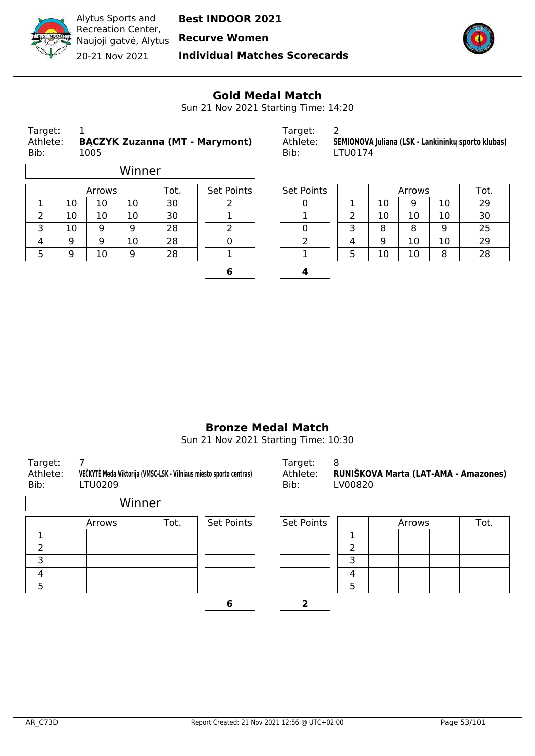

20-21 Nov 2021

**Individual Matches Scorecards**



#### **Gold Medal Match**

Sun 21 Nov 2021 Starting Time: 14:20

| Target:<br>Athlete:<br>Bib: | <b>BACZYK Zuzanna (MT - Marymont)</b><br>1005 | Target:<br>Athlete:<br>Bib: | -2<br>-SI |
|-----------------------------|-----------------------------------------------|-----------------------------|-----------|
|                             | \ A I !                                       |                             |           |

|                | Winner |            |                   |    |   |        |   |     |    |    |    |
|----------------|--------|------------|-------------------|----|---|--------|---|-----|----|----|----|
| Tot.<br>Arrows |        | Set Points | <b>Set Points</b> |    |   | Arrows |   | Tot |    |    |    |
|                | 10     | 10         | 10                | 30 |   |        |   | 10  | 9  | 10 | 29 |
|                | 10     | 10         | 10                | 30 |   |        |   | 10  | 10 | 10 | 30 |
| 3              | 10     | 9          | 9                 | 28 |   |        |   | 8   | 8  | 9  | 25 |
| 4              | 9      | 9          | 10                | 28 |   |        | 4 | 9   | 10 | 10 | 29 |
| 5              | 9      | 10         | 9                 | 28 |   |        |   | 10  | 10 | 8  | 28 |
|                |        |            |                   |    | c | л      |   |     |    |    |    |

| Target:  |                                                    |
|----------|----------------------------------------------------|
| Athlete: | SEMIONOVA Juliana (LSK - Lankininku sporto klubas) |
| Bib:     | LTU0174                                            |

| Arrows |    | Tot. | Set Points | Set Points |  | Arrows |    |    | Tot. |
|--------|----|------|------------|------------|--|--------|----|----|------|
| 10     | 10 | 30   |            |            |  | 10     | 9  | 10 | 29   |
| 10     | 10 | 30   |            |            |  | 10     | 10 | 10 | 30   |
| 9      | 9  | 28   |            |            |  | 8      | 8  | 9  | 25   |
| 9      | 10 | 28   |            |            |  | 9      | 10 | 10 | 29   |
| 10     | 9  | 28   |            |            |  | 10     | 10 | 8  | 28   |
|        |    |      |            |            |  |        |    |    |      |

#### **Bronze Medal Match**

Sun 21 Nov 2021 Starting Time: 10:30

| Athlete:<br>Bib: | <b>LTU0209</b> |        | VECKYTE Meda Viktorija (VMSC-LSK - Vilniaus miesto sporto centras) | Athlete:<br>Bib: | <b>RUNI</b><br>LV00 |
|------------------|----------------|--------|--------------------------------------------------------------------|------------------|---------------------|
|                  |                | Winner |                                                                    |                  |                     |
|                  | Arrows         | Tot.   | Set Points                                                         | Set Points       |                     |
|                  |                |        |                                                                    |                  | 1                   |
|                  |                |        |                                                                    |                  | 2                   |
|                  |                |        |                                                                    |                  | 3                   |
|                  |                |        |                                                                    |                  | 4                   |
|                  |                |        |                                                                    |                  | 5                   |

Target: 7 Target: 8 Athlete: **RUNIŠKOVA Marta (LAT-AMA - Amazones)** Bib: LV00820

| Arrows | Tot. | Set Points | Set Points |  | Arrows | Tot. |
|--------|------|------------|------------|--|--------|------|
|        |      |            |            |  |        |      |
|        |      |            |            |  |        |      |
|        |      |            |            |  |        |      |
|        |      |            |            |  |        |      |
|        |      |            |            |  |        |      |
|        |      |            |            |  |        |      |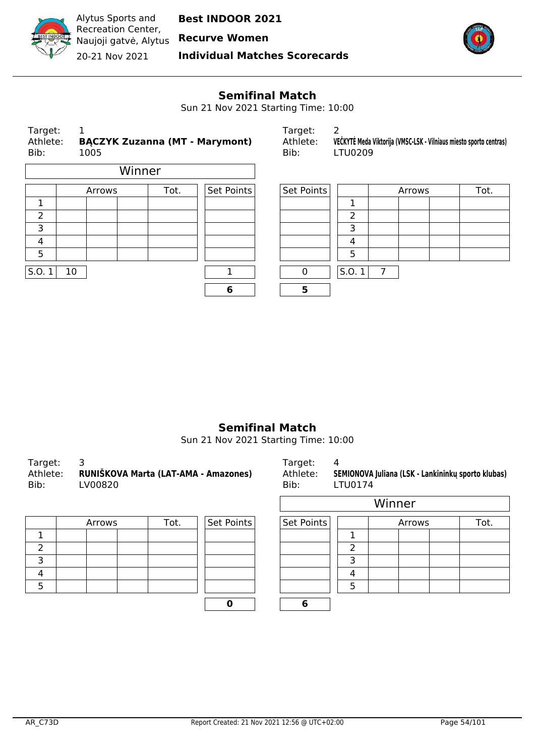

20-21 Nov 2021

**Individual Matches Scorecards**



#### **Semifinal Match**

Sun 21 Nov 2021 Starting Time: 10:00

| Target:<br>Athlete:<br>Bib: | 1               | 1005   |  |      | <b>BACZYK Zuzanna (MT - Marymont)</b> | Target:<br>Athlete:<br>Bib: | 2     | VEČKYTĖ Meda Viktorija (VMSC-LSK - Vilniaus miesto sporto centras)<br>LTU0209 |        |  |      |
|-----------------------------|-----------------|--------|--|------|---------------------------------------|-----------------------------|-------|-------------------------------------------------------------------------------|--------|--|------|
| Winner                      |                 |        |  |      |                                       |                             |       |                                                                               |        |  |      |
|                             |                 | Arrows |  | Tot. | Set Points                            | Set Points                  |       |                                                                               | Arrows |  | Tot. |
| 1                           |                 |        |  |      |                                       |                             | 1     |                                                                               |        |  |      |
| $\overline{2}$              |                 |        |  |      |                                       |                             | 2     |                                                                               |        |  |      |
| 3                           |                 |        |  |      |                                       |                             | 3     |                                                                               |        |  |      |
| 4                           |                 |        |  |      |                                       |                             | 4     |                                                                               |        |  |      |
| 5                           |                 |        |  |      |                                       |                             | 5     |                                                                               |        |  |      |
| S.O.1                       | 10 <sup>°</sup> |        |  |      |                                       | $\mathbf 0$                 | S.0.1 | 7                                                                             |        |  |      |
|                             |                 |        |  |      | 6                                     | 5                           |       |                                                                               |        |  |      |
|                             |                 |        |  |      |                                       |                             |       |                                                                               |        |  |      |

#### **Semifinal Match**

Sun 21 Nov 2021 Starting Time: 10:00

| Target:<br>Athlete:<br>Bib: | RUNIŠKOVA Marta (LAT-AMA - Amazones)<br>LV00820 | Target:<br>Athlete:<br>Bib: | 4<br>SEMIONOVA Juliana (LSK - Lankininku sporto klubas)<br>LTU0174 |
|-----------------------------|-------------------------------------------------|-----------------------------|--------------------------------------------------------------------|
|                             |                                                 |                             | $111: -22$                                                         |

| Arrows | Set Points<br>Set Points |  |  |
|--------|--------------------------|--|--|
|        |                          |  |  |
|        |                          |  |  |
|        |                          |  |  |
|        |                          |  |  |
|        |                          |  |  |
|        |                          |  |  |

| .      |      |            | ----       | ------         |        |      |  |  |  |  |
|--------|------|------------|------------|----------------|--------|------|--|--|--|--|
|        |      |            | Winner     |                |        |      |  |  |  |  |
| Arrows | Tot. | Set Points | Set Points |                | Arrows | Tot. |  |  |  |  |
|        |      |            |            | 1              |        |      |  |  |  |  |
|        |      |            |            | $\overline{2}$ |        |      |  |  |  |  |
|        |      |            |            | 3              |        |      |  |  |  |  |
|        |      |            |            | 4              |        |      |  |  |  |  |
|        |      |            |            | 5              |        |      |  |  |  |  |
|        |      |            | 6          |                |        |      |  |  |  |  |
|        |      |            |            |                |        |      |  |  |  |  |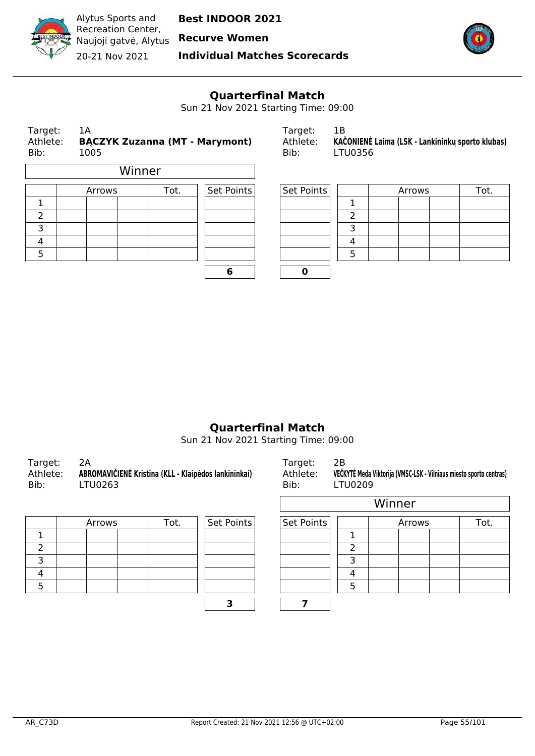

 $\mathbf{L}$ 

**Best INDOOR 2021**

20-21 Nov 2021

**Individual Matches Scorecards**



## **Quarterfinal Match**

Sun 21 Nov 2021 Starting Time: 09:00

| Target:<br>Athlete:<br>Bib: |  | 1A<br>1005 | Target:<br>Athlete:<br><b>BĄCZYK Zuzanna (MT - Marymont)</b><br>Bib: |                    | 1B<br>KAČONIENĖ Laima (LSK - Lankininkų sporto klubas)<br>LTU0356 |            |    |  |        |  |      |
|-----------------------------|--|------------|----------------------------------------------------------------------|--------------------|-------------------------------------------------------------------|------------|----|--|--------|--|------|
|                             |  |            | Winner                                                               |                    |                                                                   |            |    |  |        |  |      |
|                             |  | Arrows     |                                                                      | Set Points<br>Tot. |                                                                   | Set Points |    |  | Arrows |  | Tot. |
|                             |  |            |                                                                      |                    |                                                                   |            |    |  |        |  |      |
| 2                           |  |            |                                                                      |                    |                                                                   |            | າ  |  |        |  |      |
| 3                           |  |            |                                                                      |                    |                                                                   |            | 3  |  |        |  |      |
| 4                           |  |            |                                                                      |                    |                                                                   |            | 4  |  |        |  |      |
| п.                          |  |            |                                                                      |                    |                                                                   |            | п. |  |        |  |      |

| 6 |  |
|---|--|

| Target:  |                                                  |
|----------|--------------------------------------------------|
| Athlete: | KAČONIENĖ Laima (LSK - Lankininkų sporto klubas) |
| Bib:     | LTU0356                                          |

|        | Arrows | Tot. | Set Points | Set Points |  | Arrows |  |  |
|--------|--------|------|------------|------------|--|--------|--|--|
|        |        |      |            |            |  |        |  |  |
| ے      |        |      |            |            |  |        |  |  |
| ∍<br>⊃ |        |      |            |            |  |        |  |  |
| 4      |        |      |            |            |  |        |  |  |
| 5      |        |      |            |            |  |        |  |  |
|        |        |      |            |            |  |        |  |  |

#### **Quarterfinal Match**

Sun 21 Nov 2021 Starting Time: 09:00

| Target: 2A<br>Athlete:<br>Bib: | ABROMAVIČIENĖ Kristina (KLL - Klaipėdos lankininkai)<br>LTU0263 | Target:<br>Athlete:<br>Bib: | - 2B<br>VEČKYTĖ Meda Viktorija (VMSC-LSK - Vilniaus m<br>LTU0209 |
|--------------------------------|-----------------------------------------------------------------|-----------------------------|------------------------------------------------------------------|
|--------------------------------|-----------------------------------------------------------------|-----------------------------|------------------------------------------------------------------|

| Set Points<br>Tot.<br>Arrows |  | Set Points |  |  |
|------------------------------|--|------------|--|--|
|                              |  |            |  |  |
|                              |  |            |  |  |
|                              |  |            |  |  |
|                              |  |            |  |  |
|                              |  |            |  |  |
|                              |  |            |  |  |

| FU0263 |      | ROMAVIČIENĖ Kristina (KLL - Klaipėdos lankininkai) | Athlete:<br>Bib: | <b>LTU0209</b> |        |        | VEČKYTĖ Meda Viktorija (VMSC-LSK - Vilniaus miesto sporto centras) |
|--------|------|----------------------------------------------------|------------------|----------------|--------|--------|--------------------------------------------------------------------|
|        |      |                                                    |                  |                | Winner |        |                                                                    |
| Arrows | Tot. | Set Points                                         | Set Points       |                |        | Arrows | Tot.                                                               |
|        |      |                                                    |                  |                |        |        |                                                                    |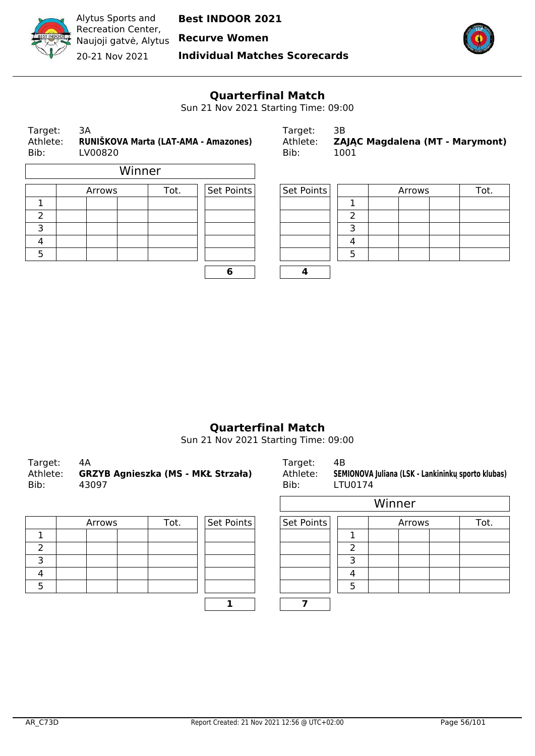

20-21 Nov 2021

**Individual Matches Scorecards**



## **Quarterfinal Match**

Sun 21 Nov 2021 Starting Time: 09:00

| Target:<br>3A<br>RUNIŠKOVA Marta (LAT-AMA - Amazones)<br>Athlete:<br>Bib:<br>LV00820 |        |      |            | Target:<br>Athlete:<br>Bib: | 3B<br>1001 | ZAJĄC Magdalena (MT - Marymont) |      |
|--------------------------------------------------------------------------------------|--------|------|------------|-----------------------------|------------|---------------------------------|------|
|                                                                                      | Winner |      |            |                             |            |                                 |      |
|                                                                                      | Arrows | Tot. | Set Points | Set Points                  |            | Arrows                          | Tot. |
|                                                                                      |        |      |            |                             |            |                                 |      |
| 2                                                                                    |        |      |            |                             | ົາ         |                                 |      |
| 3                                                                                    |        |      |            |                             | 3          |                                 |      |
| 4                                                                                    |        |      |            |                             | 4          |                                 |      |
| 5                                                                                    |        |      |            |                             | 5          |                                 |      |
|                                                                                      |        |      | $\epsilon$ | $\mathbf{a}$                |            |                                 |      |

| Target:  | 3В                                     |
|----------|----------------------------------------|
| Athlete: | <b>ZAJAC Magdalena (MT - Marymont)</b> |
| Bib:     | 1001                                   |

| Arrows | Tot. | Set Points | Set Points |  | Arrows | Tot. |
|--------|------|------------|------------|--|--------|------|
|        |      |            |            |  |        |      |
|        |      |            |            |  |        |      |
|        |      |            |            |  |        |      |
|        |      |            |            |  |        |      |
|        |      |            |            |  |        |      |
|        |      |            |            |  |        |      |

#### **Quarterfinal Match**

Sun 21 Nov 2021 Starting Time: 09:00

| Target:  | 4A                                        | Target:  | 4В                                                 |
|----------|-------------------------------------------|----------|----------------------------------------------------|
| Athlete: | <b>GRZYB Agnieszka (MS - MKŁ Strzała)</b> | Athlete: | SEMIONOVA Juliana (LSK - Lankininku sporto klubas) |
| Bib:     | 43097                                     | Bib:     | LTU0174                                            |
|          |                                           |          | .                                                  |

| Arrows | Tot. | Set Points | Set Points |  |
|--------|------|------------|------------|--|
|        |      |            |            |  |
|        |      |            |            |  |
|        |      |            |            |  |
|        |      |            |            |  |
|        |      |            |            |  |
|        |      |            |            |  |

| , כטכ  |      |            | .טוט       | L100117 |        |      |
|--------|------|------------|------------|---------|--------|------|
|        |      |            |            |         | Winner |      |
| Arrows | Tot. | Set Points | Set Points |         | Arrows | Tot. |
|        |      |            |            |         |        |      |
|        |      |            |            | ว       |        |      |
|        |      |            |            | З       |        |      |
|        |      |            |            | 4       |        |      |
|        |      |            |            | 5       |        |      |
|        |      | 1          | 7          |         |        |      |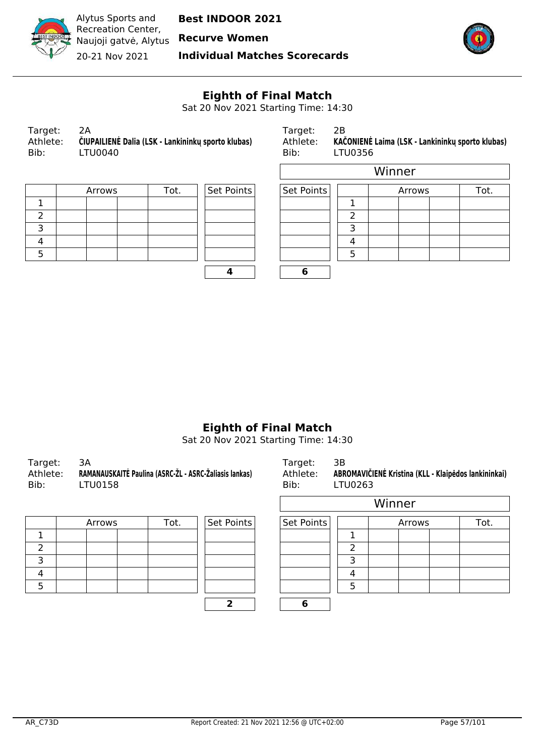

**Recurve Women**

20-21 Nov 2021

**Individual Matches Scorecards**



 $\overline{\phantom{0}}$ 

## **Eighth of Final Match**

Sat 20 Nov 2021 Starting Time: 14:30

| Target:          | 2A                                                            |  |
|------------------|---------------------------------------------------------------|--|
| Athlete:<br>Bib: | ČIUPAILIENĖ Dalia (LSK - Lankininkų sporto klubas)<br>LTU0040 |  |
|                  |                                                               |  |

Target: 2B Athlete: **KAČONIENĖ Laima (LSK - Lankininkų sporto klubas)**<br>Bib: LTU0356 LTU0356

| Arrows | Set Points | Set Points |  |  |  |
|--------|------------|------------|--|--|--|
|        |            |            |  |  |  |
|        |            |            |  |  |  |
|        |            |            |  |  |  |
|        |            |            |  |  |  |
|        |            |            |  |  |  |
|        |            |            |  |  |  |

|        |      |            |            | Winner |        |      |  |
|--------|------|------------|------------|--------|--------|------|--|
| Arrows | Tot. | Set Points | Set Points |        | Arrows | Tot. |  |
|        |      |            |            |        |        |      |  |
|        |      |            |            |        |        |      |  |
|        |      |            |            | っ      |        |      |  |
|        |      |            |            |        |        |      |  |
|        |      |            |            |        |        |      |  |
|        |      |            | О          |        |        |      |  |

## **Eighth of Final Match**

Sat 20 Nov 2021 Starting Time: 14:30

| Target: 3A<br>Athlete:<br>Bib: | RAMANAUSKAITĖ Paulina (ASRC-ŽL - ASRC-Žaliasis lankas)<br>LTU0158 | Target:<br>Bib: | - 3B<br>Athlete: ABROMAVIČIENĖ Kristina (KLL - Klaipėdos lankininkai)<br><b>LTU0263</b> |
|--------------------------------|-------------------------------------------------------------------|-----------------|-----------------------------------------------------------------------------------------|
|--------------------------------|-------------------------------------------------------------------|-----------------|-----------------------------------------------------------------------------------------|

| Arrows | Tot. | Set Points | Set Points |  |
|--------|------|------------|------------|--|
|        |      |            |            |  |
|        |      |            |            |  |
|        |      |            |            |  |
|        |      |            |            |  |
|        |      |            |            |  |
|        |      |            |            |  |

|      |            | DIU.<br><b>LIUUZUJ</b> |   |        |      |
|------|------------|------------------------|---|--------|------|
|      |            | Winner                 |   |        |      |
| Tot. | Set Points | Set Points             |   | Arrows | Tot. |
|      |            |                        |   |        |      |
|      |            |                        | 2 |        |      |
|      |            |                        | 3 |        |      |
|      |            |                        | 4 |        |      |
|      |            |                        | 5 |        |      |
|      |            |                        |   |        |      |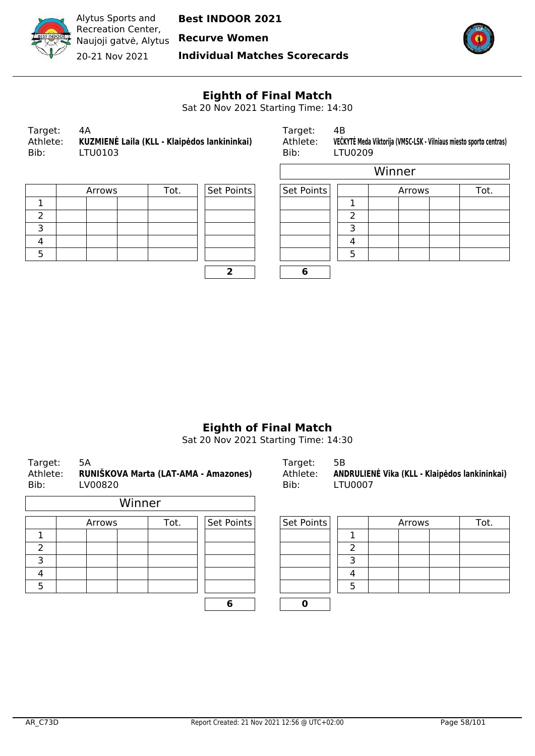

**Recurve Women**

20-21 Nov 2021

**Individual Matches Scorecards**



 $\overline{\mathbb{I}}$ 

## **Eighth of Final Match**

Sat 20 Nov 2021 Starting Time: 14:30

 $\overline{\Gamma}$ 

| Target:          | 4А                                                      |
|------------------|---------------------------------------------------------|
| Athlete:<br>Bib: | KUZMIENĖ Laila (KLL - Klaipėdos lankininkai)<br>LTU0103 |
|                  |                                                         |

Target: 4B Athlete: **VEČKYTĖ Meda Viktorija (VMSC-LSK - Vilniaus miesto sporto centras)**<br>Bib: LTU0209 LTU0209

| Arrows | Tot. | Set Points | Set Points |  |
|--------|------|------------|------------|--|
|        |      |            |            |  |
|        |      |            |            |  |
|        |      |            |            |  |
|        |      |            |            |  |
|        |      |            |            |  |
|        |      |            |            |  |

| Set Points | Set Po |
|------------|--------|
|            |        |
|            |        |
|            |        |
|            |        |
|            |        |
| ,          |        |
|            |        |

|        |      |            |            | Winner |        |      |  |
|--------|------|------------|------------|--------|--------|------|--|
| Arrows | Tot. | Set Points | Set Points |        | Arrows | Tot. |  |
|        |      |            |            |        |        |      |  |
|        |      |            |            |        |        |      |  |
|        |      |            |            | っ      |        |      |  |
|        |      |            |            |        |        |      |  |
|        |      |            |            | 5      |        |      |  |
|        |      |            | 6          |        |        |      |  |

## **Eighth of Final Match**

Sat 20 Nov 2021 Starting Time: 14:30

| Target:<br>Athlete:<br>Bib: | 5A<br>RUNIŠKOVA Marta (LAT-AMA - Amazones)<br>LV00820 |        |            | Target:<br>Athlete:<br>Bib: | 5В<br><b>LTU0007</b> |        | ANDRULIENĖ Vika (KLL - Klaipėdos lankininkai) |
|-----------------------------|-------------------------------------------------------|--------|------------|-----------------------------|----------------------|--------|-----------------------------------------------|
|                             |                                                       | Winner |            |                             |                      |        |                                               |
|                             | Arrows                                                | Tot.   | Set Points | Set Points                  |                      | Arrows | Tot.                                          |
| 1                           |                                                       |        |            |                             |                      |        |                                               |
| 2                           |                                                       |        |            |                             | າ                    |        |                                               |
| 3                           |                                                       |        |            |                             | 3                    |        |                                               |
| 4                           |                                                       |        |            |                             | 4                    |        |                                               |
| 5                           |                                                       |        |            |                             | 5                    |        |                                               |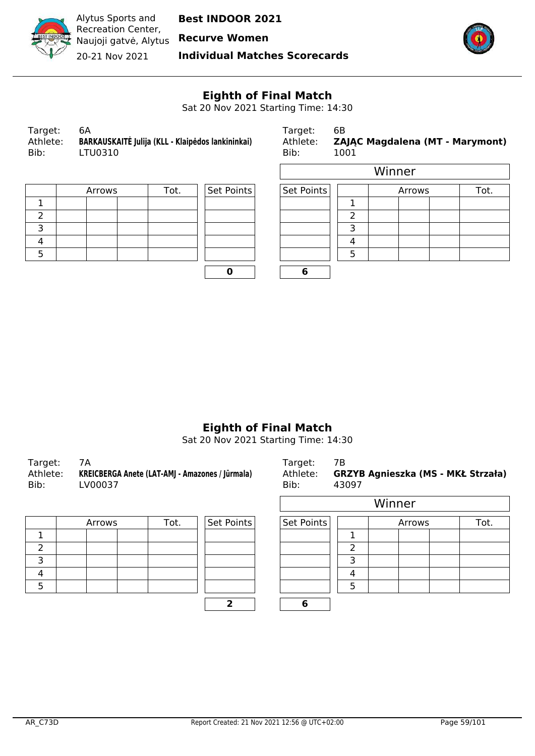

20-21 Nov 2021

**Individual Matches Scorecards**



 $\overline{\phantom{0}}$ 

## **Eighth of Final Match**

Sat 20 Nov 2021 Starting Time: 14:30

 $\overline{a}$ 

| Target:<br>6A<br>Athlete:<br>Bib: | BARKAUSKAITĖ Julija (KLL - Klaipėdos lankininkai)<br>LTU0310 | Target:<br>Athlete:<br>Bib: | - 6B<br><b>ZAJA</b><br>1001 |
|-----------------------------------|--------------------------------------------------------------|-----------------------------|-----------------------------|
|-----------------------------------|--------------------------------------------------------------|-----------------------------|-----------------------------|

Target: 6B Athlete: **ZAJĄC Magdalena (MT - Marymont)** Bib:  $1001$ 

| Arrows | Tot. | Set Points | Set Points |  |
|--------|------|------------|------------|--|
|        |      |            |            |  |
|        |      |            |            |  |
|        |      |            |            |  |
|        |      |            |            |  |
|        |      |            |            |  |
|        |      |            |            |  |

| Set Points | Set Po |
|------------|--------|
|            |        |

|        |      |            |            |   | Winner |      |
|--------|------|------------|------------|---|--------|------|
| Arrows | Tot. | Set Points | Set Points |   | Arrows | Tot. |
|        |      |            |            |   |        |      |
|        |      |            |            | ำ |        |      |
|        |      |            |            |   |        |      |
|        |      |            |            |   |        |      |
|        |      |            |            |   |        |      |
|        |      |            | o          |   |        |      |

## **Eighth of Final Match**

Sat 20 Nov 2021 Starting Time: 14:30

| Target:<br>Bib: | 7A<br>Athlete: KREICBERGA Anete (LAT-AMJ - Amazones / Jūrmala)<br>LV00037 | Target:<br>Bib: | 7B<br>Athlete: GRZYB Agnieszka (MS - MKŁ Strzała)<br>43097 |
|-----------------|---------------------------------------------------------------------------|-----------------|------------------------------------------------------------|
|-----------------|---------------------------------------------------------------------------|-----------------|------------------------------------------------------------|

| Set Points<br>Tot.<br>Arrows |  | Set Points |  |   |
|------------------------------|--|------------|--|---|
|                              |  |            |  |   |
|                              |  |            |  |   |
|                              |  |            |  | っ |
|                              |  |            |  |   |
|                              |  |            |  |   |
|                              |  |            |  |   |

| Bib: | Athlete: GRZYB Agnieszka (MS - MKŁ Strzała)<br>43097 |
|------|------------------------------------------------------|
|      | <i>Minner</i>                                        |

|        |      |            |            |   | Winner |      |
|--------|------|------------|------------|---|--------|------|
| Arrows | Tot. | Set Points | Set Points |   | Arrows | Tot. |
|        |      |            |            |   |        |      |
|        |      |            |            |   |        |      |
|        |      |            |            |   |        |      |
|        |      |            |            |   |        |      |
|        |      |            |            | ᄃ |        |      |
|        |      |            | o          |   |        |      |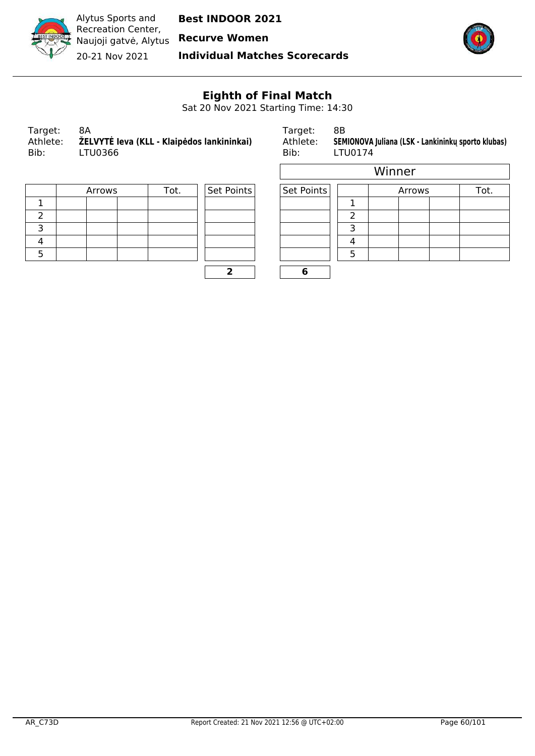

Alytus Sports and Recreation Center, Naujoji gatvė, Alytus

**Best INDOOR 2021**

**Recurve Women**

20-21 Nov 2021

**Individual Matches Scorecards**



# **Eighth of Final Match**

Sat 20 Nov 2021 Starting Time: 14:30

r

| Target:  | 8A                                         |
|----------|--------------------------------------------|
| Athlete: | ŽELVYTĖ Ieva (KLL - Klaipėdos lankininkai) |
| Bib:     | LTU0366                                    |

Target: 8B Athlete: **SEMIONOVA Juliana (LSK - Lankininkų sporto klubas)**<br>Bib: LTU0174 LTU0174

| Arrows | Tot. | Set Points | Set Points |  |
|--------|------|------------|------------|--|
|        |      |            |            |  |
|        |      |            |            |  |
|        |      |            |            |  |
|        |      |            |            |  |
|        |      |            |            |  |
|        |      |            |            |  |

| Set Points |  |
|------------|--|
|            |  |
|            |  |
|            |  |
|            |  |
|            |  |
|            |  |

|        |      |            |            |   | Winner |      |
|--------|------|------------|------------|---|--------|------|
| Arrows | Tot. | Set Points | Set Points |   | Arrows | Tot. |
|        |      |            |            |   |        |      |
|        |      |            |            |   |        |      |
|        |      |            |            | ₹ |        |      |
|        |      |            |            | 4 |        |      |
|        |      |            |            | 5 |        |      |
|        |      | ר          | 6          |   |        |      |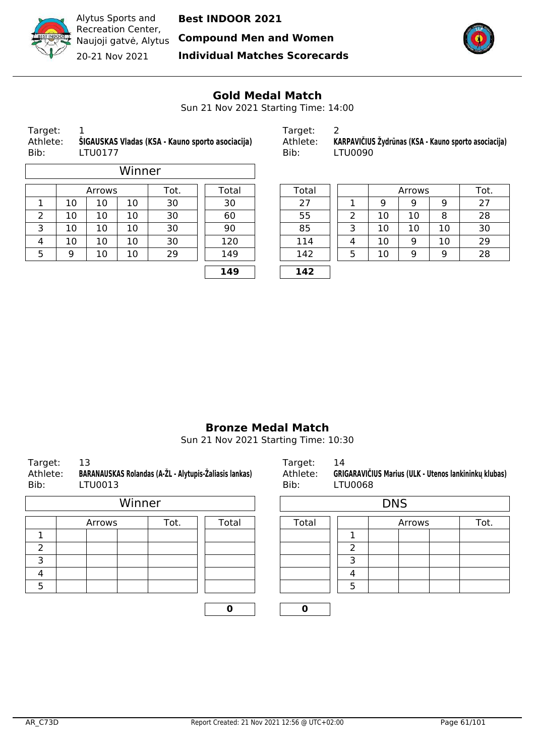

Naujoji gatvė, Alytus **Compound Men and Women**



Recreation Center, 20-21 Nov 2021

Alytus Sports and

**Individual Matches Scorecards**



#### **Gold Medal Match**

Sun 21 Nov 2021 Starting Time: 14:00

 $\overline{\phantom{a}}$ 

| Target:  |  |
|----------|--|
| Athlete: |  |

|        |    |        | Winner |      |       |       |   |    |        |    |     |
|--------|----|--------|--------|------|-------|-------|---|----|--------|----|-----|
|        |    | Arrows |        | Tot. | Total | Total |   |    | Arrows |    | Tot |
| ᅩ      | 10 | 10     | 10     | 30   | 30    | 27    |   | 9  | 9      | 9  | 27  |
| っ<br>∠ | 10 | 10     | 10     | 30   | 60    | 55    | っ | 10 | 10     | 8  | 28  |
| 3      | 10 | 10     | 10     | 30   | 90    | 85    | 3 | 10 | 10     | 10 | 30  |
| 4      | 10 | 10     | 10     | 30   | 120   | 114   | 4 | 10 | 9      | 10 | 29  |
| 5      | 9  | 10     | 10     | 29   | 149   | 142   | 5 | 10 | 9      | 9  | 28  |
|        |    |        |        |      | 149   | 142   |   |    |        |    |     |

| Target:  |                                                    | Target:  |                                                      |
|----------|----------------------------------------------------|----------|------------------------------------------------------|
| Athlete: | . ŠIGAUSKAS Vladas (KSA - Kauno sporto asociacija) | Athlete: | KARPAVIČIUS Žydrūnas (KSA - Kauno sporto asociacija) |
| Bib:     | LTU0177                                            | Bib:     | LTU0090                                              |

| Arrows |    | Tot. | Total | Total |   |    | Arrows |    | Tot. |
|--------|----|------|-------|-------|---|----|--------|----|------|
| 10     | 10 | 30   | 30    | 27    |   |    | 9      | 9  | 27   |
| 10     | 10 | 30   | 60    | 55    |   | 10 | 10     | 8  | 28   |
| 10     | 10 | 30   | 90    | 85    |   | 10 | 10     | 10 | 30   |
| 10     | 10 | 30   | 120   | 114   | 4 | 10 | 9      | 10 | 29   |
| 10     | 10 | 29   | 149   | 142   | 5 | 10 | 9      | 9  | 28   |
|        |    |      | 149   | 142   |   |    |        |    |      |

#### **Bronze Medal Match**

Sun 21 Nov 2021 Starting Time: 10:30

| Target:<br>Bib: | 13<br>BARANAUSKAS Rolandas (A-ŽL - Alytupis-Žaliasis lankas)<br>Athlete:<br>LTU0013 |        |       |       | 14 | GRIGARAVIČIUS Marius (ULK - Utenos lankininkų klubas)<br>LTU0068 |      |  |  |  |  |
|-----------------|-------------------------------------------------------------------------------------|--------|-------|-------|----|------------------------------------------------------------------|------|--|--|--|--|
|                 |                                                                                     | Winner |       |       |    |                                                                  |      |  |  |  |  |
|                 | Arrows                                                                              | Tot.   | Total | Total |    | Arrows                                                           | Tot. |  |  |  |  |
| ٦               |                                                                                     |        |       |       |    |                                                                  |      |  |  |  |  |
| 2               |                                                                                     |        |       |       | າ  |                                                                  |      |  |  |  |  |
| 3               |                                                                                     |        |       |       | 3  |                                                                  |      |  |  |  |  |
| 4               |                                                                                     |        |       |       | 4  |                                                                  |      |  |  |  |  |
| 5               |                                                                                     |        |       |       | 5  |                                                                  |      |  |  |  |  |

| Athlete:    | <b>GRIGARAVIČIUS Marius (ULK - Utenos lankininku klubas)</b> |  |  |  |  |  |
|-------------|--------------------------------------------------------------|--|--|--|--|--|
| Bib:        | LTU0068                                                      |  |  |  |  |  |
| <b>DILC</b> |                                                              |  |  |  |  |  |

|       |                | <b>DNS</b> |  |  |  |  |  |  |
|-------|----------------|------------|--|--|--|--|--|--|
| Total | Tot.<br>Arrows |            |  |  |  |  |  |  |
|       |                |            |  |  |  |  |  |  |
|       |                |            |  |  |  |  |  |  |
|       |                |            |  |  |  |  |  |  |
|       |                |            |  |  |  |  |  |  |
|       |                |            |  |  |  |  |  |  |
|       |                |            |  |  |  |  |  |  |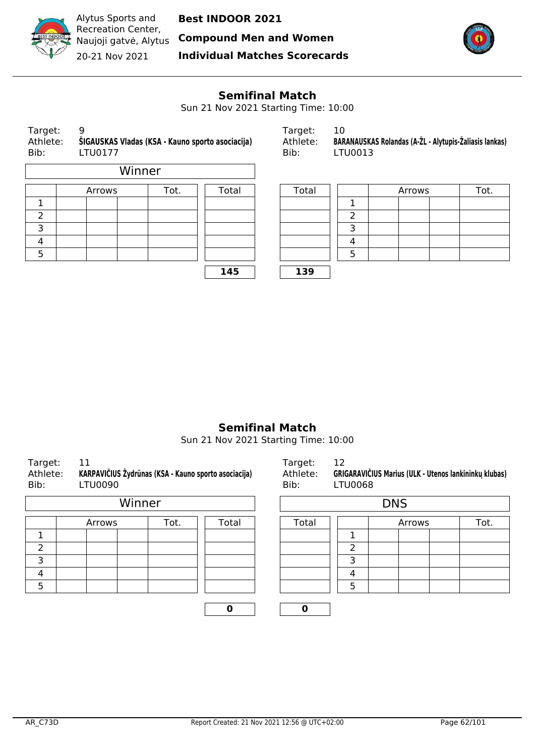

**Compound Men and Women**

Recreation Center, Naujoji gatvė, Alytus 20-21 Nov 2021

Alytus Sports and

**Individual Matches Scorecards**



## **Semifinal Match**

Sun 21 Nov 2021 Starting Time: 10:00

| Target:<br>Athlete:<br>Bib: |  | 9<br>ŠIGAUSKAS Vladas (KSA - Kauno sporto asociacija)<br>LTU0177 |  |      |       | Target:<br>Athlete:<br>Bib: |  | 10<br>BARANAUSKAS Rolandas (A-ŽL - Alytupis-Žaliasis lankas)<br>LTU0013 |  |        |  |      |  |
|-----------------------------|--|------------------------------------------------------------------|--|------|-------|-----------------------------|--|-------------------------------------------------------------------------|--|--------|--|------|--|
| Winner                      |  |                                                                  |  |      |       |                             |  |                                                                         |  |        |  |      |  |
|                             |  | Arrows                                                           |  | Tot. | Total | Total                       |  |                                                                         |  | Arrows |  | Tot. |  |
|                             |  |                                                                  |  |      |       |                             |  |                                                                         |  |        |  |      |  |
| 2                           |  |                                                                  |  |      |       |                             |  | ົ                                                                       |  |        |  |      |  |
| 3                           |  |                                                                  |  |      |       |                             |  | 3                                                                       |  |        |  |      |  |
| 4                           |  |                                                                  |  |      |       |                             |  | 4                                                                       |  |        |  |      |  |

| raryct.  | 1 V J                                                  |
|----------|--------------------------------------------------------|
| Athlete: | BARANAUSKAS Rolandas (A-ŽL - Alytupis-Žaliasis lankas) |
| Bib:     | LTU0013                                                |

|   | Tot.<br>Arrows |  | Total |  |     |   | Arrows | Tot. |
|---|----------------|--|-------|--|-----|---|--------|------|
| ┻ |                |  |       |  |     |   |        |      |
| 2 |                |  |       |  |     |   |        |      |
| 3 |                |  |       |  |     | ∽ |        |      |
| 4 |                |  |       |  |     | 4 |        |      |
| 5 |                |  |       |  |     |   |        |      |
|   |                |  | 145   |  | 139 |   |        |      |

## **Semifinal Match**

Sun 21 Nov 2021 Starting Time: 10:00

| Target:<br>Athlete:<br>Bib: | 11<br>KARPAVIČIUS Žydrūnas (KSA - Kauno sporto asociacija)<br>LTU0090 |        |       | Target:<br>Athlete:<br>Bib: | 12<br><b>LTU0068</b> | GRIGARAVIČIUS Marius (ULK - Utenos lankininkų klubas) |      |
|-----------------------------|-----------------------------------------------------------------------|--------|-------|-----------------------------|----------------------|-------------------------------------------------------|------|
|                             |                                                                       | Winner |       |                             |                      | <b>DNS</b>                                            |      |
|                             | Arrows                                                                | Tot.   | Total | Total                       |                      | Arrows                                                | Tot. |
|                             |                                                                       |        |       |                             |                      |                                                       |      |
| 2                           |                                                                       |        |       |                             | 2                    |                                                       |      |
| 3                           |                                                                       |        |       |                             | 3                    |                                                       |      |
| 4                           |                                                                       |        |       |                             | 4                    |                                                       |      |
| 5                           |                                                                       |        |       |                             | 5                    |                                                       |      |
|                             |                                                                       |        | 0     | 0                           |                      |                                                       |      |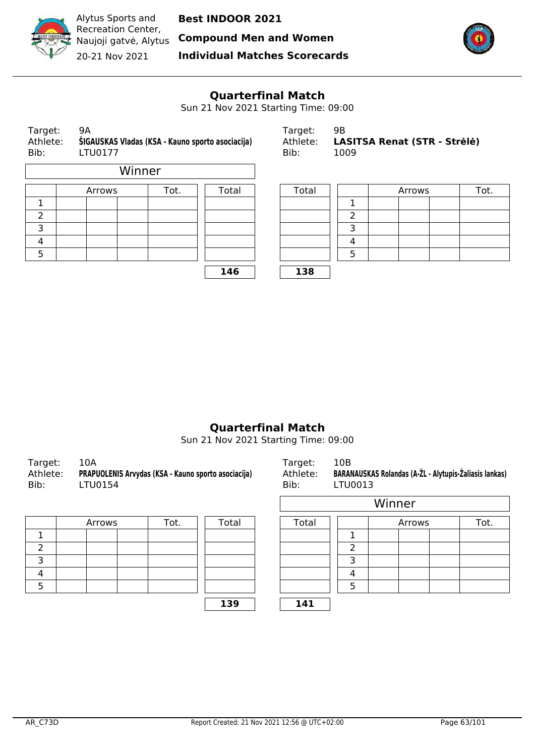

**Compound Men and Women**



Recreation Center, Naujoji gatvė, Alytus 20-21 Nov 2021

Alytus Sports and

**Individual Matches Scorecards**



## **Quarterfinal Match**

Sun 21 Nov 2021 Starting Time: 09:00

| Target:<br>Athlete:<br>Bib: | 9Α<br>LTU0177 | ŠIGAUSKAS Vladas (KSA - Kauno sporto asociacija) |      |       |  | Target:<br>Athlete:<br>Bib: | 9Β<br>1009 | LASITSA Renat (STR - Strėlė) |  |
|-----------------------------|---------------|--------------------------------------------------|------|-------|--|-----------------------------|------------|------------------------------|--|
|                             |               | Winner                                           |      |       |  |                             |            |                              |  |
|                             | Arrows        |                                                  | Tot. | Total |  | Total                       |            | Arrows                       |  |
|                             |               |                                                  |      |       |  |                             |            |                              |  |
| 2                           |               |                                                  |      |       |  |                             | 2          |                              |  |
| 3                           |               |                                                  |      |       |  |                             | 3          |                              |  |
| 4                           |               |                                                  |      |       |  |                             | 4          |                              |  |
| 5                           |               |                                                  |      |       |  |                             | 5          |                              |  |

**146 138**

| Target:  | 9В                                  |
|----------|-------------------------------------|
| Athlete: | <b>LASITSA Renat (STR - Strėlė)</b> |
| Bib:     | 1009                                |

| Arrows | Tot. | Total | Total |  | Arrows | Tot. |
|--------|------|-------|-------|--|--------|------|
|        |      |       |       |  |        |      |
|        |      |       |       |  |        |      |
|        |      |       |       |  |        |      |
|        |      |       |       |  |        |      |
|        |      |       |       |  |        |      |
|        |      | 1AC   | 120   |  |        |      |

## **Quarterfinal Match**

Sun 21 Nov 2021 Starting Time: 09:00

| - 10A<br>Target:<br>PRAPUOLENIS Arvydas (KSA - Kauno sporto asociacija)<br>Athlete:<br>Bib:<br>LTU0154 | Target:<br>Athlete:<br>Bib: | 10B<br>BARANAUSKAS Rolandas (A-ŽL - Alytupis-Žaliasis lankas)<br>LTU0013 |
|--------------------------------------------------------------------------------------------------------|-----------------------------|--------------------------------------------------------------------------|
|--------------------------------------------------------------------------------------------------------|-----------------------------|--------------------------------------------------------------------------|

| Arrows |  | Tot. | Total | Total |  |
|--------|--|------|-------|-------|--|
|        |  |      |       |       |  |
|        |  |      |       |       |  |
|        |  |      |       |       |  |
|        |  |      |       |       |  |
|        |  |      |       |       |  |

| APUOLENIS Arvydas (KSA - Kauno sporto asociacija)<br>FU0154 |      |       | <b>BARANAUSKAS Rolandas (A-ZL - Alytupis-Zaliasis lankas)</b><br>Athlete:<br>Bib:<br>LTU0013 |       |  |        |      |  |
|-------------------------------------------------------------|------|-------|----------------------------------------------------------------------------------------------|-------|--|--------|------|--|
|                                                             |      |       |                                                                                              |       |  | Winner |      |  |
| Arrows                                                      | Tot. | Total |                                                                                              | Total |  | Arrows | Tot. |  |
|                                                             |      |       |                                                                                              |       |  |        |      |  |

| . |  |  |  |
|---|--|--|--|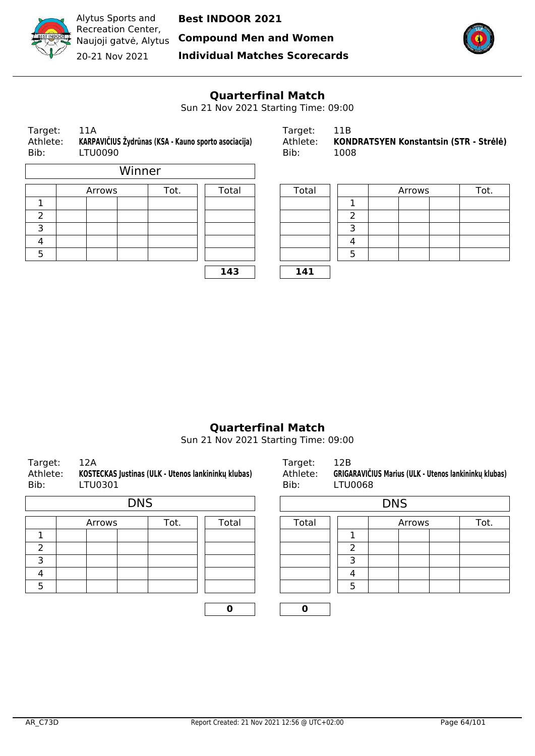

Alytus Sports and Recreation Center, 20-21 Nov 2021

**Best INDOOR 2021**

Naujoji gatvė, Alytus **Compound Men and Women**

**Individual Matches Scorecards**



## **Quarterfinal Match**

Sun 21 Nov 2021 Starting Time: 09:00

| Target:<br>Athlete:<br>Bib: | 11A<br>KARPAVIČIUS Žydrūnas (KSA - Kauno sporto asociacija)<br><b>LTU0090</b> |      | Target:<br>Athlete:<br>Bib: | 11B<br><b>KOND</b><br>1008 |                |
|-----------------------------|-------------------------------------------------------------------------------|------|-----------------------------|----------------------------|----------------|
|                             | Winner                                                                        |      |                             |                            |                |
|                             | Arrows                                                                        | Tot. | Total                       | Total                      |                |
| 1                           |                                                                               |      |                             |                            | $\mathbf 1$    |
| 2                           |                                                                               |      |                             |                            | $\overline{2}$ |
| 3                           |                                                                               |      |                             |                            | 3              |
| 4                           |                                                                               |      |                             |                            | 4              |
| 5                           |                                                                               |      |                             | 5                          |                |

**143 141**

| Target: | -11A                                                          | Target:  | -11B                                   |
|---------|---------------------------------------------------------------|----------|----------------------------------------|
|         | Athlete: KARPAVIČIUS Žydrūnas (KSA - Kauno sporto asociacija) | Athlete: | KONDRATSYEN Konstantsin (STR - Strėlė) |
| Bib:    | LTU0090                                                       | Bib:     | 1008                                   |

| Arrows | Tot. | Total | Total      |  | Arrows | Tot. |
|--------|------|-------|------------|--|--------|------|
|        |      |       |            |  |        |      |
|        |      |       |            |  |        |      |
|        |      |       |            |  |        |      |
|        |      |       |            |  |        |      |
|        |      |       |            |  |        |      |
|        |      | 112   | <b>141</b> |  |        |      |

#### **Quarterfinal Match**

Sun 21 Nov 2021 Starting Time: 09:00

| Target:<br>Athlete:<br>Bib: |  | 12A<br>LTU0301 | KOSTECKAS Justinas (ULK - Utenos lankininkų klubas) |       | Target:<br>Athlete:<br>Bib: | 12B<br><b>LTU0068</b> | GRIGARAVIČIUS Marius (ULK - Utenos lankininkų klubas) |      |  |  |
|-----------------------------|--|----------------|-----------------------------------------------------|-------|-----------------------------|-----------------------|-------------------------------------------------------|------|--|--|
| <b>DNS</b>                  |  |                |                                                     |       |                             | <b>DNS</b>            |                                                       |      |  |  |
|                             |  | Arrows         | Tot.                                                | Total | Total                       |                       | Arrows                                                | Tot. |  |  |
| 1                           |  |                |                                                     |       |                             | 1                     |                                                       |      |  |  |
| $\overline{2}$              |  |                |                                                     |       |                             | $\overline{2}$        |                                                       |      |  |  |
| 3                           |  |                |                                                     |       |                             | 3                     |                                                       |      |  |  |
| 4                           |  |                |                                                     |       |                             | 4                     |                                                       |      |  |  |
| 5                           |  |                |                                                     |       |                             | 5                     |                                                       |      |  |  |
|                             |  |                |                                                     | 0     | 0                           |                       |                                                       |      |  |  |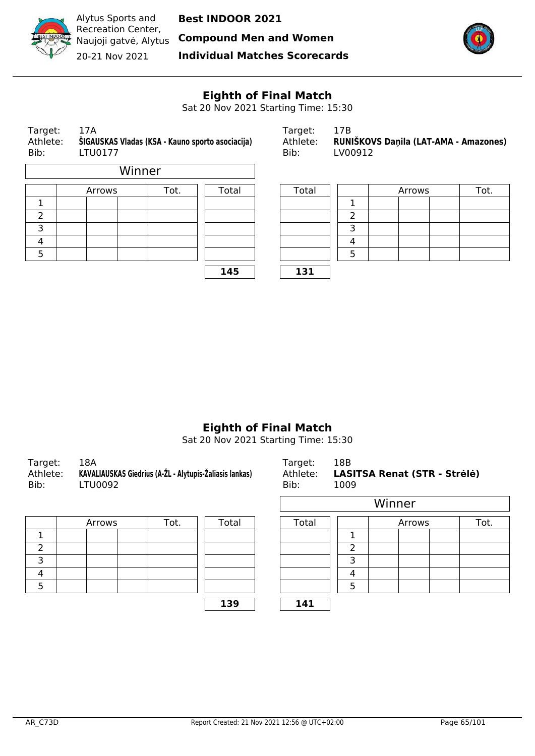

Alytus Sports and Recreation Center, Naujoji gatvė, Alytus 20-21 Nov 2021

**Best INDOOR 2021**

**Compound Men and Women**

**Individual Matches Scorecards**



# **Eighth of Final Match**

Sat 20 Nov 2021 Starting Time: 15:30

| Target:<br>Bib: | 17A<br>Athlete:<br>ŠIGAUSKAS Vladas (KSA - Kauno sporto asociacija)<br>LTU0177 |      |       |  | Target:<br>Athlete:<br>Bib: | 17B<br>RUNIŠKOVS Daņila (LAT-AMA - Amazones)<br>LV00912 |        |      |  |  |
|-----------------|--------------------------------------------------------------------------------|------|-------|--|-----------------------------|---------------------------------------------------------|--------|------|--|--|
|                 | Winner                                                                         |      |       |  |                             |                                                         |        |      |  |  |
|                 | Arrows                                                                         | Tot. | Total |  | Total                       |                                                         | Arrows | Tot. |  |  |
|                 |                                                                                |      |       |  |                             |                                                         |        |      |  |  |

|   | Arrows | Tot. | Total | Total |  |
|---|--------|------|-------|-------|--|
|   |        |      |       |       |  |
| ⌒ |        |      |       |       |  |
| ว |        |      |       |       |  |
| 4 |        |      |       |       |  |
|   |        |      |       |       |  |

**145 131**

| Target:  | 1/D                                   |
|----------|---------------------------------------|
| Athlete: | RUNIŠKOVS Daņila (LAT-AMA - Amazones) |
| Bib:     | LV00912                               |

| Arrows | Tot. | Total | Total |  | Arrows | Tot. |
|--------|------|-------|-------|--|--------|------|
|        |      |       |       |  |        |      |
|        |      |       |       |  |        |      |
|        |      |       |       |  |        |      |
|        |      |       |       |  |        |      |
|        |      |       |       |  |        |      |
|        |      | 145   | 131   |  |        |      |

## **Eighth of Final Match**

Sat 20 Nov 2021 Starting Time: 15:30

| Target:<br>18A<br>KAVALIAUSKAS Giedrius (A-ŽL - Alytupis-Žaliasis lankas)<br>Athlete:<br>Bib:<br>LTU0092 | Target:<br>Bib: | - 18B<br>Athlete: LASITSA Renat (STR - Strėlė)<br>1009<br>$111: -22$ |
|----------------------------------------------------------------------------------------------------------|-----------------|----------------------------------------------------------------------|
|----------------------------------------------------------------------------------------------------------|-----------------|----------------------------------------------------------------------|

| Arrows |  | Tot. | Total | Total |  |  |
|--------|--|------|-------|-------|--|--|
|        |  |      |       |       |  |  |
|        |  |      |       |       |  |  |
|        |  |      |       |       |  |  |
|        |  |      |       |       |  |  |
|        |  |      |       |       |  |  |

|        |      |       |       |   | Winner |      |
|--------|------|-------|-------|---|--------|------|
| Arrows | Tot. | Total | Total |   | Arrows | Tot. |
|        |      |       |       |   |        |      |
|        |      |       |       |   |        |      |
|        |      |       |       |   |        |      |
|        |      |       |       | 4 |        |      |
|        |      |       |       |   |        |      |
|        |      | 139   | 141   |   |        |      |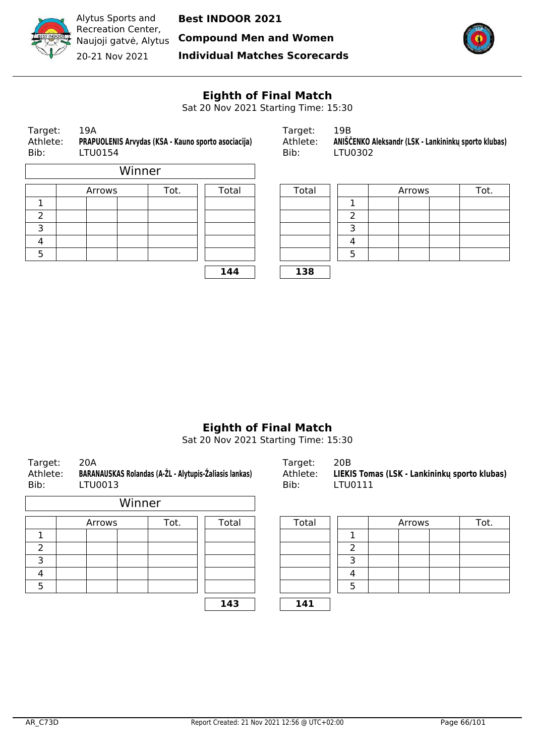

**Compound Men and Women**



Recreation Center, Naujoji gatvė, Alytus 20-21 Nov 2021

Alytus Sports and

**Individual Matches Scorecards**



# **Eighth of Final Match**

Sat 20 Nov 2021 Starting Time: 15:30

| Target:<br>Athlete:<br>Bib: | 19A<br>PRAPUOLENIS Arvydas (KSA - Kauno sporto asociacija)<br>LTU0154 |      |       | Target:<br>Athlete:<br>Bib: | 19B<br>ANIŠČENKO Aleksandr (LSK - Lankininkų sporto klubas)<br>LTU0302 |        |  |      |  |
|-----------------------------|-----------------------------------------------------------------------|------|-------|-----------------------------|------------------------------------------------------------------------|--------|--|------|--|
|                             | Winner                                                                |      |       |                             |                                                                        |        |  |      |  |
|                             | Arrows                                                                | Tot. | Total | Total                       |                                                                        | Arrows |  | Tot. |  |
|                             |                                                                       |      |       |                             |                                                                        |        |  |      |  |

|   | Arrows | Tot. | Total | Total |  |
|---|--------|------|-------|-------|--|
|   |        |      |       |       |  |
| ◠ |        |      |       |       |  |
|   |        |      |       |       |  |
| 4 |        |      |       |       |  |
| 5 |        |      |       |       |  |

**144 138**

| Target:  | 19B                                                  |
|----------|------------------------------------------------------|
| Athlete: | ANIŠČENKO Aleksandr (LSK - Lankininkų sporto klubas) |
| Bib:     | LTU0302                                              |

| Arrows | Tot. | Total | Total |  | Arrows | Tot. |
|--------|------|-------|-------|--|--------|------|
|        |      |       |       |  |        |      |
|        |      |       |       |  |        |      |
|        |      |       |       |  |        |      |
|        |      |       |       |  |        |      |
|        |      |       |       |  |        |      |
|        |      | 144   | 138   |  |        |      |

# **Eighth of Final Match**

Sat 20 Nov 2021 Starting Time: 15:30

| Target:<br>Athlete:<br>Bib: | 20A | LTU0013 |        |      | BARANAUSKAS Rolandas (A-ŽL - Alytupis-Žaliasis lankas) | Target:<br>Athlete:<br>Bib: | 20B<br>LIEKIS Tomas (LSK - Lankininkų sporto klubas)<br>LTU0111 |  |        |  |      |
|-----------------------------|-----|---------|--------|------|--------------------------------------------------------|-----------------------------|-----------------------------------------------------------------|--|--------|--|------|
|                             |     |         | Winner |      |                                                        |                             |                                                                 |  |        |  |      |
|                             |     | Arrows  |        | Tot. | Total                                                  | Total                       |                                                                 |  | Arrows |  | Tot. |
|                             |     |         |        |      |                                                        |                             | 1                                                               |  |        |  |      |
| 2                           |     |         |        |      |                                                        |                             | າ                                                               |  |        |  |      |
| 3                           |     |         |        |      |                                                        |                             | 3                                                               |  |        |  |      |
| 4                           |     |         |        |      |                                                        |                             | 4                                                               |  |        |  |      |
| 5                           |     |         |        |      |                                                        |                             | 5                                                               |  |        |  |      |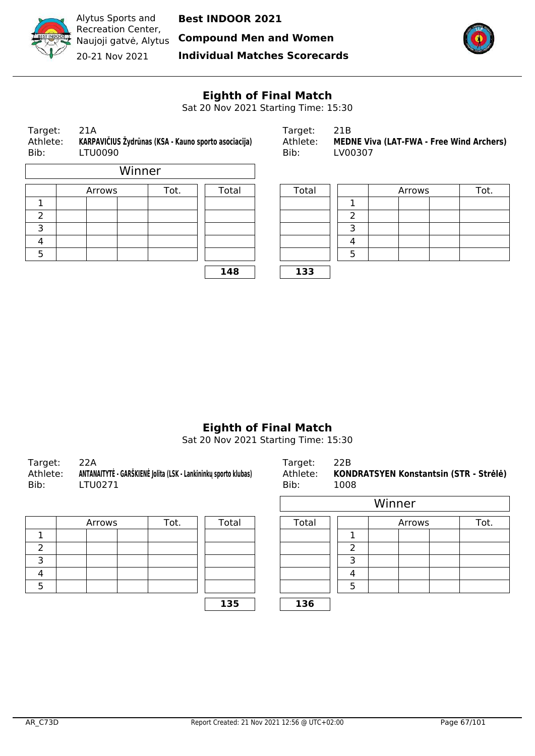

Alytus Sports and Recreation Center, Naujoji gatvė, Alytus 20-21 Nov 2021

**Best INDOOR 2021**

**Compound Men and Women**

**Individual Matches Scorecards**



# **Eighth of Final Match**

Sat 20 Nov 2021 Starting Time: 15:30

| Target:<br>Athlete:<br>Bib: | 21A<br>KARPAVIČIUS Žydrūnas (KSA - Kauno sporto asociacija)<br><b>LTU0090</b> |        |       | Target:<br>Athlete:<br>Bib: | 21B<br><b>MEDNE Vi</b><br>LV00307 |  |
|-----------------------------|-------------------------------------------------------------------------------|--------|-------|-----------------------------|-----------------------------------|--|
|                             |                                                                               | Winner |       |                             |                                   |  |
|                             | Arrows                                                                        | Tot.   | Total | Total                       |                                   |  |
|                             |                                                                               |        |       |                             |                                   |  |
| 2                           |                                                                               |        |       |                             | 2                                 |  |
| з                           |                                                                               |        |       |                             | 3                                 |  |

| Target:  | 21A                                                    | Tardet:  |                                                 |
|----------|--------------------------------------------------------|----------|-------------------------------------------------|
| Athlete: | . KARPAVIČIUS Žydrūnas (KSA - Kauno sporto asociacija) | Athlete: | <b>MEDNE Viva (LAT-FWA - Free Wind Archers)</b> |
| Bib:     | LTU0090                                                | Bib:     | LV00307                                         |

|        | Arrows | Tot. |     | Total |          | Arrows | Tot. |
|--------|--------|------|-----|-------|----------|--------|------|
| ┻      |        |      |     |       |          |        |      |
| ำ<br>∠ |        |      |     |       |          |        |      |
| 3      |        |      |     |       |          |        |      |
| 4      |        |      |     |       | $\Delta$ |        |      |
| 5      |        |      |     |       |          |        |      |
|        |        |      | 148 | 133   |          |        |      |

# **Eighth of Final Match**

Sat 20 Nov 2021 Starting Time: 15:30

| Target:  | 22A                                                             | Target:  | 22B                                    |
|----------|-----------------------------------------------------------------|----------|----------------------------------------|
| Athlete: | ANTANAITYTĖ - GARŠKIENĖ Jolita (LSK - Lankininkų sporto klubas) | Athlete: | KONDRATSYEN Konstantsin (STR - Strėlė) |
| Bib:     | LTU0271                                                         | Bib:     | 1008                                   |
|          |                                                                 |          | Winner                                 |

| Arrows |  | Tot. | Total | Total |  |
|--------|--|------|-------|-------|--|
|        |  |      |       |       |  |
|        |  |      |       |       |  |
|        |  |      |       |       |  |
|        |  |      |       |       |  |
|        |  |      |       |       |  |
|        |  |      |       |       |  |

| <b>TU0271</b> | <b>INITIO LE DAINVILITE JUILA (LUN - LAIINIIIIING SPULLO NIMAGS)</b> |       | AUTICLE.<br>Bib: | 1008 |        |        | <b>KUNUMATUTEN KUNSTANISMI (UTN - JUEIE)</b> |
|---------------|----------------------------------------------------------------------|-------|------------------|------|--------|--------|----------------------------------------------|
|               |                                                                      |       |                  |      | Winner |        |                                              |
| Arrows        | Tot.                                                                 | Total | Total            |      |        | Arrows | Tot.                                         |
|               |                                                                      |       |                  |      |        |        |                                              |
|               |                                                                      |       |                  |      |        |        |                                              |
|               |                                                                      |       |                  |      |        |        |                                              |
|               |                                                                      |       |                  |      |        |        |                                              |
|               |                                                                      |       |                  |      |        |        |                                              |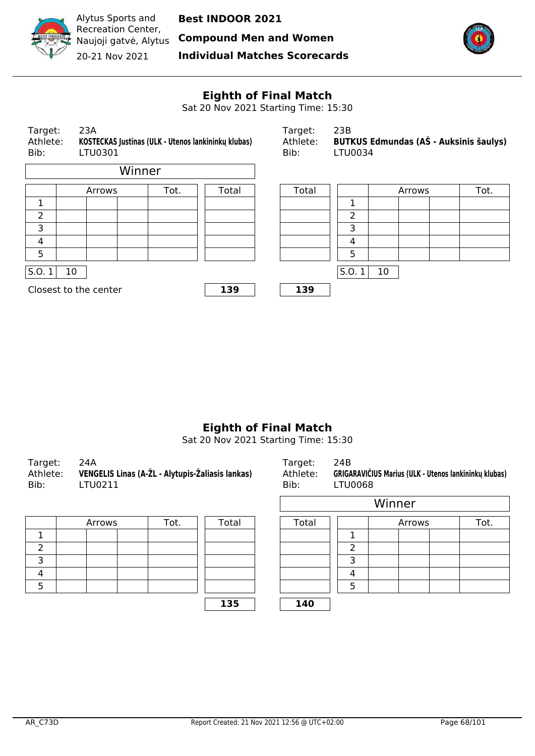

Alytus Sports and Recreation Center, Naujoji gatvė, Alytus 20-21 Nov 2021

**Best INDOOR 2021**

**Compound Men and Women**

**Individual Matches Scorecards**



#### **Eighth of Final Match**

Sat 20 Nov 2021 Starting Time: 15:30



## **Eighth of Final Match**

Sat 20 Nov 2021 Starting Time: 15:30

| Target:<br>-24A<br>Athlete: VENGELIS Linas (A-ŽL - Alytupis-Žaliasis lankas)<br>Bib:<br>LTU0211 | Target:<br>Athlete:<br>Bib: | 24B<br>GRIGARAVIČIUS Marius (ULK - Utenos lankininkų klubas)<br>LTU0068 |
|-------------------------------------------------------------------------------------------------|-----------------------------|-------------------------------------------------------------------------|
|-------------------------------------------------------------------------------------------------|-----------------------------|-------------------------------------------------------------------------|

| Arrows | Tot. | Total | Total |  |
|--------|------|-------|-------|--|
|        |      |       |       |  |
|        |      |       |       |  |
|        |      |       |       |  |
|        |      |       |       |  |
|        |      |       |       |  |
|        |      |       |       |  |

| FU0211 | :NGELIS Linas (A-ZL - Alytupis-Zaliasis lankas) |       | Athlete:<br>Bib: | LTU0068 |        |        | GRIGARAVICIUS Marius (ULK - Utenos lankininku klubas) |
|--------|-------------------------------------------------|-------|------------------|---------|--------|--------|-------------------------------------------------------|
|        |                                                 |       |                  |         | Winner |        |                                                       |
| Arrows | Tot.                                            | Total | Total            |         |        | Arrows | Tot.                                                  |
|        |                                                 |       |                  |         |        |        |                                                       |
|        |                                                 |       |                  |         |        |        |                                                       |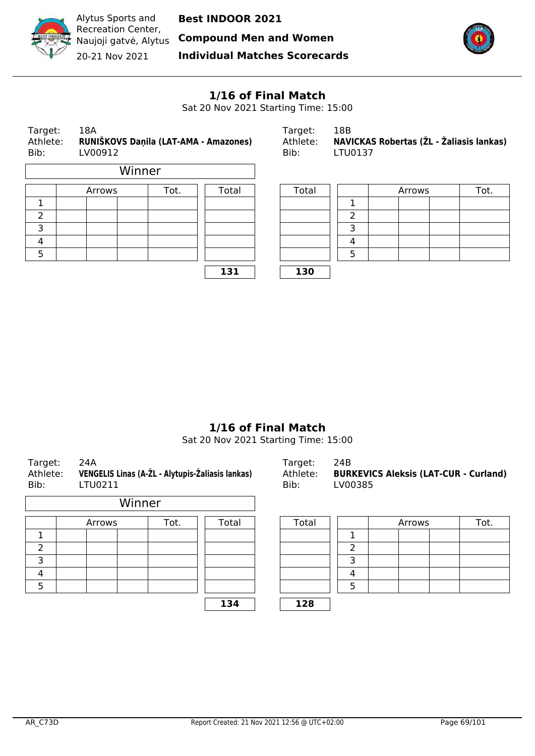

Naujoji gatvė, Alytus **Compound Men and Women**



Recreation Center, 20-21 Nov 2021

Alytus Sports and

**Individual Matches Scorecards**



## **1/16 of Final Match**

Sat 20 Nov 2021 Starting Time: 15:00

| Target:<br>Athlete:<br>Bib: | 18A<br>LV00912 |        |      | RUNIŠKOVS Daņila (LAT-AMA - Amazones) | Target:<br>Athlete:<br>Bib: | 18B<br>LTU0137           |        | NAVICKAS Robertas (ŽL - Žaliasis lankas) |
|-----------------------------|----------------|--------|------|---------------------------------------|-----------------------------|--------------------------|--------|------------------------------------------|
|                             |                | Winner |      |                                       |                             |                          |        |                                          |
|                             | Arrows         |        | Tot. | Total                                 | Total                       |                          | Arrows | Tot.                                     |
|                             |                |        |      |                                       |                             |                          |        |                                          |
| $\overline{2}$              |                |        |      |                                       |                             | $\overline{\phantom{a}}$ |        |                                          |
| 3                           |                |        |      |                                       |                             | 3                        |        |                                          |
| 4                           |                |        |      |                                       |                             | 4                        |        |                                          |
| 5                           |                |        |      |                                       |                             | 5                        |        |                                          |
|                             |                |        |      |                                       |                             |                          |        |                                          |

| Target:  | 18B                                      |
|----------|------------------------------------------|
| Athlete: | NAVICKAS Robertas (ŽL - Žaliasis lankas) |
| Bib:     | LTU0137                                  |

| Arrows | Tot. | Total | Total |          | Arrows | Tot. |
|--------|------|-------|-------|----------|--------|------|
|        |      |       |       |          |        |      |
|        |      |       |       |          |        |      |
|        |      |       |       |          |        |      |
|        |      |       |       | $\Delta$ |        |      |
|        |      |       |       |          |        |      |
|        |      | 131   | 130   |          |        |      |

## **1/16 of Final Match**

Sat 20 Nov 2021 Starting Time: 15:00

| Target:<br>Athlete:<br>Bib: | 24A<br>VENGELIS Linas (A-ŽL - Alytupis-Žaliasis lankas)<br>LTU0211 |      |       | Target:<br>Athlete:<br>Bib: | 24B<br>LV00385 | <b>BURKEVICS Aleksis (LAT-CUR - Curland)</b> |        |  |      |
|-----------------------------|--------------------------------------------------------------------|------|-------|-----------------------------|----------------|----------------------------------------------|--------|--|------|
|                             | Winner                                                             |      |       |                             |                |                                              |        |  |      |
|                             | Arrows                                                             | Tot. | Total | Total                       |                |                                              | Arrows |  | Tot. |
|                             |                                                                    |      |       |                             |                |                                              |        |  |      |
| 2                           |                                                                    |      |       |                             | ົາ             |                                              |        |  |      |
| 3                           |                                                                    |      |       |                             | 3              |                                              |        |  |      |
| 4                           |                                                                    |      |       |                             | 4              |                                              |        |  |      |
| 5                           |                                                                    |      |       |                             | 5              |                                              |        |  |      |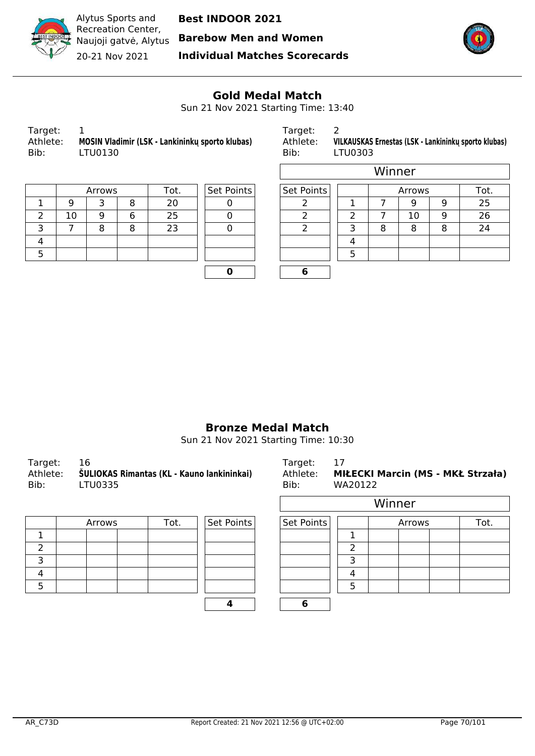

Naujoji gatvė, Alytus **Barebow Men and Women**



Recreation Center, 20-21 Nov 2021

**Individual Matches Scorecards**



 $\overline{\phantom{a}}$ 

#### **Gold Medal Match**

Sun 21 Nov 2021 Starting Time: 13:40

| Target:<br>Athlete:<br>Bib: | MOSIN Vladimir (LSK - Lankininku sporto klubas)<br>LTU0130 |
|-----------------------------|------------------------------------------------------------|
|                             |                                                            |
|                             |                                                            |

Target: 2

 $\overline{\phantom{a}}$ 

Athlete: **MOSIN Vladimir (LSK - Lankininkų sporto klubas)** Athlete: **VILKAUSKAS Ernestas (LSK - Lankininkų sporto klubas)** LTU0303

|    | Arrows | Tot. | Set Points | Set Points |  |
|----|--------|------|------------|------------|--|
|    |        |      |            |            |  |
| 10 |        |      |            |            |  |
|    |        |      |            |            |  |
|    |        |      |            |            |  |
|    |        |      |            |            |  |

| Set Points |  |
|------------|--|
|            |  |
| J          |  |
|            |  |
|            |  |
|            |  |
|            |  |

|   |        |   |      |            |            |   |        | Winner |    |      |    |
|---|--------|---|------|------------|------------|---|--------|--------|----|------|----|
|   | Arrows |   | Tot. | Set Points | Set Points |   | Arrows |        |    | Tot. |    |
|   | 9      |   | 8    | 20         |            |   |        |        | g  | 9    | 25 |
| 2 | 10     | 9 | 6    | 25         |            | ◠ |        |        | 10 | 9    | 26 |
| 3 |        | 8 | 8    | 23         |            |   | 3      | 8      | 8  | 8    | 24 |
| 4 |        |   |      |            |            |   | 4      |        |    |      |    |
| 5 |        |   |      |            |            |   | 5      |        |    |      |    |
|   |        |   |      |            |            |   |        |        |    |      |    |

#### **Bronze Medal Match**

Sun 21 Nov 2021 Starting Time: 10:30

| Target: 16 |                                                     | Target: 17 |                                            |
|------------|-----------------------------------------------------|------------|--------------------------------------------|
|            | Athlete: ŠULIOKAS Rimantas (KL - Kauno lankininkai) |            | Athlete: MIŁECKI Marcin (MS - MKŁ Strzała) |
| Bib:       | LTU0335                                             | Bib:       | WA20122                                    |

| Arrows | Tot. | Set Points | Set Points |  |
|--------|------|------------|------------|--|
|        |      |            |            |  |
|        |      |            |            |  |
|        |      |            |            |  |
|        |      |            |            |  |
|        |      |            |            |  |
|        |      |            |            |  |

| Target:  | - 17                                     |
|----------|------------------------------------------|
| Athlete: | <b>MIŁECKI Marcin (MS - MKŁ Strzała)</b> |
| Bib:     | WA20122                                  |

|        |      |            |            |   | Winner |      |
|--------|------|------------|------------|---|--------|------|
| Arrows | Tot. | Set Points | Set Points |   | Arrows | Tot. |
|        |      |            |            |   |        |      |
|        |      |            |            |   |        |      |
|        |      |            |            |   |        |      |
|        |      |            |            |   |        |      |
|        |      |            |            | 5 |        |      |
|        |      |            | 6          |   |        |      |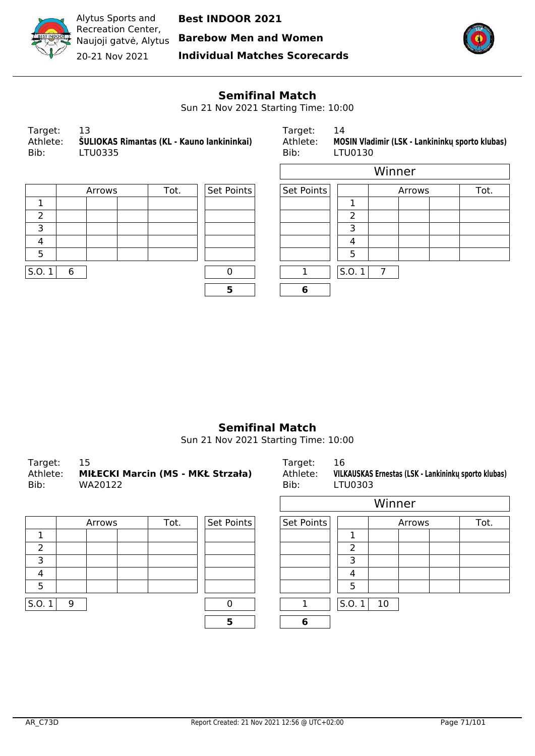

**Barebow Men and Women**



Recreation Center, Naujoji gatvė, Alytus 20-21 Nov 2021

Alytus Sports and

**Individual Matches Scorecards**



#### **Semifinal Match**

Sun 21 Nov 2021 Starting Time: 10:00

r

| Target:<br>13<br>ŠULIOKAS Rimantas (KL - Kauno lankininkai)<br>Athlete:<br>Bib:<br>LTU0335 |  |
|--------------------------------------------------------------------------------------------|--|
|--------------------------------------------------------------------------------------------|--|

Target: 14 Athlete: **MOSIN Vladimir (LSK - Lankininkų sporto klubas) Bib:** LTU0130 LTU0130

| Arrows |  | Set Points<br>Tot. |  |   |  |   |               |    |
|--------|--|--------------------|--|---|--|---|---------------|----|
|        |  |                    |  |   |  |   |               |    |
|        |  |                    |  |   |  |   | $\mathcal{P}$ |    |
|        |  |                    |  |   |  |   | っ             |    |
|        |  |                    |  |   |  |   |               |    |
|        |  |                    |  |   |  |   | 5             |    |
| 6      |  |                    |  |   |  |   | S.0.1         | -7 |
|        |  |                    |  | 5 |  | 6 |               |    |
|        |  |                    |  |   |  |   | Set Points    |    |

|        |      |            |            |        | Winner |      |  |
|--------|------|------------|------------|--------|--------|------|--|
| Arrows | Tot. | Set Points | Set Points | Arrows |        | Tot. |  |
|        |      |            |            |        |        |      |  |
|        |      |            |            | っ      |        |      |  |
|        |      |            |            | 3      |        |      |  |
|        |      |            |            | 4      |        |      |  |
|        |      |            |            | 5      |        |      |  |
|        |      |            |            | S.0.1  | 7      |      |  |
|        |      | 5          | 6          |        |        |      |  |

#### **Semifinal Match**

Sun 21 Nov 2021 Starting Time: 10:00

| Target:<br>Athlete:<br>Bib: |   | 15<br>MIŁECKI Marcin (MS - MKŁ Strzała)<br>WA20122 |  |      |            | Target:<br>Athlete:<br>Bib: | 16<br>LTU0303 |        |  | VILKAUSKAS Ernestas (LSK - Lankininkų sporto klubas) |  |  |
|-----------------------------|---|----------------------------------------------------|--|------|------------|-----------------------------|---------------|--------|--|------------------------------------------------------|--|--|
|                             |   |                                                    |  |      |            |                             |               | Winner |  |                                                      |  |  |
|                             |   | Arrows                                             |  | Tot. | Set Points | Set Points                  |               | Arrows |  | Tot.                                                 |  |  |
| 1                           |   |                                                    |  |      |            |                             | 1             |        |  |                                                      |  |  |
| $\overline{2}$              |   |                                                    |  |      |            |                             | 2             |        |  |                                                      |  |  |
| 3                           |   |                                                    |  |      |            |                             | 3             |        |  |                                                      |  |  |
| 4                           |   |                                                    |  |      |            |                             | 4             |        |  |                                                      |  |  |
| 5                           |   |                                                    |  |      |            |                             | 5             |        |  |                                                      |  |  |
| S.O.1                       | 9 |                                                    |  |      | ŋ          |                             | S.O.          | 10     |  |                                                      |  |  |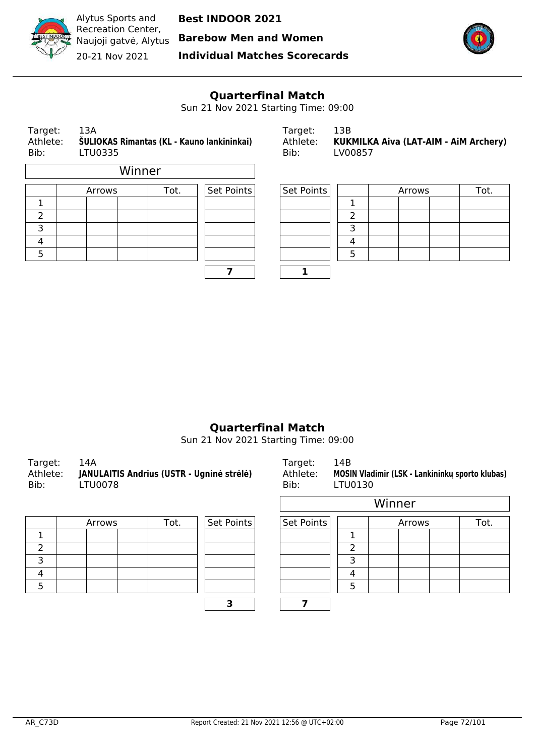

Alytus Sports and Recreation Center, 20-21 Nov 2021

**Best INDOOR 2021**

Naujoji gatvė, Alytus **Barebow Men and Women**

**Individual Matches Scorecards**



## **Quarterfinal Match**

Sun 21 Nov 2021 Starting Time: 09:00

| Target:<br>Athlete:<br>Bib: | 13A<br>LTU0335 |        | ŠULIOKAS Rimantas (KL - Kauno lankininkai) | Target:<br>Athlete:<br>Bib: | 13B<br>LV00857 |    |                |  | KUKMILKA Aiva (LAT-AIM - AiM Archery) |  |
|-----------------------------|----------------|--------|--------------------------------------------|-----------------------------|----------------|----|----------------|--|---------------------------------------|--|
|                             |                | Winner |                                            |                             |                |    |                |  |                                       |  |
|                             | Arrows         |        | Tot.                                       | Set Points                  | Set Points     |    | Tot.<br>Arrows |  |                                       |  |
|                             |                |        |                                            |                             |                |    |                |  |                                       |  |
| 2                           |                |        |                                            |                             |                |    |                |  |                                       |  |
| n.                          |                |        |                                            |                             |                | n. |                |  |                                       |  |

| Target:  | 1.3B                                  |
|----------|---------------------------------------|
| Athlete: | KUKMILKA Aiva (LAT-AIM - AIM Archery) |
| Bib:     | LV00857                               |

|   | Arrows | Tot. | Set Points | Set Points | Arrows |  | Tot. |
|---|--------|------|------------|------------|--------|--|------|
|   |        |      |            |            |        |  |      |
| ے |        |      |            |            |        |  |      |
| ∍ |        |      |            |            |        |  |      |
| 4 |        |      |            |            |        |  |      |
|   |        |      |            |            |        |  |      |
|   |        |      |            |            |        |  |      |

#### **Quarterfinal Match**

Sun 21 Nov 2021 Starting Time: 09:00

| Target:<br>Athlete:<br>Bib: | - 14A<br>JANULAITIS Andrius (USTR - Ugninė strėlė)<br>LTU0078 | Target:<br>Bib: | 14B<br>Athlete: MOSIN Vladimir (LSK - Lankininku sporto klubas)<br>LTU0130 |
|-----------------------------|---------------------------------------------------------------|-----------------|----------------------------------------------------------------------------|
|                             |                                                               |                 |                                                                            |

| Arrows | Tot. | Set Points | Set Points |  |
|--------|------|------------|------------|--|
|        |      |            |            |  |
|        |      |            |            |  |
|        |      |            |            |  |
|        |      |            |            |  |
|        |      |            |            |  |
|        |      |            |            |  |

| Athlete:<br>Bib: | MOSIN Vladimir (LSK - Lankininku sporto klubas)<br>LTU0130 |  |
|------------------|------------------------------------------------------------|--|
|                  | Winner                                                     |  |

|        |      |            |            | <i>v</i> unner |        |      |  |  |
|--------|------|------------|------------|----------------|--------|------|--|--|
| Arrows | Tot. | Set Points | Set Points |                | Arrows | Tot. |  |  |
|        |      |            |            |                |        |      |  |  |
|        |      |            |            |                |        |      |  |  |
|        |      |            |            |                |        |      |  |  |
|        |      |            |            |                |        |      |  |  |
|        |      |            |            |                |        |      |  |  |
|        |      |            |            |                |        |      |  |  |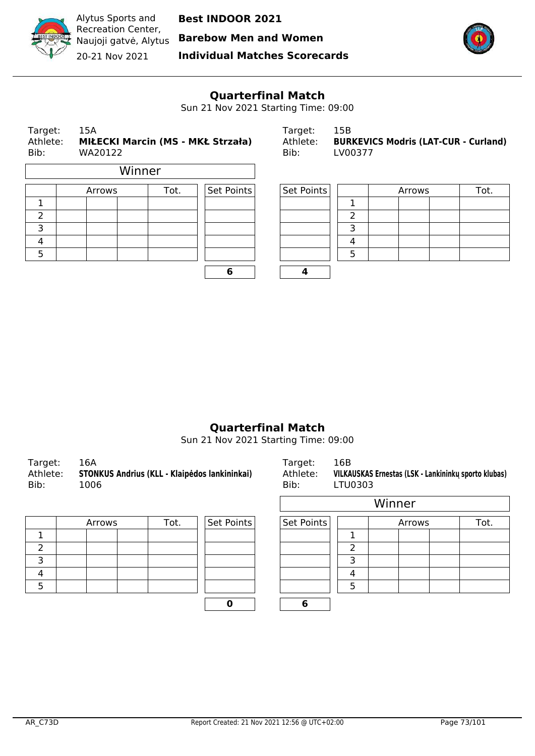

Alytus Sports and Recreation Center, 20-21 Nov 2021

**Best INDOOR 2021**

Naujoji gatvė, Alytus **Barebow Men and Women**

**Individual Matches Scorecards**



## **Quarterfinal Match**

Sun 21 Nov 2021 Starting Time: 09:00

| Target:<br>Athlete:<br>Bib: |  | 15A<br>MIŁECKI Marcin (MS - MKŁ Strzała)<br>WA20122 |        |      | Target:<br>Athlete:<br>Bib: |            | 15B<br><b>BURKEVICS Modris (LAT-CUR - Curland)</b><br>LV00377 |  |        |  |      |
|-----------------------------|--|-----------------------------------------------------|--------|------|-----------------------------|------------|---------------------------------------------------------------|--|--------|--|------|
|                             |  |                                                     | Winner |      |                             |            |                                                               |  |        |  |      |
|                             |  | Arrows                                              |        | Tot. | Set Points                  | Set Points |                                                               |  | Arrows |  | Tot. |
|                             |  |                                                     |        |      |                             |            |                                                               |  |        |  |      |
| $\mathcal{P}$               |  |                                                     |        |      |                             |            | $\overline{2}$                                                |  |        |  |      |
| 3                           |  |                                                     |        |      |                             |            | 3                                                             |  |        |  |      |
| 4                           |  |                                                     |        |      |                             |            | 4                                                             |  |        |  |      |
| 5                           |  |                                                     |        |      |                             |            | 5                                                             |  |        |  |      |
|                             |  |                                                     |        |      | 6                           |            |                                                               |  |        |  |      |

| Target:  | 15B                                         |
|----------|---------------------------------------------|
| Athlete: | <b>BURKEVICS Modris (LAT-CUR - Curland)</b> |
| Bib:     | LV00377                                     |

| Arrows | Tot. | Set Points | Set Points |  | Arrows | Tot. |
|--------|------|------------|------------|--|--------|------|
|        |      |            |            |  |        |      |
|        |      |            |            |  |        |      |
|        |      |            |            |  |        |      |
|        |      |            |            |  |        |      |
|        |      |            |            |  |        |      |
|        |      |            |            |  |        |      |

## **Quarterfinal Match**

Sun 21 Nov 2021 Starting Time: 09:00

| Target:  | 16A                                           | Target:  | 16B                                                  |
|----------|-----------------------------------------------|----------|------------------------------------------------------|
| Athlete: | STONKUS Andrius (KLL - Klaipėdos lankininkai) | Athlete: | VILKAUSKAS Ernestas (LSK - Lankininku sporto klubas) |
| Bib:     | 1006                                          | Bib:     | LTU0303                                              |
|          |                                               |          |                                                      |

| Arrows | Tot. | Set Points | Set Points |  |
|--------|------|------------|------------|--|
|        |      |            |            |  |
|        |      |            |            |  |
|        |      |            |            |  |
|        |      |            |            |  |
|        |      |            |            |  |
|        |      |            |            |  |

|        |      |            | Winner     |   |        |      |
|--------|------|------------|------------|---|--------|------|
| Arrows | Tot. | Set Points | Set Points |   | Arrows | Tot. |
|        |      |            |            |   |        |      |
|        |      |            |            | ົ |        |      |
|        |      |            |            | ∍ |        |      |
|        |      |            |            | Δ |        |      |
|        |      |            |            | 5 |        |      |
|        |      | 0          | 6          |   |        |      |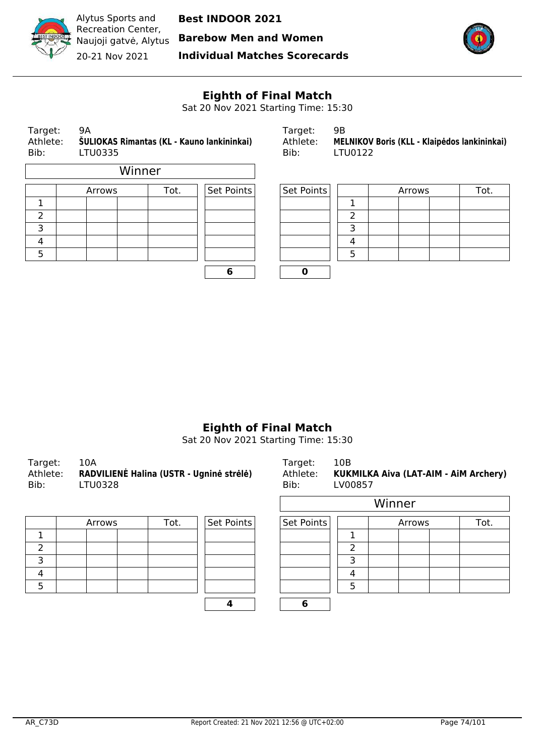

Alytus Sports and Recreation Center, Naujoji gatvė, Alytus 20-21 Nov 2021

**Best INDOOR 2021**

**Barebow Men and Women**

**Individual Matches Scorecards**



# **Eighth of Final Match**

Sat 20 Nov 2021 Starting Time: 15:30

| Target:<br>9Α<br>Athlete:<br>ŠULIOKAS Rimantas (KL - Kauno lankininkai)<br>Bib:<br>LTU0335 |  |        |        |      | Target:<br>Athlete:<br>Bib: | 9B<br>LTU0122 |   | MELNIKOV Boris (KLL - Klaipėdos lankininkai) |      |
|--------------------------------------------------------------------------------------------|--|--------|--------|------|-----------------------------|---------------|---|----------------------------------------------|------|
|                                                                                            |  |        | Winner |      |                             |               |   |                                              |      |
|                                                                                            |  | Arrows |        | Tot. | Set Points                  | Set Points    |   | Arrows                                       | Tot. |
|                                                                                            |  |        |        |      |                             |               |   |                                              |      |
| 2                                                                                          |  |        |        |      |                             |               |   |                                              |      |
| 3                                                                                          |  |        |        |      |                             |               | っ |                                              |      |

| 6 | т |
|---|---|

| Target:  | פופ                                          |
|----------|----------------------------------------------|
| Athlete: | MELNIKOV Boris (KLL - Klaipėdos lankininkai) |
| Bib:     | <b>LTU0122</b>                               |

|   | Arrows | Tot. | Set Points | Set Points<br>Arrows |  | Tot. |  |
|---|--------|------|------------|----------------------|--|------|--|
|   |        |      |            |                      |  |      |  |
| ے |        |      |            |                      |  |      |  |
|   |        |      |            |                      |  |      |  |
| 4 |        |      |            |                      |  |      |  |
|   |        |      |            |                      |  |      |  |
|   |        |      |            |                      |  |      |  |

# **Eighth of Final Match**

| Target:<br>Athlete:<br>Bib: | 10A<br>RADVILIENĖ Halina (USTR - Ugninė strėlė)<br>LTU0328 | Target:<br>Athlete:<br>Bib: | 10B<br>KUKMILKA Aiva (LAT-AIM - AIM Archery)<br>LV00857 |
|-----------------------------|------------------------------------------------------------|-----------------------------|---------------------------------------------------------|
|                             |                                                            |                             | Winner                                                  |
|                             |                                                            |                             |                                                         |

| Arrows | Tot. | Set Points | Set Points |  |
|--------|------|------------|------------|--|
|        |      |            |            |  |
|        |      |            |            |  |
|        |      |            |            |  |
|        |      |            |            |  |
|        |      |            |            |  |
|        |      |            |            |  |

| U0328  |      |            | BID:       | LV00857 |        |      |
|--------|------|------------|------------|---------|--------|------|
|        |      |            |            |         | Winner |      |
| Arrows | Tot. | Set Points | Set Points |         | Arrows | Tot. |
|        |      |            |            |         |        |      |
|        |      |            |            | ີ       |        |      |
|        |      |            |            | 3       |        |      |
|        |      |            |            | 4       |        |      |
|        |      |            |            | 5       |        |      |
|        |      |            | 6          |         |        |      |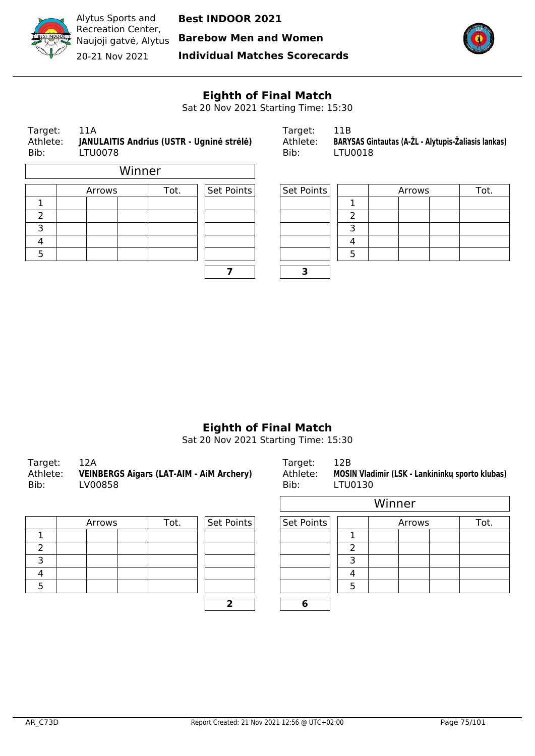

Alytus Sports and Recreation Center, Naujoji gatvė, Alytus 20-21 Nov 2021

**Best INDOOR 2021**

**Barebow Men and Women**

**Individual Matches Scorecards**



# **Eighth of Final Match**

Sat 20 Nov 2021 Starting Time: 15:30

| 11A<br>Target:<br>Athlete:<br>JANULAITIS Andrius (USTR - Ugninė strėlė)<br><b>LTU0078</b><br>Bib: |  |        |        | Target:<br>Athlete:<br>Bib: | 11B<br><b>BARYSAS Gi</b><br><b>LTU0018</b> |                   |   |  |
|---------------------------------------------------------------------------------------------------|--|--------|--------|-----------------------------|--------------------------------------------|-------------------|---|--|
|                                                                                                   |  |        | Winner |                             |                                            |                   |   |  |
|                                                                                                   |  | Arrows |        | Tot.                        | Set Points                                 | <b>Set Points</b> |   |  |
|                                                                                                   |  |        |        |                             |                                            |                   |   |  |
| $\mathcal{P}$                                                                                     |  |        |        |                             |                                            |                   | 2 |  |
| 3                                                                                                 |  |        |        |                             |                                            |                   | З |  |
|                                                                                                   |  |        |        |                             |                                            |                   |   |  |

|  | 3 |
|--|---|
|  |   |
|  |   |
|  |   |
|  |   |

| Target: | 11A                                                | Tardet:  |                                                     |
|---------|----------------------------------------------------|----------|-----------------------------------------------------|
|         | Athlete: JANULAITIS Andrius (USTR - Ugninė strėlė) | Athlete: | BARYSAS Gintautas (A-ŽL - Alytupis-Žaliasis lankas) |
| Bib:    | LTU0078                                            | Bib:     | LTU0018                                             |

|   | Arrows | Tot. | Set Points | Set Points |          | Arrows | Tot. |
|---|--------|------|------------|------------|----------|--------|------|
|   |        |      |            |            |          |        |      |
| ے |        |      |            |            |          |        |      |
|   |        |      |            |            |          |        |      |
| 4 |        |      |            |            | $\prime$ |        |      |
| כ |        |      |            |            |          |        |      |
|   |        |      |            |            |          |        |      |

## **Eighth of Final Match**

| 12A<br>Target:<br><b>VEINBERGS Aigars (LAT-AIM - AIM Archery)</b><br>Athlete:<br>Bib:<br>LV00858 | Target:<br>Bib: | 12B<br>Athlete: MOSIN Vladimir (LSK - Lankininku sporto klubas)<br>LTU0130 |
|--------------------------------------------------------------------------------------------------|-----------------|----------------------------------------------------------------------------|
|--------------------------------------------------------------------------------------------------|-----------------|----------------------------------------------------------------------------|

| Arrows | Tot. | Set Points | Set Points |  |
|--------|------|------------|------------|--|
|        |      |            |            |  |
|        |      |            |            |  |
|        |      |            |            |  |
|        |      |            |            |  |
|        |      |            |            |  |
|        |      |            |            |  |

| /00858 |      |            | Bib:       | LTU0130        |        |      |
|--------|------|------------|------------|----------------|--------|------|
|        |      |            |            |                | Winner |      |
| Arrows | Tot. | Set Points | Set Points |                | Arrows | Tot. |
|        |      |            |            |                |        |      |
|        |      |            |            | $\overline{2}$ |        |      |
|        |      |            |            | 3              |        |      |
|        |      |            |            | 4              |        |      |
|        |      |            |            | 5              |        |      |
|        |      | ר          | 6          |                |        |      |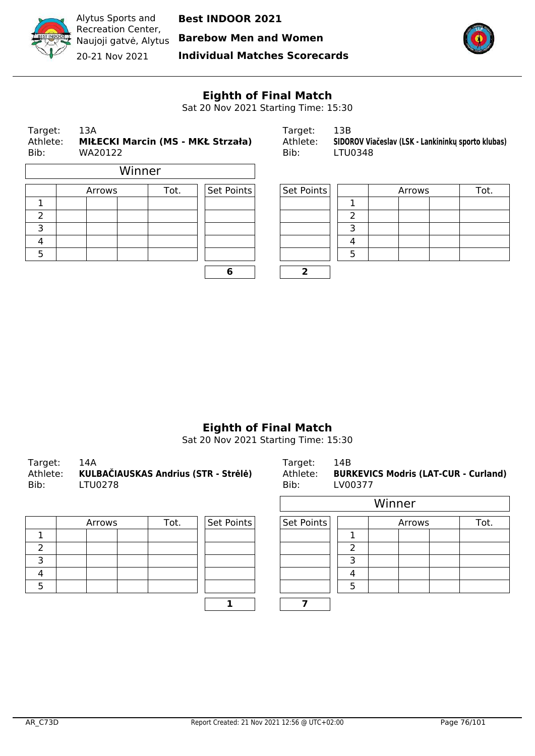

**Barebow Men and Women**



Recreation Center, Naujoji gatvė, Alytus 20-21 Nov 2021

**Individual Matches Scorecards**



# **Eighth of Final Match**

Sat 20 Nov 2021 Starting Time: 15:30

| Target:<br>Athlete:<br>Bib: | 13A<br>WA20122 |        |      | <b>MIŁECKI Marcin (MS - MKŁ Strzała)</b> | Target:<br>Athlete:<br>Bib: | 13B<br>LTU0348 |        | SIDOROV Viačeslav (LSK - Lankininkų sporto klubas) |
|-----------------------------|----------------|--------|------|------------------------------------------|-----------------------------|----------------|--------|----------------------------------------------------|
|                             |                | Winner |      |                                          |                             |                |        |                                                    |
|                             | Arrows         |        | Tot. | Set Points                               | Set Points                  |                | Arrows | Tot.                                               |
|                             |                |        |      |                                          |                             |                |        |                                                    |
| $\mathcal{P}$               |                |        |      |                                          |                             | າ              |        |                                                    |
| 3                           |                |        |      |                                          |                             | 3              |        |                                                    |
| 4                           |                |        |      |                                          |                             | 4              |        |                                                    |
| 5                           |                |        |      |                                          |                             | 5              |        |                                                    |

| 6 |  |
|---|--|

| Target:  | 13B                                                |
|----------|----------------------------------------------------|
| Athlete: | SIDOROV Viačeslav (LSK - Lankininku sporto klubas) |
| Bib:     | LTU0348                                            |

| Arrows | Tot. | $ $ Set Points $ $ | Set Points |  | Arrows | Tot. |
|--------|------|--------------------|------------|--|--------|------|
|        |      |                    |            |  |        |      |
|        |      |                    |            |  |        |      |
|        |      |                    |            |  |        |      |
|        |      |                    |            |  |        |      |
|        |      |                    |            |  |        |      |
|        |      |                    |            |  |        |      |

# **Eighth of Final Match**

| Target: 14A<br>Bib: | Athlete: KULBAČIAUSKAS Andrius (STR - Strėlė)<br>LTU0278 | Target:<br>Bib: | - 14B<br>Athlete: BURKEVICS Modris (LAT-CUR - Curland)<br>LV00377 |
|---------------------|----------------------------------------------------------|-----------------|-------------------------------------------------------------------|
|---------------------|----------------------------------------------------------|-----------------|-------------------------------------------------------------------|

| Arrows | Tot. | Set Points | Set Points |  |
|--------|------|------------|------------|--|
|        |      |            |            |  |
|        |      |            |            |  |
|        |      |            |            |  |
|        |      |            |            |  |
|        |      |            |            |  |
|        |      |            |            |  |

| UUZ 10 |      |            | DIU.       | LVUUS <i>II</i> |        |        |      |
|--------|------|------------|------------|-----------------|--------|--------|------|
|        |      |            |            |                 | Winner |        |      |
| Arrows | Tot. | Set Points | Set Points |                 |        | Arrows | Tot. |
|        |      |            |            |                 |        |        |      |
|        |      |            |            |                 |        |        |      |
|        |      |            |            |                 |        |        |      |
|        |      |            |            | 4               |        |        |      |
|        |      |            |            |                 |        |        |      |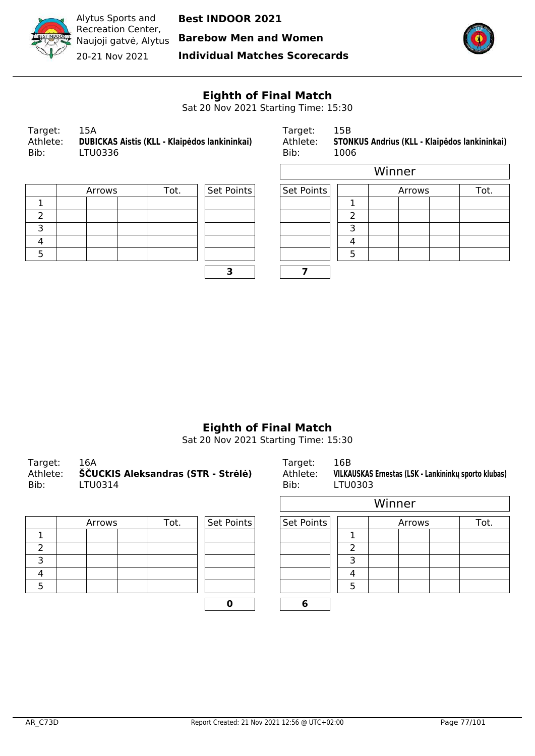

**Barebow Men and Women**

20-21 Nov 2021

**Individual Matches Scorecards**



h

## **Eighth of Final Match**

Sat 20 Nov 2021 Starting Time: 15:30

 $\overline{\phantom{0}}$ 

Target: 15B Athlete: **STONKUS Andrius (KLL - Klaipėdos lankininkai)** Bib:  $1006$ 

|  | Arrows | Tot. | Set Points | Set Points |  |
|--|--------|------|------------|------------|--|
|  |        |      |            |            |  |
|  |        |      |            |            |  |
|  |        |      |            |            |  |
|  |        |      |            |            |  |
|  |        |      |            |            |  |

| <b>Set Points</b> |  |
|-------------------|--|
|                   |  |
|                   |  |
|                   |  |
|                   |  |
|                   |  |
|                   |  |

|        |      |            |            |   | Winner |      |
|--------|------|------------|------------|---|--------|------|
| Arrows | Tot. | Set Points | Set Points |   | Arrows | Tot. |
|        |      |            |            |   |        |      |
|        |      |            |            | ົ |        |      |
|        |      |            |            | っ |        |      |
|        |      |            |            |   |        |      |
|        |      |            |            | ц |        |      |
|        |      | .,         |            |   |        |      |

# **Eighth of Final Match**

| Target:  | 16A                                | Target:  | 16B                                                  |
|----------|------------------------------------|----------|------------------------------------------------------|
| Athlete: | ŠČUCKIS Aleksandras (STR - Strėlė) | Athlete: | VILKAUSKAS Ernestas (LSK - Lankininku sporto klubas) |
| Bib:     | LTU0314                            | Bib:     | LTU0303                                              |

|  | Arrows |  | Set Points<br>Tot. |  |  | Set Points |  |
|--|--------|--|--------------------|--|--|------------|--|
|  |        |  |                    |  |  |            |  |
|  |        |  |                    |  |  |            |  |
|  |        |  |                    |  |  |            |  |
|  |        |  |                    |  |  |            |  |
|  |        |  |                    |  |  |            |  |
|  |        |  |                    |  |  |            |  |

|        |      |            |            |   | Winner |      |
|--------|------|------------|------------|---|--------|------|
| Arrows | Tot. | Set Points | Set Points |   | Arrows | Tot. |
|        |      |            |            |   |        |      |
|        |      |            |            |   |        |      |
|        |      |            |            | っ |        |      |
|        |      |            |            |   |        |      |
|        |      |            |            |   |        |      |
|        |      |            | 6          |   |        |      |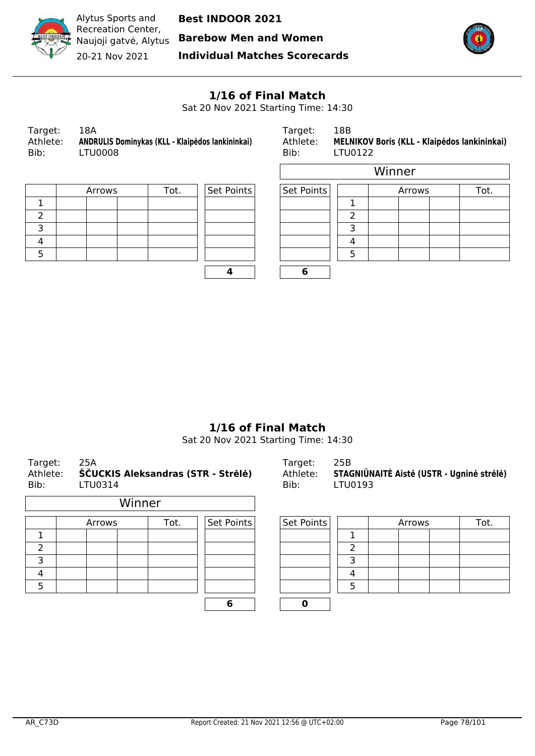

Alytus Sports and Recreation Center, Naujoji gatvė, Alytus 20-21 Nov 2021

**Best INDOOR 2021**

**Barebow Men and Women**

**Individual Matches Scorecards**



#### **1/16 of Final Match**

Sat 20 Nov 2021 Starting Time: 14:30

| Target:  | 18A                                              |
|----------|--------------------------------------------------|
| Athlete: | ANDRULIS Dominykas (KLL - Klaipėdos lankininkai) |
| Bib:     | LTU0008                                          |

Target: 18B Athlete: **MELNIKOV Boris (KLL - Klaipėdos lankininkai)**<br>Bib: LTU0122 LTU0122

|  | Arrows |  | Set Points<br>Tot. |  |  |  |
|--|--------|--|--------------------|--|--|--|
|  |        |  |                    |  |  |  |
|  |        |  |                    |  |  |  |
|  |        |  |                    |  |  |  |
|  |        |  |                    |  |  |  |
|  |        |  |                    |  |  |  |

| Set Points | Set Po |
|------------|--------|
|            |        |
|            |        |
|            |        |
|            |        |
|            |        |
|            |        |
|            |        |

|        |      |            | Winner     |   |        |      |  |  |  |  |  |  |
|--------|------|------------|------------|---|--------|------|--|--|--|--|--|--|
| Arrows | Tot. | Set Points | Set Points |   | Arrows | Tot. |  |  |  |  |  |  |
|        |      |            |            |   |        |      |  |  |  |  |  |  |
|        |      |            |            |   |        |      |  |  |  |  |  |  |
|        |      |            |            | っ |        |      |  |  |  |  |  |  |
|        |      |            |            |   |        |      |  |  |  |  |  |  |
|        |      |            |            | 5 |        |      |  |  |  |  |  |  |
|        |      |            | 6          |   |        |      |  |  |  |  |  |  |

## **1/16 of Final Match**

Sat 20 Nov 2021 Starting Time: 14:30

| Target:<br>Athlete:<br>Bib: | 25A<br>LTU0314 | ŠČUCKIS Aleksandras (STR - Strėlė) |            | Target:<br>Athlete:<br>Bib: | 25B<br>LTU0193 | STAGNIŪNAITĖ Aistė (USTR - Ugninė strėlė) |  |  |  |  |
|-----------------------------|----------------|------------------------------------|------------|-----------------------------|----------------|-------------------------------------------|--|--|--|--|
|                             |                | Winner                             |            |                             |                |                                           |  |  |  |  |
|                             | Arrows         | Tot.                               | Set Points | Set Points                  |                | Tot.<br>Arrows                            |  |  |  |  |
| 1.                          |                |                                    |            |                             | 1              |                                           |  |  |  |  |
| $\overline{\phantom{a}}$    |                |                                    |            |                             | $\overline{2}$ |                                           |  |  |  |  |
| 3                           |                |                                    |            |                             | 3              |                                           |  |  |  |  |
| $\overline{4}$              |                |                                    |            |                             | 4              |                                           |  |  |  |  |
| 5                           |                |                                    |            |                             | 5              |                                           |  |  |  |  |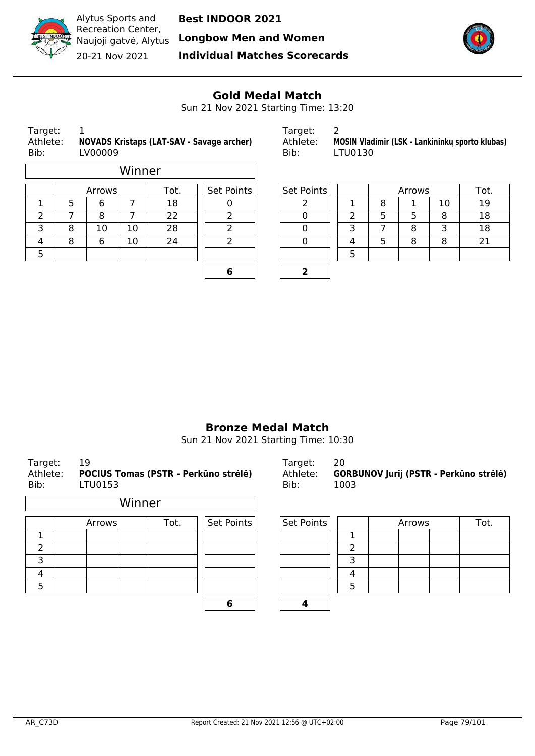

**Longbow Men and Women**

Recreation Center,

Naujoji gatvė, Alytus 20-21 Nov 2021

Alytus Sports and

**Individual Matches Scorecards**



#### **Gold Medal Match**

Sun 21 Nov 2021 Starting Time: 13:20

| Target:                             |  |
|-------------------------------------|--|
| $A + h I \rightarrow + \rightarrow$ |  |

Target: 1 Target: 2 Bib: LV00009

|                |   |    | Winner |            |            |  |        |     |   |    |    |
|----------------|---|----|--------|------------|------------|--|--------|-----|---|----|----|
| Tot.<br>Arrows |   |    |        | Set Points | Set Points |  | Arrows | Tot |   |    |    |
|                |   | 6  |        | 18         |            |  |        | 8   |   | 10 | 19 |
|                |   | 8  |        | 22         |            |  |        | ר   |   | 8  | 18 |
| ∍              | 8 | 10 | 10     | 28         |            |  |        |     | 8 | 3  | 18 |
| 4              | o | 6  | 10     | 24         |            |  | 4      |     | 8 | 8  | 21 |
| 5              |   |    |        |            |            |  |        |     |   |    |    |
|                |   |    |        |            |            |  |        |     |   |    |    |

| arget:   | ∠ |
|----------|---|
| \thlete: | N |

Athlete: **NOVADS Kristaps (LAT-SAV - Savage archer)** Athlete: **MOSIN Vladimir (LSK - Lankininkų sporto klubas)**

| Arrows |    | Tot. | Set Points | Set Points |  | Arrows |   | Tot. |    |
|--------|----|------|------------|------------|--|--------|---|------|----|
| 6      |    | 18   |            |            |  | 8      |   | 10   | 19 |
| 8      |    | 22   |            |            |  |        |   | 8    | 18 |
| 10     | 10 | 28   |            |            |  |        | 8 |      | 18 |
| 6      | 10 | 24   |            |            |  |        | 8 | 8    | 21 |
|        |    |      |            |            |  |        |   |      |    |
|        |    |      |            |            |  |        |   |      |    |

## **Bronze Medal Match**

Sun 21 Nov 2021 Starting Time: 10:30

| Target:<br>Athlete:<br>Bib: | 19<br>POCIUS Tomas (PSTR - Perkūno strėlė)<br>LTU0153 |        |        |  |  |      | Target:<br>Athlete:<br>Bib: | 20<br><b>GORBUNOV Jurij (PSTR - Perkūno strėlė)</b><br>1003 |  |            |  |  |        |  |      |
|-----------------------------|-------------------------------------------------------|--------|--------|--|--|------|-----------------------------|-------------------------------------------------------------|--|------------|--|--|--------|--|------|
|                             |                                                       |        | Winner |  |  |      |                             |                                                             |  |            |  |  |        |  |      |
|                             |                                                       | Arrows |        |  |  | Tot. |                             | Set Points                                                  |  | Set Points |  |  | Arrows |  | Tot. |
|                             |                                                       |        |        |  |  |      |                             |                                                             |  |            |  |  |        |  |      |
| 2                           |                                                       |        |        |  |  |      |                             | っ                                                           |  |            |  |  |        |  |      |
| 3                           |                                                       |        |        |  |  |      |                             | 3                                                           |  |            |  |  |        |  |      |
| 4                           |                                                       |        |        |  |  |      |                             | 4                                                           |  |            |  |  |        |  |      |
| 5                           |                                                       |        |        |  |  |      |                             | 5                                                           |  |            |  |  |        |  |      |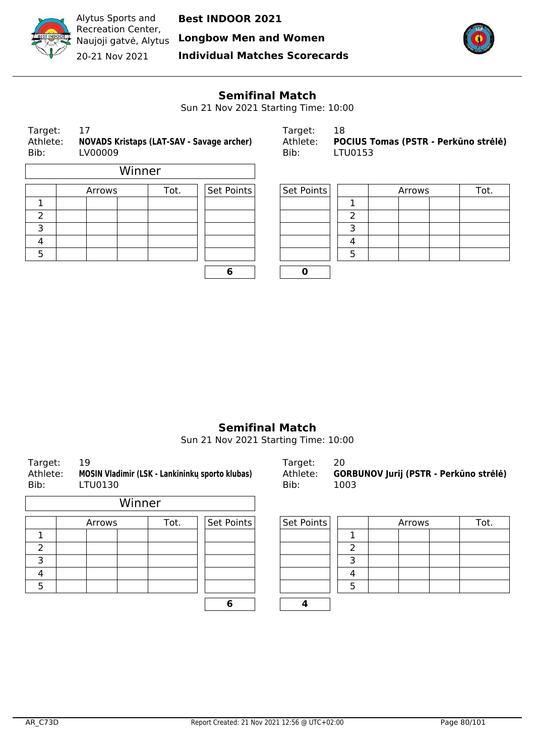

Naujoji gatvė, Alytus **Longbow Men and Women**

Recreation Center, 20-21 Nov 2021

Alytus Sports and

**Individual Matches Scorecards**



#### **Semifinal Match**

Sun 21 Nov 2021 Starting Time: 10:00

| Target:<br>Athlete:<br>Bib: | 17<br>LV00009 | NOVADS Kristaps (LAT-SAV - Savage archer) |            | Target:<br>Athlete:<br>Bib: | 18<br>POCIUS Tomas (PSTR - Perkūno strėlė)<br>LTU0153 |        |      |  |  |  |
|-----------------------------|---------------|-------------------------------------------|------------|-----------------------------|-------------------------------------------------------|--------|------|--|--|--|
|                             |               | Winner                                    |            |                             |                                                       |        |      |  |  |  |
|                             | Arrows        | Tot.                                      | Set Points | Set Points                  |                                                       | Arrows | Tot. |  |  |  |
|                             |               |                                           |            |                             |                                                       |        |      |  |  |  |
| 2                           |               |                                           |            |                             |                                                       |        |      |  |  |  |
| 3                           |               |                                           |            |                             | 3                                                     |        |      |  |  |  |
| $\overline{4}$              |               |                                           |            |                             | 4                                                     |        |      |  |  |  |
| 5                           |               |                                           |            |                             | 5                                                     |        |      |  |  |  |
|                             |               |                                           |            |                             |                                                       |        |      |  |  |  |

| Target: | 18                                            |
|---------|-----------------------------------------------|
|         | Athlete: POCIUS Tomas (PSTR - Perkūno strėlė) |
| Bib:    | LTU0153                                       |

| Tot.<br>Arrows |  | Set Points | Set Points | Arrows |  |  | Tot. |  |
|----------------|--|------------|------------|--------|--|--|------|--|
|                |  |            |            |        |  |  |      |  |
|                |  |            |            |        |  |  |      |  |
|                |  |            |            |        |  |  |      |  |
|                |  |            |            |        |  |  |      |  |
|                |  |            |            |        |  |  |      |  |
|                |  |            |            |        |  |  |      |  |

## **Semifinal Match**

Sun 21 Nov 2021 Starting Time: 10:00

| Target:<br>Athlete:<br>Bib: | 19<br>MOSIN Vladimir (LSK - Lankininkų sporto klubas)<br>LTU0130 |        |        |      |            |  | Target:<br>Athlete:<br>Bib: | 20<br>1003     |        | GORBUNOV Jurij (PSTR - Perkūno stré |
|-----------------------------|------------------------------------------------------------------|--------|--------|------|------------|--|-----------------------------|----------------|--------|-------------------------------------|
|                             |                                                                  |        | Winner |      |            |  |                             |                |        |                                     |
|                             |                                                                  | Arrows |        | Tot. | Set Points |  | Set Points                  |                | Arrows | Tot.                                |
| 1                           |                                                                  |        |        |      |            |  |                             | 1              |        |                                     |
| 2                           |                                                                  |        |        |      |            |  |                             | $\overline{2}$ |        |                                     |
| 3                           |                                                                  |        |        |      |            |  |                             | 3              |        |                                     |
| 4                           |                                                                  |        |        |      |            |  |                             | 4              |        |                                     |
| 5                           |                                                                  |        |        |      |            |  |                             | 5              |        |                                     |
|                             |                                                                  |        |        |      | 6          |  |                             |                |        |                                     |

Athlete: **MOSIN Vladimir (LSK - Lankininkų sporto klubas)** Athlete: **GORBUNOV Jurij (PSTR - Perkūno strėlė)**

| Set Points | Arrows | Tot. |
|------------|--------|------|
|            |        |      |
|            |        |      |
|            |        |      |
|            |        |      |
|            |        |      |
|            |        |      |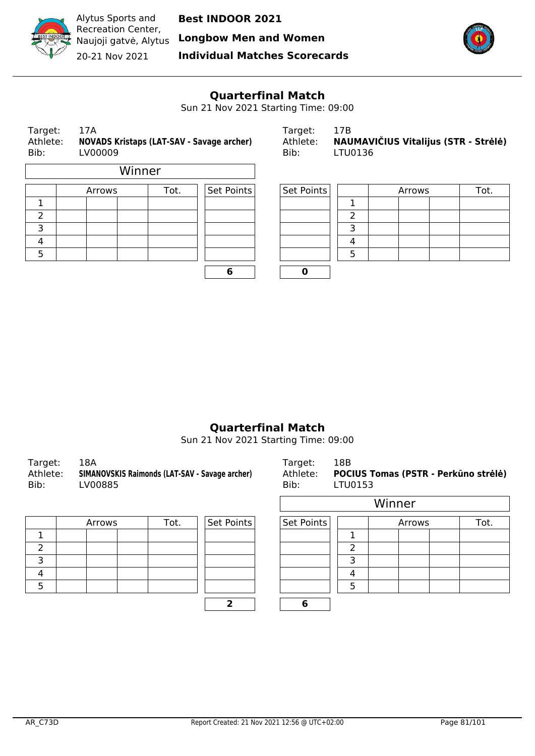

Alytus Sports and Recreation Center, 20-21 Nov 2021

**Best INDOOR 2021**

Naujoji gatvė, Alytus **Longbow Men and Women**

**Individual Matches Scorecards**



## **Quarterfinal Match**

Sun 21 Nov 2021 Starting Time: 09:00

| Target:<br>Athlete:<br>Bib: | 17A | LV00009 |        |      | <b>NOVADS Kristaps (LAT-SAV - Savage archer)</b> | Target:<br>Athlete:<br>Bib: | 17B<br>NAUMAVIČIUS Vitalijus (STR - Strėlė)<br>LTU0136 |  |        |      |  |  |
|-----------------------------|-----|---------|--------|------|--------------------------------------------------|-----------------------------|--------------------------------------------------------|--|--------|------|--|--|
|                             |     |         | Winner |      |                                                  |                             |                                                        |  |        |      |  |  |
|                             |     | Arrows  |        | Tot. | Set Points                                       | Set Points                  |                                                        |  | Arrows | Tot. |  |  |
|                             |     |         |        |      |                                                  |                             |                                                        |  |        |      |  |  |
| 2                           |     |         |        |      |                                                  |                             | っ                                                      |  |        |      |  |  |
| 3                           |     |         |        |      |                                                  |                             | 3                                                      |  |        |      |  |  |
| 4                           |     |         |        |      |                                                  |                             | 4                                                      |  |        |      |  |  |
| 5                           |     |         |        |      |                                                  |                             | 5                                                      |  |        |      |  |  |
|                             |     |         |        |      |                                                  |                             |                                                        |  |        |      |  |  |

| Target:  | 17B                                  |
|----------|--------------------------------------|
| Athlete: | NAUMAVIČIUS Vitalijus (STR - Strėlė) |
| Bib:     | LTU0136                              |

| Arrows | Tot. | Set Points | Set Points |  | Arrows |  | Tot. |
|--------|------|------------|------------|--|--------|--|------|
|        |      |            |            |  |        |  |      |
|        |      |            |            |  |        |  |      |
|        |      |            |            |  |        |  |      |
|        |      |            |            |  |        |  |      |
|        |      |            |            |  |        |  |      |
|        |      |            |            |  |        |  |      |

## **Quarterfinal Match**

Sun 21 Nov 2021 Starting Time: 09:00

| 18A<br>Target:<br>SIMANOVSKIS Raimonds (LAT-SAV - Savage archer)<br>Athlete:<br>Bib:<br>LV00885 | Target:<br>Athlete:<br>Bib: | 18B<br><b>POCIUS Tomas (PSTR - Perkūno strėlė)</b><br>LTU0153 |
|-------------------------------------------------------------------------------------------------|-----------------------------|---------------------------------------------------------------|
|-------------------------------------------------------------------------------------------------|-----------------------------|---------------------------------------------------------------|

| Arrows | Tot. | Set Points | Set Points |  |
|--------|------|------------|------------|--|
|        |      |            |            |  |
|        |      |            |            |  |
|        |      |            |            |  |
|        |      |            |            |  |
|        |      |            |            |  |
|        |      |            |            |  |

| .      |      |            |            | - - - - - - - |        |      |
|--------|------|------------|------------|---------------|--------|------|
|        |      |            |            |               | Winner |      |
| Arrows | Tot. | Set Points | Set Points |               | Arrows | Tot. |
|        |      |            |            |               |        |      |
|        |      |            |            | າ             |        |      |
|        |      |            |            | 3             |        |      |
|        |      |            |            | 4             |        |      |
|        |      |            |            | 5             |        |      |
|        |      | ר          | 6          |               |        |      |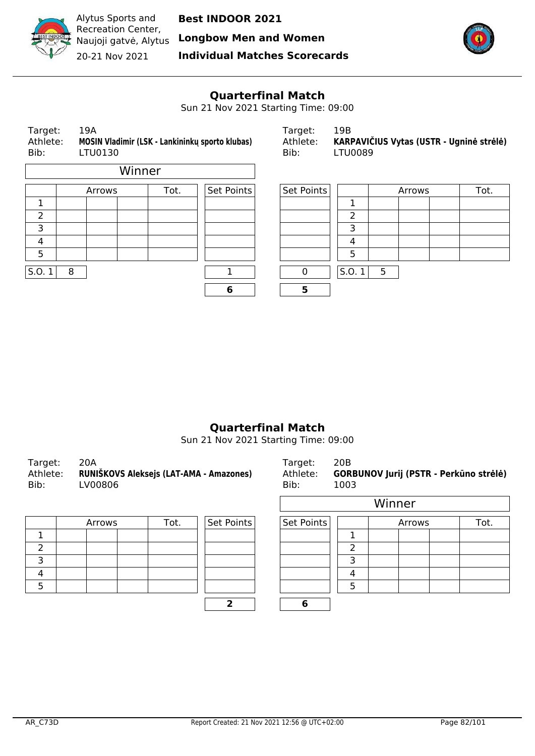

Alytus Sports and Recreation Center, 20-21 Nov 2021

**Best INDOOR 2021**

Naujoji gatvė, Alytus **Longbow Men and Women**

**Individual Matches Scorecards**



# **Quarterfinal Match**

Sun 21 Nov 2021 Starting Time: 09:00

| Target:<br>Athlete:<br>Bib: |   | 19A<br>LTU0130 |        |      | MOSIN Vladimir (LSK - Lankininku sporto klubas) | 19B<br>Target:<br>KARPAVIČIUS Vytas (USTR - Ugninė strėlė)<br>Athlete:<br><b>LTU0089</b><br>Bib: |       |   |        |  |      |
|-----------------------------|---|----------------|--------|------|-------------------------------------------------|--------------------------------------------------------------------------------------------------|-------|---|--------|--|------|
|                             |   |                | Winner |      |                                                 |                                                                                                  |       |   |        |  |      |
|                             |   | Arrows         |        | Tot. | Set Points                                      | Set Points                                                                                       |       |   | Arrows |  | Tot. |
| 1                           |   |                |        |      |                                                 |                                                                                                  |       |   |        |  |      |
| $\overline{2}$              |   |                |        |      |                                                 |                                                                                                  | 2     |   |        |  |      |
| 3                           |   |                |        |      |                                                 |                                                                                                  | 3     |   |        |  |      |
| $\overline{4}$              |   |                |        |      |                                                 |                                                                                                  | 4     |   |        |  |      |
| 5                           |   |                |        |      |                                                 |                                                                                                  | 5     |   |        |  |      |
| S.0.1                       | 8 |                |        |      | 1                                               | $\mathbf 0$                                                                                      | S.0.1 | 5 |        |  |      |
|                             |   |                |        |      | 6                                               | 5                                                                                                |       |   |        |  |      |
|                             |   |                |        |      |                                                 |                                                                                                  |       |   |        |  |      |

# **Quarterfinal Match**

Sun 21 Nov 2021 Starting Time: 09:00

| Target:<br>Bib: | 20A<br>Athlete: RUNIŠKOVS Aleksejs (LAT-AMA - Amazones)<br>LV00806 | Target:<br>Bib: | 20 <sub>B</sub><br>Athlete: GORBUNOV Jurij (PSTR - Perkūno strėlė)<br>1003 |
|-----------------|--------------------------------------------------------------------|-----------------|----------------------------------------------------------------------------|
|                 |                                                                    |                 | . . <i>.</i> .                                                             |

| Arrows | Tot. | Set Points | Set Points |  |
|--------|------|------------|------------|--|
|        |      |            |            |  |
|        |      |            |            |  |
|        |      |            |            |  |
|        |      |            |            |  |
|        |      |            |            |  |
|        |      |            |            |  |

| ៸៴៴៰៴៴ |      |            | טוט.       | <b>LUUJ</b> |        |        |      |
|--------|------|------------|------------|-------------|--------|--------|------|
|        |      |            |            |             | Winner |        |      |
| Arrows | Tot. | Set Points | Set Points |             |        | Arrows | Tot. |
|        |      |            |            |             |        |        |      |
|        |      |            |            |             |        |        |      |
|        |      |            |            |             |        |        |      |
|        |      |            |            |             |        |        |      |
|        |      |            |            |             |        |        |      |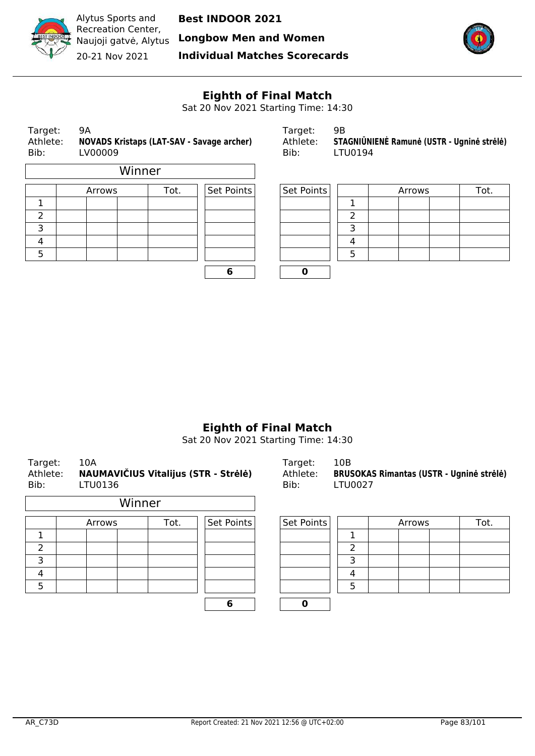

**Longbow Men and Women**



Recreation Center, Naujoji gatvė, Alytus 20-21 Nov 2021

Alytus Sports and

**Individual Matches Scorecards**



# **Eighth of Final Match**

Sat 20 Nov 2021 Starting Time: 14:30

| Winner<br>Set Points<br>Set Points<br>Tot.<br>Tot.<br>Arrows<br>Arrows | STAGNIŪNIENĖ Ramunė (USTR - Ugninė strėlė) |
|------------------------------------------------------------------------|--------------------------------------------|
|                                                                        |                                            |
|                                                                        |                                            |
|                                                                        |                                            |
| 2<br>っ                                                                 |                                            |
| 3<br>3                                                                 |                                            |
| 4<br>4                                                                 |                                            |
| 5<br>5                                                                 |                                            |

| ۰. |  |
|----|--|

| Target:  | чн                                         |
|----------|--------------------------------------------|
| Athlete: | STAGNIŪNIENĖ Ramunė (USTR - Ugninė strėlė) |
| Bib:     | LTU0194                                    |

| Arrows | Tot. | Set Points | Set Points |  | Arrows | Tot. |  |
|--------|------|------------|------------|--|--------|------|--|
|        |      |            |            |  |        |      |  |
|        |      |            |            |  |        |      |  |
|        |      |            |            |  |        |      |  |
|        |      |            |            |  |        |      |  |
|        |      |            |            |  |        |      |  |
|        |      |            |            |  |        |      |  |

# **Eighth of Final Match**

Sat 20 Nov 2021 Starting Time: 14:30

| 10A<br>Target:<br>NAUMAVIČIUS Vitalijus (STR - Strėlė)<br>Athlete:<br>Bib:<br>LTU0136 |        |                |  |            | Target:<br>Athlete:<br>Bib: | 10B<br><b>LTU0027</b> | <b>BRUSOKAS Rimantas (USTR - Ugninė strėlė)</b> |        |  |  |      |  |
|---------------------------------------------------------------------------------------|--------|----------------|--|------------|-----------------------------|-----------------------|-------------------------------------------------|--------|--|--|------|--|
|                                                                                       | Winner |                |  |            |                             |                       |                                                 |        |  |  |      |  |
|                                                                                       |        | Tot.<br>Arrows |  | Set Points |                             | Set Points            |                                                 | Arrows |  |  | Tot. |  |
| 1.                                                                                    |        |                |  |            |                             |                       |                                                 | ٦      |  |  |      |  |
| $\mathcal{P}$                                                                         |        |                |  |            |                             |                       |                                                 | 2      |  |  |      |  |
| 3                                                                                     |        |                |  |            |                             |                       |                                                 | 3      |  |  |      |  |
| 4                                                                                     |        |                |  |            |                             |                       |                                                 | 4      |  |  |      |  |
| 5                                                                                     |        |                |  |            |                             |                       |                                                 | 5      |  |  |      |  |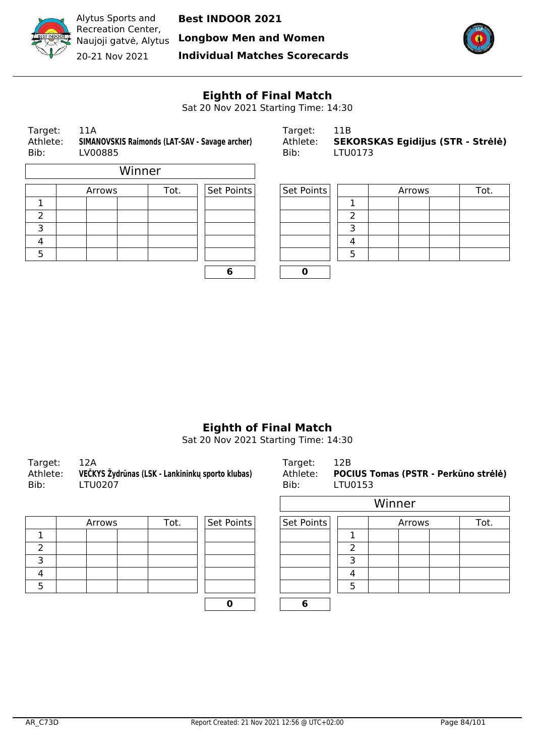

Alytus Sports and Recreation Center, Naujoji gatvė, Alytus 20-21 Nov 2021

**Best INDOOR 2021**

**Longbow Men and Women**

**Individual Matches Scorecards**



# **Eighth of Final Match**

Sat 20 Nov 2021 Starting Time: 14:30

| Bib: | 11A<br>Target:<br>Athlete:<br>SIMANOVSKIS Raimonds (LAT-SAV - Savage archer)<br>LV00885 |                |            |            |  | Target:<br>Athlete:<br>Bib: | 11B<br><b>SEKORS</b><br>LTU0173 |  |
|------|-----------------------------------------------------------------------------------------|----------------|------------|------------|--|-----------------------------|---------------------------------|--|
|      |                                                                                         |                | Winner     |            |  |                             |                                 |  |
|      |                                                                                         | Tot.<br>Arrows | Set Points | Set Points |  |                             |                                 |  |
|      |                                                                                         |                |            |            |  |                             |                                 |  |
| フ    |                                                                                         |                |            |            |  |                             | 2                               |  |
| 3    |                                                                                         |                |            |            |  |                             | 3                               |  |
|      |                                                                                         |                |            |            |  |                             |                                 |  |

| Target:  | 11A                                            | Target: I |                                            |
|----------|------------------------------------------------|-----------|--------------------------------------------|
| Athlete: | SIMANOVSKIS Raimonds (LAT-SAV - Savage archer) |           | Athlete: SEKORSKAS Egidijus (STR - Strėlė) |
| Bib:     | LV00885                                        | Bib:      | LTU0173                                    |

|        | Arrows | Tot. | Set Points<br>Set Points |  |          | Arrows | Tot. |
|--------|--------|------|--------------------------|--|----------|--------|------|
|        |        |      |                          |  |          |        |      |
| ∠      |        |      |                          |  |          |        |      |
| っ<br>⊃ |        |      |                          |  |          |        |      |
| 4      |        |      |                          |  | $\prime$ |        |      |
| 5      |        |      |                          |  |          |        |      |
|        |        |      |                          |  |          |        |      |

# **Eighth of Final Match**

Sat 20 Nov 2021 Starting Time: 14:30

| Target:<br>Athlete:<br>Bib: | 12A<br>VEČKYS Žydrūnas (LSK - Lankininkų sporto klubas)<br><b>LTU0207</b> | Target:<br>Bib: | 12B<br>Athlete: POCIUS Tomas (PSTR - Perkūno strėlė)<br>LTU0153 |
|-----------------------------|---------------------------------------------------------------------------|-----------------|-----------------------------------------------------------------|
|                             |                                                                           |                 | Winner                                                          |

|  | Arrows | Set Points | Set Points |  |  |  |
|--|--------|------------|------------|--|--|--|
|  |        |            |            |  |  |  |
|  |        |            |            |  |  |  |
|  |        |            |            |  |  |  |
|  |        |            |            |  |  |  |
|  |        |            |            |  |  |  |
|  |        |            |            |  |  |  |

| in the property of the contract of the property of the contract of the contract of the contract of the contract of the contract of the contract of the contract of the contract of the contract of the contract of the contrac<br><b>TU0207</b> |      | Bib:       | LTU0153    |  |        | $  \bullet$ |      |
|-------------------------------------------------------------------------------------------------------------------------------------------------------------------------------------------------------------------------------------------------|------|------------|------------|--|--------|-------------|------|
|                                                                                                                                                                                                                                                 |      |            |            |  | Winner |             |      |
| Arrows                                                                                                                                                                                                                                          | Tot. | Set Points | Set Points |  |        | Arrows      | Tot. |
|                                                                                                                                                                                                                                                 |      |            |            |  |        |             |      |
|                                                                                                                                                                                                                                                 |      |            |            |  |        |             |      |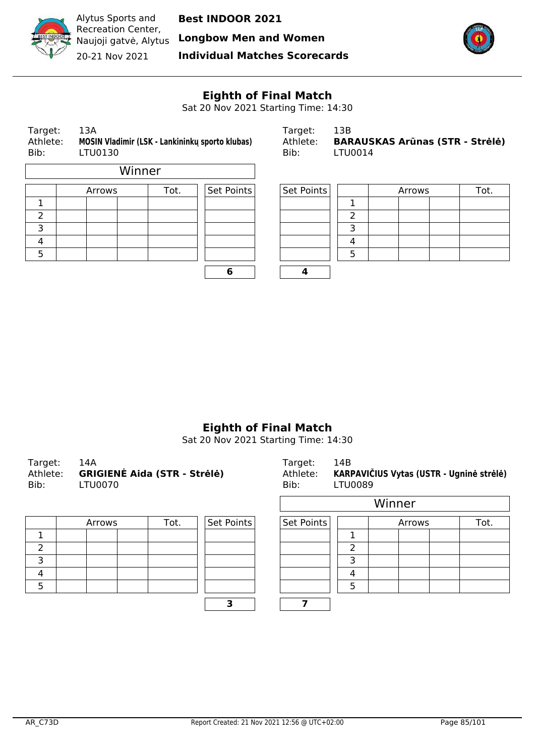

Alytus Sports and Recreation Center, Naujoji gatvė, Alytus 20-21 Nov 2021

**Best INDOOR 2021**

**Longbow Men and Women**

**Individual Matches Scorecards**



# **Eighth of Final Match**

Sat 20 Nov 2021 Starting Time: 14:30

| Target:<br>Athlete:<br>Bib: | 13A<br>LTU0130 | MOSIN Vladimir (LSK - Lankininku sporto klubas) | Target:<br>Athlete:<br>Bib: | 13B<br><b>BARAUSKAS Arūnas (STR - Strėlė)</b><br>LTU0014 |            |   |  |        |  |      |
|-----------------------------|----------------|-------------------------------------------------|-----------------------------|----------------------------------------------------------|------------|---|--|--------|--|------|
| Winner                      |                |                                                 |                             |                                                          |            |   |  |        |  |      |
|                             | Arrows         |                                                 | Tot.                        | Set Points                                               | Set Points |   |  | Arrows |  | Tot. |
|                             |                |                                                 |                             |                                                          |            |   |  |        |  |      |
|                             |                |                                                 |                             |                                                          |            |   |  |        |  |      |
| 3                           |                |                                                 |                             |                                                          |            | ∍ |  |        |  |      |

|  | 6 |  |
|--|---|--|

| Target:  | 13B                                    |
|----------|----------------------------------------|
| Athlete: | <b>BARAUSKAS Arūnas (STR - Strėlė)</b> |
| Bib:     | LTU0014                                |

|        | Arrows | Tot. | Set Points | Set Points |   | Arrows | Tot. |
|--------|--------|------|------------|------------|---|--------|------|
|        |        |      |            |            |   |        |      |
| ے      |        |      |            |            |   |        |      |
| ∍<br>⊃ |        |      |            |            |   |        |      |
| 4      |        |      |            |            | 4 |        |      |
| 5      |        |      |            |            |   |        |      |
|        |        |      |            |            |   |        |      |

## **Eighth of Final Match**

| Target:  | 14A                                 | Target:  | 14B                                      |
|----------|-------------------------------------|----------|------------------------------------------|
| Athlete: | <b>GRIGIENĖ Aida (STR - Strėlė)</b> | Athlete: | KARPAVIČIUS Vytas (USTR - Ugninė strėlė) |
| Bib:     | _TU0070                             | Bib:     | LTU0089                                  |
|          |                                     |          | Winner                                   |

| Arrows | Tot. | Set Points | Set Points |  |
|--------|------|------------|------------|--|
|        |      |            |            |  |
|        |      |            |            |  |
|        |      |            |            |  |
|        |      |            |            |  |
|        |      |            |            |  |
|        |      |            |            |  |

| <u>UUUTU</u> |      |            | BID:       | <b>LIUUU0Y</b> |        |      |
|--------------|------|------------|------------|----------------|--------|------|
|              |      |            |            |                | Winner |      |
| Arrows       | Tot. | Set Points | Set Points |                | Arrows | Tot. |
|              |      |            |            |                |        |      |
|              |      |            |            |                |        |      |
|              |      |            |            |                |        |      |
|              |      |            |            | 4              |        |      |
|              |      |            |            | ς              |        |      |
|              |      |            |            |                |        |      |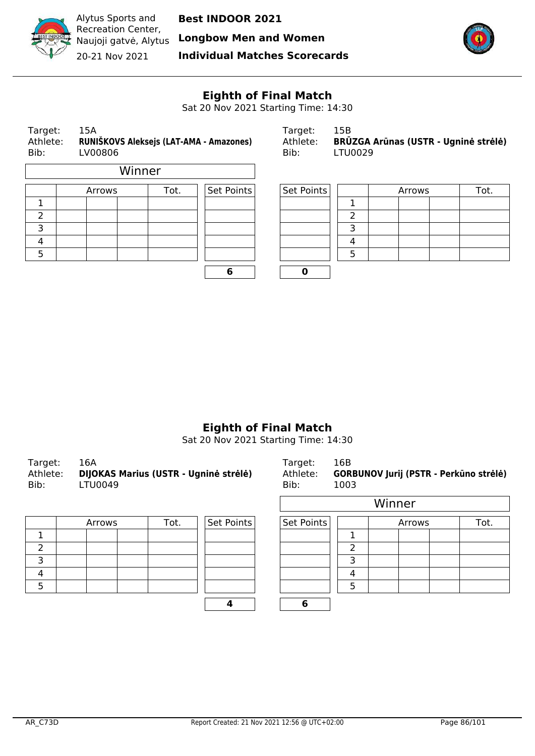

**Longbow Men and Women**

**Individual Matches Scorecards**



# **Eighth of Final Match**

Sat 20 Nov 2021 Starting Time: 14:30

| Target:<br>15A<br>RUNIŠKOVS Aleksejs (LAT-AMA - Amazones)<br>Athlete:<br>Bib:<br>LV00806 |  |        |        |      | Target:<br>Athlete:<br>Bib: | 15B<br>BRŪZGA Arūnas (USTR - Ugninė strėlė)<br><b>LTU0029</b> |  |  |        |  |      |
|------------------------------------------------------------------------------------------|--|--------|--------|------|-----------------------------|---------------------------------------------------------------|--|--|--------|--|------|
|                                                                                          |  |        | Winner |      |                             |                                                               |  |  |        |  |      |
|                                                                                          |  | Arrows |        | Tot. | Set Points                  | Set Points                                                    |  |  | Arrows |  | Tot. |
|                                                                                          |  |        |        |      |                             |                                                               |  |  |        |  |      |
| 2                                                                                        |  |        |        |      |                             |                                                               |  |  |        |  |      |
| 3                                                                                        |  |        |        |      |                             |                                                               |  |  |        |  |      |

| 6 |  |
|---|--|

| Target:  | 15B                                         |
|----------|---------------------------------------------|
| Athlete: | <b>BRŪZGA Arūnas (USTR - Ugninė strėlė)</b> |
| Bib:     | LTU0029                                     |

|         | Arrows | Tot. | Set Points | Set Points |          | Arrows | Tot. |
|---------|--------|------|------------|------------|----------|--------|------|
| ┸       |        |      |            |            |          |        |      |
| ے       |        |      |            |            |          |        |      |
| ∍<br>J. |        |      |            |            |          |        |      |
| 4       |        |      |            |            | $\prime$ |        |      |
| 5       |        |      |            |            |          |        |      |
|         |        |      |            |            |          |        |      |

## **Eighth of Final Match**

| Target:  | 16A                                          | Target:  | 16B                                           |
|----------|----------------------------------------------|----------|-----------------------------------------------|
| Athlete: | <b>DIJOKAS Marius (USTR - Ugninė strėlė)</b> | Athlete: | <b>GORBUNOV Jurij (PSTR - Perkūno strėlė)</b> |
| Bib:     | LTU0049                                      | Bib:     | 1003                                          |
|          |                                              |          | $\mathbf{M}$                                  |

| Arrows | Tot. | Set Points | Set Points |  |
|--------|------|------------|------------|--|
|        |      |            |            |  |
|        |      |            |            |  |
|        |      |            |            |  |
|        |      |            |            |  |
|        |      |            |            |  |
|        |      |            |            |  |

| ぃヮヮ    |      |            | <b></b>    | ᅩ◡◡ |        |      |
|--------|------|------------|------------|-----|--------|------|
|        |      |            |            |     | Winner |      |
| Arrows | Tot. | Set Points | Set Points |     | Arrows | Tot. |
|        |      |            |            |     |        |      |
|        |      |            |            | ົ   |        |      |
|        |      |            |            | з   |        |      |
|        |      |            |            | 4   |        |      |
|        |      |            |            | .5  |        |      |
|        |      |            | 6          |     |        |      |
|        |      |            |            |     |        |      |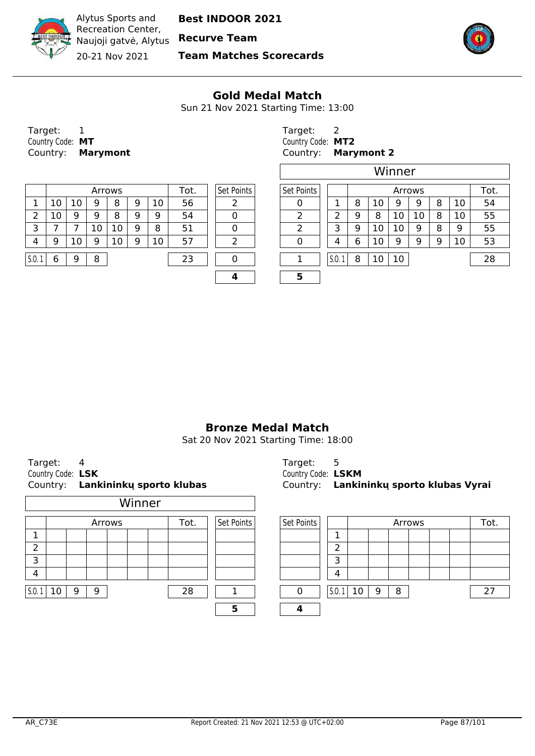

Recreation Center, Naujoji gatvė, Alytus **Recurve Team** 20-21 Nov 2021

Alytus Sports and

**Team Matches Scorecards**



#### **Gold Medal Match**

Sun 21 Nov 2021 Starting Time: 13:00

r.

| Target:          |                          |
|------------------|--------------------------|
| Country Code: MT |                          |
|                  | Country: <b>Marymont</b> |

|       | Arrows |    |   |    | Tot. | Set Points | Set Points |  |   |        | Arrows |    |    |    | Tot |    |    |
|-------|--------|----|---|----|------|------------|------------|--|---|--------|--------|----|----|----|-----|----|----|
|       | 10     | 10 | 9 | 8  | 9    | 10         | 56         |  |   |        | 8      | 10 | 9  | Q  | 8   | 10 | 54 |
|       | ΠO     | 9  | 9 | 8  | 9    | 9          | 54         |  |   |        | a      | 8  | 10 | 10 | 8   | 10 | 55 |
|       |        |    |   | 10 | 9    | 8          | 51         |  |   |        | 9      | 10 |    | Q  | 8   | a  | 55 |
| 4     | 9      | 10 | a | 10 | 9    | 10         | 57         |  |   |        | 6      | 10 | 9  | a  | 9   | 10 | 53 |
|       |        |    |   |    |      |            |            |  |   |        |        |    |    |    |     |    |    |
| 5.0.1 | 6      | Q  | 8 |    |      |            | 23         |  |   | S.O. 1 | 8      | 10 | 10 |    |     |    | 28 |
|       |        |    |   |    |      |            |            |  | - |        |        |    |    |    |     |    |    |

Target: 2 Country Code: **MT** Country Code: **MT2** Country: **Marymont** Country: **Marymont 2**

|    |        |   |    |      |                   | Winner     |  |       |   |    |        |    |   |    |      |
|----|--------|---|----|------|-------------------|------------|--|-------|---|----|--------|----|---|----|------|
|    | Arrows |   |    | Tot. | Set Points        | Set Points |  |       |   |    | Arrows |    |   |    | Tot. |
| 9  | 8      | 9 | 10 | 56   |                   |            |  |       | 8 | 10 | 9      | 9  | 8 | 10 | 54   |
| 9  | 8      | 9 | 9  | 54   | 0                 | 2          |  |       | 9 | 8  | 10     | 10 | 8 | 10 | 55   |
| 10 | 10     | 9 | 8  | 51   | 0                 | ว          |  | 3     | 9 | 10 | 10     | 9  | 8 | 9  | 55   |
| 9  | 10     | 9 | 10 | 57   | າ                 | 0          |  | 4     | 6 | 10 | 9      | 9  | 9 | 10 | 53   |
| 8  |        |   |    | 23   | $\mathbf{\Omega}$ |            |  | S.0.1 | 8 | 10 | 10     |    |   |    | 28   |
|    |        |   |    |      |                   | 5          |  |       |   |    |        |    |   |    |      |

## **Bronze Medal Match**

Sat 20 Nov 2021 Starting Time: 18:00

| Country:             |        |        |        | Lankininkų sporto klubas |            | Country:   |       |     |   |   |        |  | Lankininkų sporto klubas Vyrai |
|----------------------|--------|--------|--------|--------------------------|------------|------------|-------|-----|---|---|--------|--|--------------------------------|
|                      |        |        | Winner |                          |            |            |       |     |   |   |        |  |                                |
|                      |        | Arrows |        | Tot.                     | Set Points | Set Points |       |     |   |   | Arrows |  | Tot                            |
| 1                    |        |        |        |                          |            |            |       |     |   |   |        |  |                                |
| 2                    |        |        |        |                          |            |            | ำ     |     |   |   |        |  |                                |
| 3                    |        |        |        |                          |            |            | 3     |     |   |   |        |  |                                |
| 4                    |        |        |        |                          |            |            | 4     |     |   |   |        |  |                                |
| $\vert$ S.O. 1<br>10 | 9<br>9 |        |        | 28                       |            | 0          | 5.0.1 | -10 | 9 | 8 |        |  | 27                             |
|                      |        |        |        |                          | 5          | 4          |       |     |   |   |        |  |                                |

Target: 4 Target: 5 Country Code: **LSK** Country Code: **LSKM** Country: **Lankininkų sporto klubas** Country: **Lankininkų sporto klubas Vyrai**

| Arrows | Tot. | Set Points | Set Points |        |    |   | Arrows |  | Tot. |  |
|--------|------|------------|------------|--------|----|---|--------|--|------|--|
|        |      |            |            | 7      |    |   |        |  |      |  |
|        |      |            |            | າ<br>ے |    |   |        |  |      |  |
|        |      |            |            | 3      |    |   |        |  |      |  |
|        |      |            |            | 4      |    |   |        |  |      |  |
| 9      | 28   |            |            | 5.0.1  | 10 | 9 | 8      |  |      |  |
|        |      | 5          |            |        |    |   |        |  |      |  |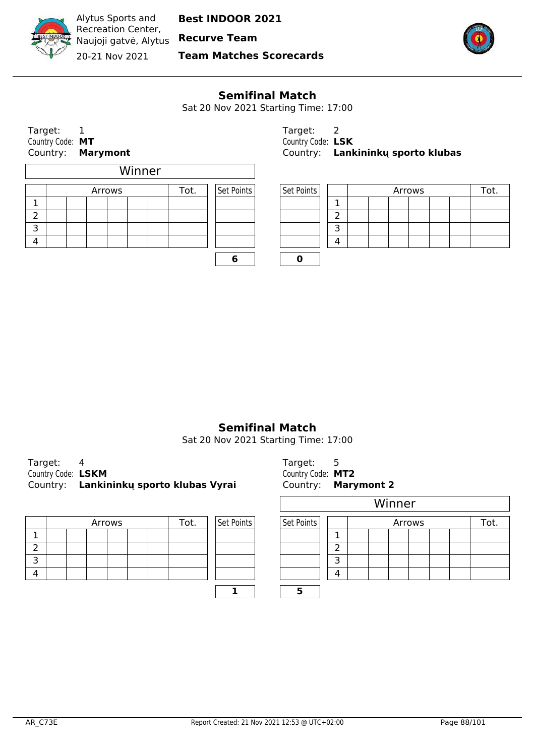

Alytus Sports and Recreation Center, Naujoji gatvė, Alytus **Recurve Team**

**Best INDOOR 2021**

20-21 Nov 2021

**Team Matches Scorecards**



#### **Semifinal Match**

Sat 20 Nov 2021 Starting Time: 17:00

Target: 1 Target: 2 Country Code: **MT**<br>
Country: **Marymont Country: Lank**<br>
Country: **Lank** 

|   |  |  | Arrows |  | Tot. |  | Set Points | Set Points |               |
|---|--|--|--------|--|------|--|------------|------------|---------------|
|   |  |  |        |  |      |  |            |            | 1.            |
|   |  |  |        |  |      |  |            |            | $\mathcal{P}$ |
| ∍ |  |  |        |  |      |  |            |            | 3             |
|   |  |  |        |  |      |  |            |            | л             |
|   |  |  |        |  |      |  |            |            |               |

Country: **Marymont** Country: **Lankininkų sporto klubas**

| Arrows<br>Tot. |  |  | Set Points |  | Set Points |  |  | Arrows |  |  |  |
|----------------|--|--|------------|--|------------|--|--|--------|--|--|--|
|                |  |  |            |  |            |  |  |        |  |  |  |
|                |  |  |            |  |            |  |  |        |  |  |  |
|                |  |  |            |  |            |  |  |        |  |  |  |
|                |  |  |            |  |            |  |  |        |  |  |  |

**6 0**

#### **Semifinal Match**

Sat 20 Nov 2021 Starting Time: 17:00

| Target:            |                                         |
|--------------------|-----------------------------------------|
| Country Code: LSKM |                                         |
|                    | Country: Lankininky sporto klubas Vyrai |

|  |  |  | Arrows |  |  | Tot. | Set Points | Set Points |   |
|--|--|--|--------|--|--|------|------------|------------|---|
|  |  |  |        |  |  |      |            |            |   |
|  |  |  |        |  |  |      |            |            | ∽ |
|  |  |  |        |  |  |      |            |            | − |
|  |  |  |        |  |  |      |            |            |   |
|  |  |  |        |  |  |      |            |            |   |

Target: 5 Country Code: MT2 Country: **Marymont 2** 

|        |      |            |            |   |  |        | Winner |  |  |      |  |  |  |  |  |  |
|--------|------|------------|------------|---|--|--------|--------|--|--|------|--|--|--|--|--|--|
| Arrows | Tot. | Set Points | Set Points |   |  | Arrows |        |  |  | Tot. |  |  |  |  |  |  |
|        |      |            |            |   |  |        |        |  |  |      |  |  |  |  |  |  |
|        |      |            |            | ∍ |  |        |        |  |  |      |  |  |  |  |  |  |
|        |      |            |            | っ |  |        |        |  |  |      |  |  |  |  |  |  |
|        |      |            |            | 4 |  |        |        |  |  |      |  |  |  |  |  |  |
|        |      |            |            |   |  |        |        |  |  |      |  |  |  |  |  |  |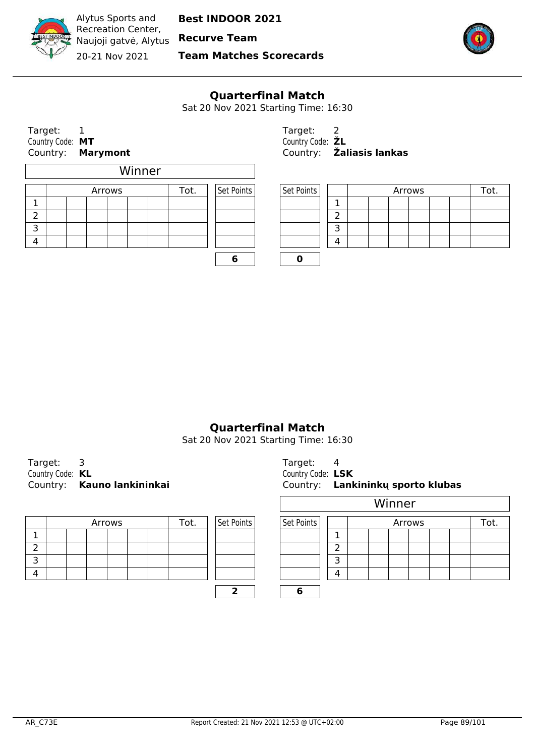

Naujoji gatvė, Alytus **Recurve Team**

20-21 Nov 2021

**Team Matches Scorecards**



#### **Quarterfinal Match**

Sat 20 Nov 2021 Starting Time: 16:30

Target: 1<br>
Country Code: MT Country Code: 2 Country Code: MT<br>Country: **Marymont** 

|   |  |        | Winner |      |            |            |               |
|---|--|--------|--------|------|------------|------------|---------------|
|   |  | Arrows |        | Tot. | Set Points | Set Points |               |
|   |  |        |        |      |            |            | 1             |
|   |  |        |        |      |            |            | $\mathcal{P}$ |
| っ |  |        |        |      |            |            | 3             |
|   |  |        |        |      |            |            | л             |
|   |  |        |        |      |            |            |               |

Country: **Marymont** Country: **Žaliasis lankas**

| Arrows<br>Tot. |  |  | Set Points | Set Points | Arrows |  |  |  |  |  |  |  |  |
|----------------|--|--|------------|------------|--------|--|--|--|--|--|--|--|--|
|                |  |  |            |            |        |  |  |  |  |  |  |  |  |
|                |  |  |            |            |        |  |  |  |  |  |  |  |  |
|                |  |  |            |            |        |  |  |  |  |  |  |  |  |
|                |  |  |            |            |        |  |  |  |  |  |  |  |  |

**Quarterfinal Match**

Sat 20 Nov 2021 Starting Time: 16:30

Target: 3 Country Code: **KL** Country: **Kauno lankininkai** 

|  |  |  | Arrows |  |  | Tot. | Set Points | Set Points |  |
|--|--|--|--------|--|--|------|------------|------------|--|
|  |  |  |        |  |  |      |            |            |  |
|  |  |  |        |  |  |      |            |            |  |
|  |  |  |        |  |  |      |            |            |  |
|  |  |  |        |  |  |      |            |            |  |
|  |  |  |        |  |  |      |            |            |  |

| Target:           |                                   |
|-------------------|-----------------------------------|
| Country Code: LSK |                                   |
|                   | Country: Lankininku sporto klubas |

|        |      |            |            | Winner |  |  |  |  |  |  |      |
|--------|------|------------|------------|--------|--|--|--|--|--|--|------|
| Arrows | Tot. | Set Points | Set Points | Arrows |  |  |  |  |  |  | Tot. |
|        |      |            |            |        |  |  |  |  |  |  |      |
|        |      |            |            | ∍      |  |  |  |  |  |  |      |
|        |      |            |            | っ      |  |  |  |  |  |  |      |
|        |      |            |            | 4      |  |  |  |  |  |  |      |
|        |      | ∍          |            |        |  |  |  |  |  |  |      |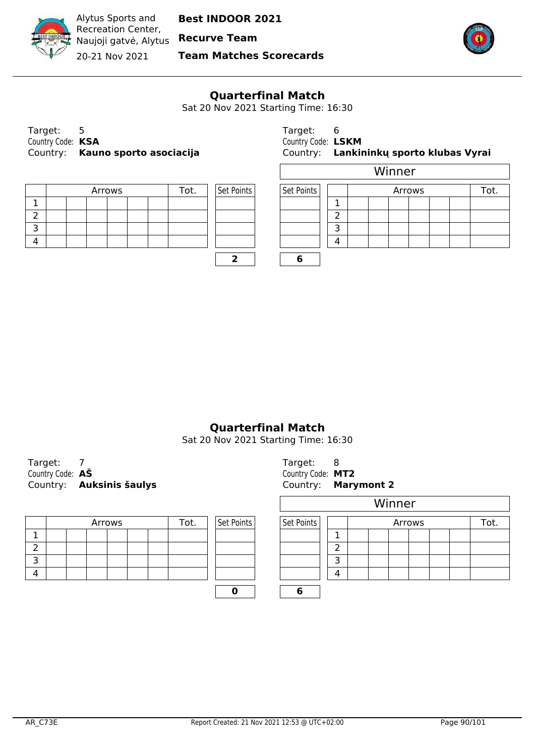

Recreation Center, Naujoji gatvė, Alytus **Recurve Team** 20-21 Nov 2021

Alytus Sports and

**Team Matches Scorecards**



#### **Quarterfinal Match**

Sat 20 Nov 2021 Starting Time: 16:30

Target: 5 Target: 6 Target: 6 Target: 6 Target: 6 Target: 6 Target: 6 Target: 6 Target: 6 Target: 6 Target: 6 Target: 6 Target: 6 Target: 6 Target: 6 Target: 6 Target: 6 Target: 6 Target: 6 Target: 6 Target: 6 Target: 6 Ta Country Code: **KSA** Country Code: **LSKM** Country: **Kauno sporto asociacija** Country: **Lankininkų sporto klubas Vyrai**

|  |  | Arrows |  | Tot. | Set Points | Set Points |  |
|--|--|--------|--|------|------------|------------|--|
|  |  |        |  |      |            |            |  |
|  |  |        |  |      |            |            |  |
|  |  |        |  |      |            |            |  |
|  |  |        |  |      |            |            |  |
|  |  |        |  |      |            |            |  |

| COUNTY COURT LOND | Country: Lankininky sport |
|-------------------|---------------------------|
|                   | Winner                    |
|                   |                           |
| _ _               |                           |

| Arrows<br>™ot. |  |  | Set Points | Set Points | Arrows |  |  |  |  |  |  |  |
|----------------|--|--|------------|------------|--------|--|--|--|--|--|--|--|
|                |  |  |            |            |        |  |  |  |  |  |  |  |
|                |  |  |            |            |        |  |  |  |  |  |  |  |
|                |  |  |            |            |        |  |  |  |  |  |  |  |
|                |  |  |            |            |        |  |  |  |  |  |  |  |

**2 6**

# **Quarterfinal Match**

Sat 20 Nov 2021 Starting Time: 16:30

Target: 7 Country Code:  $\mathbf{A}\mathbf{\check{S}}$  Country Code:  $\mathbf{A}\mathbf{\check{S}}$ Country: **Auksinis šaulys** 

|  |  | Arrows |  | Tot. | Set Points | Set Points |                          |
|--|--|--------|--|------|------------|------------|--------------------------|
|  |  |        |  |      |            |            | ┓                        |
|  |  |        |  |      |            |            | $\overline{\phantom{a}}$ |
|  |  |        |  |      |            |            | з                        |
|  |  |        |  |      |            |            |                          |
|  |  |        |  |      |            |            |                          |
|  |  |        |  |      |            |            |                          |

| Target:           | 8                   |  |
|-------------------|---------------------|--|
| Country Code: MT2 |                     |  |
|                   | Country: Marymont 2 |  |

|        |      |            |            | Winner |                |  |  |  |  |  |  |
|--------|------|------------|------------|--------|----------------|--|--|--|--|--|--|
| Arrows | Tot. | Set Points | Set Points |        | Arrows<br>Tot. |  |  |  |  |  |  |
|        |      |            |            |        |                |  |  |  |  |  |  |
|        |      |            |            |        |                |  |  |  |  |  |  |
|        |      |            |            | っ      |                |  |  |  |  |  |  |
|        |      |            |            | 4      |                |  |  |  |  |  |  |
|        |      |            |            |        |                |  |  |  |  |  |  |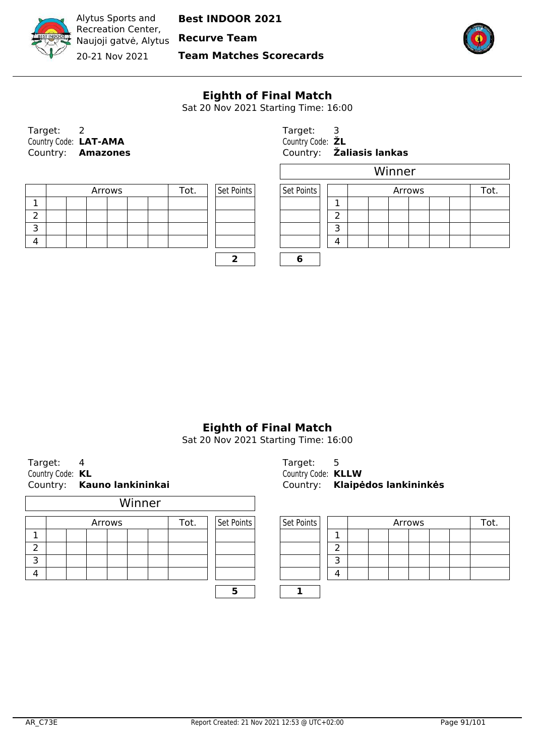

Recreation Center, Naujoji gatvė, Alytus **Recurve Team** 20-21 Nov 2021

Alytus Sports and

**Team Matches Scorecards**



## **Eighth of Final Match**

Sat 20 Nov 2021 Starting Time: 16:00

| Target:               | 2                        |
|-----------------------|--------------------------|
| Country Code: LAT-AMA |                          |
|                       | Country: <b>Amazones</b> |

|  |  | Arrows |  | Tot. | Set Points | Set Points |   |
|--|--|--------|--|------|------------|------------|---|
|  |  |        |  |      |            |            |   |
|  |  |        |  |      |            |            | ∍ |
|  |  |        |  |      |            |            |   |
|  |  |        |  |      |            |            |   |
|  |  |        |  |      |            |            |   |

Target: 3 Country Code:  $ZL$ Country: **Amazones** Country: **Žaliasis lankas**

|        |  |      |            |            |        |  |  | Winner |  |  |  |      |  |
|--------|--|------|------------|------------|--------|--|--|--------|--|--|--|------|--|
| Arrows |  | Tot. | Set Points | Set Points | Arrows |  |  |        |  |  |  | Tot. |  |
|        |  |      |            |            |        |  |  |        |  |  |  |      |  |
|        |  |      |            |            |        |  |  |        |  |  |  |      |  |
|        |  |      |            |            |        |  |  |        |  |  |  |      |  |
|        |  |      |            |            | 4      |  |  |        |  |  |  |      |  |
|        |  |      |            |            |        |  |  |        |  |  |  |      |  |

# **Eighth of Final Match**

Sat 20 Nov 2021 Starting Time: 16:00

| Target:          |                            |
|------------------|----------------------------|
| Country Code: KL |                            |
|                  | Country: Kauno lankininkai |

|   | Winner |  |  |        |  |  |      |  |            |  |            |                |
|---|--------|--|--|--------|--|--|------|--|------------|--|------------|----------------|
|   |        |  |  | Arrows |  |  | Tot. |  | Set Points |  | Set Points |                |
|   |        |  |  |        |  |  |      |  |            |  |            | 1              |
|   |        |  |  |        |  |  |      |  |            |  |            | $\overline{2}$ |
| っ |        |  |  |        |  |  |      |  |            |  |            | 3              |
|   |        |  |  |        |  |  |      |  |            |  |            | л              |
|   |        |  |  |        |  |  |      |  |            |  |            |                |

Target: 5 Country Code: **KL** Country Code: **KLLW** Country: **Kauno lankininkai** Country: **Klaipėdos lankininkės**

| Arrows<br>Tot. |  |  | Set Points | Set Points |  |   | Tot. |  |  |  |
|----------------|--|--|------------|------------|--|---|------|--|--|--|
|                |  |  |            |            |  |   |      |  |  |  |
|                |  |  |            |            |  |   |      |  |  |  |
|                |  |  |            |            |  |   |      |  |  |  |
|                |  |  |            |            |  | 4 |      |  |  |  |
|                |  |  |            |            |  |   |      |  |  |  |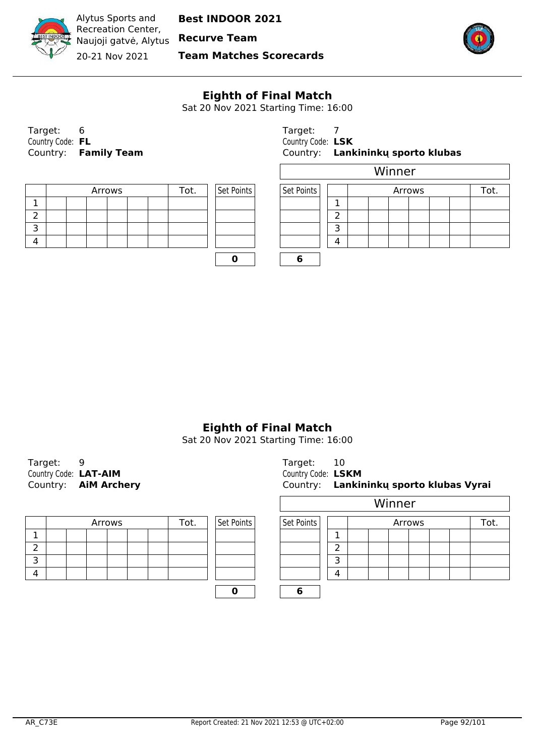

Recreation Center, Naujoji gatvė, Alytus **Recurve Team** 20-21 Nov 2021

Alytus Sports and

**Team Matches Scorecards**



# **Eighth of Final Match**

Sat 20 Nov 2021 Starting Time: 16:00

| Target:          |                      | Target: 7           |  |
|------------------|----------------------|---------------------|--|
| Country Code: FL |                      | Country Code: LSK   |  |
|                  | Country: Family Team | Country: <b>Lan</b> |  |

|  |  | Arrows |  | Tot. | Set Points | Set Points |   |
|--|--|--------|--|------|------------|------------|---|
|  |  |        |  |      |            |            |   |
|  |  |        |  |      |            |            | ∽ |
|  |  |        |  |      |            |            | - |
|  |  |        |  |      |            |            |   |
|  |  |        |  |      |            |            |   |

| Target: 6        |                      | Target:           |                                   |
|------------------|----------------------|-------------------|-----------------------------------|
| Country Code: FL |                      | Country Code: LSK |                                   |
|                  | Country: Family Team |                   | Country: Lankininky sporto klubas |

|        |  |      |            |            |        |  |  | Winner |  |  |  |  |
|--------|--|------|------------|------------|--------|--|--|--------|--|--|--|--|
| Arrows |  | Tot. | Set Points | Set Points | Arrows |  |  |        |  |  |  |  |
|        |  |      |            |            |        |  |  |        |  |  |  |  |
|        |  |      |            |            | ∽      |  |  |        |  |  |  |  |
|        |  |      |            |            |        |  |  |        |  |  |  |  |
|        |  |      |            |            | 4      |  |  |        |  |  |  |  |
|        |  |      |            |            |        |  |  |        |  |  |  |  |

 $\begin{array}{|c|c|c|c|c|c|} \hline \textbf{0} & \textbf{0} & \textbf{6} \\ \hline \end{array}$ 

# **Eighth of Final Match**

| Target:               |                             | Target: 10            |  |
|-----------------------|-----------------------------|-----------------------|--|
| Country Code: LAT-AIM |                             | Country Code: LSKM    |  |
|                       | Country: <b>AIM Archery</b> | Country: <b>Lanki</b> |  |

|  |  | Arrows |  | Tot. | Set Points | Set Points |   |
|--|--|--------|--|------|------------|------------|---|
|  |  |        |  |      |            |            |   |
|  |  |        |  |      |            |            | ∽ |
|  |  |        |  |      |            |            |   |
|  |  |        |  |      |            |            |   |
|  |  |        |  |      |            |            |   |

| Target: |                             | Target:            |                                         |
|---------|-----------------------------|--------------------|-----------------------------------------|
|         | Country Code: LAT-AIM       | Country Code: LSKM |                                         |
|         | Country: <b>AiM Archery</b> |                    | Country: Lankininky sporto klubas Vyrai |

|        |      |            | Winner     |   |  |  |        |  |  |  |      |  |
|--------|------|------------|------------|---|--|--|--------|--|--|--|------|--|
| Arrows | Tot. | Set Points | Set Points |   |  |  | Arrows |  |  |  | Tot. |  |
|        |      |            |            | ┻ |  |  |        |  |  |  |      |  |
|        |      |            |            | h |  |  |        |  |  |  |      |  |
|        |      |            |            | 3 |  |  |        |  |  |  |      |  |
|        |      |            |            | 4 |  |  |        |  |  |  |      |  |
|        |      |            |            |   |  |  |        |  |  |  |      |  |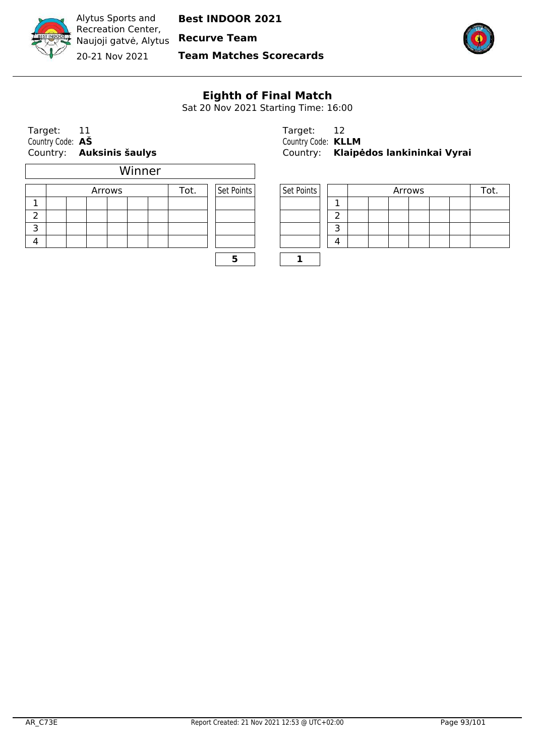

Alytus Sports and Recreation Center, Naujoji gatvė, Alytus **Recurve Team**

**Best INDOOR 2021**

20-21 Nov 2021

**Team Matches Scorecards**

 $\overline{\phantom{a}}$ 



# **Eighth of Final Match**

Sat 20 Nov 2021 Starting Time: 16:00

| Target:          |                                 | Target:               |  |
|------------------|---------------------------------|-----------------------|--|
| Country Code: AS |                                 | Country Code: KLLM    |  |
|                  | Country: <b>Auksinis šaulys</b> | Country: <b>Klaip</b> |  |

|   |  |        | Winner |      |            |            |   |
|---|--|--------|--------|------|------------|------------|---|
|   |  | Arrows |        | Tot. | Set Points | Set Points |   |
|   |  |        |        |      |            |            |   |
|   |  |        |        |      |            |            | っ |
| ₹ |  |        |        |      |            |            | з |
|   |  |        |        |      |            |            |   |
|   |  |        |        |      |            |            |   |

| Target: 11       |                          | Target: 12                |                                      |
|------------------|--------------------------|---------------------------|--------------------------------------|
| Country Code: AŠ |                          | Country Code: <b>KLLM</b> |                                      |
|                  | Country: Auksinis šaulys |                           | Country: Klaipėdos lankininkai Vyrai |

| Arrows |  | ⊺ot. | Set Points | Set Points |   |  | Arrows |  |  |
|--------|--|------|------------|------------|---|--|--------|--|--|
|        |  |      |            |            |   |  |        |  |  |
|        |  |      |            |            |   |  |        |  |  |
|        |  |      |            |            |   |  |        |  |  |
|        |  |      |            |            | ┚ |  |        |  |  |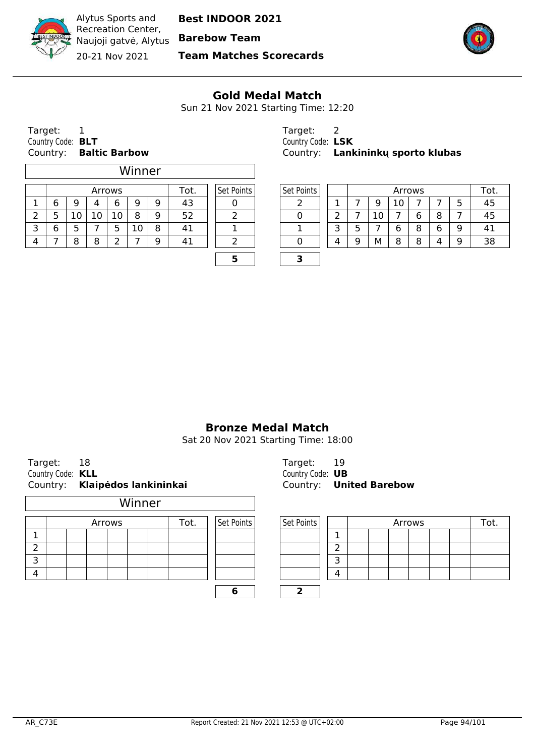Naujoji gatvė, Alytus **Barebow Team**

20-21 Nov 2021

Alytus Sports and Recreation Center,

**Team Matches Scorecards**



#### **Gold Medal Match**

Sun 21 Nov 2021 Starting Time: 12:20

| Target:           |                      |
|-------------------|----------------------|
| Country Code: BLT |                      |
| Country:          | <b>Baltic Barbow</b> |

 $\Gamma$ 

|   |                 |    |        | Winner |   |      |            |            |   |   |    |    |        |   |   |     |
|---|-----------------|----|--------|--------|---|------|------------|------------|---|---|----|----|--------|---|---|-----|
|   |                 |    | Arrows |        |   | Tot. | Set Points | Set Points |   |   |    |    | Arrows |   |   | Tot |
| 6 | 9               |    | 6      | 9      | 9 | 43   |            |            |   |   | 9  | ΙU |        |   |   | 45  |
|   | 10 <sub>1</sub> | 10 | 10     | 8      | 9 | 52   |            |            |   |   | 10 |    | 6      | 8 |   | 45  |
| 6 | כ               |    | כ      | 10     | 8 | 41   |            |            |   |   |    | 6  | 8      | 6 | 9 | 41  |
|   | 8               | 8  | -      |        | 9 | 41   |            |            | 4 | a | М  | 8  | 8      | 4 | Q | 38  |
|   |                 |    |        |        |   |      |            |            |   |   |    |    |        |   |   |     |

Target: 2 Country Code: **BLT** Country Code: **LSK** Country: **Lankininkų sporto klubas** 

| Arrows |    |         |   | 'ot. | Set Points | Set Points |   |     | Arrows |        |        |        | Tot. |
|--------|----|---------|---|------|------------|------------|---|-----|--------|--------|--------|--------|------|
| 4      | 6  | 9       | 9 | 43   |            |            |   |     | 10     |        |        | ∽<br>ے | 45   |
| 10     | 10 | 8       | Q | らつ   |            |            |   | . U |        | г<br>u | 8      |        | 45   |
|        | -  | C<br>⊥∪ | O | 41   |            |            | ∽ |     |        | C<br>ð | ∽<br>6 | 9      | 41   |
| 8      |    |         | a | 4    |            |            |   | м   | o<br>о | 8      | 4      | 9      | 38   |

## **Bronze Medal Match**

Sat 20 Nov 2021 Starting Time: 18:00

Target: 18 Target: 19 Country Code: **KLL** Country Code: **UB** Country: **Klaipėdos lankininkai** Country: **United Barebow**

|   | Winner |  |  |        |  |  |      |  |            |  |            |               |
|---|--------|--|--|--------|--|--|------|--|------------|--|------------|---------------|
|   |        |  |  | Arrows |  |  | Tot. |  | Set Points |  | Set Points |               |
|   |        |  |  |        |  |  |      |  |            |  |            | 1             |
| 2 |        |  |  |        |  |  |      |  |            |  |            | $\mathcal{P}$ |
| З |        |  |  |        |  |  |      |  |            |  |            | 3             |
|   |        |  |  |        |  |  |      |  |            |  |            | 4             |
|   |        |  |  |        |  |  |      |  |            |  |            |               |

| Arrows |  | Гоt. | Set Points | Set Points |   |  | Arrows |  |  |
|--------|--|------|------------|------------|---|--|--------|--|--|
|        |  |      |            |            |   |  |        |  |  |
|        |  |      |            |            |   |  |        |  |  |
|        |  |      |            |            |   |  |        |  |  |
|        |  |      |            |            | 4 |  |        |  |  |
|        |  |      |            |            |   |  |        |  |  |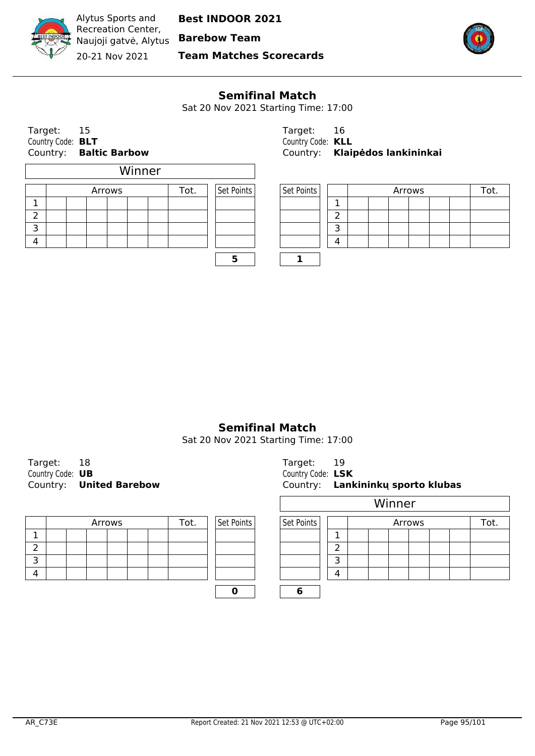Naujoji gatvė, Alytus **Barebow Team**

20-21 Nov 2021

Alytus Sports and Recreation Center,

**Team Matches Scorecards**



## **Semifinal Match**

Sat 20 Nov 2021 Starting Time: 17:00

٦

| Target: 15               |                        | Target: 16           |  |
|--------------------------|------------------------|----------------------|--|
| Country Code: <b>BLT</b> |                        | Country Code: KLL    |  |
|                          | Country: Baltic Barbow | Country: <b>Klai</b> |  |

|               | Winner |  |  |        |  |  |      |  |            |  |            |                |
|---------------|--------|--|--|--------|--|--|------|--|------------|--|------------|----------------|
|               |        |  |  | Arrows |  |  | Tot. |  | Set Points |  | Set Points |                |
|               |        |  |  |        |  |  |      |  |            |  |            | 1              |
| $\mathcal{P}$ |        |  |  |        |  |  |      |  |            |  |            | $\overline{2}$ |
| 3             |        |  |  |        |  |  |      |  |            |  |            | 3              |
|               |        |  |  |        |  |  |      |  |            |  |            | л              |
|               |        |  |  |        |  |  |      |  |            |  |            |                |

|                          | Country: <b>Baltic Barbow</b> |                   | Country: Klaipėdos lankininkai |
|--------------------------|-------------------------------|-------------------|--------------------------------|
| Country Code: <b>BLT</b> |                               | Country Code: KLL |                                |
| Target: 15               |                               | Target: 16        |                                |

| Arrows |  | ™ot. | Set Points | Set Points |  |  |  | Arrows |  |  |
|--------|--|------|------------|------------|--|--|--|--------|--|--|
|        |  |      |            |            |  |  |  |        |  |  |
|        |  |      |            |            |  |  |  |        |  |  |
|        |  |      |            |            |  |  |  |        |  |  |
|        |  |      |            |            |  |  |  |        |  |  |

## **Semifinal Match**

| Target:          |                         | Target: 19          |  |
|------------------|-------------------------|---------------------|--|
| Country Code: UB |                         | Country Code: LSK   |  |
|                  | Country: United Barebow | Country: <b>Lan</b> |  |

|  | Arrows |  | Tot. | Set Points | Set Points |  |
|--|--------|--|------|------------|------------|--|
|  |        |  |      |            |            |  |
|  |        |  |      |            |            |  |
|  |        |  |      |            |            |  |
|  |        |  |      |            |            |  |
|  |        |  |      |            |            |  |

| Target: 18       |                                | Target: I         |                                   |
|------------------|--------------------------------|-------------------|-----------------------------------|
| Country Code: UB |                                | Country Code: LSK |                                   |
|                  | Country: <b>United Barebow</b> |                   | Country: Lankininky sporto klubas |

|        |  |      |            | Winner               |   |  |  |  |  |  |  |      |
|--------|--|------|------------|----------------------|---|--|--|--|--|--|--|------|
| Arrows |  | Tot. | Set Points | Set Points<br>Arrows |   |  |  |  |  |  |  | Tot. |
|        |  |      |            |                      |   |  |  |  |  |  |  |      |
|        |  |      |            |                      | ∍ |  |  |  |  |  |  |      |
|        |  |      |            |                      | 3 |  |  |  |  |  |  |      |
|        |  |      |            |                      | 4 |  |  |  |  |  |  |      |
|        |  |      |            |                      |   |  |  |  |  |  |  |      |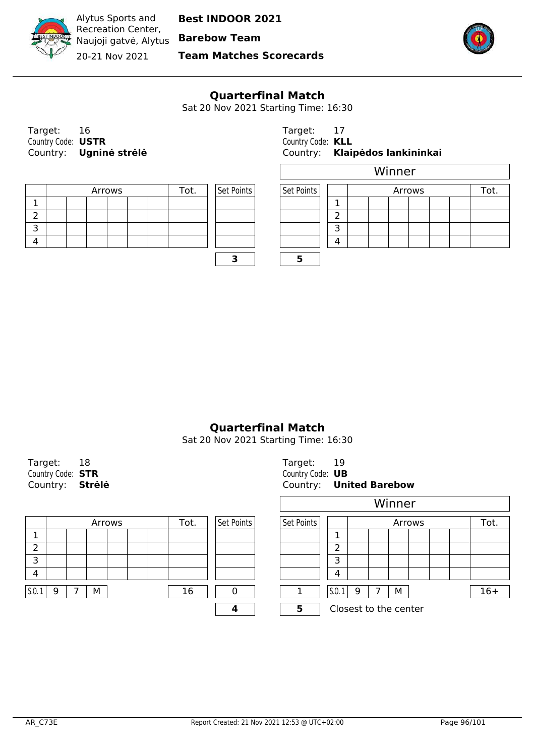

Naujoji gatvė, Alytus **Barebow Team** 20-21 Nov 2021

Alytus Sports and

**Team Matches Scorecards**



## **Quarterfinal Match**

Sat 20 Nov 2021 Starting Time: 16:30

| Target:            |                        | Target: 17           |  |
|--------------------|------------------------|----------------------|--|
| Country Code: USTR |                        | Country Code: KLL    |  |
|                    | Country: Ugninė strėlė | Country: <b>Klai</b> |  |

|  |  | Arrows |  | Tot. | Set Points | Set Points |   |
|--|--|--------|--|------|------------|------------|---|
|  |  |        |  |      |            |            |   |
|  |  |        |  |      |            |            | ∽ |
|  |  |        |  |      |            |            |   |
|  |  |        |  |      |            |            |   |
|  |  |        |  |      |            |            |   |

| Target: 16         |                        | Target: 17        |                                |
|--------------------|------------------------|-------------------|--------------------------------|
| Country Code: USTR |                        | Country Code: KLL |                                |
|                    | Country: Ugninė strėlė |                   | Country: Klaipėdos lankininkai |

|                |  |  |  |  |            | Winner     |   |               |  |  |  |  |  |  |
|----------------|--|--|--|--|------------|------------|---|---------------|--|--|--|--|--|--|
| Arrows<br>Tot. |  |  |  |  | Set Points | Set Points |   | Arrows<br>Tot |  |  |  |  |  |  |
|                |  |  |  |  |            |            |   |               |  |  |  |  |  |  |
|                |  |  |  |  |            |            | ∽ |               |  |  |  |  |  |  |
|                |  |  |  |  |            |            |   |               |  |  |  |  |  |  |
|                |  |  |  |  |            |            | Δ |               |  |  |  |  |  |  |
|                |  |  |  |  |            |            |   |               |  |  |  |  |  |  |

**3 5**

## **Quarterfinal Match**

| Target: 18               | Target: 19         |  |
|--------------------------|--------------------|--|
| Country Code: <b>STR</b> | Country Code: UB   |  |
| Country: Strėlė          | Country: <b>Un</b> |  |

|      |   |   | Arrows |  | Tot. | Set Points | Set Points |       | Arrows                |  |   |  | Tot. |       |
|------|---|---|--------|--|------|------------|------------|-------|-----------------------|--|---|--|------|-------|
|      |   |   |        |  |      |            |            |       |                       |  |   |  |      |       |
| ∍    |   |   |        |  |      |            |            | ◠     |                       |  |   |  |      |       |
| ∍    |   |   |        |  |      |            |            |       |                       |  |   |  |      |       |
| -4   |   |   |        |  |      |            |            |       |                       |  |   |  |      |       |
|      |   |   |        |  |      |            |            |       |                       |  |   |  |      |       |
| S.O. | Q | М |        |  | 16   |            |            | S.0.1 | 9                     |  | М |  |      | $16+$ |
|      |   |   |        |  |      |            |            |       | Closest to the center |  |   |  |      |       |

| Target:                  | Target: 19       |                         |
|--------------------------|------------------|-------------------------|
| Country Code: <b>STR</b> | Country Code: UB |                         |
| Country: <b>Strėlė</b>   |                  | Country: United Barebow |

|   |        |      |            |            |       |   | Winner                |        |      |       |
|---|--------|------|------------|------------|-------|---|-----------------------|--------|------|-------|
|   | Arrows | Tot. | Set Points | Set Points |       |   |                       | Arrows | Tot. |       |
|   |        |      |            |            |       |   |                       |        |      |       |
|   |        |      |            |            | ົ     |   |                       |        |      |       |
|   |        |      |            |            | 3     |   |                       |        |      |       |
|   |        |      |            |            | 4     |   |                       |        |      |       |
| M |        | 16   | n          |            | 5.0.1 | 9 | М                     |        |      | $16+$ |
|   |        |      |            | 5          |       |   | Closest to the center |        |      |       |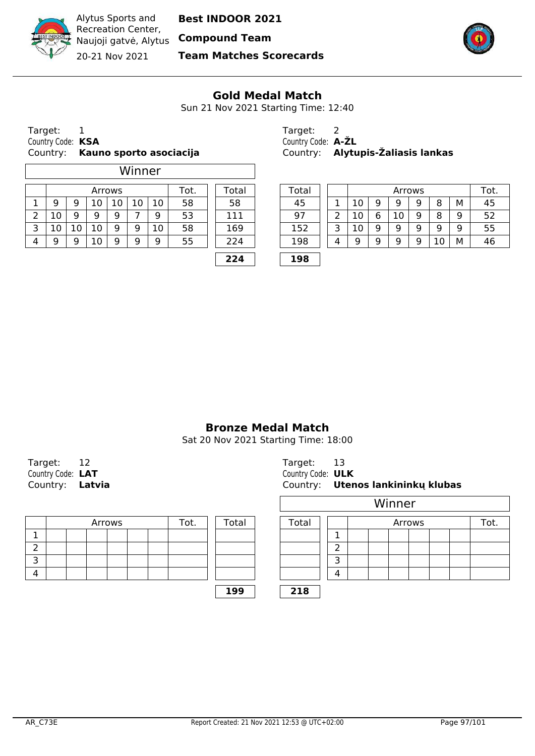Naujoji gatvė, Alytus **Compound Team**

20-21 Nov 2021

**Team Matches Scorecards**



#### **Gold Medal Match**

Sun 21 Nov 2021 Starting Time: 12:40

| Target:           |                                  |
|-------------------|----------------------------------|
| Country Code: KSA |                                  |
|                   | Country: Kauno sporto asociacija |

Alytus Sports and Recreation Center,

|   |                |    |    |    | Winner |    |       |                 |     |  |   |    |   |    |     |                 |   |    |
|---|----------------|----|----|----|--------|----|-------|-----------------|-----|--|---|----|---|----|-----|-----------------|---|----|
|   | Tot.<br>Arrows |    |    |    |        |    | Total | Total<br>Arrows |     |  |   |    |   |    | Tot |                 |   |    |
|   | 9              | 9  | 10 | 10 | 10     | 10 | 58    | 58              | 45  |  |   |    | 9 | 9  | 9   | 8               | М | 45 |
|   | 10             | 9  | q  | 9  |        | 9  | 53    | 111             | 97  |  |   |    | 6 | 10 | 9   | 8               | 9 | 52 |
| 3 | 10             | 10 | 10 | 9  | 9      | 10 | 58    | 169             | 152 |  |   | 10 | 9 | 9  | 9   | 9               | 9 | 55 |
| 4 | q              | 9  | 10 | 9  | q      | 9  | 55    | 224             | 198 |  | 4 | a  | 9 | 9  | 9   | 10 <sup>°</sup> | М | 46 |
|   |                |    |    |    |        |    |       | 224             | 198 |  |   |    |   |    |     |                 |   |    |

Target: 2 Country Code: **A-ŽL** Country: **Alytupis-Žaliasis lankas** 

| Arrows<br>⊺ot. |    |   |    |    | -otal         | ™otal | Arrows |   |    |   |    |   |        | Tot. |    |  |
|----------------|----|---|----|----|---------------|-------|--------|---|----|---|----|---|--------|------|----|--|
| 10             | ⊥∪ | ∸ | τn | 58 | 58            | 45    |        |   | ⊥∪ | a | 9  | a | o<br>o | м    | 45 |  |
| 9              | a  |   | a  | 53 | 11            | 97    |        |   |    | u | 10 | a | 8      | 9    | よつ |  |
| 10             | 9  | 9 | 10 | 58 | 169           | 15つ   |        | ∽ |    | a | g  | Q | a      | 9    | 55 |  |
| 10             | a  | a | a  | 55 | <u> 24 - </u> | 198   |        |   |    | a | a  | a | ◡      | М    | 46 |  |
|                |    |   |    |    |               |       |        |   |    |   |    |   |        |      |    |  |

**Bronze Medal Match**

| Target: 12             | Target: 13            |  |
|------------------------|-----------------------|--|
| Country Code: LAT      | Country Code: ULK     |  |
| Country: <b>Latvia</b> | Country: <b>Ute</b> r |  |

|   |  | Arrows |  | Tot. | <b>Total</b> | Total |               |
|---|--|--------|--|------|--------------|-------|---------------|
|   |  |        |  |      |              |       | ┓             |
|   |  |        |  |      |              |       | $\mathcal{P}$ |
| っ |  |        |  |      |              |       | ∍             |
|   |  |        |  |      |              |       | л             |
|   |  |        |  |      | 199          | 218   |               |

| Target: 12             | Target:           |                                   |
|------------------------|-------------------|-----------------------------------|
| Country Code: LAT      | Country Code: ULK |                                   |
| Country: <b>Latvia</b> |                   | Country: Utenos lankininky klubas |

|        |      |       |            |                |                |  | Winner |  |  |  |  |
|--------|------|-------|------------|----------------|----------------|--|--------|--|--|--|--|
| Arrows | Tot. | Total | Total      |                | Arrows<br>Tot. |  |        |  |  |  |  |
|        |      |       |            | ┻              |                |  |        |  |  |  |  |
|        |      |       |            | ┑<br>ے         |                |  |        |  |  |  |  |
|        |      |       |            |                |                |  |        |  |  |  |  |
|        |      |       |            | $\overline{a}$ |                |  |        |  |  |  |  |
|        |      | 199   | <b>218</b> |                |                |  |        |  |  |  |  |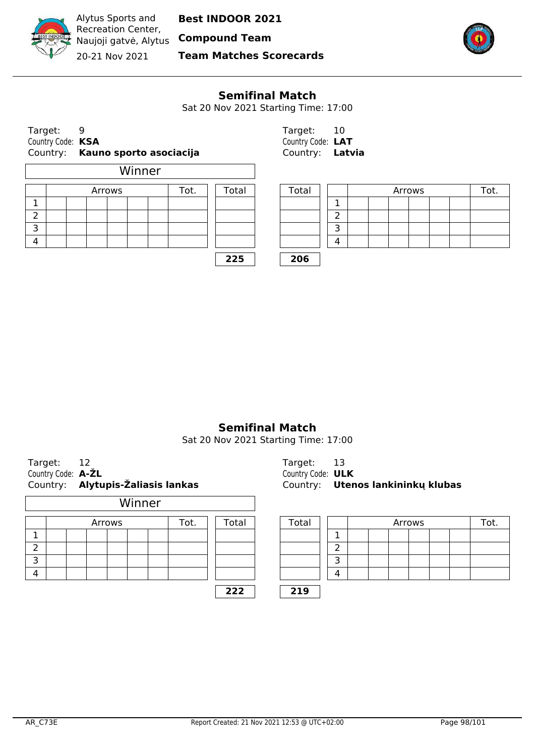Naujoji gatvė, Alytus **Compound Team**

20-21 Nov 2021

**Team Matches Scorecards**



#### **Semifinal Match**

Sat 20 Nov 2021 Starting Time: 17:00

|                   | Country: Kauno sporto asociacija | Country: <b>Latvia</b> |  |
|-------------------|----------------------------------|------------------------|--|
| Country Code: KSA |                                  | Country Code: LAT      |  |
| Target:           |                                  | Target: 10             |  |

Alytus Sports and Recreation Center,

|   |  | Arrows |  | Tot. | Total | Total |                          |
|---|--|--------|--|------|-------|-------|--------------------------|
|   |  |        |  |      |       |       | ٦                        |
|   |  |        |  |      |       |       | $\overline{\phantom{0}}$ |
| っ |  |        |  |      |       |       | 3                        |
|   |  |        |  |      |       |       | л                        |
|   |  |        |  |      |       |       |                          |

| Target:           | 10     |
|-------------------|--------|
| Country Code: LAT |        |
| Country:          | Latvia |

| Arrows<br>ōt. |  |  |  |  | Total | Total |   |  |  | Arrows |  |  |  |
|---------------|--|--|--|--|-------|-------|---|--|--|--------|--|--|--|
|               |  |  |  |  |       |       |   |  |  |        |  |  |  |
|               |  |  |  |  |       |       |   |  |  |        |  |  |  |
|               |  |  |  |  |       |       |   |  |  |        |  |  |  |
|               |  |  |  |  |       |       | Δ |  |  |        |  |  |  |

**225 206**

## **Semifinal Match**

Sat 20 Nov 2021 Starting Time: 17:00

| Target: 12         |                                   |
|--------------------|-----------------------------------|
| Country Code: A-ZL |                                   |
|                    | Country: Alytupis-Žaliasis lankas |

|   |  | Arrows |  | Tot. |  | Total | Total |   |
|---|--|--------|--|------|--|-------|-------|---|
|   |  |        |  |      |  |       |       | 1 |
| 2 |  |        |  |      |  |       |       | 2 |
| З |  |        |  |      |  |       |       | 3 |
|   |  |        |  |      |  |       |       | 4 |
|   |  |        |  |      |  | 222   | 219   |   |

Target: 13 **Country Code: ULK** Country: **Alytupis-Žaliasis lankas** Country: **Utenos lankininkų klubas**

| Arrows |  | Гоt. | Total | Total |        |  |  |  | Arrows |  | ot. |
|--------|--|------|-------|-------|--------|--|--|--|--------|--|-----|
|        |  |      |       |       |        |  |  |  |        |  |     |
|        |  |      |       |       | ∽      |  |  |  |        |  |     |
|        |  |      |       |       | ¬<br>ٮ |  |  |  |        |  |     |
|        |  |      |       |       | 4      |  |  |  |        |  |     |
|        |  |      | 222   | 219   |        |  |  |  |        |  |     |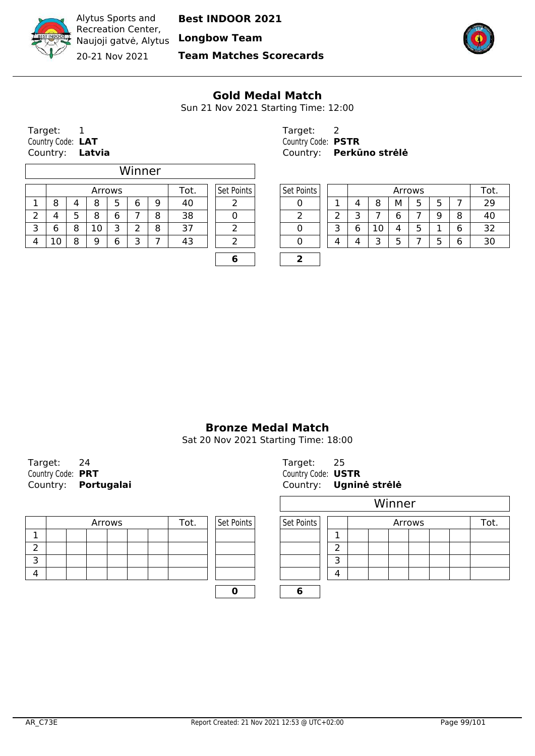

Recreation Center, Naujoji gatvė, Alytus **Longbow Team** 20-21 Nov 2021

Alytus Sports and

**Team Matches Scorecards**



#### **Gold Medal Match**

Sun 21 Nov 2021 Starting Time: 12:00

Target: 1 Target: 2 Country Code: **LAT** Country Code: **PSTR**

 $\overline{\Gamma}$ 

|                              |   |    |   | Winner |   |    |   |            |   |   |    |   |        |   |   |     |
|------------------------------|---|----|---|--------|---|----|---|------------|---|---|----|---|--------|---|---|-----|
| Set Points<br>Tot.<br>Arrows |   |    |   |        |   |    |   | Set Points |   |   |    |   | Arrows |   |   | Tot |
| 8                            | 4 | 8  | 5 | 6      | 9 | 40 |   |            |   | 4 | 8  | м |        | 5 |   | 29  |
|                              | ל | 8  | 6 |        | 8 | 38 |   |            |   |   |    | 6 |        | 9 | 8 | 40  |
| 6                            | 8 | 10 | 3 |        | 8 | 37 |   |            |   | 6 | 10 | 4 |        |   | 6 | 32  |
| 10                           | 8 | a  | 6 |        |   | 43 |   |            | 4 |   | っ  |   |        |   | 6 | 30  |
|                              |   |    |   |        |   |    | Ю |            |   |   |    |   |        |   |   |     |

Country: **Latvia** Country: **Perkūno strėlė**

| Arrows |   |   |   | ۱ot. | Set Points | Set Points |   | Arrows |    |   |        |   |        | Tot. |
|--------|---|---|---|------|------------|------------|---|--------|----|---|--------|---|--------|------|
| 8      |   | o | 9 | 40   |            |            |   |        | 8  | М | -<br>ے |   |        |      |
| 8      | 6 |   | o | 38   |            |            | ∽ |        |    | ∽ |        | a | 8      | 40   |
| 10     | ¬ |   | О | ∍    |            |            | ∽ | u      | ⊥∪ |   | ے      |   | ∽<br>6 | ∍-   |
| 9      | 6 | ∽ |   | 43   |            |            | Δ |        | ∽  |   |        |   | 6      | 30   |
|        |   |   |   |      |            |            |   |        |    |   |        |   |        |      |

#### **Bronze Medal Match**

Sat 20 Nov 2021 Starting Time: 18:00

Target: 24 Country Code: **PRT** COUNTRIES COUNTRIES Country: **Portugalai** Country: **Ugnin** 

|  | Arrows |  | Tot. | Set Points | Set Points |   |
|--|--------|--|------|------------|------------|---|
|  |        |  |      |            |            |   |
|  |        |  |      |            |            |   |
|  |        |  |      |            |            | ∽ |
|  |        |  |      |            |            |   |
|  |        |  |      |            |            |   |

| Target:            | 25                     |
|--------------------|------------------------|
| Country Code: USTR |                        |
|                    | Country: Ugninė strėlė |

|        |  |      |            | Winner     |   |  |  |  |        |  |  |      |  |
|--------|--|------|------------|------------|---|--|--|--|--------|--|--|------|--|
| Arrows |  | Tot. | Set Points | Set Points |   |  |  |  | Arrows |  |  | Гоt. |  |
|        |  |      |            |            |   |  |  |  |        |  |  |      |  |
|        |  |      |            |            |   |  |  |  |        |  |  |      |  |
|        |  |      |            |            | ¬ |  |  |  |        |  |  |      |  |
|        |  |      |            |            | 4 |  |  |  |        |  |  |      |  |
|        |  |      |            |            |   |  |  |  |        |  |  |      |  |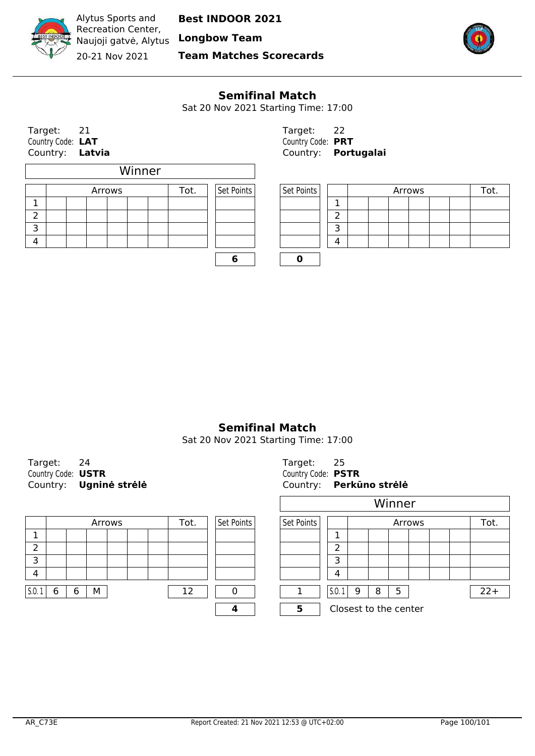

Alytus Sports and Recreation Center, Naujoji gatvė, Alytus **Longbow Team** 20-21 Nov 2021

**Best INDOOR 2021**

**Team Matches Scorecards**



#### **Semifinal Match**

Sat 20 Nov 2021 Starting Time: 17:00

Target: 21 Target: 22 Country Code: **LAT**<br>
Country: **Latvia**<br>
Country: **Port** 

 $\mathbf{r}$ 

|    |  |        | Winner |      |            |            |   |
|----|--|--------|--------|------|------------|------------|---|
|    |  | Arrows |        | Tot. | Set Points | Set Points |   |
|    |  |        |        |      |            |            | 1 |
| ົາ |  |        |        |      |            |            | 2 |
| з  |  |        |        |      |            |            | 3 |
|    |  |        |        |      |            |            | Δ |
|    |  |        |        |      |            |            |   |

Country: **Latvia** Country: **Portugalai**

| Arrows |  | Tot. | Set Points | Set Points |  |  | Arrows |  |  |
|--------|--|------|------------|------------|--|--|--------|--|--|
|        |  |      |            |            |  |  |        |  |  |
|        |  |      |            |            |  |  |        |  |  |
|        |  |      |            |            |  |  |        |  |  |
|        |  |      |            |            |  |  |        |  |  |

**Semifinal Match**

| Target:            |                        | Target: 25         |  |
|--------------------|------------------------|--------------------|--|
| Country Code: USTR |                        | Country Code: PSTR |  |
|                    | Country: Ugnine strele | Country: Perki     |  |

|       |   |   |   | Arrows |  | Tot. | Set Points | Set Points |       |   | Arrows |                       |  |  | Tot. |        |
|-------|---|---|---|--------|--|------|------------|------------|-------|---|--------|-----------------------|--|--|------|--------|
|       |   |   |   |        |  |      |            |            |       |   |        |                       |  |  |      |        |
|       |   |   |   |        |  |      |            |            | ∽     |   |        |                       |  |  |      |        |
| ∍     |   |   |   |        |  |      |            |            |       |   |        |                       |  |  |      |        |
| 4     |   |   |   |        |  |      |            |            |       |   |        |                       |  |  |      |        |
| 5.0.1 | 6 | 6 | М |        |  | 12   |            |            | 5.0.1 | 9 | 8      | 5                     |  |  |      | $22 +$ |
|       |   |   |   |        |  |      |            |            |       |   |        | Closest to the center |  |  |      |        |

|                    | Country: Ugninė strėlė |                    | Country: Perkūno strėlė |
|--------------------|------------------------|--------------------|-------------------------|
| Country Code: USTR |                        | Country Code: PSTR |                         |
| Target:            |                        | Target:            |                         |

|                |  |  |  |    |            | Winner     |       |                       |   |   |  |  |  |       |  |
|----------------|--|--|--|----|------------|------------|-------|-----------------------|---|---|--|--|--|-------|--|
| Arrows<br>Tot. |  |  |  |    | Set Points | Set Points |       | Arrows                |   |   |  |  |  |       |  |
|                |  |  |  |    |            |            |       |                       |   |   |  |  |  |       |  |
|                |  |  |  |    |            |            | ำ     |                       |   |   |  |  |  |       |  |
|                |  |  |  |    |            |            | 3     |                       |   |   |  |  |  |       |  |
|                |  |  |  |    |            |            | 4     |                       |   |   |  |  |  |       |  |
| M              |  |  |  | 12 |            |            | 5.0.1 | 9                     | 8 | 5 |  |  |  | $22+$ |  |
|                |  |  |  |    |            | 5          |       | Closest to the center |   |   |  |  |  |       |  |